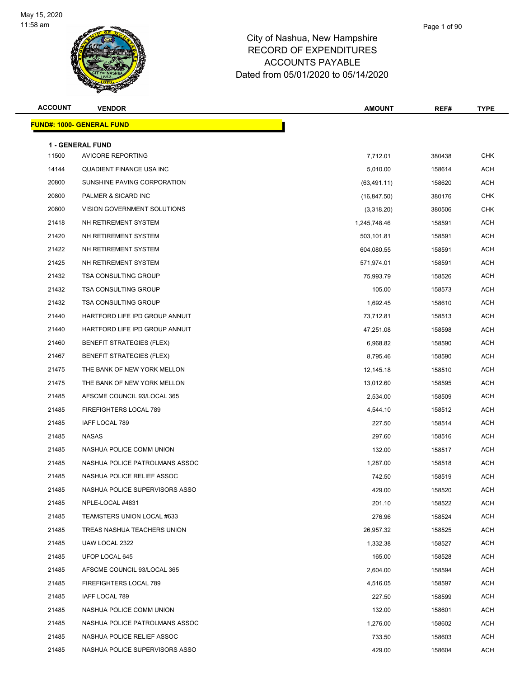

| <b>ACCOUNT</b> | <b>VENDOR</b>                     | <b>AMOUNT</b> | REF#   | <b>TYPE</b> |
|----------------|-----------------------------------|---------------|--------|-------------|
|                | <u> FUND#: 1000- GENERAL FUND</u> |               |        |             |
|                | <b>1 - GENERAL FUND</b>           |               |        |             |
| 11500          | <b>AVICORE REPORTING</b>          | 7,712.01      | 380438 | <b>CHK</b>  |
| 14144          | QUADIENT FINANCE USA INC          | 5,010.00      | 158614 | <b>ACH</b>  |
| 20800          | SUNSHINE PAVING CORPORATION       | (63, 491.11)  | 158620 | <b>ACH</b>  |
| 20800          | PALMER & SICARD INC               | (16, 847.50)  | 380176 | <b>CHK</b>  |
| 20800          | VISION GOVERNMENT SOLUTIONS       | (3,318.20)    | 380506 | <b>CHK</b>  |
| 21418          | NH RETIREMENT SYSTEM              | 1,245,748.46  | 158591 | <b>ACH</b>  |
| 21420          | NH RETIREMENT SYSTEM              | 503,101.81    | 158591 | <b>ACH</b>  |
| 21422          | NH RETIREMENT SYSTEM              | 604,080.55    | 158591 | <b>ACH</b>  |
| 21425          | NH RETIREMENT SYSTEM              | 571,974.01    | 158591 | <b>ACH</b>  |
| 21432          | <b>TSA CONSULTING GROUP</b>       | 75,993.79     | 158526 | <b>ACH</b>  |
| 21432          | <b>TSA CONSULTING GROUP</b>       | 105.00        | 158573 | <b>ACH</b>  |
| 21432          | <b>TSA CONSULTING GROUP</b>       | 1,692.45      | 158610 | <b>ACH</b>  |
| 21440          | HARTFORD LIFE IPD GROUP ANNUIT    | 73,712.81     | 158513 | <b>ACH</b>  |
| 21440          | HARTFORD LIFE IPD GROUP ANNUIT    | 47,251.08     | 158598 | <b>ACH</b>  |
| 21460          | <b>BENEFIT STRATEGIES (FLEX)</b>  | 6,968.82      | 158590 | <b>ACH</b>  |
| 21467          | <b>BENEFIT STRATEGIES (FLEX)</b>  | 8,795.46      | 158590 | <b>ACH</b>  |
| 21475          | THE BANK OF NEW YORK MELLON       | 12,145.18     | 158510 | <b>ACH</b>  |
| 21475          | THE BANK OF NEW YORK MELLON       | 13,012.60     | 158595 | <b>ACH</b>  |
| 21485          | AFSCME COUNCIL 93/LOCAL 365       | 2,534.00      | 158509 | <b>ACH</b>  |
| 21485          | FIREFIGHTERS LOCAL 789            | 4,544.10      | 158512 | <b>ACH</b>  |
| 21485          | IAFF LOCAL 789                    | 227.50        | 158514 | <b>ACH</b>  |
| 21485          | <b>NASAS</b>                      | 297.60        | 158516 | <b>ACH</b>  |
| 21485          | NASHUA POLICE COMM UNION          | 132.00        | 158517 | <b>ACH</b>  |
| 21485          | NASHUA POLICE PATROLMANS ASSOC    | 1,287.00      | 158518 | <b>ACH</b>  |
| 21485          | NASHUA POLICE RELIEF ASSOC        | 742.50        | 158519 | <b>ACH</b>  |
| 21485          | NASHUA POLICE SUPERVISORS ASSO    | 429.00        | 158520 | <b>ACH</b>  |
| 21485          | NPLE-LOCAL #4831                  | 201.10        | 158522 | ACH         |
| 21485          | TEAMSTERS UNION LOCAL #633        | 276.96        | 158524 | ACH         |
| 21485          | TREAS NASHUA TEACHERS UNION       | 26,957.32     | 158525 | ACH         |
| 21485          | UAW LOCAL 2322                    | 1,332.38      | 158527 | ACH         |
| 21485          | UFOP LOCAL 645                    | 165.00        | 158528 | <b>ACH</b>  |
| 21485          | AFSCME COUNCIL 93/LOCAL 365       | 2,604.00      | 158594 | ACH         |
| 21485          | FIREFIGHTERS LOCAL 789            | 4,516.05      | 158597 | <b>ACH</b>  |
| 21485          | IAFF LOCAL 789                    | 227.50        | 158599 | <b>ACH</b>  |
| 21485          | NASHUA POLICE COMM UNION          | 132.00        | 158601 | ACH         |
| 21485          | NASHUA POLICE PATROLMANS ASSOC    | 1,276.00      | 158602 | <b>ACH</b>  |
| 21485          | NASHUA POLICE RELIEF ASSOC        | 733.50        | 158603 | ACH         |
| 21485          | NASHUA POLICE SUPERVISORS ASSO    | 429.00        | 158604 | ACH         |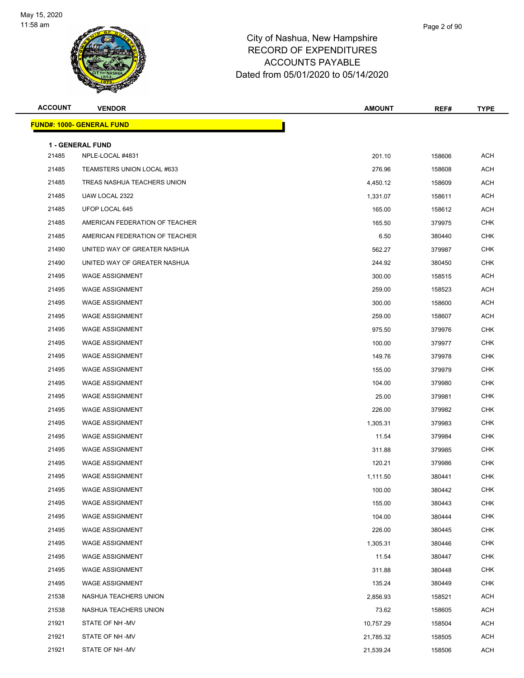

| <b>ACCOUNT</b> | <b>VENDOR</b>                               | <b>AMOUNT</b> | REF#   | <b>TYPE</b> |
|----------------|---------------------------------------------|---------------|--------|-------------|
|                | <b>FUND#: 1000- GENERAL FUND</b>            |               |        |             |
|                |                                             |               |        |             |
| 21485          | <b>1 - GENERAL FUND</b><br>NPLE-LOCAL #4831 | 201.10        | 158606 | <b>ACH</b>  |
| 21485          | TEAMSTERS UNION LOCAL #633                  | 276.96        | 158608 | <b>ACH</b>  |
| 21485          | TREAS NASHUA TEACHERS UNION                 | 4,450.12      | 158609 | <b>ACH</b>  |
| 21485          | UAW LOCAL 2322                              | 1,331.07      | 158611 | <b>ACH</b>  |
| 21485          | UFOP LOCAL 645                              | 165.00        | 158612 | ACH         |
| 21485          | AMERICAN FEDERATION OF TEACHER              | 165.50        | 379975 | <b>CHK</b>  |
| 21485          | AMERICAN FEDERATION OF TEACHER              | 6.50          | 380440 | <b>CHK</b>  |
| 21490          | UNITED WAY OF GREATER NASHUA                | 562.27        | 379987 | <b>CHK</b>  |
| 21490          | UNITED WAY OF GREATER NASHUA                | 244.92        | 380450 | <b>CHK</b>  |
| 21495          | <b>WAGE ASSIGNMENT</b>                      | 300.00        | 158515 | <b>ACH</b>  |
| 21495          | <b>WAGE ASSIGNMENT</b>                      | 259.00        | 158523 | ACH         |
| 21495          | <b>WAGE ASSIGNMENT</b>                      | 300.00        | 158600 | ACH         |
| 21495          | <b>WAGE ASSIGNMENT</b>                      | 259.00        | 158607 | <b>ACH</b>  |
| 21495          | <b>WAGE ASSIGNMENT</b>                      | 975.50        | 379976 | <b>CHK</b>  |
| 21495          | <b>WAGE ASSIGNMENT</b>                      | 100.00        | 379977 | <b>CHK</b>  |
| 21495          | <b>WAGE ASSIGNMENT</b>                      | 149.76        | 379978 | <b>CHK</b>  |
| 21495          | <b>WAGE ASSIGNMENT</b>                      | 155.00        | 379979 | <b>CHK</b>  |
| 21495          | <b>WAGE ASSIGNMENT</b>                      | 104.00        | 379980 | <b>CHK</b>  |
| 21495          | <b>WAGE ASSIGNMENT</b>                      | 25.00         | 379981 | <b>CHK</b>  |
| 21495          | <b>WAGE ASSIGNMENT</b>                      | 226.00        | 379982 | <b>CHK</b>  |
| 21495          | <b>WAGE ASSIGNMENT</b>                      | 1,305.31      | 379983 | <b>CHK</b>  |
| 21495          | <b>WAGE ASSIGNMENT</b>                      | 11.54         | 379984 | <b>CHK</b>  |
| 21495          | <b>WAGE ASSIGNMENT</b>                      | 311.88        | 379985 | <b>CHK</b>  |
| 21495          | <b>WAGE ASSIGNMENT</b>                      | 120.21        | 379986 | <b>CHK</b>  |
| 21495          | <b>WAGE ASSIGNMENT</b>                      | 1,111.50      | 380441 | <b>CHK</b>  |
| 21495          | <b>WAGE ASSIGNMENT</b>                      | 100.00        | 380442 | CHK         |
| 21495          | <b>WAGE ASSIGNMENT</b>                      | 155.00        | 380443 | <b>CHK</b>  |
| 21495          | <b>WAGE ASSIGNMENT</b>                      | 104.00        | 380444 | <b>CHK</b>  |
| 21495          | <b>WAGE ASSIGNMENT</b>                      | 226.00        | 380445 | <b>CHK</b>  |
| 21495          | <b>WAGE ASSIGNMENT</b>                      | 1,305.31      | 380446 | <b>CHK</b>  |
| 21495          | <b>WAGE ASSIGNMENT</b>                      | 11.54         | 380447 | <b>CHK</b>  |
| 21495          | <b>WAGE ASSIGNMENT</b>                      | 311.88        | 380448 | <b>CHK</b>  |
| 21495          | <b>WAGE ASSIGNMENT</b>                      | 135.24        | 380449 | <b>CHK</b>  |
| 21538          | NASHUA TEACHERS UNION                       | 2,856.93      | 158521 | <b>ACH</b>  |
| 21538          | NASHUA TEACHERS UNION                       | 73.62         | 158605 | ACH         |
| 21921          | STATE OF NH-MV                              | 10,757.29     | 158504 | ACH         |
| 21921          | STATE OF NH-MV                              | 21,785.32     | 158505 | ACH         |
| 21921          | STATE OF NH-MV                              | 21,539.24     | 158506 | <b>ACH</b>  |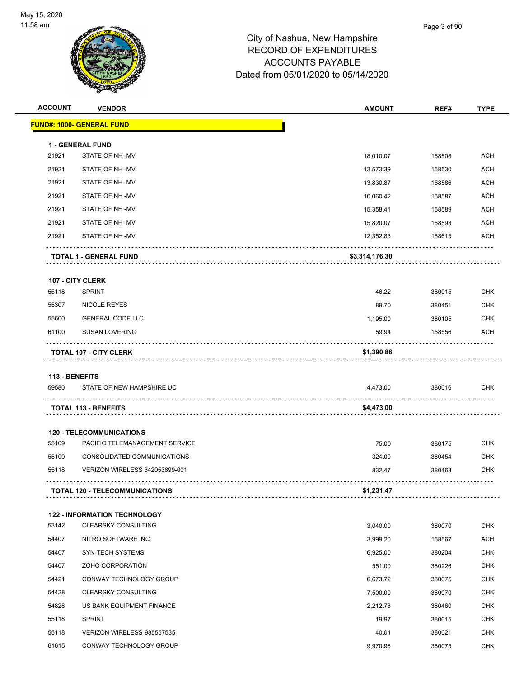

| <b>ACCOUNT</b> | <b>VENDOR</b>                                                     | <b>AMOUNT</b>      | REF#             | <b>TYPE</b> |
|----------------|-------------------------------------------------------------------|--------------------|------------------|-------------|
|                | <b>FUND#: 1000- GENERAL FUND</b>                                  |                    |                  |             |
|                | <b>1 - GENERAL FUND</b>                                           |                    |                  |             |
| 21921          | STATE OF NH-MV                                                    | 18,010.07          | 158508           | <b>ACH</b>  |
| 21921          | STATE OF NH-MV                                                    | 13,573.39          | 158530           | <b>ACH</b>  |
| 21921          | STATE OF NH-MV                                                    | 13,830.87          | 158586           | <b>ACH</b>  |
| 21921          | STATE OF NH-MV                                                    | 10,060.42          | 158587           | <b>ACH</b>  |
| 21921          | STATE OF NH-MV                                                    | 15,358.41          | 158589           | <b>ACH</b>  |
| 21921          | STATE OF NH-MV                                                    | 15,820.07          | 158593           | <b>ACH</b>  |
| 21921          | STATE OF NH-MV                                                    | 12,352.83          | 158615           | <b>ACH</b>  |
|                | <b>TOTAL 1 - GENERAL FUND</b>                                     | \$3,314,176.30     |                  |             |
|                | 107 - CITY CLERK                                                  |                    |                  |             |
| 55118          | <b>SPRINT</b>                                                     | 46.22              | 380015           | <b>CHK</b>  |
| 55307          | NICOLE REYES                                                      | 89.70              | 380451           | <b>CHK</b>  |
| 55600          | <b>GENERAL CODE LLC</b>                                           | 1,195.00           | 380105           | <b>CHK</b>  |
| 61100          | <b>SUSAN LOVERING</b>                                             | 59.94              | 158556           | ACH         |
|                | <b>TOTAL 107 - CITY CLERK</b>                                     | \$1,390.86         |                  |             |
|                |                                                                   |                    |                  |             |
| 113 - BENEFITS |                                                                   |                    |                  |             |
| 59580          | STATE OF NEW HAMPSHIRE UC                                         | 4,473.00           | 380016           | <b>CHK</b>  |
|                | <b>TOTAL 113 - BENEFITS</b>                                       | \$4,473.00         |                  |             |
|                | <b>120 - TELECOMMUNICATIONS</b>                                   |                    |                  |             |
| 55109          | PACIFIC TELEMANAGEMENT SERVICE                                    | 75.00              | 380175           | <b>CHK</b>  |
| 55109          | CONSOLIDATED COMMUNICATIONS                                       | 324.00             | 380454           | <b>CHK</b>  |
| 55118          | <b>VERIZON WIRELESS 342053899-001</b>                             | 832.47             | 380463           | <b>CHK</b>  |
|                | <b>TOTAL 120 - TELECOMMUNICATIONS</b>                             | \$1,231.47         |                  |             |
|                |                                                                   |                    |                  |             |
| 53142          | <b>122 - INFORMATION TECHNOLOGY</b><br><b>CLEARSKY CONSULTING</b> | 3,040.00           | 380070           | <b>CHK</b>  |
| 54407          | NITRO SOFTWARE INC                                                | 3,999.20           | 158567           | <b>ACH</b>  |
| 54407          | SYN-TECH SYSTEMS                                                  |                    |                  | <b>CHK</b>  |
| 54407          | ZOHO CORPORATION                                                  | 6,925.00           | 380204<br>380226 | <b>CHK</b>  |
| 54421          | CONWAY TECHNOLOGY GROUP                                           | 551.00<br>6,673.72 | 380075           | <b>CHK</b>  |
| 54428          | <b>CLEARSKY CONSULTING</b>                                        | 7,500.00           | 380070           | <b>CHK</b>  |
| 54828          | US BANK EQUIPMENT FINANCE                                         |                    |                  | <b>CHK</b>  |
|                |                                                                   | 2,212.78           | 380460           | <b>CHK</b>  |
| 55118          | <b>SPRINT</b>                                                     | 19.97              | 380015           |             |
| 55118          | VERIZON WIRELESS-985557535                                        | 40.01              | 380021           | <b>CHK</b>  |
| 61615          | CONWAY TECHNOLOGY GROUP                                           | 9,970.98           | 380075           | <b>CHK</b>  |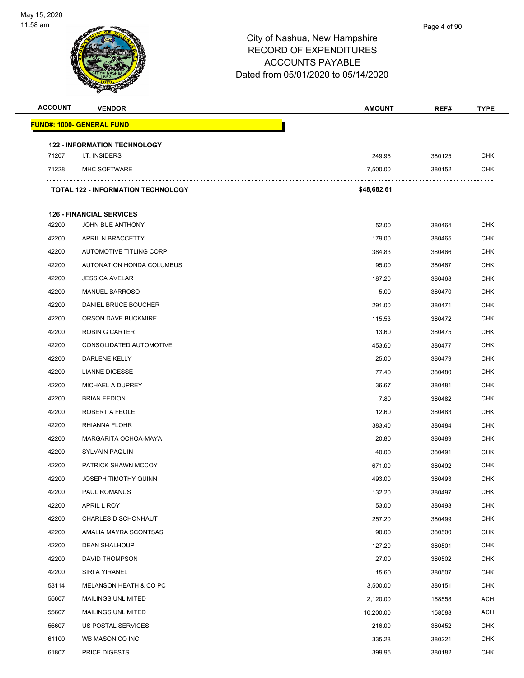

# City of Nashua, New Hampshire RECORD OF EXPENDITURES

## ACCOUNTS PAYABLE

## Dated from 05/01/2020 to 05/14/2020

| <b>ACCOUNT</b> | <b>VENDOR</b>                             | <b>AMOUNT</b> | REF#   | <b>TYPE</b> |  |
|----------------|-------------------------------------------|---------------|--------|-------------|--|
|                | <b>FUND#: 1000- GENERAL FUND</b>          |               |        |             |  |
|                | <b>122 - INFORMATION TECHNOLOGY</b>       |               |        |             |  |
| 71207          | I.T. INSIDERS                             | 249.95        | 380125 | <b>CHK</b>  |  |
| 71228          | <b>MHC SOFTWARE</b>                       | 7,500.00      | 380152 | <b>CHK</b>  |  |
|                | <b>TOTAL 122 - INFORMATION TECHNOLOGY</b> | \$48,682.61   |        |             |  |
|                | <b>126 - FINANCIAL SERVICES</b>           |               |        |             |  |
| 42200          | JOHN BUE ANTHONY                          | 52.00         | 380464 | <b>CHK</b>  |  |
| 42200          | APRIL N BRACCETTY                         | 179.00        | 380465 | <b>CHK</b>  |  |
| 42200          | AUTOMOTIVE TITLING CORP                   | 384.83        | 380466 | <b>CHK</b>  |  |
| 42200          | AUTONATION HONDA COLUMBUS                 | 95.00         | 380467 | <b>CHK</b>  |  |
| 42200          | <b>JESSICA AVELAR</b>                     | 187.20        | 380468 | <b>CHK</b>  |  |
| 42200          | <b>MANUEL BARROSO</b>                     | 5.00          | 380470 | <b>CHK</b>  |  |
| 42200          | DANIEL BRUCE BOUCHER                      | 291.00        | 380471 | <b>CHK</b>  |  |
| 42200          | ORSON DAVE BUCKMIRE                       | 115.53        | 380472 | <b>CHK</b>  |  |
| 42200          | <b>ROBIN G CARTER</b>                     | 13.60         | 380475 | <b>CHK</b>  |  |
| 42200          | CONSOLIDATED AUTOMOTIVE                   | 453.60        | 380477 | CHK         |  |
| 42200          | DARLENE KELLY                             | 25.00         | 380479 | <b>CHK</b>  |  |
| 42200          | <b>LIANNE DIGESSE</b>                     | 77.40         | 380480 | CHK         |  |
| 42200          | MICHAEL A DUPREY                          | 36.67         | 380481 | <b>CHK</b>  |  |
| 42200          | <b>BRIAN FEDION</b>                       | 7.80          | 380482 | <b>CHK</b>  |  |
| 42200          | ROBERT A FEOLE                            | 12.60         | 380483 | <b>CHK</b>  |  |
| 42200          | RHIANNA FLOHR                             | 383.40        | 380484 | <b>CHK</b>  |  |
| 42200          | MARGARITA OCHOA-MAYA                      | 20.80         | 380489 | <b>CHK</b>  |  |
| 42200          | <b>SYLVAIN PAQUIN</b>                     | 40.00         | 380491 | <b>CHK</b>  |  |
| 42200          | PATRICK SHAWN MCCOY                       | 671.00        | 380492 | <b>CHK</b>  |  |
| 42200          | <b>JOSEPH TIMOTHY QUINN</b>               | 493.00        | 380493 | <b>CHK</b>  |  |
| 42200          | PAUL ROMANUS                              | 132.20        | 380497 | <b>CHK</b>  |  |
| 42200          | APRIL L ROY                               | 53.00         | 380498 | <b>CHK</b>  |  |
| 42200          | CHARLES D SCHONHAUT                       | 257.20        | 380499 | <b>CHK</b>  |  |
| 42200          | AMALIA MAYRA SCONTSAS                     | 90.00         | 380500 | <b>CHK</b>  |  |
| 42200          | <b>DEAN SHALHOUP</b>                      | 127.20        | 380501 | <b>CHK</b>  |  |
| 42200          | DAVID THOMPSON                            | 27.00         | 380502 | <b>CHK</b>  |  |
| 42200          | SIRI A YIRANEL                            | 15.60         | 380507 | <b>CHK</b>  |  |
| 53114          | MELANSON HEATH & CO PC                    | 3,500.00      | 380151 | <b>CHK</b>  |  |
| 55607          | <b>MAILINGS UNLIMITED</b>                 | 2,120.00      | 158558 | <b>ACH</b>  |  |
| 55607          | <b>MAILINGS UNLIMITED</b>                 | 10,200.00     | 158588 | ACH         |  |
| 55607          | US POSTAL SERVICES                        | 216.00        | 380452 | <b>CHK</b>  |  |
| 61100          | WB MASON CO INC                           | 335.28        | 380221 | <b>CHK</b>  |  |
| 61807          | <b>PRICE DIGESTS</b>                      | 399.95        | 380182 | <b>CHK</b>  |  |
|                |                                           |               |        |             |  |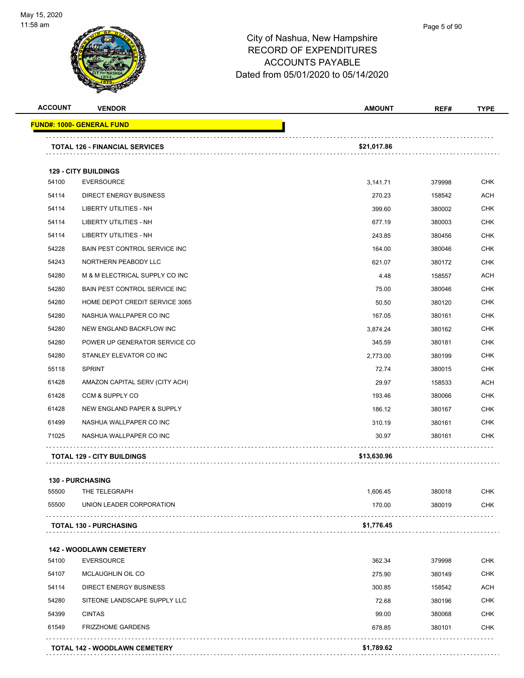

| <b>ACCOUNT</b> | <b>VENDOR</b>                         | <b>AMOUNT</b> | REF#   | <b>TYPE</b> |
|----------------|---------------------------------------|---------------|--------|-------------|
|                | <u> FUND#: 1000- GENERAL FUND</u>     |               |        |             |
|                | <b>TOTAL 126 - FINANCIAL SERVICES</b> | \$21,017.86   |        |             |
|                |                                       |               |        |             |
|                | <b>129 - CITY BUILDINGS</b>           |               |        |             |
| 54100          | <b>EVERSOURCE</b>                     | 3,141.71      | 379998 | <b>CHK</b>  |
| 54114          | <b>DIRECT ENERGY BUSINESS</b>         | 270.23        | 158542 | <b>ACH</b>  |
| 54114          | <b>LIBERTY UTILITIES - NH</b>         | 399.60        | 380002 | <b>CHK</b>  |
| 54114          | LIBERTY UTILITIES - NH                | 677.19        | 380003 | <b>CHK</b>  |
| 54114          | LIBERTY UTILITIES - NH                | 243.85        | 380456 | <b>CHK</b>  |
| 54228          | BAIN PEST CONTROL SERVICE INC         | 164.00        | 380046 | <b>CHK</b>  |
| 54243          | NORTHERN PEABODY LLC                  | 621.07        | 380172 | <b>CHK</b>  |
| 54280          | M & M ELECTRICAL SUPPLY CO INC        | 4.48          | 158557 | ACH         |
| 54280          | BAIN PEST CONTROL SERVICE INC         | 75.00         | 380046 | <b>CHK</b>  |
| 54280          | HOME DEPOT CREDIT SERVICE 3065        | 50.50         | 380120 | <b>CHK</b>  |
| 54280          | NASHUA WALLPAPER CO INC               | 167.05        | 380161 | CHK         |
| 54280          | NEW ENGLAND BACKFLOW INC              | 3,874.24      | 380162 | <b>CHK</b>  |
| 54280          | POWER UP GENERATOR SERVICE CO         | 345.59        | 380181 | <b>CHK</b>  |
| 54280          | STANLEY ELEVATOR CO INC               | 2,773.00      | 380199 | <b>CHK</b>  |
| 55118          | <b>SPRINT</b>                         | 72.74         | 380015 | <b>CHK</b>  |
| 61428          | AMAZON CAPITAL SERV (CITY ACH)        | 29.97         | 158533 | <b>ACH</b>  |
| 61428          | CCM & SUPPLY CO                       | 193.46        | 380066 | <b>CHK</b>  |
| 61428          | NEW ENGLAND PAPER & SUPPLY            | 186.12        | 380167 | CHK         |
| 61499          | NASHUA WALLPAPER CO INC               | 310.19        | 380161 | <b>CHK</b>  |
| 71025          | NASHUA WALLPAPER CO INC               | 30.97         | 380161 | CHK         |
|                | <b>TOTAL 129 - CITY BUILDINGS</b>     | \$13,630.96   |        |             |
|                | <b>130 - PURCHASING</b>               |               |        |             |
| 55500          | THE TELEGRAPH                         | 1,606.45      | 380018 | <b>CHK</b>  |
| 55500          | UNION LEADER CORPORATION              | 170.00        | 380019 | <b>CHK</b>  |
|                | <b>TOTAL 130 - PURCHASING</b>         | \$1,776.45    |        |             |
|                | <b>142 - WOODLAWN CEMETERY</b>        |               |        |             |
| 54100          | <b>EVERSOURCE</b>                     | 362.34        | 379998 | CHK         |
| 54107          | MCLAUGHLIN OIL CO                     | 275.90        | 380149 | <b>CHK</b>  |
| 54114          | DIRECT ENERGY BUSINESS                | 300.85        | 158542 | <b>ACH</b>  |
| 54280          | SITEONE LANDSCAPE SUPPLY LLC          | 72.68         | 380196 | CHK         |
| 54399          | <b>CINTAS</b>                         | 99.00         | 380068 | <b>CHK</b>  |
| 61549          | <b>FRIZZHOME GARDENS</b>              | 678.85        | 380101 | <b>CHK</b>  |
|                |                                       |               |        |             |
|                | <b>TOTAL 142 - WOODLAWN CEMETERY</b>  | \$1,789.62    |        |             |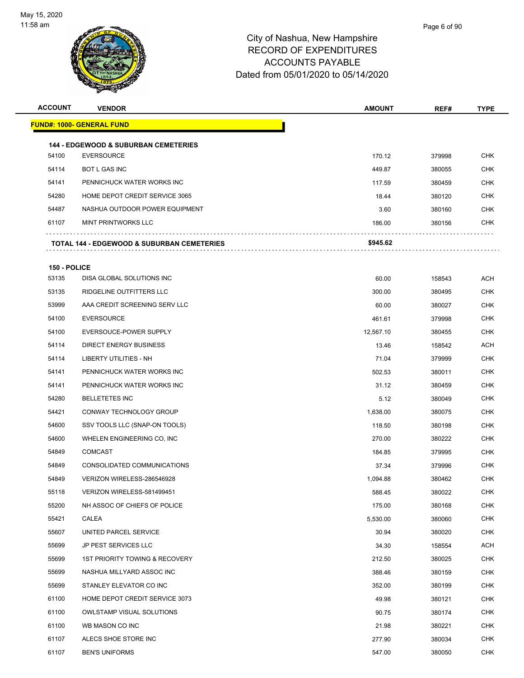

**ACCOUNT VENDOR AMOUNT REF# TYPE**

|              | <u> FUND#: 1000- GENERAL FUND</u>               |           |        |            |
|--------------|-------------------------------------------------|-----------|--------|------------|
|              | <b>144 - EDGEWOOD &amp; SUBURBAN CEMETERIES</b> |           |        |            |
| 54100        | <b>EVERSOURCE</b>                               | 170.12    | 379998 | <b>CHK</b> |
| 54114        | <b>BOT L GAS INC</b>                            | 449.87    | 380055 | <b>CHK</b> |
| 54141        | PENNICHUCK WATER WORKS INC                      | 117.59    | 380459 | <b>CHK</b> |
| 54280        | HOME DEPOT CREDIT SERVICE 3065                  | 18.44     | 380120 | <b>CHK</b> |
| 54487        | NASHUA OUTDOOR POWER EQUIPMENT                  | 3.60      | 380160 | <b>CHK</b> |
| 61107        | <b>MINT PRINTWORKS LLC</b>                      | 186.00    | 380156 | CHK        |
|              | TOTAL 144 - EDGEWOOD & SUBURBAN CEMETERIES      | \$945.62  |        |            |
| 150 - POLICE |                                                 |           |        |            |
| 53135        | DISA GLOBAL SOLUTIONS INC                       | 60.00     | 158543 | ACH        |
| 53135        | RIDGELINE OUTFITTERS LLC                        | 300.00    | 380495 | <b>CHK</b> |
| 53999        | AAA CREDIT SCREENING SERV LLC                   | 60.00     | 380027 | <b>CHK</b> |
| 54100        | <b>EVERSOURCE</b>                               | 461.61    | 379998 | <b>CHK</b> |
| 54100        | EVERSOUCE-POWER SUPPLY                          | 12,567.10 | 380455 | CHK        |
| 54114        | <b>DIRECT ENERGY BUSINESS</b>                   | 13.46     | 158542 | <b>ACH</b> |
| 54114        | LIBERTY UTILITIES - NH                          | 71.04     | 379999 | CHK        |
| 54141        | PENNICHUCK WATER WORKS INC                      | 502.53    | 380011 | <b>CHK</b> |
| 54141        | PENNICHUCK WATER WORKS INC                      | 31.12     | 380459 | <b>CHK</b> |
| 54280        | <b>BELLETETES INC</b>                           | 5.12      | 380049 | CHK        |
| 54421        | CONWAY TECHNOLOGY GROUP                         | 1,638.00  | 380075 | <b>CHK</b> |
| 54600        | SSV TOOLS LLC (SNAP-ON TOOLS)                   | 118.50    | 380198 | CHK        |
| 54600        | WHELEN ENGINEERING CO, INC                      | 270.00    | 380222 | <b>CHK</b> |
| 54849        | <b>COMCAST</b>                                  | 184.85    | 379995 | <b>CHK</b> |
| 54849        | CONSOLIDATED COMMUNICATIONS                     | 37.34     | 379996 | <b>CHK</b> |
| 54849        | VERIZON WIRELESS-286546928                      | 1,094.88  | 380462 | <b>CHK</b> |
| 55118        | VERIZON WIRELESS-581499451                      | 588.45    | 380022 | <b>CHK</b> |
| 55200        | NH ASSOC OF CHIEFS OF POLICE                    | 175.00    | 380168 | <b>CHK</b> |
| 55421        | CALEA                                           | 5,530.00  | 380060 | <b>CHK</b> |
| 55607        | UNITED PARCEL SERVICE                           | 30.94     | 380020 | <b>CHK</b> |
| 55699        | JP PEST SERVICES LLC                            | 34.30     | 158554 | ACH        |
| 55699        | <b>1ST PRIORITY TOWING &amp; RECOVERY</b>       | 212.50    | 380025 | <b>CHK</b> |
| 55699        | NASHUA MILLYARD ASSOC INC                       | 388.46    | 380159 | <b>CHK</b> |
| 55699        | STANLEY ELEVATOR CO INC                         | 352.00    | 380199 | <b>CHK</b> |
| 61100        | HOME DEPOT CREDIT SERVICE 3073                  | 49.98     | 380121 | <b>CHK</b> |
| 61100        | OWLSTAMP VISUAL SOLUTIONS                       | 90.75     | 380174 | <b>CHK</b> |
| 61100        | WB MASON CO INC                                 | 21.98     | 380221 | <b>CHK</b> |
| 61107        | ALECS SHOE STORE INC                            | 277.90    | 380034 | <b>CHK</b> |
| 61107        | <b>BEN'S UNIFORMS</b>                           | 547.00    | 380050 | <b>CHK</b> |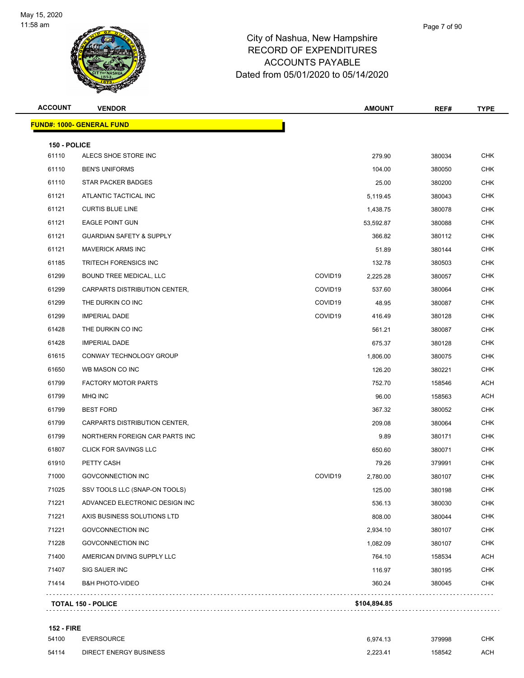

|       | Page 7 of 90 |
|-------|--------------|
| shire |              |
| 7-0   |              |

| <b>ACCOUNT</b> | <b>VENDOR</b>                       |                     | <b>AMOUNT</b> | REF#   | <b>TYPE</b> |
|----------------|-------------------------------------|---------------------|---------------|--------|-------------|
|                | <b>FUND#: 1000- GENERAL FUND</b>    |                     |               |        |             |
| 150 - POLICE   |                                     |                     |               |        |             |
| 61110          | ALECS SHOE STORE INC                |                     | 279.90        | 380034 | <b>CHK</b>  |
| 61110          | <b>BEN'S UNIFORMS</b>               |                     | 104.00        | 380050 | <b>CHK</b>  |
| 61110          | <b>STAR PACKER BADGES</b>           |                     | 25.00         | 380200 | <b>CHK</b>  |
| 61121          | ATLANTIC TACTICAL INC               |                     | 5,119.45      | 380043 | <b>CHK</b>  |
| 61121          | <b>CURTIS BLUE LINE</b>             |                     | 1,438.75      | 380078 | <b>CHK</b>  |
| 61121          | <b>EAGLE POINT GUN</b>              |                     | 53,592.87     | 380088 | <b>CHK</b>  |
| 61121          | <b>GUARDIAN SAFETY &amp; SUPPLY</b> |                     | 366.82        | 380112 | <b>CHK</b>  |
| 61121          | <b>MAVERICK ARMS INC</b>            |                     | 51.89         | 380144 | <b>CHK</b>  |
| 61185          | <b>TRITECH FORENSICS INC</b>        |                     | 132.78        | 380503 | <b>CHK</b>  |
| 61299          | <b>BOUND TREE MEDICAL, LLC</b>      | COVID19             | 2,225.28      | 380057 | <b>CHK</b>  |
| 61299          | CARPARTS DISTRIBUTION CENTER,       | COVID <sub>19</sub> | 537.60        | 380064 | <b>CHK</b>  |
| 61299          | THE DURKIN CO INC                   | COVID <sub>19</sub> | 48.95         | 380087 | <b>CHK</b>  |
| 61299          | <b>IMPERIAL DADE</b>                | COVID <sub>19</sub> | 416.49        | 380128 | <b>CHK</b>  |
| 61428          | THE DURKIN CO INC                   |                     | 561.21        | 380087 | <b>CHK</b>  |
| 61428          | <b>IMPERIAL DADE</b>                |                     | 675.37        | 380128 | <b>CHK</b>  |
| 61615          | CONWAY TECHNOLOGY GROUP             |                     | 1,806.00      | 380075 | <b>CHK</b>  |
| 61650          | WB MASON CO INC                     |                     | 126.20        | 380221 | <b>CHK</b>  |
| 61799          | <b>FACTORY MOTOR PARTS</b>          |                     | 752.70        | 158546 | <b>ACH</b>  |
| 61799          | MHQ INC                             |                     | 96.00         | 158563 | ACH         |
| 61799          | <b>BEST FORD</b>                    |                     | 367.32        | 380052 | <b>CHK</b>  |
| 61799          | CARPARTS DISTRIBUTION CENTER,       |                     | 209.08        | 380064 | <b>CHK</b>  |
| 61799          | NORTHERN FOREIGN CAR PARTS INC      |                     | 9.89          | 380171 | <b>CHK</b>  |
| 61807          | <b>CLICK FOR SAVINGS LLC</b>        |                     | 650.60        | 380071 | <b>CHK</b>  |
| 61910          | PETTY CASH                          |                     | 79.26         | 379991 | <b>CHK</b>  |
| 71000          | <b>GOVCONNECTION INC</b>            | COVID <sub>19</sub> | 2,780.00      | 380107 | <b>CHK</b>  |
| 71025          | SSV TOOLS LLC (SNAP-ON TOOLS)       |                     | 125.00        | 380198 | <b>CHK</b>  |
| 71221          | ADVANCED ELECTRONIC DESIGN INC      |                     | 536.13        | 380030 | <b>CHK</b>  |
| 71221          | AXIS BUSINESS SOLUTIONS LTD         |                     | 808.00        | 380044 | <b>CHK</b>  |
| 71221          | GOVCONNECTION INC                   |                     | 2,934.10      | 380107 | <b>CHK</b>  |
| 71228          | GOVCONNECTION INC                   |                     | 1,082.09      | 380107 | <b>CHK</b>  |
| 71400          | AMERICAN DIVING SUPPLY LLC          |                     | 764.10        | 158534 | <b>ACH</b>  |
| 71407          | SIG SAUER INC                       |                     | 116.97        | 380195 | <b>CHK</b>  |
| 71414          | <b>B&amp;H PHOTO-VIDEO</b>          |                     | 360.24        | 380045 | <b>CHK</b>  |

#### **152 - FIRE**

| 54100 | <b>EVERSOURCE</b>             | 6.974.13 | 379998 | CHK        |
|-------|-------------------------------|----------|--------|------------|
| 54114 | <b>DIRECT ENERGY BUSINESS</b> | 2.223.41 | 158542 | <b>ACH</b> |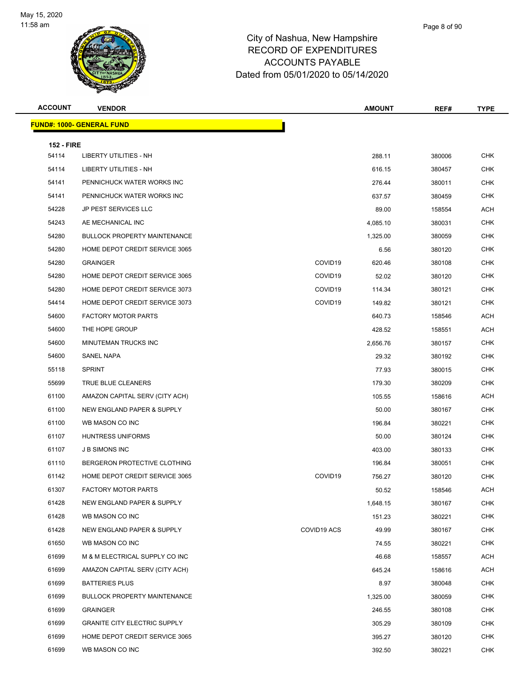

| <b>ACCOUNT</b>             | <b>VENDOR</b>                       |                     | <b>AMOUNT</b> | REF#   | <b>TYPE</b> |
|----------------------------|-------------------------------------|---------------------|---------------|--------|-------------|
|                            | <u> FUND#: 1000- GENERAL FUND</u>   |                     |               |        |             |
|                            |                                     |                     |               |        |             |
| <b>152 - FIRE</b><br>54114 | LIBERTY UTILITIES - NH              |                     | 288.11        | 380006 | <b>CHK</b>  |
| 54114                      | LIBERTY UTILITIES - NH              |                     | 616.15        | 380457 | <b>CHK</b>  |
| 54141                      | PENNICHUCK WATER WORKS INC          |                     | 276.44        | 380011 | <b>CHK</b>  |
| 54141                      | PENNICHUCK WATER WORKS INC          |                     | 637.57        | 380459 | <b>CHK</b>  |
| 54228                      | <b>JP PEST SERVICES LLC</b>         |                     | 89.00         | 158554 | <b>ACH</b>  |
| 54243                      | AE MECHANICAL INC                   |                     | 4,085.10      | 380031 | <b>CHK</b>  |
| 54280                      | <b>BULLOCK PROPERTY MAINTENANCE</b> |                     | 1,325.00      | 380059 | <b>CHK</b>  |
| 54280                      | HOME DEPOT CREDIT SERVICE 3065      |                     | 6.56          | 380120 | <b>CHK</b>  |
| 54280                      | <b>GRAINGER</b>                     | COVID19             | 620.46        | 380108 | <b>CHK</b>  |
| 54280                      | HOME DEPOT CREDIT SERVICE 3065      | COVID <sub>19</sub> | 52.02         | 380120 | <b>CHK</b>  |
| 54280                      | HOME DEPOT CREDIT SERVICE 3073      | COVID <sub>19</sub> | 114.34        | 380121 | <b>CHK</b>  |
| 54414                      | HOME DEPOT CREDIT SERVICE 3073      | COVID <sub>19</sub> | 149.82        | 380121 | <b>CHK</b>  |
| 54600                      | <b>FACTORY MOTOR PARTS</b>          |                     | 640.73        | 158546 | <b>ACH</b>  |
| 54600                      | THE HOPE GROUP                      |                     | 428.52        | 158551 | <b>ACH</b>  |
| 54600                      | MINUTEMAN TRUCKS INC                |                     | 2,656.76      | 380157 | <b>CHK</b>  |
| 54600                      | <b>SANEL NAPA</b>                   |                     | 29.32         | 380192 | <b>CHK</b>  |
| 55118                      | <b>SPRINT</b>                       |                     | 77.93         | 380015 | <b>CHK</b>  |
| 55699                      | TRUE BLUE CLEANERS                  |                     | 179.30        | 380209 | <b>CHK</b>  |
| 61100                      | AMAZON CAPITAL SERV (CITY ACH)      |                     | 105.55        | 158616 | <b>ACH</b>  |
| 61100                      | NEW ENGLAND PAPER & SUPPLY          |                     | 50.00         | 380167 | <b>CHK</b>  |
| 61100                      | WB MASON CO INC                     |                     | 196.84        | 380221 | <b>CHK</b>  |
| 61107                      | HUNTRESS UNIFORMS                   |                     | 50.00         | 380124 | <b>CHK</b>  |
| 61107                      | <b>J B SIMONS INC</b>               |                     | 403.00        | 380133 | <b>CHK</b>  |
| 61110                      | BERGERON PROTECTIVE CLOTHING        |                     | 196.84        | 380051 | <b>CHK</b>  |
| 61142                      | HOME DEPOT CREDIT SERVICE 3065      | COVID19             | 756.27        | 380120 | CHK         |
| 61307                      | FACTORY MOTOR PARTS                 |                     | 50.52         | 158546 | ACH         |
| 61428                      | NEW ENGLAND PAPER & SUPPLY          |                     | 1,648.15      | 380167 | <b>CHK</b>  |
| 61428                      | WB MASON CO INC                     |                     | 151.23        | 380221 | <b>CHK</b>  |
| 61428                      | NEW ENGLAND PAPER & SUPPLY          | COVID19 ACS         | 49.99         | 380167 | <b>CHK</b>  |
| 61650                      | WB MASON CO INC                     |                     | 74.55         | 380221 | CHK         |
| 61699                      | M & M ELECTRICAL SUPPLY CO INC      |                     | 46.68         | 158557 | <b>ACH</b>  |
| 61699                      | AMAZON CAPITAL SERV (CITY ACH)      |                     | 645.24        | 158616 | ACH         |
| 61699                      | <b>BATTERIES PLUS</b>               |                     | 8.97          | 380048 | <b>CHK</b>  |
| 61699                      | <b>BULLOCK PROPERTY MAINTENANCE</b> |                     | 1,325.00      | 380059 | <b>CHK</b>  |
| 61699                      | <b>GRAINGER</b>                     |                     | 246.55        | 380108 | CHK         |
| 61699                      | <b>GRANITE CITY ELECTRIC SUPPLY</b> |                     | 305.29        | 380109 | <b>CHK</b>  |
| 61699                      | HOME DEPOT CREDIT SERVICE 3065      |                     | 395.27        | 380120 | <b>CHK</b>  |
| 61699                      | WB MASON CO INC                     |                     | 392.50        | 380221 | <b>CHK</b>  |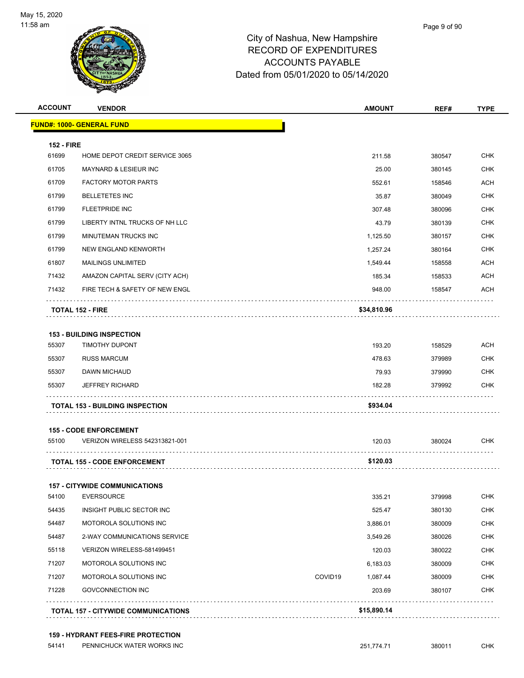

| <b>ACCOUNT</b>    | <b>VENDOR</b>                          |         | <b>AMOUNT</b> | REF#   | <b>TYPE</b>                                                        |
|-------------------|----------------------------------------|---------|---------------|--------|--------------------------------------------------------------------|
|                   | <b>FUND#: 1000- GENERAL FUND</b>       |         |               |        |                                                                    |
| <b>152 - FIRE</b> |                                        |         |               |        |                                                                    |
| 61699             | HOME DEPOT CREDIT SERVICE 3065         |         | 211.58        | 380547 | CHK                                                                |
| 61705             | <b>MAYNARD &amp; LESIEUR INC</b>       |         | 25.00         | 380145 | CHK                                                                |
| 61709             | <b>FACTORY MOTOR PARTS</b>             |         | 552.61        | 158546 | <b>ACH</b>                                                         |
| 61799             | <b>BELLETETES INC</b>                  |         | 35.87         | 380049 | <b>CHK</b>                                                         |
| 61799             | <b>FLEETPRIDE INC</b>                  |         | 307.48        | 380096 | <b>CHK</b>                                                         |
| 61799             | LIBERTY INTNL TRUCKS OF NH LLC         |         | 43.79         | 380139 | <b>CHK</b>                                                         |
| 61799             | MINUTEMAN TRUCKS INC                   |         | 1,125.50      | 380157 | CHK                                                                |
| 61799             | NEW ENGLAND KENWORTH                   |         | 1,257.24      | 380164 | <b>CHK</b>                                                         |
| 61807             | <b>MAILINGS UNLIMITED</b>              |         | 1,549.44      | 158558 | ACH                                                                |
| 71432             | AMAZON CAPITAL SERV (CITY ACH)         |         | 185.34        | 158533 | ACH                                                                |
| 71432             | FIRE TECH & SAFETY OF NEW ENGL         |         | 948.00        | 158547 | <b>ACH</b>                                                         |
|                   | TOTAL 152 - FIRE                       |         | \$34,810.96   |        |                                                                    |
|                   | <b>153 - BUILDING INSPECTION</b>       |         |               |        |                                                                    |
| 55307             | <b>TIMOTHY DUPONT</b>                  |         | 193.20        | 158529 | ACH                                                                |
| 55307             | <b>RUSS MARCUM</b>                     |         | 478.63        | 379989 | <b>CHK</b>                                                         |
| 55307             | DAWN MICHAUD                           |         | 79.93         | 379990 | CHK                                                                |
| 55307             | <b>JEFFREY RICHARD</b>                 |         | 182.28        | 379992 | CHK                                                                |
|                   | <b>TOTAL 153 - BUILDING INSPECTION</b> |         | \$934.04      |        |                                                                    |
|                   | <b>155 - CODE ENFORCEMENT</b>          |         |               |        |                                                                    |
| 55100             | <b>VERIZON WIRELESS 542313821-001</b>  |         | 120.03        | 380024 | <b>CHK</b>                                                         |
|                   | <b>TOTAL 155 - CODE ENFORCEMENT</b>    |         | \$120.03      |        |                                                                    |
|                   | <b>157 - CITYWIDE COMMUNICATIONS</b>   |         |               |        |                                                                    |
| 54100             | <b>EVERSOURCE</b>                      |         | 335.21        | 379998 | <b>CHK</b>                                                         |
| 54435             | INSIGHT PUBLIC SECTOR INC              |         | 525.47        | 380130 | <b>CHK</b>                                                         |
|                   | MOTOROLA SOLUTIONS INC                 |         | 3,886.01      | 380009 |                                                                    |
| 54487             |                                        |         |               |        |                                                                    |
| 54487             | 2-WAY COMMUNICATIONS SERVICE           |         | 3,549.26      | 380026 |                                                                    |
|                   | VERIZON WIRELESS-581499451             |         | 120.03        | 380022 |                                                                    |
| 55118<br>71207    | MOTOROLA SOLUTIONS INC                 |         | 6,183.03      | 380009 |                                                                    |
| 71207             | MOTOROLA SOLUTIONS INC                 | COVID19 | 1,087.44      | 380009 | <b>CHK</b><br><b>CHK</b><br><b>CHK</b><br><b>CHK</b><br><b>CHK</b> |
| 71228             | <b>GOVCONNECTION INC</b>               |         | 203.69        | 380107 | CHK                                                                |

#### **159 - HYDRANT FEES-FIRE PROTECTION**

54141 PENNICHUCK WATER WORKS INC<br>
CHK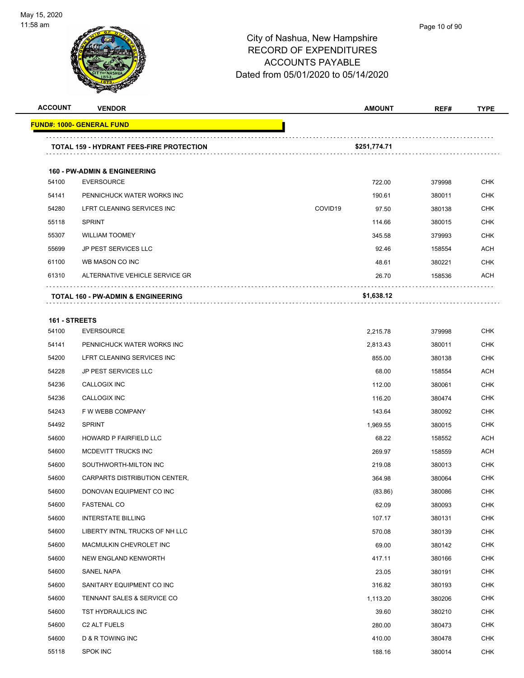

#### Page 10 of 90

| <b>ACCOUNT</b> | <b>VENDOR</b>                                   | <b>AMOUNT</b>    | REF#   | <b>TYPE</b> |
|----------------|-------------------------------------------------|------------------|--------|-------------|
|                | <u> FUND#: 1000- GENERAL FUND</u>               |                  |        |             |
|                | <b>TOTAL 159 - HYDRANT FEES-FIRE PROTECTION</b> | \$251,774.71     |        |             |
|                | <b>160 - PW-ADMIN &amp; ENGINEERING</b>         |                  |        |             |
| 54100          | <b>EVERSOURCE</b>                               | 722.00           | 379998 | <b>CHK</b>  |
| 54141          | PENNICHUCK WATER WORKS INC                      | 190.61           | 380011 | <b>CHK</b>  |
| 54280          | LFRT CLEANING SERVICES INC                      | COVID19<br>97.50 | 380138 | <b>CHK</b>  |
| 55118          | <b>SPRINT</b>                                   | 114.66           | 380015 | <b>CHK</b>  |
| 55307          | <b>WILLIAM TOOMEY</b>                           | 345.58           | 379993 | <b>CHK</b>  |
| 55699          | <b>JP PEST SERVICES LLC</b>                     | 92.46            | 158554 | <b>ACH</b>  |
| 61100          | WB MASON CO INC                                 | 48.61            | 380221 | CHK         |
| 61310          | ALTERNATIVE VEHICLE SERVICE GR                  | 26.70            | 158536 | ACH         |
|                | TOTAL 160 - PW-ADMIN & ENGINEERING              | \$1,638.12       |        |             |
|                |                                                 |                  |        |             |
| 161 - STREETS  |                                                 |                  |        |             |
| 54100          | <b>EVERSOURCE</b>                               | 2,215.78         | 379998 | <b>CHK</b>  |
| 54141          | PENNICHUCK WATER WORKS INC                      | 2.813.43         | 380011 | <b>CHK</b>  |
| 54200          | LFRT CLEANING SERVICES INC                      | 855.00           | 380138 | <b>CHK</b>  |
| 54228          | <b>JP PEST SERVICES LLC</b>                     | 68.00            | 158554 | ACH         |
| 54236          | CALLOGIX INC                                    | 112.00           | 380061 | <b>CHK</b>  |
| 54236          | CALLOGIX INC                                    | 116.20           | 380474 | <b>CHK</b>  |
| 54243          | F W WEBB COMPANY                                | 143.64           | 380092 | <b>CHK</b>  |
| 54492          | <b>SPRINT</b>                                   | 1,969.55         | 380015 | <b>CHK</b>  |
| 54600          | HOWARD P FAIRFIELD LLC                          | 68.22            | 158552 | ACH         |
| 54600          | MCDEVITT TRUCKS INC                             | 269.97           | 158559 | ACH         |
| 54600          | SOUTHWORTH-MILTON INC                           | 219.08           | 380013 | <b>CHK</b>  |
| 54600          | CARPARTS DISTRIBUTION CENTER,                   | 364.98           | 380064 | <b>CHK</b>  |
| 54600          | DONOVAN EQUIPMENT CO INC                        | (83.86)          | 380086 | <b>CHK</b>  |
| 54600          | <b>FASTENAL CO</b>                              | 62.09            | 380093 | <b>CHK</b>  |
| 54600          | <b>INTERSTATE BILLING</b>                       | 107.17           | 380131 | <b>CHK</b>  |
| 54600          | LIBERTY INTNL TRUCKS OF NH LLC                  | 570.08           | 380139 | <b>CHK</b>  |
| 54600          | MACMULKIN CHEVROLET INC                         | 69.00            | 380142 | <b>CHK</b>  |
| 54600          | NEW ENGLAND KENWORTH                            | 417.11           | 380166 | <b>CHK</b>  |
| 54600          | SANEL NAPA                                      | 23.05            | 380191 | <b>CHK</b>  |
| 54600          | SANITARY EQUIPMENT CO INC                       | 316.82           | 380193 | <b>CHK</b>  |
| 54600          | TENNANT SALES & SERVICE CO                      | 1,113.20         | 380206 | <b>CHK</b>  |
| 54600          | TST HYDRAULICS INC                              | 39.60            | 380210 | <b>CHK</b>  |
| 54600          | C2 ALT FUELS                                    | 280.00           | 380473 | <b>CHK</b>  |
| 54600          | D & R TOWING INC                                | 410.00           | 380478 | <b>CHK</b>  |
| 55118          | <b>SPOK INC</b>                                 | 188.16           | 380014 | <b>CHK</b>  |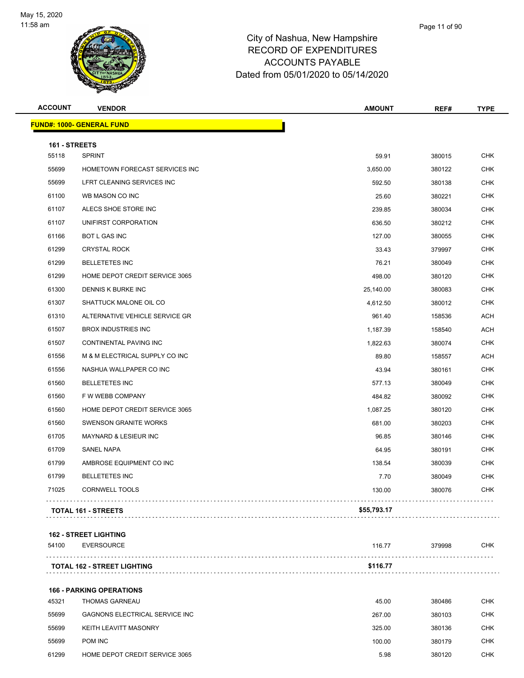

| <b>ACCOUNT</b> | <b>VENDOR</b>                      | <b>AMOUNT</b> | REF#   | <b>TYPE</b> |
|----------------|------------------------------------|---------------|--------|-------------|
|                | <b>FUND#: 1000- GENERAL FUND</b>   |               |        |             |
| 161 - STREETS  |                                    |               |        |             |
| 55118          | <b>SPRINT</b>                      | 59.91         | 380015 | <b>CHK</b>  |
| 55699          | HOMETOWN FORECAST SERVICES INC     | 3,650.00      | 380122 | <b>CHK</b>  |
| 55699          | LFRT CLEANING SERVICES INC         | 592.50        | 380138 | <b>CHK</b>  |
| 61100          | WB MASON CO INC                    | 25.60         | 380221 | <b>CHK</b>  |
| 61107          | ALECS SHOE STORE INC               | 239.85        | 380034 | <b>CHK</b>  |
| 61107          | UNIFIRST CORPORATION               | 636.50        | 380212 | <b>CHK</b>  |
| 61166          | BOT L GAS INC                      | 127.00        | 380055 | CHK         |
| 61299          | <b>CRYSTAL ROCK</b>                | 33.43         | 379997 | <b>CHK</b>  |
| 61299          | <b>BELLETETES INC</b>              | 76.21         | 380049 | <b>CHK</b>  |
| 61299          | HOME DEPOT CREDIT SERVICE 3065     | 498.00        | 380120 | <b>CHK</b>  |
| 61300          | DENNIS K BURKE INC                 | 25,140.00     | 380083 | <b>CHK</b>  |
| 61307          | SHATTUCK MALONE OIL CO             | 4,612.50      | 380012 | CHK         |
| 61310          | ALTERNATIVE VEHICLE SERVICE GR     | 961.40        | 158536 | ACH         |
| 61507          | <b>BROX INDUSTRIES INC</b>         | 1,187.39      | 158540 | ACH         |
| 61507          | CONTINENTAL PAVING INC             | 1,822.63      | 380074 | <b>CHK</b>  |
| 61556          | M & M ELECTRICAL SUPPLY CO INC     | 89.80         | 158557 | ACH         |
| 61556          | NASHUA WALLPAPER CO INC            | 43.94         | 380161 | CHK         |
| 61560          | <b>BELLETETES INC</b>              | 577.13        | 380049 | <b>CHK</b>  |
| 61560          | F W WEBB COMPANY                   | 484.82        | 380092 | <b>CHK</b>  |
| 61560          | HOME DEPOT CREDIT SERVICE 3065     | 1,087.25      | 380120 | <b>CHK</b>  |
| 61560          | <b>SWENSON GRANITE WORKS</b>       | 681.00        | 380203 | <b>CHK</b>  |
| 61705          | MAYNARD & LESIEUR INC              | 96.85         | 380146 | CHK         |
| 61709          | <b>SANEL NAPA</b>                  | 64.95         | 380191 | <b>CHK</b>  |
| 61799          | AMBROSE EQUIPMENT CO INC           | 138.54        | 380039 | <b>CHK</b>  |
| 61799          | <b>BELLETETES INC</b>              | 7.70          | 380049 | <b>CHK</b>  |
| 71025          | CORNWELL TOOLS                     | 130.00        | 380076 | <b>CHK</b>  |
|                | TOTAL 161 - STREETS                | \$55,793.17   |        |             |
|                | <b>162 - STREET LIGHTING</b>       |               |        |             |
| 54100          | <b>EVERSOURCE</b>                  | 116.77        | 379998 | CHK         |
|                | <b>TOTAL 162 - STREET LIGHTING</b> | \$116.77      |        |             |
|                | <b>166 - PARKING OPERATIONS</b>    |               |        |             |
| 45321          | <b>THOMAS GARNEAU</b>              | 45.00         | 380486 | <b>CHK</b>  |
| 55699          | GAGNONS ELECTRICAL SERVICE INC     | 267.00        | 380103 | <b>CHK</b>  |
| 55699          | KEITH LEAVITT MASONRY              | 325.00        | 380136 | <b>CHK</b>  |
| 55699          | POM INC                            | 100.00        | 380179 | <b>CHK</b>  |
| 61299          | HOME DEPOT CREDIT SERVICE 3065     | 5.98          | 380120 | <b>CHK</b>  |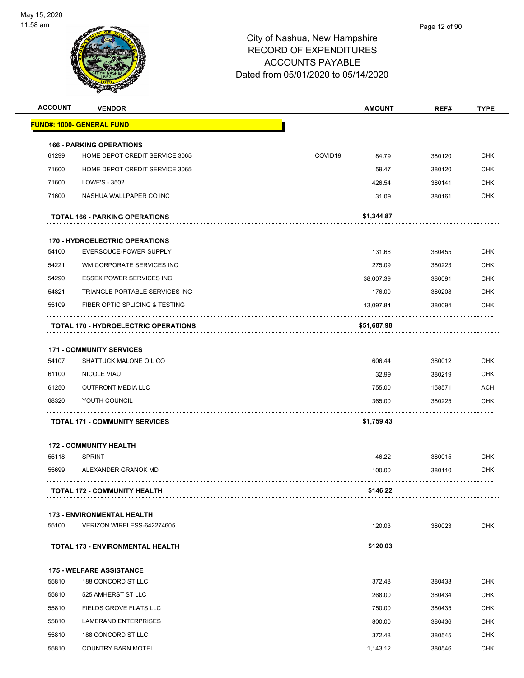

| <b>ACCOUNT</b> | <b>VENDOR</b>                               | <b>AMOUNT</b>    | REF#   | <b>TYPE</b> |
|----------------|---------------------------------------------|------------------|--------|-------------|
|                | <b>FUND#: 1000- GENERAL FUND</b>            |                  |        |             |
|                | <b>166 - PARKING OPERATIONS</b>             |                  |        |             |
| 61299          | HOME DEPOT CREDIT SERVICE 3065              | COVID19<br>84.79 | 380120 | <b>CHK</b>  |
| 71600          | HOME DEPOT CREDIT SERVICE 3065              | 59.47            | 380120 | <b>CHK</b>  |
| 71600          | LOWE'S - 3502                               | 426.54           | 380141 | <b>CHK</b>  |
| 71600          | NASHUA WALLPAPER CO INC                     | 31.09            | 380161 | <b>CHK</b>  |
|                | <b>TOTAL 166 - PARKING OPERATIONS</b>       | \$1,344.87       |        |             |
|                | <b>170 - HYDROELECTRIC OPERATIONS</b>       |                  |        |             |
| 54100          | EVERSOUCE-POWER SUPPLY                      | 131.66           | 380455 | <b>CHK</b>  |
| 54221          | WM CORPORATE SERVICES INC                   | 275.09           | 380223 | <b>CHK</b>  |
| 54290          | <b>ESSEX POWER SERVICES INC</b>             | 38.007.39        | 380091 | <b>CHK</b>  |
| 54821          | TRIANGLE PORTABLE SERVICES INC              | 176.00           | 380208 | <b>CHK</b>  |
| 55109          | FIBER OPTIC SPLICING & TESTING              | 13,097.84        | 380094 | <b>CHK</b>  |
|                | <b>TOTAL 170 - HYDROELECTRIC OPERATIONS</b> | \$51,687.98      |        |             |
|                | <b>171 - COMMUNITY SERVICES</b>             |                  |        |             |
| 54107          | SHATTUCK MALONE OIL CO                      | 606.44           | 380012 | <b>CHK</b>  |
| 61100          | <b>NICOLE VIAU</b>                          | 32.99            | 380219 | <b>CHK</b>  |
| 61250          | <b>OUTFRONT MEDIA LLC</b>                   | 755.00           | 158571 | <b>ACH</b>  |
| 68320          | YOUTH COUNCIL                               | 365.00           | 380225 | CHK         |
|                | <b>TOTAL 171 - COMMUNITY SERVICES</b>       | \$1,759.43       |        |             |
|                | <b>172 - COMMUNITY HEALTH</b>               |                  |        |             |
| 55118          | <b>SPRINT</b>                               | 46.22            | 380015 | <b>CHK</b>  |
| 55699          | ALEXANDER GRANOK MD                         | 100.00           | 380110 | <b>CHK</b>  |
|                |                                             |                  |        |             |
|                | <b>TOTAL 172 - COMMUNITY HEALTH</b>         | \$146.22         |        |             |
|                | <b>173 - ENVIRONMENTAL HEALTH</b>           |                  |        |             |
| 55100          | VERIZON WIRELESS-642274605                  | 120.03           | 380023 | <b>CHK</b>  |
|                | <b>TOTAL 173 - ENVIRONMENTAL HEALTH</b>     | \$120.03         |        |             |
|                | <b>175 - WELFARE ASSISTANCE</b>             |                  |        |             |
| 55810          | 188 CONCORD ST LLC                          | 372.48           | 380433 | <b>CHK</b>  |
| 55810          | 525 AMHERST ST LLC                          | 268.00           | 380434 | <b>CHK</b>  |
| 55810          | FIELDS GROVE FLATS LLC                      | 750.00           | 380435 | <b>CHK</b>  |
| 55810          | LAMERAND ENTERPRISES                        | 800.00           | 380436 | <b>CHK</b>  |
| 55810          | 188 CONCORD ST LLC                          | 372.48           | 380545 | <b>CHK</b>  |
| 55810          | <b>COUNTRY BARN MOTEL</b>                   | 1,143.12         | 380546 | <b>CHK</b>  |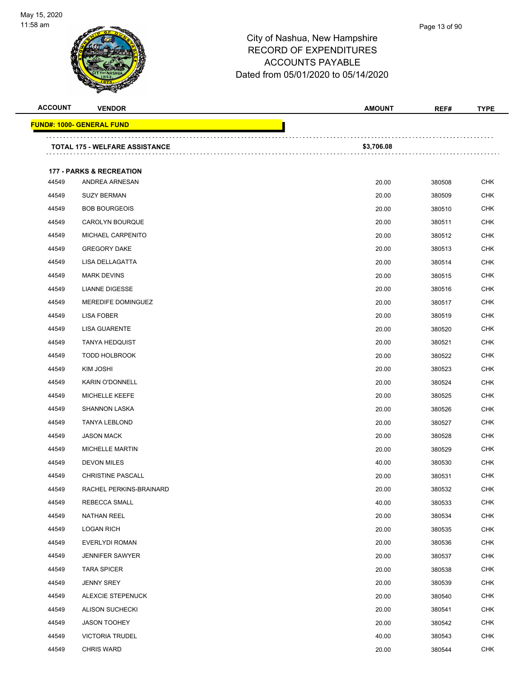| <b>ACCOUNT</b> | <b>VENDOR</b>                       | <b>AMOUNT</b> | REF#   | <b>TYPE</b> |
|----------------|-------------------------------------|---------------|--------|-------------|
|                | <b>FUND#: 1000- GENERAL FUND</b>    |               |        |             |
|                | TOTAL 175 - WELFARE ASSISTANCE      | \$3,706.08    |        |             |
|                | <b>177 - PARKS &amp; RECREATION</b> |               |        |             |
| 44549          | ANDREA ARNESAN                      | 20.00         | 380508 | <b>CHK</b>  |
| 44549          | <b>SUZY BERMAN</b>                  | 20.00         | 380509 | <b>CHK</b>  |
| 44549          | <b>BOB BOURGEOIS</b>                | 20.00         | 380510 | <b>CHK</b>  |
| 44549          | CAROLYN BOURQUE                     | 20.00         | 380511 | <b>CHK</b>  |
| 44549          | MICHAEL CARPENITO                   | 20.00         | 380512 | <b>CHK</b>  |
| 44549          | <b>GREGORY DAKE</b>                 | 20.00         | 380513 | <b>CHK</b>  |
| 44549          | LISA DELLAGATTA                     | 20.00         | 380514 | <b>CHK</b>  |
| 44549          | <b>MARK DEVINS</b>                  | 20.00         | 380515 | <b>CHK</b>  |
| 44549          | <b>LIANNE DIGESSE</b>               | 20.00         | 380516 | <b>CHK</b>  |
| 44549          | MEREDIFE DOMINGUEZ                  | 20.00         | 380517 | <b>CHK</b>  |
| 44549          | LISA FOBER                          | 20.00         | 380519 | <b>CHK</b>  |
| 44549          | <b>LISA GUARENTE</b>                | 20.00         | 380520 | <b>CHK</b>  |
| 44549          | <b>TANYA HEDQUIST</b>               | 20.00         | 380521 | <b>CHK</b>  |
| 44549          | <b>TODD HOLBROOK</b>                | 20.00         | 380522 | <b>CHK</b>  |
| 44549          | KIM JOSHI                           | 20.00         | 380523 | <b>CHK</b>  |
| 44549          | <b>KARIN O'DONNELL</b>              | 20.00         | 380524 | <b>CHK</b>  |
| 44549          | <b>MICHELLE KEEFE</b>               | 20.00         | 380525 | <b>CHK</b>  |
| 44549          | <b>SHANNON LASKA</b>                | 20.00         | 380526 | <b>CHK</b>  |
| 44549          | <b>TANYA LEBLOND</b>                | 20.00         | 380527 | <b>CHK</b>  |
| 44549          | <b>JASON MACK</b>                   | 20.00         | 380528 | <b>CHK</b>  |
| 44549          | <b>MICHELLE MARTIN</b>              | 20.00         | 380529 | <b>CHK</b>  |
| 44549          | <b>DEVON MILES</b>                  | 40.00         | 380530 | <b>CHK</b>  |
| 44549          | <b>CHRISTINE PASCALL</b>            | 20.00         | 380531 | <b>CHK</b>  |
| 44549          | RACHEL PERKINS-BRAINARD             | 20.00         | 380532 | <b>CHK</b>  |
| 44549          | REBECCA SMALL                       | 40.00         | 380533 | CHK         |
| 44549          | <b>NATHAN REEL</b>                  | 20.00         | 380534 | <b>CHK</b>  |
| 44549          | <b>LOGAN RICH</b>                   | 20.00         | 380535 | <b>CHK</b>  |
| 44549          | EVERLYDI ROMAN                      | 20.00         | 380536 | <b>CHK</b>  |
| 44549          | <b>JENNIFER SAWYER</b>              | 20.00         | 380537 | <b>CHK</b>  |
| 44549          | <b>TARA SPICER</b>                  | 20.00         | 380538 | <b>CHK</b>  |
| 44549          | JENNY SREY                          | 20.00         | 380539 | <b>CHK</b>  |
| 44549          | ALEXCIE STEPENUCK                   | 20.00         | 380540 | <b>CHK</b>  |
| 44549          | <b>ALISON SUCHECKI</b>              | 20.00         | 380541 | <b>CHK</b>  |
| 44549          | <b>JASON TOOHEY</b>                 | 20.00         | 380542 | <b>CHK</b>  |
| 44549          | <b>VICTORIA TRUDEL</b>              | 40.00         | 380543 | <b>CHK</b>  |
| 44549          | <b>CHRIS WARD</b>                   | 20.00         | 380544 | <b>CHK</b>  |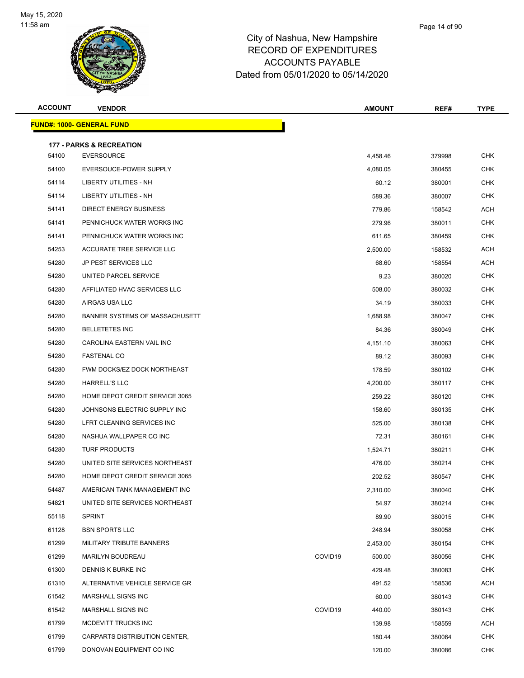

| <b>ACCOUNT</b> | <b>VENDOR</b>                       |                     | <b>AMOUNT</b> | REF#   | <b>TYPE</b> |
|----------------|-------------------------------------|---------------------|---------------|--------|-------------|
|                | <u> FUND#: 1000- GENERAL FUND</u>   |                     |               |        |             |
|                | <b>177 - PARKS &amp; RECREATION</b> |                     |               |        |             |
| 54100          | <b>EVERSOURCE</b>                   |                     | 4,458.46      | 379998 | <b>CHK</b>  |
| 54100          | EVERSOUCE-POWER SUPPLY              |                     | 4,080.05      | 380455 | <b>CHK</b>  |
| 54114          | LIBERTY UTILITIES - NH              |                     | 60.12         | 380001 | <b>CHK</b>  |
| 54114          | LIBERTY UTILITIES - NH              |                     | 589.36        | 380007 | <b>CHK</b>  |
| 54141          | DIRECT ENERGY BUSINESS              |                     | 779.86        | 158542 | ACH         |
| 54141          | PENNICHUCK WATER WORKS INC          |                     | 279.96        | 380011 | <b>CHK</b>  |
| 54141          | PENNICHUCK WATER WORKS INC          |                     | 611.65        | 380459 | <b>CHK</b>  |
| 54253          | ACCURATE TREE SERVICE LLC           |                     | 2,500.00      | 158532 | ACH         |
| 54280          | <b>JP PEST SERVICES LLC</b>         |                     | 68.60         | 158554 | <b>ACH</b>  |
| 54280          | UNITED PARCEL SERVICE               |                     | 9.23          | 380020 | <b>CHK</b>  |
| 54280          | AFFILIATED HVAC SERVICES LLC        |                     | 508.00        | 380032 | CHK         |
| 54280          | AIRGAS USA LLC                      |                     | 34.19         | 380033 | <b>CHK</b>  |
| 54280          | BANNER SYSTEMS OF MASSACHUSETT      |                     | 1,688.98      | 380047 | <b>CHK</b>  |
| 54280          | <b>BELLETETES INC</b>               |                     | 84.36         | 380049 | <b>CHK</b>  |
| 54280          | CAROLINA EASTERN VAIL INC           |                     | 4,151.10      | 380063 | <b>CHK</b>  |
| 54280          | <b>FASTENAL CO</b>                  |                     | 89.12         | 380093 | <b>CHK</b>  |
| 54280          | FWM DOCKS/EZ DOCK NORTHEAST         |                     | 178.59        | 380102 | <b>CHK</b>  |
| 54280          | <b>HARRELL'S LLC</b>                |                     | 4,200.00      | 380117 | <b>CHK</b>  |
| 54280          | HOME DEPOT CREDIT SERVICE 3065      |                     | 259.22        | 380120 | <b>CHK</b>  |
| 54280          | JOHNSONS ELECTRIC SUPPLY INC        |                     | 158.60        | 380135 | <b>CHK</b>  |
| 54280          | LFRT CLEANING SERVICES INC          |                     | 525.00        | 380138 | CHK         |
| 54280          | NASHUA WALLPAPER CO INC             |                     | 72.31         | 380161 | <b>CHK</b>  |
| 54280          | <b>TURF PRODUCTS</b>                |                     | 1,524.71      | 380211 | <b>CHK</b>  |
| 54280          | UNITED SITE SERVICES NORTHEAST      |                     | 476.00        | 380214 | <b>CHK</b>  |
| 54280          | HOME DEPOT CREDIT SERVICE 3065      |                     | 202.52        | 380547 | <b>CHK</b>  |
| 54487          | AMERICAN TANK MANAGEMENT INC        |                     | 2,310.00      | 380040 | <b>CHK</b>  |
| 54821          | UNITED SITE SERVICES NORTHEAST      |                     | 54.97         | 380214 | <b>CHK</b>  |
| 55118          | <b>SPRINT</b>                       |                     | 89.90         | 380015 | <b>CHK</b>  |
| 61128          | <b>BSN SPORTS LLC</b>               |                     | 248.94        | 380058 | <b>CHK</b>  |
| 61299          | MILITARY TRIBUTE BANNERS            |                     | 2,453.00      | 380154 | <b>CHK</b>  |
| 61299          | <b>MARILYN BOUDREAU</b>             | COVID <sub>19</sub> | 500.00        | 380056 | <b>CHK</b>  |
| 61300          | DENNIS K BURKE INC                  |                     | 429.48        | 380083 | <b>CHK</b>  |
| 61310          | ALTERNATIVE VEHICLE SERVICE GR      |                     | 491.52        | 158536 | ACH         |
| 61542          | MARSHALL SIGNS INC                  |                     | 60.00         | 380143 | <b>CHK</b>  |
| 61542          | MARSHALL SIGNS INC                  | COVID19             | 440.00        | 380143 | <b>CHK</b>  |
| 61799          | MCDEVITT TRUCKS INC                 |                     | 139.98        | 158559 | <b>ACH</b>  |
| 61799          | CARPARTS DISTRIBUTION CENTER,       |                     | 180.44        | 380064 | <b>CHK</b>  |
| 61799          | DONOVAN EQUIPMENT CO INC            |                     | 120.00        | 380086 | <b>CHK</b>  |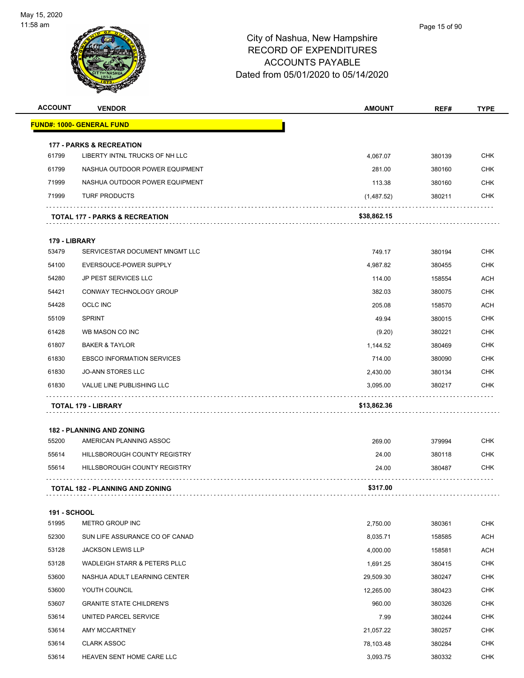

|                                                                                                                                                                                                                                                                                                                                                                                                                                                                                                                                                                                                                                                                                                                                                                                                                                                                                                                                                                                                                                                                                                                                                                                                                                                                                                                                                                                                 | <b>VENDOR</b> | <b>AMOUNT</b>                                                                                                                                                | REF#                                                                                                                                                                                                                                                                                                          | <b>TYPE</b> |
|-------------------------------------------------------------------------------------------------------------------------------------------------------------------------------------------------------------------------------------------------------------------------------------------------------------------------------------------------------------------------------------------------------------------------------------------------------------------------------------------------------------------------------------------------------------------------------------------------------------------------------------------------------------------------------------------------------------------------------------------------------------------------------------------------------------------------------------------------------------------------------------------------------------------------------------------------------------------------------------------------------------------------------------------------------------------------------------------------------------------------------------------------------------------------------------------------------------------------------------------------------------------------------------------------------------------------------------------------------------------------------------------------|---------------|--------------------------------------------------------------------------------------------------------------------------------------------------------------|---------------------------------------------------------------------------------------------------------------------------------------------------------------------------------------------------------------------------------------------------------------------------------------------------------------|-------------|
|                                                                                                                                                                                                                                                                                                                                                                                                                                                                                                                                                                                                                                                                                                                                                                                                                                                                                                                                                                                                                                                                                                                                                                                                                                                                                                                                                                                                 |               |                                                                                                                                                              |                                                                                                                                                                                                                                                                                                               |             |
| <b>ACCOUNT</b><br><b>177 - PARKS &amp; RECREATION</b><br>LIBERTY INTNL TRUCKS OF NH LLC<br><b>CHK</b><br>61799<br>4,067.07<br>380139<br>61799<br>NASHUA OUTDOOR POWER EQUIPMENT<br><b>CHK</b><br>281.00<br>380160<br>71999<br><b>CHK</b><br>NASHUA OUTDOOR POWER EQUIPMENT<br>113.38<br>380160<br>71999<br><b>TURF PRODUCTS</b><br>(1,487.52)<br>380211<br><b>CHK</b><br>\$38,862.15<br>TOTAL 177 - PARKS & RECREATION<br>179 - LIBRARY<br>53479<br><b>CHK</b><br>SERVICESTAR DOCUMENT MNGMT LLC<br>749.17<br>380194<br><b>CHK</b><br>54100<br>EVERSOUCE-POWER SUPPLY<br>4,987.82<br>380455<br><b>ACH</b><br>54280<br><b>JP PEST SERVICES LLC</b><br>114.00<br>158554<br><b>CHK</b><br>54421<br>CONWAY TECHNOLOGY GROUP<br>382.03<br>380075<br>54428<br>OCLC INC<br>205.08<br>158570<br><b>ACH</b><br><b>SPRINT</b><br><b>CHK</b><br>55109<br>49.94<br>380015<br><b>CHK</b><br>61428<br>WB MASON CO INC<br>380221<br>(9.20)<br>61807<br><b>BAKER &amp; TAYLOR</b><br><b>CHK</b><br>1,144.52<br>380469<br><b>CHK</b><br>61830<br><b>EBSCO INFORMATION SERVICES</b><br>714.00<br>380090<br>61830<br><b>JO-ANN STORES LLC</b><br>2,430.00<br>380134<br><b>CHK</b><br>61830<br>VALUE LINE PUBLISHING LLC<br><b>CHK</b><br>3,095.00<br>380217<br>\$13,862.36<br><b>TOTAL 179 - LIBRARY</b><br><b>182 - PLANNING AND ZONING</b><br>55200<br>AMERICAN PLANNING ASSOC<br><b>CHK</b><br>269.00<br>379994 |               |                                                                                                                                                              |                                                                                                                                                                                                                                                                                                               |             |
|                                                                                                                                                                                                                                                                                                                                                                                                                                                                                                                                                                                                                                                                                                                                                                                                                                                                                                                                                                                                                                                                                                                                                                                                                                                                                                                                                                                                 |               |                                                                                                                                                              |                                                                                                                                                                                                                                                                                                               |             |
|                                                                                                                                                                                                                                                                                                                                                                                                                                                                                                                                                                                                                                                                                                                                                                                                                                                                                                                                                                                                                                                                                                                                                                                                                                                                                                                                                                                                 |               |                                                                                                                                                              |                                                                                                                                                                                                                                                                                                               |             |
|                                                                                                                                                                                                                                                                                                                                                                                                                                                                                                                                                                                                                                                                                                                                                                                                                                                                                                                                                                                                                                                                                                                                                                                                                                                                                                                                                                                                 |               |                                                                                                                                                              |                                                                                                                                                                                                                                                                                                               |             |
|                                                                                                                                                                                                                                                                                                                                                                                                                                                                                                                                                                                                                                                                                                                                                                                                                                                                                                                                                                                                                                                                                                                                                                                                                                                                                                                                                                                                 |               |                                                                                                                                                              |                                                                                                                                                                                                                                                                                                               |             |
| <u> FUND#: 1000- GENERAL FUND</u><br>55614<br>HILLSBOROUGH COUNTY REGISTRY<br>55614<br><b>HILLSBOROUGH COUNTY REGISTRY</b><br><b>TOTAL 182 - PLANNING AND ZONING</b><br><b>191 - SCHOOL</b><br>51995<br>METRO GROUP INC<br>52300<br>SUN LIFE ASSURANCE CO OF CANAD<br>53128<br><b>JACKSON LEWIS LLP</b><br>53128<br><b>WADLEIGH STARR &amp; PETERS PLLC</b><br>53600<br>NASHUA ADULT LEARNING CENTER<br>53600<br>YOUTH COUNCIL<br>53607<br><b>GRANITE STATE CHILDREN'S</b><br>53614<br>UNITED PARCEL SERVICE<br>53614<br>AMY MCCARTNEY<br>53614<br><b>CLARK ASSOC</b><br>53614<br>HEAVEN SENT HOME CARE LLC                                                                                                                                                                                                                                                                                                                                                                                                                                                                                                                                                                                                                                                                                                                                                                                     |               |                                                                                                                                                              |                                                                                                                                                                                                                                                                                                               |             |
|                                                                                                                                                                                                                                                                                                                                                                                                                                                                                                                                                                                                                                                                                                                                                                                                                                                                                                                                                                                                                                                                                                                                                                                                                                                                                                                                                                                                 |               |                                                                                                                                                              |                                                                                                                                                                                                                                                                                                               |             |
|                                                                                                                                                                                                                                                                                                                                                                                                                                                                                                                                                                                                                                                                                                                                                                                                                                                                                                                                                                                                                                                                                                                                                                                                                                                                                                                                                                                                 |               |                                                                                                                                                              |                                                                                                                                                                                                                                                                                                               |             |
|                                                                                                                                                                                                                                                                                                                                                                                                                                                                                                                                                                                                                                                                                                                                                                                                                                                                                                                                                                                                                                                                                                                                                                                                                                                                                                                                                                                                 |               |                                                                                                                                                              |                                                                                                                                                                                                                                                                                                               |             |
|                                                                                                                                                                                                                                                                                                                                                                                                                                                                                                                                                                                                                                                                                                                                                                                                                                                                                                                                                                                                                                                                                                                                                                                                                                                                                                                                                                                                 |               |                                                                                                                                                              |                                                                                                                                                                                                                                                                                                               |             |
|                                                                                                                                                                                                                                                                                                                                                                                                                                                                                                                                                                                                                                                                                                                                                                                                                                                                                                                                                                                                                                                                                                                                                                                                                                                                                                                                                                                                 |               |                                                                                                                                                              |                                                                                                                                                                                                                                                                                                               |             |
|                                                                                                                                                                                                                                                                                                                                                                                                                                                                                                                                                                                                                                                                                                                                                                                                                                                                                                                                                                                                                                                                                                                                                                                                                                                                                                                                                                                                 |               |                                                                                                                                                              |                                                                                                                                                                                                                                                                                                               |             |
|                                                                                                                                                                                                                                                                                                                                                                                                                                                                                                                                                                                                                                                                                                                                                                                                                                                                                                                                                                                                                                                                                                                                                                                                                                                                                                                                                                                                 |               |                                                                                                                                                              |                                                                                                                                                                                                                                                                                                               |             |
|                                                                                                                                                                                                                                                                                                                                                                                                                                                                                                                                                                                                                                                                                                                                                                                                                                                                                                                                                                                                                                                                                                                                                                                                                                                                                                                                                                                                 |               |                                                                                                                                                              |                                                                                                                                                                                                                                                                                                               |             |
|                                                                                                                                                                                                                                                                                                                                                                                                                                                                                                                                                                                                                                                                                                                                                                                                                                                                                                                                                                                                                                                                                                                                                                                                                                                                                                                                                                                                 |               |                                                                                                                                                              |                                                                                                                                                                                                                                                                                                               |             |
|                                                                                                                                                                                                                                                                                                                                                                                                                                                                                                                                                                                                                                                                                                                                                                                                                                                                                                                                                                                                                                                                                                                                                                                                                                                                                                                                                                                                 |               |                                                                                                                                                              |                                                                                                                                                                                                                                                                                                               |             |
|                                                                                                                                                                                                                                                                                                                                                                                                                                                                                                                                                                                                                                                                                                                                                                                                                                                                                                                                                                                                                                                                                                                                                                                                                                                                                                                                                                                                 |               |                                                                                                                                                              |                                                                                                                                                                                                                                                                                                               |             |
|                                                                                                                                                                                                                                                                                                                                                                                                                                                                                                                                                                                                                                                                                                                                                                                                                                                                                                                                                                                                                                                                                                                                                                                                                                                                                                                                                                                                 |               |                                                                                                                                                              | CHK<br>380118<br><b>CHK</b><br>380487<br><b>CHK</b><br>380361<br><b>ACH</b><br>158585<br><b>ACH</b><br>158581<br><b>CHK</b><br>380415<br><b>CHK</b><br>380247<br><b>CHK</b><br>380423<br><b>CHK</b><br>380326<br><b>CHK</b><br>380244<br><b>CHK</b><br>380257<br><b>CHK</b><br>380284<br><b>CHK</b><br>380332 |             |
|                                                                                                                                                                                                                                                                                                                                                                                                                                                                                                                                                                                                                                                                                                                                                                                                                                                                                                                                                                                                                                                                                                                                                                                                                                                                                                                                                                                                 |               | 24.00<br>24.00<br>\$317.00<br>2,750.00<br>8,035.71<br>4,000.00<br>1,691.25<br>29,509.30<br>12,265.00<br>960.00<br>7.99<br>21,057.22<br>78,103.48<br>3,093.75 |                                                                                                                                                                                                                                                                                                               |             |
|                                                                                                                                                                                                                                                                                                                                                                                                                                                                                                                                                                                                                                                                                                                                                                                                                                                                                                                                                                                                                                                                                                                                                                                                                                                                                                                                                                                                 |               |                                                                                                                                                              |                                                                                                                                                                                                                                                                                                               |             |
|                                                                                                                                                                                                                                                                                                                                                                                                                                                                                                                                                                                                                                                                                                                                                                                                                                                                                                                                                                                                                                                                                                                                                                                                                                                                                                                                                                                                 |               |                                                                                                                                                              |                                                                                                                                                                                                                                                                                                               |             |
|                                                                                                                                                                                                                                                                                                                                                                                                                                                                                                                                                                                                                                                                                                                                                                                                                                                                                                                                                                                                                                                                                                                                                                                                                                                                                                                                                                                                 |               |                                                                                                                                                              |                                                                                                                                                                                                                                                                                                               |             |
|                                                                                                                                                                                                                                                                                                                                                                                                                                                                                                                                                                                                                                                                                                                                                                                                                                                                                                                                                                                                                                                                                                                                                                                                                                                                                                                                                                                                 |               |                                                                                                                                                              |                                                                                                                                                                                                                                                                                                               |             |
|                                                                                                                                                                                                                                                                                                                                                                                                                                                                                                                                                                                                                                                                                                                                                                                                                                                                                                                                                                                                                                                                                                                                                                                                                                                                                                                                                                                                 |               |                                                                                                                                                              |                                                                                                                                                                                                                                                                                                               |             |
|                                                                                                                                                                                                                                                                                                                                                                                                                                                                                                                                                                                                                                                                                                                                                                                                                                                                                                                                                                                                                                                                                                                                                                                                                                                                                                                                                                                                 |               |                                                                                                                                                              |                                                                                                                                                                                                                                                                                                               |             |
|                                                                                                                                                                                                                                                                                                                                                                                                                                                                                                                                                                                                                                                                                                                                                                                                                                                                                                                                                                                                                                                                                                                                                                                                                                                                                                                                                                                                 |               |                                                                                                                                                              |                                                                                                                                                                                                                                                                                                               |             |
|                                                                                                                                                                                                                                                                                                                                                                                                                                                                                                                                                                                                                                                                                                                                                                                                                                                                                                                                                                                                                                                                                                                                                                                                                                                                                                                                                                                                 |               |                                                                                                                                                              |                                                                                                                                                                                                                                                                                                               |             |
|                                                                                                                                                                                                                                                                                                                                                                                                                                                                                                                                                                                                                                                                                                                                                                                                                                                                                                                                                                                                                                                                                                                                                                                                                                                                                                                                                                                                 |               |                                                                                                                                                              |                                                                                                                                                                                                                                                                                                               |             |
|                                                                                                                                                                                                                                                                                                                                                                                                                                                                                                                                                                                                                                                                                                                                                                                                                                                                                                                                                                                                                                                                                                                                                                                                                                                                                                                                                                                                 |               |                                                                                                                                                              |                                                                                                                                                                                                                                                                                                               |             |
|                                                                                                                                                                                                                                                                                                                                                                                                                                                                                                                                                                                                                                                                                                                                                                                                                                                                                                                                                                                                                                                                                                                                                                                                                                                                                                                                                                                                 |               |                                                                                                                                                              |                                                                                                                                                                                                                                                                                                               |             |
|                                                                                                                                                                                                                                                                                                                                                                                                                                                                                                                                                                                                                                                                                                                                                                                                                                                                                                                                                                                                                                                                                                                                                                                                                                                                                                                                                                                                 |               |                                                                                                                                                              |                                                                                                                                                                                                                                                                                                               |             |
|                                                                                                                                                                                                                                                                                                                                                                                                                                                                                                                                                                                                                                                                                                                                                                                                                                                                                                                                                                                                                                                                                                                                                                                                                                                                                                                                                                                                 |               |                                                                                                                                                              |                                                                                                                                                                                                                                                                                                               |             |
|                                                                                                                                                                                                                                                                                                                                                                                                                                                                                                                                                                                                                                                                                                                                                                                                                                                                                                                                                                                                                                                                                                                                                                                                                                                                                                                                                                                                 |               |                                                                                                                                                              |                                                                                                                                                                                                                                                                                                               |             |
|                                                                                                                                                                                                                                                                                                                                                                                                                                                                                                                                                                                                                                                                                                                                                                                                                                                                                                                                                                                                                                                                                                                                                                                                                                                                                                                                                                                                 |               |                                                                                                                                                              |                                                                                                                                                                                                                                                                                                               |             |
|                                                                                                                                                                                                                                                                                                                                                                                                                                                                                                                                                                                                                                                                                                                                                                                                                                                                                                                                                                                                                                                                                                                                                                                                                                                                                                                                                                                                 |               |                                                                                                                                                              |                                                                                                                                                                                                                                                                                                               |             |
|                                                                                                                                                                                                                                                                                                                                                                                                                                                                                                                                                                                                                                                                                                                                                                                                                                                                                                                                                                                                                                                                                                                                                                                                                                                                                                                                                                                                 |               |                                                                                                                                                              |                                                                                                                                                                                                                                                                                                               |             |
|                                                                                                                                                                                                                                                                                                                                                                                                                                                                                                                                                                                                                                                                                                                                                                                                                                                                                                                                                                                                                                                                                                                                                                                                                                                                                                                                                                                                 |               |                                                                                                                                                              |                                                                                                                                                                                                                                                                                                               |             |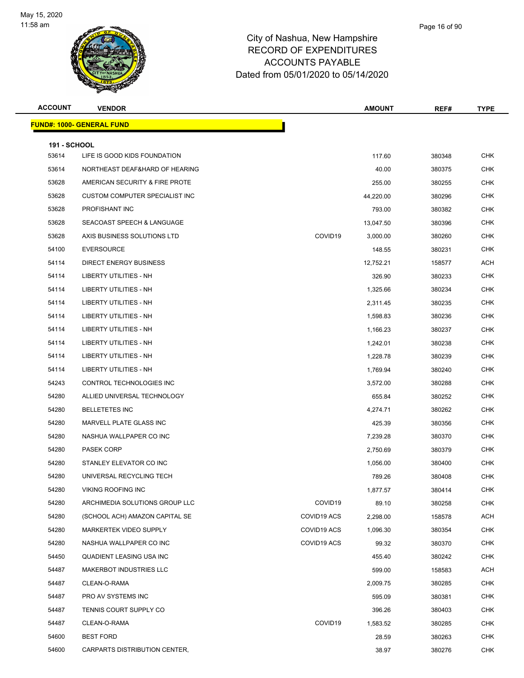

| <b>ACCOUNT</b>      | <b>VENDOR</b>                    |                     | <b>AMOUNT</b> | REF#   | <b>TYPE</b> |
|---------------------|----------------------------------|---------------------|---------------|--------|-------------|
|                     | <b>FUND#: 1000- GENERAL FUND</b> |                     |               |        |             |
| <b>191 - SCHOOL</b> |                                  |                     |               |        |             |
| 53614               | LIFE IS GOOD KIDS FOUNDATION     |                     | 117.60        | 380348 | <b>CHK</b>  |
| 53614               | NORTHEAST DEAF&HARD OF HEARING   |                     | 40.00         | 380375 | CHK         |
| 53628               | AMERICAN SECURITY & FIRE PROTE   |                     | 255.00        | 380255 | <b>CHK</b>  |
| 53628               | CUSTOM COMPUTER SPECIALIST INC   |                     | 44,220.00     | 380296 | CHK         |
| 53628               | PROFISHANT INC                   |                     | 793.00        | 380382 | <b>CHK</b>  |
| 53628               | SEACOAST SPEECH & LANGUAGE       |                     | 13,047.50     | 380396 | <b>CHK</b>  |
| 53628               | AXIS BUSINESS SOLUTIONS LTD      | COVID19             | 3,000.00      | 380260 | CHK         |
| 54100               | <b>EVERSOURCE</b>                |                     | 148.55        | 380231 | <b>CHK</b>  |
| 54114               | <b>DIRECT ENERGY BUSINESS</b>    |                     | 12,752.21     | 158577 | ACH         |
| 54114               | LIBERTY UTILITIES - NH           |                     | 326.90        | 380233 | <b>CHK</b>  |
| 54114               | LIBERTY UTILITIES - NH           |                     | 1,325.66      | 380234 | CHK         |
| 54114               | LIBERTY UTILITIES - NH           |                     | 2,311.45      | 380235 | CHK         |
| 54114               | LIBERTY UTILITIES - NH           |                     | 1,598.83      | 380236 | <b>CHK</b>  |
| 54114               | LIBERTY UTILITIES - NH           |                     | 1,166.23      | 380237 | CHK         |
| 54114               | LIBERTY UTILITIES - NH           |                     | 1,242.01      | 380238 | CHK         |
| 54114               | LIBERTY UTILITIES - NH           |                     | 1,228.78      | 380239 | CHK         |
| 54114               | LIBERTY UTILITIES - NH           |                     | 1,769.94      | 380240 | CHK         |
| 54243               | CONTROL TECHNOLOGIES INC         |                     | 3,572.00      | 380288 | <b>CHK</b>  |
| 54280               | ALLIED UNIVERSAL TECHNOLOGY      |                     | 655.84        | 380252 | CHK         |
| 54280               | <b>BELLETETES INC</b>            |                     | 4,274.71      | 380262 | <b>CHK</b>  |
| 54280               | MARVELL PLATE GLASS INC          |                     | 425.39        | 380356 | CHK         |
| 54280               | NASHUA WALLPAPER CO INC          |                     | 7,239.28      | 380370 | CHK         |
| 54280               | <b>PASEK CORP</b>                |                     | 2,750.69      | 380379 | <b>CHK</b>  |
| 54280               | STANLEY ELEVATOR CO INC          |                     | 1,056.00      | 380400 | CHK         |
| 54280               | UNIVERSAL RECYCLING TECH         |                     | 789.26        | 380408 | <b>CHK</b>  |
| 54280               | VIKING ROOFING INC               |                     | 1,877.57      | 380414 | <b>CHK</b>  |
| 54280               | ARCHIMEDIA SOLUTIONS GROUP LLC   | COVID <sub>19</sub> | 89.10         | 380258 | <b>CHK</b>  |
| 54280               | (SCHOOL ACH) AMAZON CAPITAL SE   | COVID19 ACS         | 2,298.00      | 158578 | <b>ACH</b>  |
| 54280               | MARKERTEK VIDEO SUPPLY           | COVID19 ACS         | 1,096.30      | 380354 | <b>CHK</b>  |
| 54280               | NASHUA WALLPAPER CO INC          | COVID19 ACS         | 99.32         | 380370 | <b>CHK</b>  |
| 54450               | QUADIENT LEASING USA INC         |                     | 455.40        | 380242 | <b>CHK</b>  |
| 54487               | MAKERBOT INDUSTRIES LLC          |                     | 599.00        | 158583 | ACH         |
| 54487               | CLEAN-O-RAMA                     |                     | 2,009.75      | 380285 | <b>CHK</b>  |
| 54487               | PRO AV SYSTEMS INC               |                     | 595.09        | 380381 | <b>CHK</b>  |
| 54487               | TENNIS COURT SUPPLY CO           |                     | 396.26        | 380403 | <b>CHK</b>  |
| 54487               | CLEAN-O-RAMA                     | COVID19             | 1,583.52      | 380285 | CHK         |
| 54600               | <b>BEST FORD</b>                 |                     | 28.59         | 380263 | <b>CHK</b>  |
| 54600               | CARPARTS DISTRIBUTION CENTER,    |                     | 38.97         | 380276 | <b>CHK</b>  |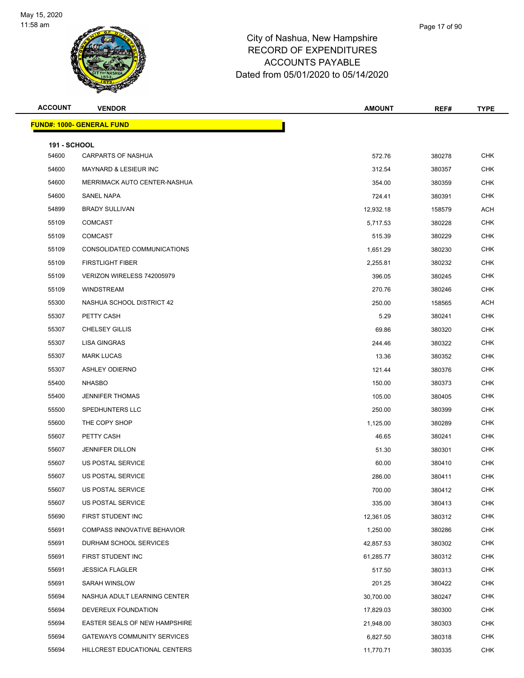

| <b>ACCOUNT</b>               | <b>VENDOR</b>                      | <b>AMOUNT</b> | REF#   | <b>TYPE</b> |
|------------------------------|------------------------------------|---------------|--------|-------------|
|                              | <b>FUND#: 1000- GENERAL FUND</b>   |               |        |             |
|                              |                                    |               |        |             |
| <b>191 - SCHOOL</b><br>54600 | <b>CARPARTS OF NASHUA</b>          | 572.76        | 380278 | <b>CHK</b>  |
| 54600                        | MAYNARD & LESIEUR INC              | 312.54        | 380357 | <b>CHK</b>  |
| 54600                        | MERRIMACK AUTO CENTER-NASHUA       | 354.00        | 380359 | <b>CHK</b>  |
| 54600                        | SANEL NAPA                         | 724.41        | 380391 | <b>CHK</b>  |
| 54899                        | <b>BRADY SULLIVAN</b>              | 12,932.18     | 158579 | <b>ACH</b>  |
| 55109                        | <b>COMCAST</b>                     | 5,717.53      | 380228 | <b>CHK</b>  |
| 55109                        | <b>COMCAST</b>                     | 515.39        | 380229 | <b>CHK</b>  |
| 55109                        | CONSOLIDATED COMMUNICATIONS        | 1,651.29      | 380230 | <b>CHK</b>  |
| 55109                        | <b>FIRSTLIGHT FIBER</b>            | 2,255.81      | 380232 | <b>CHK</b>  |
| 55109                        | VERIZON WIRELESS 742005979         | 396.05        | 380245 | <b>CHK</b>  |
| 55109                        | <b>WINDSTREAM</b>                  | 270.76        | 380246 | <b>CHK</b>  |
| 55300                        | NASHUA SCHOOL DISTRICT 42          | 250.00        | 158565 | ACH         |
| 55307                        | PETTY CASH                         | 5.29          | 380241 | <b>CHK</b>  |
| 55307                        | <b>CHELSEY GILLIS</b>              | 69.86         | 380320 | <b>CHK</b>  |
| 55307                        | <b>LISA GINGRAS</b>                | 244.46        | 380322 | <b>CHK</b>  |
| 55307                        | <b>MARK LUCAS</b>                  | 13.36         | 380352 | <b>CHK</b>  |
| 55307                        | <b>ASHLEY ODIERNO</b>              | 121.44        | 380376 | <b>CHK</b>  |
| 55400                        | <b>NHASBO</b>                      | 150.00        | 380373 | <b>CHK</b>  |
| 55400                        | <b>JENNIFER THOMAS</b>             | 105.00        | 380405 | <b>CHK</b>  |
| 55500                        | SPEDHUNTERS LLC                    | 250.00        | 380399 | <b>CHK</b>  |
| 55600                        | THE COPY SHOP                      | 1,125.00      | 380289 | <b>CHK</b>  |
| 55607                        | PETTY CASH                         | 46.65         | 380241 | <b>CHK</b>  |
| 55607                        | <b>JENNIFER DILLON</b>             | 51.30         | 380301 | <b>CHK</b>  |
| 55607                        | US POSTAL SERVICE                  | 60.00         | 380410 | <b>CHK</b>  |
| 55607                        | US POSTAL SERVICE                  | 286.00        | 380411 | <b>CHK</b>  |
| 55607                        | US POSTAL SERVICE                  | 700.00        | 380412 | CHK         |
| 55607                        | US POSTAL SERVICE                  | 335.00        | 380413 | <b>CHK</b>  |
| 55690                        | FIRST STUDENT INC                  | 12,361.05     | 380312 | CHK         |
| 55691                        | <b>COMPASS INNOVATIVE BEHAVIOR</b> | 1,250.00      | 380286 | <b>CHK</b>  |
| 55691                        | DURHAM SCHOOL SERVICES             | 42,857.53     | 380302 | <b>CHK</b>  |
| 55691                        | FIRST STUDENT INC                  | 61,285.77     | 380312 | <b>CHK</b>  |
| 55691                        | <b>JESSICA FLAGLER</b>             | 517.50        | 380313 | <b>CHK</b>  |
| 55691                        | SARAH WINSLOW                      | 201.25        | 380422 | <b>CHK</b>  |
| 55694                        | NASHUA ADULT LEARNING CENTER       | 30,700.00     | 380247 | <b>CHK</b>  |
| 55694                        | DEVEREUX FOUNDATION                | 17,829.03     | 380300 | <b>CHK</b>  |
| 55694                        | EASTER SEALS OF NEW HAMPSHIRE      | 21,948.00     | 380303 | <b>CHK</b>  |
| 55694                        | GATEWAYS COMMUNITY SERVICES        | 6,827.50      | 380318 | <b>CHK</b>  |
| 55694                        | HILLCREST EDUCATIONAL CENTERS      | 11,770.71     | 380335 | <b>CHK</b>  |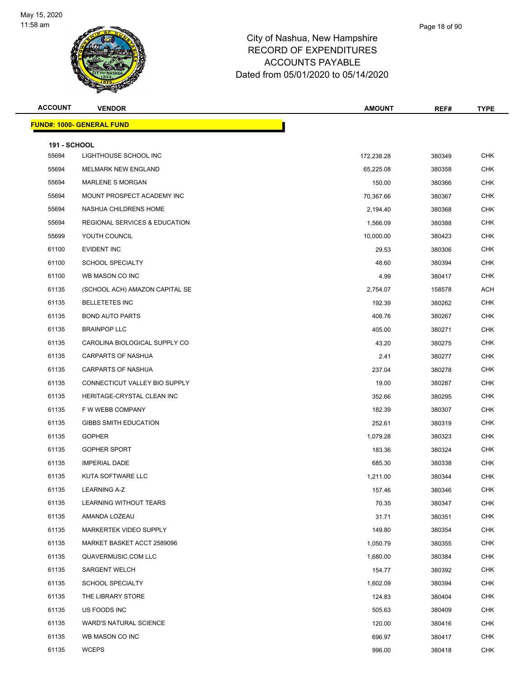

| <b>ACCOUNT</b>      | <b>VENDOR</b>                            | <b>AMOUNT</b> | REF#   | <b>TYPE</b> |
|---------------------|------------------------------------------|---------------|--------|-------------|
|                     | <b>FUND#: 1000- GENERAL FUND</b>         |               |        |             |
| <b>191 - SCHOOL</b> |                                          |               |        |             |
| 55694               | LIGHTHOUSE SCHOOL INC                    | 172,238.28    | 380349 | <b>CHK</b>  |
| 55694               | MELMARK NEW ENGLAND                      | 65,225.08     | 380358 | <b>CHK</b>  |
| 55694               | <b>MARLENE S MORGAN</b>                  | 150.00        | 380366 | <b>CHK</b>  |
| 55694               | MOUNT PROSPECT ACADEMY INC               | 70,367.66     | 380367 | <b>CHK</b>  |
| 55694               | NASHUA CHILDRENS HOME                    | 2,194.40      | 380368 | <b>CHK</b>  |
| 55694               | <b>REGIONAL SERVICES &amp; EDUCATION</b> | 1,566.09      | 380388 | <b>CHK</b>  |
| 55699               | YOUTH COUNCIL                            | 10,000.00     | 380423 | <b>CHK</b>  |
| 61100               | EVIDENT INC                              | 29.53         | 380306 | <b>CHK</b>  |
| 61100               | <b>SCHOOL SPECIALTY</b>                  | 48.60         | 380394 | <b>CHK</b>  |
| 61100               | WB MASON CO INC                          | 4.99          | 380417 | <b>CHK</b>  |
| 61135               | (SCHOOL ACH) AMAZON CAPITAL SE           | 2,754.07      | 158578 | <b>ACH</b>  |
| 61135               | <b>BELLETETES INC</b>                    | 192.39        | 380262 | <b>CHK</b>  |
| 61135               | <b>BOND AUTO PARTS</b>                   | 408.76        | 380267 | <b>CHK</b>  |
| 61135               | <b>BRAINPOP LLC</b>                      | 405.00        | 380271 | <b>CHK</b>  |
| 61135               | CAROLINA BIOLOGICAL SUPPLY CO            | 43.20         | 380275 | <b>CHK</b>  |
| 61135               | <b>CARPARTS OF NASHUA</b>                | 2.41          | 380277 | <b>CHK</b>  |
| 61135               | <b>CARPARTS OF NASHUA</b>                | 237.04        | 380278 | <b>CHK</b>  |
| 61135               | CONNECTICUT VALLEY BIO SUPPLY            | 19.00         | 380287 | <b>CHK</b>  |
| 61135               | HERITAGE-CRYSTAL CLEAN INC               | 352.66        | 380295 | <b>CHK</b>  |
| 61135               | F W WEBB COMPANY                         | 182.39        | 380307 | <b>CHK</b>  |
| 61135               | <b>GIBBS SMITH EDUCATION</b>             | 252.61        | 380319 | <b>CHK</b>  |
| 61135               | <b>GOPHER</b>                            | 1,079.28      | 380323 | <b>CHK</b>  |
| 61135               | <b>GOPHER SPORT</b>                      | 183.36        | 380324 | <b>CHK</b>  |
| 61135               | <b>IMPERIAL DADE</b>                     | 685.30        | 380338 | <b>CHK</b>  |
| 61135               | KUTA SOFTWARE LLC                        | 1,211.00      | 380344 | <b>CHK</b>  |
| 61135               | <b>LEARNING A-Z</b>                      | 157.46        | 380346 | CHK         |
| 61135               | LEARNING WITHOUT TEARS                   | 70.35         | 380347 | <b>CHK</b>  |
| 61135               | AMANDA LOZEAU                            | 31.71         | 380351 | <b>CHK</b>  |
| 61135               | MARKERTEK VIDEO SUPPLY                   | 149.80        | 380354 | <b>CHK</b>  |
| 61135               | MARKET BASKET ACCT 2589096               | 1,050.79      | 380355 | <b>CHK</b>  |
| 61135               | QUAVERMUSIC.COM LLC                      | 1,680.00      | 380384 | <b>CHK</b>  |
| 61135               | <b>SARGENT WELCH</b>                     | 154.77        | 380392 | <b>CHK</b>  |
| 61135               | <b>SCHOOL SPECIALTY</b>                  | 1,602.09      | 380394 | <b>CHK</b>  |
| 61135               | THE LIBRARY STORE                        | 124.83        | 380404 | <b>CHK</b>  |
| 61135               | US FOODS INC                             | 505.63        | 380409 | <b>CHK</b>  |
| 61135               | <b>WARD'S NATURAL SCIENCE</b>            | 120.00        | 380416 | <b>CHK</b>  |
| 61135               | WB MASON CO INC                          | 696.97        | 380417 | <b>CHK</b>  |
| 61135               | <b>WCEPS</b>                             | 996.00        | 380418 | CHK         |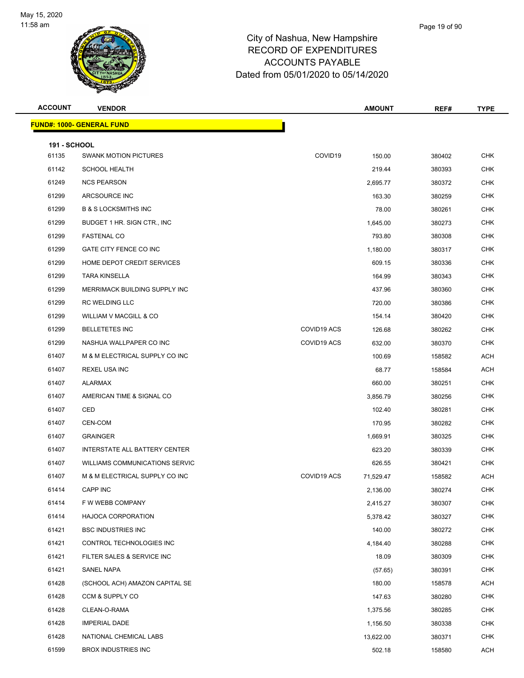

| <b>ACCOUNT</b>      | <b>VENDOR</b>                         |             | <b>AMOUNT</b> | REF#   | <b>TYPE</b> |
|---------------------|---------------------------------------|-------------|---------------|--------|-------------|
|                     | <b>FUND#: 1000- GENERAL FUND</b>      |             |               |        |             |
| <b>191 - SCHOOL</b> |                                       |             |               |        |             |
| 61135               | <b>SWANK MOTION PICTURES</b>          | COVID19     | 150.00        | 380402 | <b>CHK</b>  |
| 61142               | <b>SCHOOL HEALTH</b>                  |             | 219.44        | 380393 | <b>CHK</b>  |
| 61249               | <b>NCS PEARSON</b>                    |             | 2,695.77      | 380372 | <b>CHK</b>  |
| 61299               | ARCSOURCE INC                         |             | 163.30        | 380259 | <b>CHK</b>  |
| 61299               | <b>B &amp; S LOCKSMITHS INC</b>       |             | 78.00         | 380261 | <b>CHK</b>  |
| 61299               | BUDGET 1 HR. SIGN CTR., INC.          |             | 1,645.00      | 380273 | <b>CHK</b>  |
| 61299               | <b>FASTENAL CO</b>                    |             | 793.80        | 380308 | <b>CHK</b>  |
| 61299               | GATE CITY FENCE CO INC                |             | 1,180.00      | 380317 | <b>CHK</b>  |
| 61299               | HOME DEPOT CREDIT SERVICES            |             | 609.15        | 380336 | <b>CHK</b>  |
| 61299               | <b>TARA KINSELLA</b>                  |             | 164.99        | 380343 | <b>CHK</b>  |
| 61299               | MERRIMACK BUILDING SUPPLY INC         |             | 437.96        | 380360 | <b>CHK</b>  |
| 61299               | RC WELDING LLC                        |             | 720.00        | 380386 | <b>CHK</b>  |
| 61299               | WILLIAM V MACGILL & CO                |             | 154.14        | 380420 | <b>CHK</b>  |
| 61299               | <b>BELLETETES INC</b>                 | COVID19 ACS | 126.68        | 380262 | <b>CHK</b>  |
| 61299               | NASHUA WALLPAPER CO INC               | COVID19 ACS | 632.00        | 380370 | <b>CHK</b>  |
| 61407               | M & M ELECTRICAL SUPPLY CO INC        |             | 100.69        | 158582 | <b>ACH</b>  |
| 61407               | <b>REXEL USA INC</b>                  |             | 68.77         | 158584 | <b>ACH</b>  |
| 61407               | ALARMAX                               |             | 660.00        | 380251 | <b>CHK</b>  |
| 61407               | AMERICAN TIME & SIGNAL CO             |             | 3,856.79      | 380256 | <b>CHK</b>  |
| 61407               | CED                                   |             | 102.40        | 380281 | <b>CHK</b>  |
| 61407               | CEN-COM                               |             | 170.95        | 380282 | <b>CHK</b>  |
| 61407               | <b>GRAINGER</b>                       |             | 1,669.91      | 380325 | <b>CHK</b>  |
| 61407               | INTERSTATE ALL BATTERY CENTER         |             | 623.20        | 380339 | <b>CHK</b>  |
| 61407               | <b>WILLIAMS COMMUNICATIONS SERVIC</b> |             | 626.55        | 380421 | CHK         |
| 61407               | M & M ELECTRICAL SUPPLY CO INC        | COVID19 ACS | 71,529.47     | 158582 | <b>ACH</b>  |
| 61414               | CAPP INC                              |             | 2,136.00      | 380274 | CHK         |
| 61414               | F W WEBB COMPANY                      |             | 2,415.27      | 380307 | <b>CHK</b>  |
| 61414               | HAJOCA CORPORATION                    |             | 5,378.42      | 380327 | <b>CHK</b>  |
| 61421               | <b>BSC INDUSTRIES INC</b>             |             | 140.00        | 380272 | <b>CHK</b>  |
| 61421               | CONTROL TECHNOLOGIES INC              |             | 4,184.40      | 380288 | <b>CHK</b>  |
| 61421               | FILTER SALES & SERVICE INC            |             | 18.09         | 380309 | <b>CHK</b>  |
| 61421               | SANEL NAPA                            |             | (57.65)       | 380391 | <b>CHK</b>  |
| 61428               | (SCHOOL ACH) AMAZON CAPITAL SE        |             | 180.00        | 158578 | ACH         |
| 61428               | CCM & SUPPLY CO                       |             | 147.63        | 380280 | <b>CHK</b>  |
| 61428               | CLEAN-O-RAMA                          |             | 1,375.56      | 380285 | <b>CHK</b>  |
| 61428               | <b>IMPERIAL DADE</b>                  |             | 1,156.50      | 380338 | <b>CHK</b>  |
| 61428               | NATIONAL CHEMICAL LABS                |             | 13,622.00     | 380371 | <b>CHK</b>  |
| 61599               | <b>BROX INDUSTRIES INC</b>            |             | 502.18        | 158580 | <b>ACH</b>  |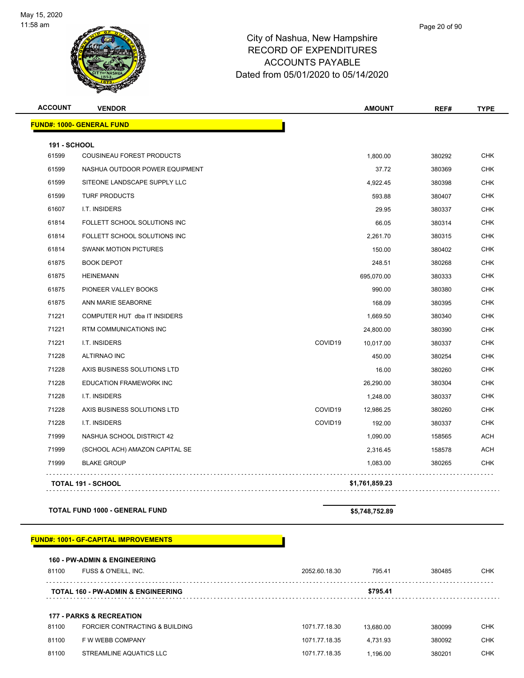

| <b>ACCOUNT</b>      | <b>VENDOR</b>                    |         | <b>AMOUNT</b>  | REF#   | <b>TYPE</b> |
|---------------------|----------------------------------|---------|----------------|--------|-------------|
|                     | <b>FUND#: 1000- GENERAL FUND</b> |         |                |        |             |
| <b>191 - SCHOOL</b> |                                  |         |                |        |             |
| 61599               | COUSINEAU FOREST PRODUCTS        |         | 1,800.00       | 380292 | <b>CHK</b>  |
| 61599               | NASHUA OUTDOOR POWER EQUIPMENT   |         | 37.72          | 380369 | <b>CHK</b>  |
| 61599               | SITEONE LANDSCAPE SUPPLY LLC     |         | 4,922.45       | 380398 | <b>CHK</b>  |
| 61599               | <b>TURF PRODUCTS</b>             |         | 593.88         | 380407 | <b>CHK</b>  |
| 61607               | I.T. INSIDERS                    |         | 29.95          | 380337 | <b>CHK</b>  |
| 61814               | FOLLETT SCHOOL SOLUTIONS INC     |         | 66.05          | 380314 | <b>CHK</b>  |
| 61814               | FOLLETT SCHOOL SOLUTIONS INC     |         | 2,261.70       | 380315 | <b>CHK</b>  |
| 61814               | <b>SWANK MOTION PICTURES</b>     |         | 150.00         | 380402 | <b>CHK</b>  |
| 61875               | <b>BOOK DEPOT</b>                |         | 248.51         | 380268 | <b>CHK</b>  |
| 61875               | <b>HEINEMANN</b>                 |         | 695,070.00     | 380333 | <b>CHK</b>  |
| 61875               | PIONEER VALLEY BOOKS             |         | 990.00         | 380380 | <b>CHK</b>  |
| 61875               | ANN MARIE SEABORNE               |         | 168.09         | 380395 | <b>CHK</b>  |
| 71221               | COMPUTER HUT dba IT INSIDERS     |         | 1,669.50       | 380340 | <b>CHK</b>  |
| 71221               | RTM COMMUNICATIONS INC           |         | 24,800.00      | 380390 | <b>CHK</b>  |
| 71221               | I.T. INSIDERS                    | COVID19 | 10,017.00      | 380337 | <b>CHK</b>  |
| 71228               | <b>ALTIRNAO INC</b>              |         | 450.00         | 380254 | <b>CHK</b>  |
| 71228               | AXIS BUSINESS SOLUTIONS LTD      |         | 16.00          | 380260 | <b>CHK</b>  |
| 71228               | <b>EDUCATION FRAMEWORK INC</b>   |         | 26,290.00      | 380304 | <b>CHK</b>  |
| 71228               | I.T. INSIDERS                    |         | 1,248.00       | 380337 | <b>CHK</b>  |
| 71228               | AXIS BUSINESS SOLUTIONS LTD      | COVID19 | 12,986.25      | 380260 | <b>CHK</b>  |
| 71228               | I.T. INSIDERS                    | COVID19 | 192.00         | 380337 | <b>CHK</b>  |
| 71999               | NASHUA SCHOOL DISTRICT 42        |         | 1,090.00       | 158565 | <b>ACH</b>  |
| 71999               | (SCHOOL ACH) AMAZON CAPITAL SE   |         | 2,316.45       | 158578 | <b>ACH</b>  |
| 71999               | <b>BLAKE GROUP</b>               |         | 1,083.00       | 380265 | <b>CHK</b>  |
|                     | <b>TOTAL 191 - SCHOOL</b>        |         | \$1,761,859.23 |        |             |

**TOTAL FUND 1000 - GENERAL FUND \$5,748,752.89** 

#### **FUND#: 1001- GF-CAPITAL IMPROVEMENTS**

|       | <b>160 - PW-ADMIN &amp; ENGINEERING</b>       |               |           |        |            |
|-------|-----------------------------------------------|---------------|-----------|--------|------------|
| 81100 | FUSS & O'NEILL, INC.                          | 2052.60.18.30 | 795.41    | 380485 | <b>CHK</b> |
|       | <b>TOTAL 160 - PW-ADMIN &amp; ENGINEERING</b> |               | \$795.41  |        |            |
|       | <b>177 - PARKS &amp; RECREATION</b>           |               |           |        |            |
|       |                                               |               |           |        |            |
| 81100 | FORCIER CONTRACTING & BUILDING                | 1071.77.18.30 | 13.680.00 | 380099 | <b>CHK</b> |
| 81100 | F W WEBB COMPANY                              | 1071.77.18.35 | 4.731.93  | 380092 | <b>CHK</b> |
| 81100 | STREAMLINE AQUATICS LLC                       | 1071.77.18.35 | 1.196.00  | 380201 | <b>CHK</b> |
|       |                                               |               |           |        |            |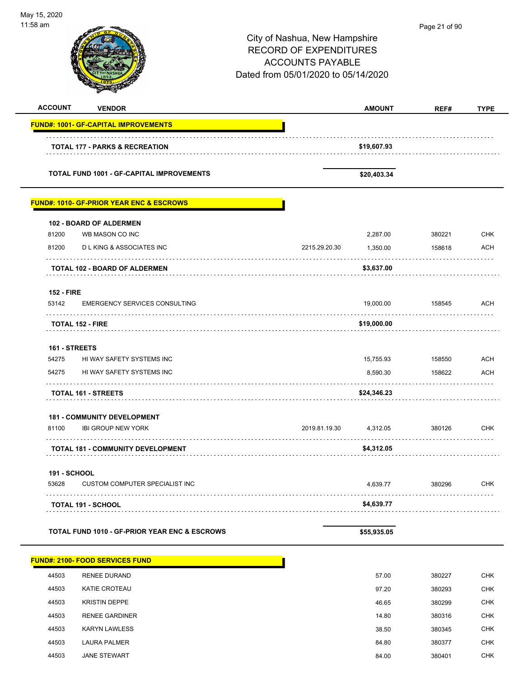| May 15, 2020<br>11:58 am   |                                                          | City of Nashua, New Hampshire<br><b>RECORD OF EXPENDITURES</b><br><b>ACCOUNTS PAYABLE</b><br>Dated from 05/01/2020 to 05/14/2020 |               |        |             |
|----------------------------|----------------------------------------------------------|----------------------------------------------------------------------------------------------------------------------------------|---------------|--------|-------------|
| <b>ACCOUNT</b>             | <b>VENDOR</b>                                            |                                                                                                                                  | <b>AMOUNT</b> | REF#   | <b>TYPE</b> |
|                            | <b>FUND#: 1001- GF-CAPITAL IMPROVEMENTS</b>              |                                                                                                                                  |               |        |             |
|                            | <b>TOTAL 177 - PARKS &amp; RECREATION</b>                |                                                                                                                                  | \$19,607.93   |        |             |
|                            | <b>TOTAL FUND 1001 - GF-CAPITAL IMPROVEMENTS</b>         |                                                                                                                                  | \$20,403.34   |        |             |
|                            | <b>FUND#: 1010- GF-PRIOR YEAR ENC &amp; ESCROWS</b>      |                                                                                                                                  |               |        |             |
|                            | 102 - BOARD OF ALDERMEN                                  |                                                                                                                                  |               |        |             |
| 81200                      | WB MASON CO INC                                          |                                                                                                                                  | 2,287.00      | 380221 | <b>CHK</b>  |
| 81200                      | <b>DLKING &amp; ASSOCIATES INC</b>                       | 2215.29.20.30                                                                                                                    | 1,350.00      | 158618 | <b>ACH</b>  |
|                            | <b>TOTAL 102 - BOARD OF ALDERMEN</b>                     |                                                                                                                                  | \$3,637.00    |        |             |
| <b>152 - FIRE</b><br>53142 | <b>EMERGENCY SERVICES CONSULTING</b>                     |                                                                                                                                  | 19,000.00     | 158545 | ACH         |
|                            | <b>TOTAL 152 - FIRE</b>                                  |                                                                                                                                  | \$19,000.00   |        |             |
| 161 - STREETS              |                                                          |                                                                                                                                  |               |        |             |
| 54275                      | HI WAY SAFETY SYSTEMS INC                                |                                                                                                                                  | 15,755.93     | 158550 | <b>ACH</b>  |
| 54275                      | HI WAY SAFETY SYSTEMS INC                                |                                                                                                                                  | 8,590.30      | 158622 | <b>ACH</b>  |
|                            | <b>TOTAL 161 - STREETS</b>                               |                                                                                                                                  | \$24,346.23   |        |             |
|                            | <b>181 - COMMUNITY DEVELOPMENT</b>                       |                                                                                                                                  |               |        |             |
| 81100                      | <b>IBI GROUP NEW YORK</b>                                | 2019.81.19.30                                                                                                                    | 4,312.05      | 380126 | <b>CHK</b>  |
|                            | <b>TOTAL 181 - COMMUNITY DEVELOPMENT</b>                 |                                                                                                                                  | \$4,312.05    |        |             |
| <b>191 - SCHOOL</b>        |                                                          |                                                                                                                                  |               |        |             |
| 53628                      | <b>CUSTOM COMPUTER SPECIALIST INC</b>                    |                                                                                                                                  | 4,639.77      | 380296 | CHK         |
|                            | <b>TOTAL 191 - SCHOOL</b>                                |                                                                                                                                  | \$4,639.77    |        |             |
|                            | <b>TOTAL FUND 1010 - GF-PRIOR YEAR ENC &amp; ESCROWS</b> |                                                                                                                                  | \$55,935.05   |        |             |
|                            | <b>FUND#: 2100- FOOD SERVICES FUND</b>                   |                                                                                                                                  |               |        |             |
| 44503                      | <b>RENEE DURAND</b>                                      |                                                                                                                                  | 57.00         | 380227 | CHK         |
| 44503                      | <b>KATIE CROTEAU</b>                                     |                                                                                                                                  | 97.20         | 380293 | <b>CHK</b>  |
| 44503                      | <b>KRISTIN DEPPE</b>                                     |                                                                                                                                  | 46.65         | 380299 | CHK         |
| 44503                      | <b>RENEE GARDINER</b>                                    |                                                                                                                                  | 14.80         | 380316 | <b>CHK</b>  |
| 44503                      | <b>KARYN LAWLESS</b>                                     |                                                                                                                                  | 38.50         | 380345 | CHK         |
| 44503                      | <b>LAURA PALMER</b>                                      |                                                                                                                                  | 84.80         | 380377 | <b>CHK</b>  |

44503 JANE STEWART 84.00 380401 CHK

-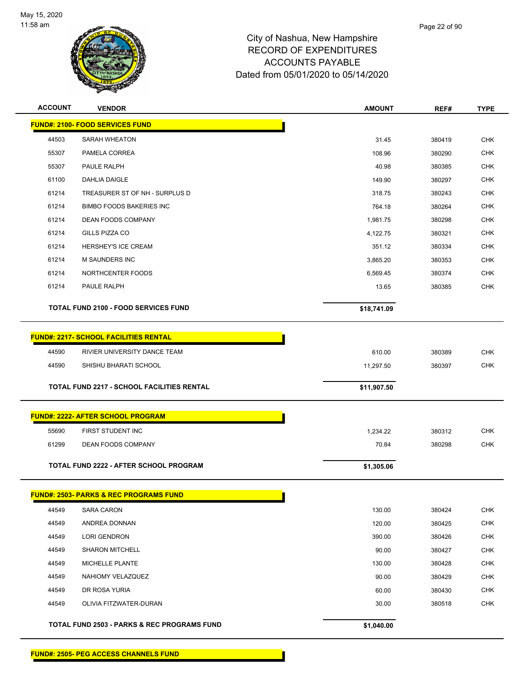

| <b>ACCOUNT</b> | <b>VENDOR</b>                                          | <b>AMOUNT</b> | REF#   | <b>TYPE</b> |
|----------------|--------------------------------------------------------|---------------|--------|-------------|
|                | <b>FUND#: 2100- FOOD SERVICES FUND</b>                 |               |        |             |
| 44503          | <b>SARAH WHEATON</b>                                   | 31.45         | 380419 | <b>CHK</b>  |
| 55307          | PAMELA CORREA                                          | 108.96        | 380290 | <b>CHK</b>  |
| 55307          | PAULE RALPH                                            | 40.98         | 380385 | <b>CHK</b>  |
| 61100          | <b>DAHLIA DAIGLE</b>                                   | 149.90        | 380297 | <b>CHK</b>  |
| 61214          | TREASURER ST OF NH - SURPLUS D                         | 318.75        | 380243 | <b>CHK</b>  |
| 61214          | <b>BIMBO FOODS BAKERIES INC</b>                        | 764.18        | 380264 | <b>CHK</b>  |
| 61214          | DEAN FOODS COMPANY                                     | 1,981.75      | 380298 | <b>CHK</b>  |
| 61214          | GILLS PIZZA CO                                         | 4,122.75      | 380321 | <b>CHK</b>  |
| 61214          | <b>HERSHEY'S ICE CREAM</b>                             | 351.12        | 380334 | <b>CHK</b>  |
| 61214          | <b>M SAUNDERS INC</b>                                  | 3,865.20      | 380353 | <b>CHK</b>  |
| 61214          | NORTHCENTER FOODS                                      | 6,569.45      | 380374 | <b>CHK</b>  |
| 61214          | PAULE RALPH                                            | 13.65         | 380385 | <b>CHK</b>  |
|                | <b>TOTAL FUND 2100 - FOOD SERVICES FUND</b>            |               |        |             |
|                |                                                        | \$18,741.09   |        |             |
|                | <b>FUND#: 2217- SCHOOL FACILITIES RENTAL</b>           |               |        |             |
| 44590          | RIVIER UNIVERSITY DANCE TEAM                           | 610.00        | 380389 | <b>CHK</b>  |
| 44590          | SHISHU BHARATI SCHOOL                                  | 11,297.50     | 380397 | <b>CHK</b>  |
|                |                                                        |               |        |             |
|                | <b>TOTAL FUND 2217 - SCHOOL FACILITIES RENTAL</b>      | \$11,907.50   |        |             |
|                |                                                        |               |        |             |
|                | <b>FUND#: 2222- AFTER SCHOOL PROGRAM</b>               |               |        |             |
| 55690          | FIRST STUDENT INC                                      | 1,234.22      | 380312 | <b>CHK</b>  |
| 61299          | DEAN FOODS COMPANY                                     | 70.84         | 380298 | <b>CHK</b>  |
|                | TOTAL FUND 2222 - AFTER SCHOOL PROGRAM                 | \$1,305.06    |        |             |
|                |                                                        |               |        |             |
|                | <b>FUND#: 2503- PARKS &amp; REC PROGRAMS FUND</b>      |               |        |             |
| 44549          | SARA CARON                                             | 130.00        | 380424 | <b>CHK</b>  |
| 44549          | ANDREA DONNAN                                          | 120.00        | 380425 | <b>CHK</b>  |
| 44549          | <b>LORI GENDRON</b>                                    | 390.00        | 380426 | <b>CHK</b>  |
| 44549          | <b>SHARON MITCHELL</b>                                 | 90.00         | 380427 | <b>CHK</b>  |
| 44549          | MICHELLE PLANTE                                        | 130.00        | 380428 | <b>CHK</b>  |
| 44549          | NAHIOMY VELAZQUEZ                                      | 90.00         | 380429 | <b>CHK</b>  |
| 44549          | DR ROSA YURIA                                          | 60.00         | 380430 | <b>CHK</b>  |
| 44549          | OLIVIA FITZWATER-DURAN                                 | 30.00         | 380518 | <b>CHK</b>  |
|                | <b>TOTAL FUND 2503 - PARKS &amp; REC PROGRAMS FUND</b> |               |        |             |
|                |                                                        | \$1,040.00    |        |             |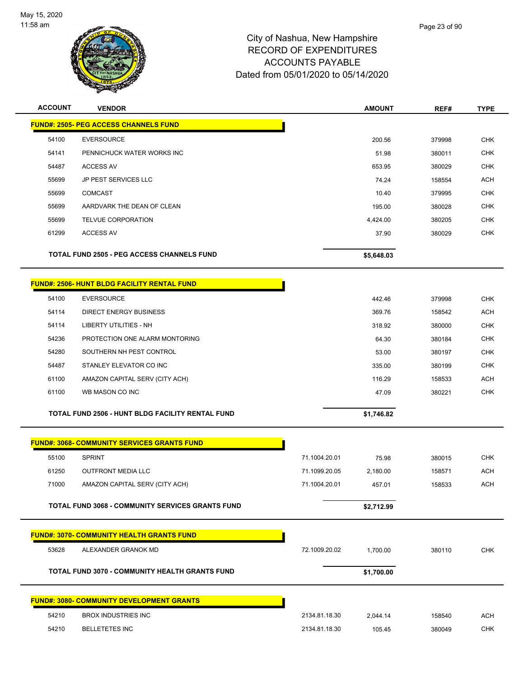

| <b>ACCOUNT</b> | <b>VENDOR</b>                                           |               | <b>AMOUNT</b> | REF#   | <b>TYPE</b> |
|----------------|---------------------------------------------------------|---------------|---------------|--------|-------------|
|                | <b>FUND#: 2505- PEG ACCESS CHANNELS FUND</b>            |               |               |        |             |
| 54100          | <b>EVERSOURCE</b>                                       |               | 200.56        | 379998 | <b>CHK</b>  |
| 54141          | PENNICHUCK WATER WORKS INC                              |               | 51.98         | 380011 | <b>CHK</b>  |
| 54487          | <b>ACCESS AV</b>                                        |               | 653.95        | 380029 | <b>CHK</b>  |
| 55699          | JP PEST SERVICES LLC                                    |               | 74.24         | 158554 | <b>ACH</b>  |
| 55699          | <b>COMCAST</b>                                          |               | 10.40         | 379995 | <b>CHK</b>  |
| 55699          | AARDVARK THE DEAN OF CLEAN                              |               | 195.00        | 380028 | <b>CHK</b>  |
| 55699          | TELVUE CORPORATION                                      |               | 4,424.00      | 380205 | <b>CHK</b>  |
| 61299          | <b>ACCESS AV</b>                                        |               | 37.90         | 380029 | <b>CHK</b>  |
|                | <b>TOTAL FUND 2505 - PEG ACCESS CHANNELS FUND</b>       |               | \$5,648.03    |        |             |
|                | <b>FUND#: 2506- HUNT BLDG FACILITY RENTAL FUND</b>      |               |               |        |             |
| 54100          | <b>EVERSOURCE</b>                                       |               | 442.46        | 379998 | <b>CHK</b>  |
| 54114          | <b>DIRECT ENERGY BUSINESS</b>                           |               | 369.76        | 158542 | <b>ACH</b>  |
| 54114          | <b>LIBERTY UTILITIES - NH</b>                           |               | 318.92        | 380000 | <b>CHK</b>  |
| 54236          | PROTECTION ONE ALARM MONTORING                          |               | 64.30         | 380184 | <b>CHK</b>  |
| 54280          | SOUTHERN NH PEST CONTROL                                |               | 53.00         | 380197 | <b>CHK</b>  |
| 54487          | STANLEY ELEVATOR CO INC                                 |               | 335.00        | 380199 | <b>CHK</b>  |
| 61100          | AMAZON CAPITAL SERV (CITY ACH)                          |               | 116.29        | 158533 | <b>ACH</b>  |
| 61100          | WB MASON CO INC                                         |               | 47.09         | 380221 | <b>CHK</b>  |
|                | <b>TOTAL FUND 2506 - HUNT BLDG FACILITY RENTAL FUND</b> |               | \$1,746.82    |        |             |
|                | <b>FUND#: 3068- COMMUNITY SERVICES GRANTS FUND</b>      |               |               |        |             |
| 55100          | <b>SPRINT</b>                                           | 71.1004.20.01 | 75.98         | 380015 | <b>CHK</b>  |
| 61250          | <b>OUTFRONT MEDIA LLC</b>                               | 71.1099.20.05 | 2,180.00      | 158571 | <b>ACH</b>  |
| 71000          | AMAZON CAPITAL SERV (CITY ACH)                          | 71.1004.20.01 | 457.01        | 158533 | ACH         |
|                | <b>TOTAL FUND 3068 - COMMUNITY SERVICES GRANTS FUND</b> |               | \$2,712.99    |        |             |
|                | <b>FUND#: 3070- COMMUNITY HEALTH GRANTS FUND</b>        |               |               |        |             |
| 53628          | ALEXANDER GRANOK MD                                     | 72.1009.20.02 | 1,700.00      | 380110 | CHK         |
|                | <b>TOTAL FUND 3070 - COMMUNITY HEALTH GRANTS FUND</b>   |               | \$1,700.00    |        |             |
|                | <b>FUND#: 3080- COMMUNITY DEVELOPMENT GRANTS</b>        |               |               |        |             |
| 54210          | <b>BROX INDUSTRIES INC</b>                              | 2134.81.18.30 | 2,044.14      | 158540 | <b>ACH</b>  |
| 54210          | <b>BELLETETES INC</b>                                   | 2134.81.18.30 | 105.45        | 380049 | <b>CHK</b>  |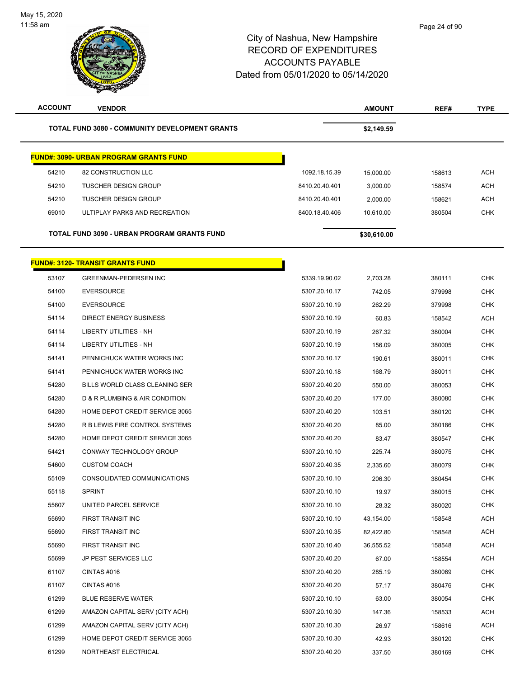| <b>ACCOUNT</b> | <b>VENDOR</b>                                         |                | <b>AMOUNT</b> | REF#   | <b>TYPE</b> |
|----------------|-------------------------------------------------------|----------------|---------------|--------|-------------|
|                | <b>TOTAL FUND 3080 - COMMUNITY DEVELOPMENT GRANTS</b> |                | \$2,149.59    |        |             |
|                | <u> FUND#: 3090- URBAN PROGRAM GRANTS FUND</u>        |                |               |        |             |
| 54210          | 82 CONSTRUCTION LLC                                   | 1092.18.15.39  | 15,000.00     | 158613 | <b>ACH</b>  |
| 54210          | <b>TUSCHER DESIGN GROUP</b>                           | 8410.20.40.401 | 3,000.00      | 158574 | <b>ACH</b>  |
| 54210          | <b>TUSCHER DESIGN GROUP</b>                           | 8410.20.40.401 | 2,000.00      | 158621 | <b>ACH</b>  |
| 69010          | ULTIPLAY PARKS AND RECREATION                         | 8400.18.40.406 | 10,610.00     | 380504 | <b>CHK</b>  |
|                | TOTAL FUND 3090 - URBAN PROGRAM GRANTS FUND           |                | \$30,610.00   |        |             |
|                | <b>FUND#: 3120- TRANSIT GRANTS FUND</b>               |                |               |        |             |
| 53107          | <b>GREENMAN-PEDERSEN INC</b>                          | 5339.19.90.02  | 2,703.28      | 380111 | <b>CHK</b>  |
| 54100          | <b>EVERSOURCE</b>                                     | 5307.20.10.17  | 742.05        | 379998 | <b>CHK</b>  |
| 54100          | <b>EVERSOURCE</b>                                     | 5307.20.10.19  | 262.29        | 379998 | <b>CHK</b>  |
| 54114          | DIRECT ENERGY BUSINESS                                | 5307.20.10.19  | 60.83         | 158542 | ACH         |
| 54114          | LIBERTY UTILITIES - NH                                | 5307.20.10.19  | 267.32        | 380004 | <b>CHK</b>  |
| 54114          | LIBERTY UTILITIES - NH                                | 5307.20.10.19  | 156.09        | 380005 | <b>CHK</b>  |
| 54141          | PENNICHUCK WATER WORKS INC                            | 5307.20.10.17  | 190.61        | 380011 | CHK         |
| 54141          | PENNICHUCK WATER WORKS INC                            | 5307.20.10.18  | 168.79        | 380011 | <b>CHK</b>  |
| 54280          | BILLS WORLD CLASS CLEANING SER                        | 5307.20.40.20  | 550.00        | 380053 | <b>CHK</b>  |
| 54280          | D & R PLUMBING & AIR CONDITION                        | 5307.20.40.20  | 177.00        | 380080 | <b>CHK</b>  |
| 54280          | HOME DEPOT CREDIT SERVICE 3065                        | 5307.20.40.20  | 103.51        | 380120 | <b>CHK</b>  |
| 54280          | R B LEWIS FIRE CONTROL SYSTEMS                        | 5307.20.40.20  | 85.00         | 380186 | CHK         |
| 54280          | HOME DEPOT CREDIT SERVICE 3065                        | 5307.20.40.20  | 83.47         | 380547 | <b>CHK</b>  |
| 54421          | CONWAY TECHNOLOGY GROUP                               | 5307.20.10.10  | 225.74        | 380075 | <b>CHK</b>  |
| 54600          | <b>CUSTOM COACH</b>                                   | 5307.20.40.35  | 2,335.60      | 380079 | <b>CHK</b>  |
| 55109          | CONSOLIDATED COMMUNICATIONS                           | 5307.20.10.10  | 206.30        | 380454 | <b>CHK</b>  |
| 55118          | <b>SPRINT</b>                                         | 5307.20.10.10  | 19.97         | 380015 | <b>CHK</b>  |
| 55607          | UNITED PARCEL SERVICE                                 | 5307.20.10.10  | 28.32         | 380020 | <b>CHK</b>  |
| 55690          | FIRST TRANSIT INC                                     | 5307.20.10.10  | 43,154.00     | 158548 | ACH         |
| 55690          | FIRST TRANSIT INC                                     | 5307.20.10.35  | 82,422.80     | 158548 | ACH         |
| 55690          | FIRST TRANSIT INC                                     | 5307.20.10.40  | 36,555.52     | 158548 | ACH         |
| 55699          | JP PEST SERVICES LLC                                  | 5307.20.40.20  | 67.00         | 158554 | ACH         |
| 61107          | CINTAS#016                                            | 5307.20.40.20  | 285.19        | 380069 | <b>CHK</b>  |
| 61107          | CINTAS #016                                           | 5307.20.40.20  | 57.17         | 380476 | <b>CHK</b>  |
| 61299          | <b>BLUE RESERVE WATER</b>                             | 5307.20.10.10  | 63.00         | 380054 | <b>CHK</b>  |
| 61299          | AMAZON CAPITAL SERV (CITY ACH)                        | 5307.20.10.30  | 147.36        | 158533 | ACH         |
| 61299          | AMAZON CAPITAL SERV (CITY ACH)                        | 5307.20.10.30  | 26.97         | 158616 | <b>ACH</b>  |
| 61299          | HOME DEPOT CREDIT SERVICE 3065                        | 5307.20.10.30  | 42.93         | 380120 | <b>CHK</b>  |
| 61299          | NORTHEAST ELECTRICAL                                  | 5307.20.40.20  | 337.50        | 380169 | <b>CHK</b>  |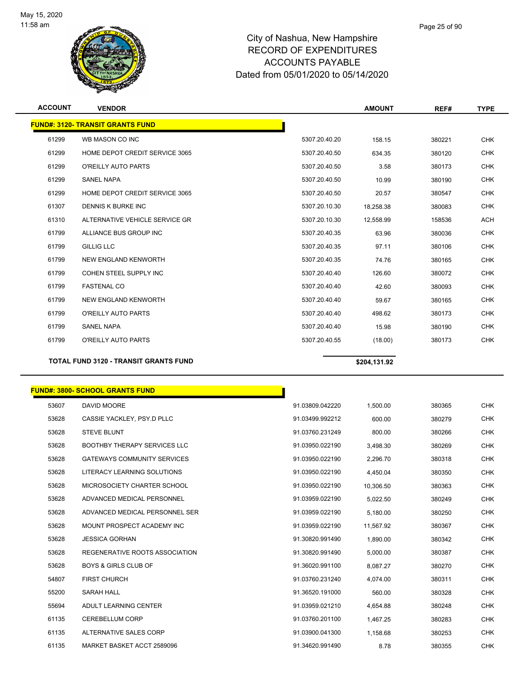

| <b>ACCOUNT</b> | <b>VENDOR</b>                                |               | <b>AMOUNT</b> | REF#   | <b>TYPE</b> |
|----------------|----------------------------------------------|---------------|---------------|--------|-------------|
|                | <b>FUND#: 3120- TRANSIT GRANTS FUND</b>      |               |               |        |             |
| 61299          | WB MASON CO INC                              | 5307.20.40.20 | 158.15        | 380221 | <b>CHK</b>  |
| 61299          | HOME DEPOT CREDIT SERVICE 3065               | 5307.20.40.50 | 634.35        | 380120 | <b>CHK</b>  |
| 61299          | <b>O'REILLY AUTO PARTS</b>                   | 5307.20.40.50 | 3.58          | 380173 | <b>CHK</b>  |
| 61299          | <b>SANEL NAPA</b>                            | 5307.20.40.50 | 10.99         | 380190 | <b>CHK</b>  |
| 61299          | HOME DEPOT CREDIT SERVICE 3065               | 5307.20.40.50 | 20.57         | 380547 | <b>CHK</b>  |
| 61307          | <b>DENNIS K BURKE INC</b>                    | 5307.20.10.30 | 18.258.38     | 380083 | <b>CHK</b>  |
| 61310          | ALTERNATIVE VEHICLE SERVICE GR               | 5307.20.10.30 | 12,558.99     | 158536 | <b>ACH</b>  |
| 61799          | ALLIANCE BUS GROUP INC                       | 5307.20.40.35 | 63.96         | 380036 | <b>CHK</b>  |
| 61799          | <b>GILLIG LLC</b>                            | 5307.20.40.35 | 97.11         | 380106 | <b>CHK</b>  |
| 61799          | NEW ENGLAND KENWORTH                         | 5307.20.40.35 | 74.76         | 380165 | <b>CHK</b>  |
| 61799          | COHEN STEEL SUPPLY INC                       | 5307.20.40.40 | 126.60        | 380072 | <b>CHK</b>  |
| 61799          | <b>FASTENAL CO</b>                           | 5307.20.40.40 | 42.60         | 380093 | <b>CHK</b>  |
| 61799          | NEW ENGLAND KENWORTH                         | 5307.20.40.40 | 59.67         | 380165 | <b>CHK</b>  |
| 61799          | <b>O'REILLY AUTO PARTS</b>                   | 5307.20.40.40 | 498.62        | 380173 | <b>CHK</b>  |
| 61799          | <b>SANEL NAPA</b>                            | 5307.20.40.40 | 15.98         | 380190 | <b>CHK</b>  |
| 61799          | O'REILLY AUTO PARTS                          | 5307.20.40.55 | (18.00)       | 380173 | <b>CHK</b>  |
|                | <b>TOTAL FUND 3120 - TRANSIT GRANTS FUND</b> |               | \$204,131.92  |        |             |

#### **FUND#: 3800- SCHOOL GRANTS FUND**

| 53607 | <b>DAVID MOORE</b>                  | 91.03809.042220 | 1.500.00  | 380365 | <b>CHK</b> |
|-------|-------------------------------------|-----------------|-----------|--------|------------|
| 53628 | CASSIE YACKLEY, PSY.D PLLC          | 91.03499.992212 | 600.00    | 380279 | <b>CHK</b> |
| 53628 | <b>STEVE BLUNT</b>                  | 91.03760.231249 | 800.00    | 380266 | <b>CHK</b> |
| 53628 | <b>BOOTHBY THERAPY SERVICES LLC</b> | 91.03950.022190 | 3,498.30  | 380269 | <b>CHK</b> |
| 53628 | <b>GATEWAYS COMMUNITY SERVICES</b>  | 91.03950.022190 | 2,296.70  | 380318 | <b>CHK</b> |
| 53628 | LITERACY LEARNING SOLUTIONS         | 91.03950.022190 | 4,450.04  | 380350 | <b>CHK</b> |
| 53628 | MICROSOCIETY CHARTER SCHOOL         | 91.03950.022190 | 10,306.50 | 380363 | <b>CHK</b> |
| 53628 | ADVANCED MEDICAL PERSONNEL          | 91.03959.022190 | 5,022.50  | 380249 | <b>CHK</b> |
| 53628 | ADVANCED MEDICAL PERSONNEL SER      | 91.03959.022190 | 5,180.00  | 380250 | <b>CHK</b> |
| 53628 | MOUNT PROSPECT ACADEMY INC          | 91.03959.022190 | 11,567.92 | 380367 | <b>CHK</b> |
| 53628 | <b>JESSICA GORHAN</b>               | 91.30820.991490 | 1,890.00  | 380342 | <b>CHK</b> |
| 53628 | REGENERATIVE ROOTS ASSOCIATION      | 91.30820.991490 | 5,000.00  | 380387 | <b>CHK</b> |
| 53628 | <b>BOYS &amp; GIRLS CLUB OF</b>     | 91.36020.991100 | 8.087.27  | 380270 | <b>CHK</b> |
| 54807 | <b>FIRST CHURCH</b>                 | 91.03760.231240 | 4.074.00  | 380311 | <b>CHK</b> |
| 55200 | <b>SARAH HALL</b>                   | 91.36520.191000 | 560.00    | 380328 | <b>CHK</b> |
| 55694 | ADULT LEARNING CENTER               | 91.03959.021210 | 4,654.88  | 380248 | <b>CHK</b> |
| 61135 | CEREBELLUM CORP                     | 91.03760.201100 | 1.467.25  | 380283 | <b>CHK</b> |
| 61135 | ALTERNATIVE SALES CORP              | 91.03900.041300 | 1,158.68  | 380253 | <b>CHK</b> |
| 61135 | MARKET BASKET ACCT 2589096          | 91.34620.991490 | 8.78      | 380355 | <b>CHK</b> |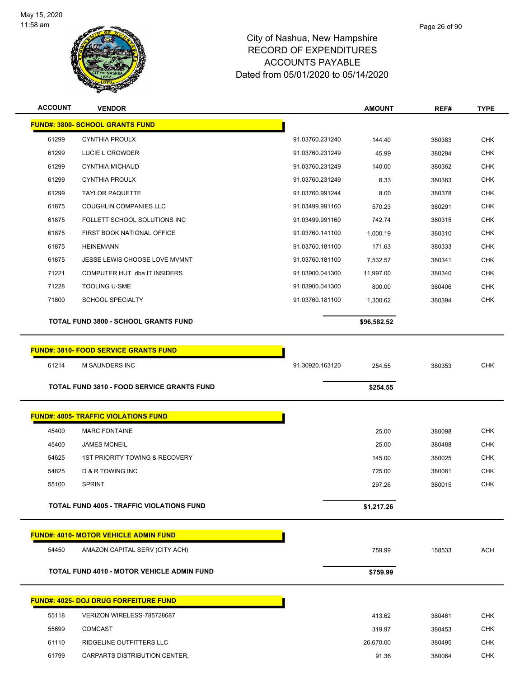

| <b>ACCOUNT</b> | <b>VENDOR</b>                                     |                 | <b>AMOUNT</b> | REF#   | <b>TYPE</b> |
|----------------|---------------------------------------------------|-----------------|---------------|--------|-------------|
|                | <b>FUND#: 3800- SCHOOL GRANTS FUND</b>            |                 |               |        |             |
| 61299          | <b>CYNTHIA PROULX</b>                             | 91.03760.231240 | 144.40        | 380383 | <b>CHK</b>  |
| 61299          | LUCIE L CROWDER                                   | 91.03760.231249 | 45.99         | 380294 | <b>CHK</b>  |
| 61299          | <b>CYNTHIA MICHAUD</b>                            | 91.03760.231249 | 140.00        | 380362 | <b>CHK</b>  |
| 61299          | <b>CYNTHIA PROULX</b>                             | 91.03760.231249 | 6.33          | 380383 | <b>CHK</b>  |
| 61299          | <b>TAYLOR PAQUETTE</b>                            | 91.03760.991244 | 8.00          | 380378 | <b>CHK</b>  |
| 61875          | COUGHLIN COMPANIES LLC                            | 91.03499.991160 | 570.23        | 380291 | CHK         |
| 61875          | FOLLETT SCHOOL SOLUTIONS INC                      | 91.03499.991160 | 742.74        | 380315 | <b>CHK</b>  |
| 61875          | FIRST BOOK NATIONAL OFFICE                        | 91.03760.141100 | 1,000.19      | 380310 | <b>CHK</b>  |
| 61875          | <b>HEINEMANN</b>                                  | 91.03760.181100 | 171.63        | 380333 | <b>CHK</b>  |
| 61875          | JESSE LEWIS CHOOSE LOVE MVMNT                     | 91.03760.181100 | 7,532.57      | 380341 | <b>CHK</b>  |
| 71221          | COMPUTER HUT dba IT INSIDERS                      | 91.03900.041300 | 11,997.00     | 380340 | <b>CHK</b>  |
| 71228          | <b>TOOLING U-SME</b>                              | 91.03900.041300 | 800.00        | 380406 | <b>CHK</b>  |
| 71800          | <b>SCHOOL SPECIALTY</b>                           | 91.03760.181100 | 1,300.62      | 380394 | <b>CHK</b>  |
|                | <b>TOTAL FUND 3800 - SCHOOL GRANTS FUND</b>       |                 |               |        |             |
|                |                                                   |                 | \$96,582.52   |        |             |
|                | <b>FUND#: 3810- FOOD SERVICE GRANTS FUND</b>      |                 |               |        |             |
| 61214          | M SAUNDERS INC                                    | 91.30920.163120 | 254.55        | 380353 | <b>CHK</b>  |
|                |                                                   |                 |               |        |             |
|                | <b>TOTAL FUND 3810 - FOOD SERVICE GRANTS FUND</b> |                 | \$254.55      |        |             |
|                | <b>FUND#: 4005- TRAFFIC VIOLATIONS FUND</b>       |                 |               |        |             |
| 45400          | <b>MARC FONTAINE</b>                              |                 | 25.00         | 380098 | <b>CHK</b>  |
| 45400          | <b>JAMES MCNEIL</b>                               |                 | 25.00         | 380488 | <b>CHK</b>  |
| 54625          | 1ST PRIORITY TOWING & RECOVERY                    |                 | 145.00        | 380025 | CHK         |
| 54625          | D & R TOWING INC                                  |                 | 725.00        | 380081 | <b>CHK</b>  |
| 55100          | <b>SPRINT</b>                                     |                 | 297.26        | 380015 | <b>CHK</b>  |
|                |                                                   |                 |               |        |             |
|                | TOTAL FUND 4005 - TRAFFIC VIOLATIONS FUND         |                 | \$1,217.26    |        |             |
|                | <b>FUND#: 4010- MOTOR VEHICLE ADMIN FUND</b>      |                 |               |        |             |
| 54450          | AMAZON CAPITAL SERV (CITY ACH)                    |                 | 759.99        | 158533 | <b>ACH</b>  |
|                |                                                   |                 |               |        |             |
|                | <b>TOTAL FUND 4010 - MOTOR VEHICLE ADMIN FUND</b> |                 | \$759.99      |        |             |
|                | <u> FUND#: 4025- DOJ DRUG FORFEITURE FUND</u>     |                 |               |        |             |
| 55118          | VERIZON WIRELESS-785728687                        |                 | 413.62        | 380461 | <b>CHK</b>  |
| 55699          | <b>COMCAST</b>                                    |                 | 319.97        | 380453 | <b>CHK</b>  |
| 61110          | RIDGELINE OUTFITTERS LLC                          |                 | 26,670.00     | 380495 | <b>CHK</b>  |
| 61799          | CARPARTS DISTRIBUTION CENTER,                     |                 | 91.36         | 380064 | CHK         |
|                |                                                   |                 |               |        |             |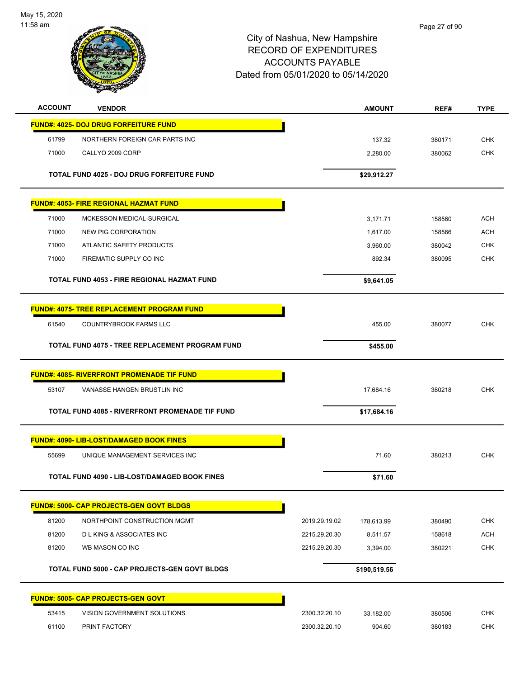

|       | <b>VENDOR</b>                                        |                                | <b>AMOUNT</b>       | REF#             | <b>TYPE</b> |
|-------|------------------------------------------------------|--------------------------------|---------------------|------------------|-------------|
|       | <b>FUND#: 4025- DOJ DRUG FORFEITURE FUND</b>         |                                |                     |                  |             |
| 61799 | NORTHERN FOREIGN CAR PARTS INC                       |                                | 137.32              | 380171           | <b>CHK</b>  |
| 71000 | CALLYO 2009 CORP                                     |                                | 2,280.00            | 380062           | <b>CHK</b>  |
|       | TOTAL FUND 4025 - DOJ DRUG FORFEITURE FUND           |                                | \$29,912.27         |                  |             |
|       |                                                      |                                |                     |                  |             |
|       | <u> FUND#: 4053- FIRE REGIONAL HAZMAT FUND</u>       |                                |                     |                  |             |
| 71000 | MCKESSON MEDICAL-SURGICAL                            |                                | 3,171.71            | 158560           | <b>ACH</b>  |
| 71000 | NEW PIG CORPORATION                                  |                                | 1,617.00            | 158566           | <b>ACH</b>  |
| 71000 | ATLANTIC SAFETY PRODUCTS                             |                                | 3,960.00            | 380042           | <b>CHK</b>  |
| 71000 | FIREMATIC SUPPLY CO INC                              |                                | 892.34              | 380095           | <b>CHK</b>  |
|       | <b>TOTAL FUND 4053 - FIRE REGIONAL HAZMAT FUND</b>   |                                | \$9,641.05          |                  |             |
|       | <b>FUND#: 4075- TREE REPLACEMENT PROGRAM FUND</b>    |                                |                     |                  |             |
| 61540 | <b>COUNTRYBROOK FARMS LLC</b>                        |                                | 455.00              | 380077           | <b>CHK</b>  |
|       | TOTAL FUND 4075 - TREE REPLACEMENT PROGRAM FUND      |                                | \$455.00            |                  |             |
|       | <b>FUND#: 4085- RIVERFRONT PROMENADE TIF FUND</b>    |                                |                     |                  |             |
| 53107 | VANASSE HANGEN BRUSTLIN INC                          |                                | 17,684.16           | 380218           | <b>CHK</b>  |
|       | TOTAL FUND 4085 - RIVERFRONT PROMENADE TIF FUND      |                                | \$17,684.16         |                  |             |
|       | <b>FUND#: 4090- LIB-LOST/DAMAGED BOOK FINES</b>      |                                |                     |                  |             |
| 55699 | UNIQUE MANAGEMENT SERVICES INC                       |                                | 71.60               | 380213           | <b>CHK</b>  |
|       | <b>TOTAL FUND 4090 - LIB-LOST/DAMAGED BOOK FINES</b> |                                | \$71.60             |                  |             |
|       | <b>FUND#: 5000- CAP PROJECTS-GEN GOVT BLDGS</b>      |                                |                     |                  |             |
| 81200 | NORTHPOINT CONSTRUCTION MGMT                         | 2019.29.19.02                  | 178,613.99          | 380490           | <b>CHK</b>  |
| 81200 | <b>DLKING &amp; ASSOCIATES INC</b>                   | 2215.29.20.30                  | 8,511.57            | 158618           | <b>ACH</b>  |
| 81200 | WB MASON CO INC                                      | 2215.29.20.30                  | 3,394.00            | 380221           | <b>CHK</b>  |
|       | <b>TOTAL FUND 5000 - CAP PROJECTS-GEN GOVT BLDGS</b> |                                | \$190,519.56        |                  |             |
|       | <b>FUND#: 5005- CAP PROJECTS-GEN GOVT</b>            |                                |                     |                  |             |
| 53415 | VISION GOVERNMENT SOLUTIONS                          |                                |                     |                  | <b>CHK</b>  |
| 61100 | PRINT FACTORY                                        | 2300.32.20.10<br>2300.32.20.10 | 33,182.00<br>904.60 | 380506<br>380183 | CHK         |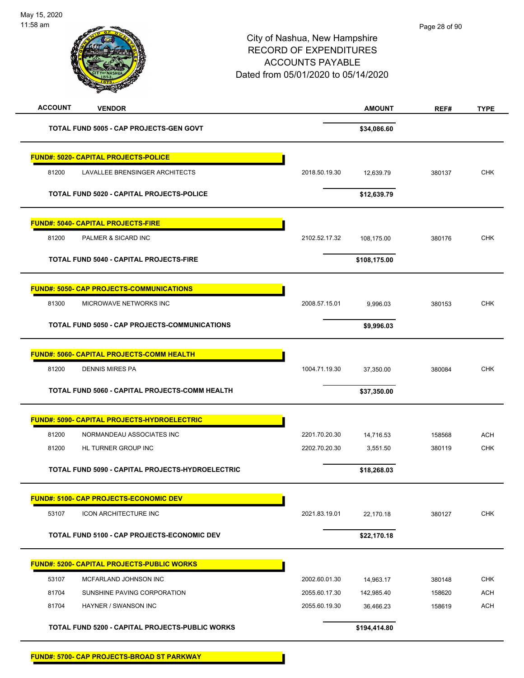| <b>ACCOUNT</b><br><b>VENDOR</b>                      |               | <b>AMOUNT</b> | REF#   | <b>TYPE</b> |
|------------------------------------------------------|---------------|---------------|--------|-------------|
| TOTAL FUND 5005 - CAP PROJECTS-GEN GOVT              |               | \$34,086.60   |        |             |
| <b>FUND#: 5020- CAPITAL PROJECTS-POLICE</b>          |               |               |        |             |
| 81200<br>LAVALLEE BRENSINGER ARCHITECTS              | 2018.50.19.30 | 12,639.79     | 380137 | <b>CHK</b>  |
| TOTAL FUND 5020 - CAPITAL PROJECTS-POLICE            |               | \$12,639.79   |        |             |
| <b>FUND#: 5040- CAPITAL PROJECTS-FIRE</b>            |               |               |        |             |
| 81200<br>PALMER & SICARD INC                         | 2102.52.17.32 | 108,175.00    | 380176 | <b>CHK</b>  |
| <b>TOTAL FUND 5040 - CAPITAL PROJECTS-FIRE</b>       |               | \$108,175.00  |        |             |
| <b>FUND#: 5050- CAP PROJECTS-COMMUNICATIONS</b>      |               |               |        |             |
| 81300<br>MICROWAVE NETWORKS INC                      | 2008.57.15.01 | 9,996.03      | 380153 | <b>CHK</b>  |
| <b>TOTAL FUND 5050 - CAP PROJECTS-COMMUNICATIONS</b> |               | \$9,996.03    |        |             |
| FUND#: 5060- CAPITAL PROJECTS-COMM HEALTH            |               |               |        |             |
| 81200<br><b>DENNIS MIRES PA</b>                      | 1004.71.19.30 | 37,350.00     | 380084 | <b>CHK</b>  |
| TOTAL FUND 5060 - CAPITAL PROJECTS-COMM HEALTH       |               | \$37,350.00   |        |             |
| <u> FUND#: 5090- CAPITAL PROJECTS-HYDROELECTRIC</u>  |               |               |        |             |
| 81200<br>NORMANDEAU ASSOCIATES INC                   | 2201.70.20.30 | 14,716.53     | 158568 | <b>ACH</b>  |
| 81200<br>HL TURNER GROUP INC                         | 2202.70.20.30 | 3,551.50      | 380119 | <b>CHK</b>  |
| TOTAL FUND 5090 - CAPITAL PROJECTS-HYDROELECTRIC     |               | \$18,268.03   |        |             |
| <b>FUND#: 5100- CAP PROJECTS-ECONOMIC DEV</b>        |               |               |        |             |
| 53107<br><b>ICON ARCHITECTURE INC</b>                | 2021.83.19.01 | 22,170.18     | 380127 | <b>CHK</b>  |
| TOTAL FUND 5100 - CAP PROJECTS-ECONOMIC DEV          |               | \$22,170.18   |        |             |
| <b>FUND#: 5200- CAPITAL PROJECTS-PUBLIC WORKS</b>    |               |               |        |             |
| 53107<br>MCFARLAND JOHNSON INC                       | 2002.60.01.30 | 14,963.17     | 380148 | <b>CHK</b>  |
| 81704<br>SUNSHINE PAVING CORPORATION                 | 2055.60.17.30 | 142,985.40    | 158620 | ACH         |
| 81704<br>HAYNER / SWANSON INC                        | 2055.60.19.30 | 36,466.23     | 158619 | ACH         |
| TOTAL FUND 5200 - CAPITAL PROJECTS-PUBLIC WORKS      |               | \$194,414.80  |        |             |
| <b>FUND#: 5700- CAP PROJECTS-BROAD ST PARKWAY</b>    |               |               |        |             |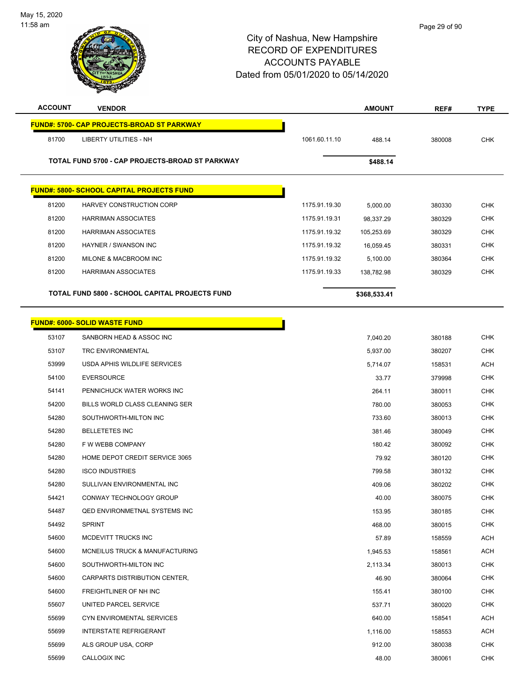

| <b>ACCOUNT</b> | <b>VENDOR</b>                                         |               | <b>AMOUNT</b> | REF#   | <b>TYPE</b> |
|----------------|-------------------------------------------------------|---------------|---------------|--------|-------------|
|                | <b>FUND#: 5700- CAP PROJECTS-BROAD ST PARKWAY</b>     |               |               |        |             |
| 81700          | LIBERTY UTILITIES - NH                                | 1061.60.11.10 | 488.14        | 380008 | <b>CHK</b>  |
|                | TOTAL FUND 5700 - CAP PROJECTS-BROAD ST PARKWAY       |               |               |        |             |
|                |                                                       |               | \$488.14      |        |             |
|                | <b>FUND#: 5800- SCHOOL CAPITAL PROJECTS FUND</b>      |               |               |        |             |
| 81200          | HARVEY CONSTRUCTION CORP                              | 1175.91.19.30 | 5,000.00      | 380330 | <b>CHK</b>  |
| 81200          | <b>HARRIMAN ASSOCIATES</b>                            | 1175.91.19.31 | 98,337.29     | 380329 | <b>CHK</b>  |
| 81200          | <b>HARRIMAN ASSOCIATES</b>                            | 1175.91.19.32 | 105,253.69    | 380329 | <b>CHK</b>  |
| 81200          | HAYNER / SWANSON INC                                  | 1175.91.19.32 | 16,059.45     | 380331 | <b>CHK</b>  |
| 81200          | MILONE & MACBROOM INC                                 | 1175.91.19.32 | 5,100.00      | 380364 | <b>CHK</b>  |
| 81200          | <b>HARRIMAN ASSOCIATES</b>                            | 1175.91.19.33 | 138,782.98    | 380329 | <b>CHK</b>  |
|                | <b>TOTAL FUND 5800 - SCHOOL CAPITAL PROJECTS FUND</b> |               | \$368,533.41  |        |             |
|                | <b>FUND#: 6000- SOLID WASTE FUND</b>                  |               |               |        |             |
| 53107          | SANBORN HEAD & ASSOC INC                              |               | 7,040.20      | 380188 | <b>CHK</b>  |
| 53107          | <b>TRC ENVIRONMENTAL</b>                              |               | 5,937.00      | 380207 | <b>CHK</b>  |
| 53999          | USDA APHIS WILDLIFE SERVICES                          |               | 5,714.07      | 158531 | <b>ACH</b>  |
| 54100          | <b>EVERSOURCE</b>                                     |               | 33.77         | 379998 | <b>CHK</b>  |
| 54141          | PENNICHUCK WATER WORKS INC                            |               | 264.11        | 380011 | <b>CHK</b>  |
| 54200          | BILLS WORLD CLASS CLEANING SER                        |               | 780.00        | 380053 | <b>CHK</b>  |
| 54280          | SOUTHWORTH-MILTON INC                                 |               | 733.60        | 380013 | <b>CHK</b>  |
| 54280          | <b>BELLETETES INC</b>                                 |               | 381.46        | 380049 | <b>CHK</b>  |
| 54280          | F W WEBB COMPANY                                      |               | 180.42        | 380092 | <b>CHK</b>  |
| 54280          | HOME DEPOT CREDIT SERVICE 3065                        |               | 79.92         | 380120 | <b>CHK</b>  |
| 54280          | <b>ISCO INDUSTRIES</b>                                |               | 799.58        | 380132 | <b>CHK</b>  |
| 54280          | SULLIVAN ENVIRONMENTAL INC                            |               | 409.06        | 380202 | <b>CHK</b>  |
| 54421          | CONWAY TECHNOLOGY GROUP                               |               | 40.00         | 380075 | <b>CHK</b>  |
| 54487          | <b>QED ENVIRONMETNAL SYSTEMS INC</b>                  |               | 153.95        | 380185 | <b>CHK</b>  |
| 54492          | <b>SPRINT</b>                                         |               | 468.00        | 380015 | <b>CHK</b>  |
| 54600          | MCDEVITT TRUCKS INC                                   |               | 57.89         | 158559 | ACH         |
| 54600          | MCNEILUS TRUCK & MANUFACTURING                        |               | 1,945.53      | 158561 | <b>ACH</b>  |
| 54600          | SOUTHWORTH-MILTON INC                                 |               | 2,113.34      | 380013 | <b>CHK</b>  |
| 54600          | CARPARTS DISTRIBUTION CENTER,                         |               | 46.90         | 380064 | <b>CHK</b>  |
| 54600          | FREIGHTLINER OF NH INC                                |               | 155.41        | 380100 | <b>CHK</b>  |
| 55607          | UNITED PARCEL SERVICE                                 |               | 537.71        | 380020 | <b>CHK</b>  |
| 55699          | CYN ENVIROMENTAL SERVICES                             |               | 640.00        | 158541 | <b>ACH</b>  |
| 55699          | <b>INTERSTATE REFRIGERANT</b>                         |               | 1,116.00      | 158553 | <b>ACH</b>  |
| 55699          | ALS GROUP USA, CORP                                   |               | 912.00        | 380038 | <b>CHK</b>  |
| 55699          | CALLOGIX INC                                          |               | 48.00         | 380061 | <b>CHK</b>  |
|                |                                                       |               |               |        |             |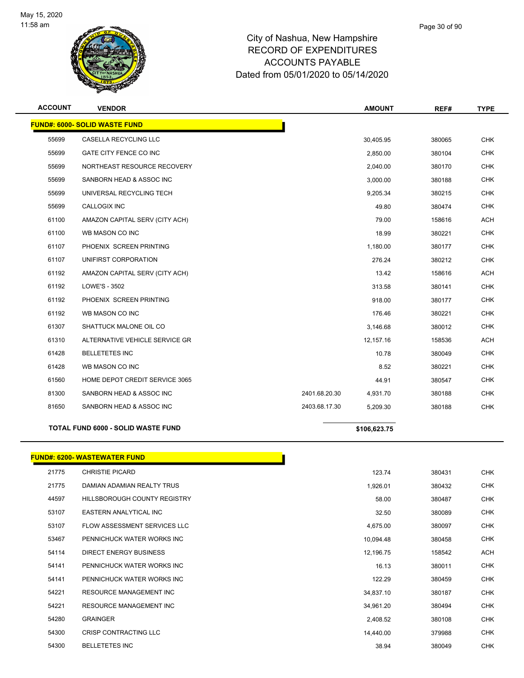

| <b>ACCOUNT</b> | <b>VENDOR</b>                             |               | <b>AMOUNT</b> | REF#   | <b>TYPE</b> |
|----------------|-------------------------------------------|---------------|---------------|--------|-------------|
|                | <b>FUND#: 6000- SOLID WASTE FUND</b>      |               |               |        |             |
| 55699          | CASELLA RECYCLING LLC                     |               | 30,405.95     | 380065 | <b>CHK</b>  |
| 55699          | GATE CITY FENCE CO INC                    |               | 2,850.00      | 380104 | <b>CHK</b>  |
| 55699          | NORTHEAST RESOURCE RECOVERY               |               | 2,040.00      | 380170 | <b>CHK</b>  |
| 55699          | SANBORN HEAD & ASSOC INC                  |               | 3,000.00      | 380188 | <b>CHK</b>  |
| 55699          | UNIVERSAL RECYCLING TECH                  |               | 9,205.34      | 380215 | <b>CHK</b>  |
| 55699          | CALLOGIX INC                              |               | 49.80         | 380474 | <b>CHK</b>  |
| 61100          | AMAZON CAPITAL SERV (CITY ACH)            |               | 79.00         | 158616 | <b>ACH</b>  |
| 61100          | WB MASON CO INC                           |               | 18.99         | 380221 | <b>CHK</b>  |
| 61107          | PHOENIX SCREEN PRINTING                   |               | 1,180.00      | 380177 | <b>CHK</b>  |
| 61107          | UNIFIRST CORPORATION                      |               | 276.24        | 380212 | <b>CHK</b>  |
| 61192          | AMAZON CAPITAL SERV (CITY ACH)            |               | 13.42         | 158616 | <b>ACH</b>  |
| 61192          | <b>LOWE'S - 3502</b>                      |               | 313.58        | 380141 | <b>CHK</b>  |
| 61192          | PHOENIX SCREEN PRINTING                   |               | 918.00        | 380177 | <b>CHK</b>  |
| 61192          | WB MASON CO INC                           |               | 176.46        | 380221 | <b>CHK</b>  |
| 61307          | SHATTUCK MALONE OIL CO                    |               | 3,146.68      | 380012 | <b>CHK</b>  |
| 61310          | ALTERNATIVE VEHICLE SERVICE GR            |               | 12,157.16     | 158536 | ACH         |
| 61428          | <b>BELLETETES INC</b>                     |               | 10.78         | 380049 | <b>CHK</b>  |
| 61428          | WB MASON CO INC                           |               | 8.52          | 380221 | <b>CHK</b>  |
| 61560          | HOME DEPOT CREDIT SERVICE 3065            |               | 44.91         | 380547 | <b>CHK</b>  |
| 81300          | SANBORN HEAD & ASSOC INC                  | 2401.68.20.30 | 4,931.70      | 380188 | <b>CHK</b>  |
| 81650          | SANBORN HEAD & ASSOC INC                  | 2403.68.17.30 | 5,209.30      | 380188 | <b>CHK</b>  |
|                | <b>TOTAL FUND 6000 - SOLID WASTE FUND</b> |               | \$106,623.75  |        |             |

#### **FUND#: 6200- WASTEWATER FUND**

| 21775 | <b>CHRISTIE PICARD</b>              | 123.74    | 380431 | <b>CHK</b> |
|-------|-------------------------------------|-----------|--------|------------|
| 21775 | DAMIAN ADAMIAN REALTY TRUS          | 1,926.01  | 380432 | <b>CHK</b> |
| 44597 | <b>HILLSBOROUGH COUNTY REGISTRY</b> | 58.00     | 380487 | <b>CHK</b> |
| 53107 | EASTERN ANALYTICAL INC              | 32.50     | 380089 | <b>CHK</b> |
| 53107 | <b>FLOW ASSESSMENT SERVICES LLC</b> | 4,675.00  | 380097 | <b>CHK</b> |
| 53467 | PENNICHUCK WATER WORKS INC          | 10,094.48 | 380458 | <b>CHK</b> |
| 54114 | DIRECT ENERGY BUSINESS              | 12,196.75 | 158542 | ACH        |
| 54141 | PENNICHUCK WATER WORKS INC          | 16.13     | 380011 | <b>CHK</b> |
| 54141 | PENNICHUCK WATER WORKS INC          | 122.29    | 380459 | <b>CHK</b> |
| 54221 | RESOURCE MANAGEMENT INC             | 34,837.10 | 380187 | <b>CHK</b> |
| 54221 | RESOURCE MANAGEMENT INC             | 34,961.20 | 380494 | <b>CHK</b> |
| 54280 | <b>GRAINGER</b>                     | 2,408.52  | 380108 | <b>CHK</b> |
| 54300 | <b>CRISP CONTRACTING LLC</b>        | 14,440.00 | 379988 | <b>CHK</b> |
| 54300 | <b>BELLETETES INC</b>               | 38.94     | 380049 | <b>CHK</b> |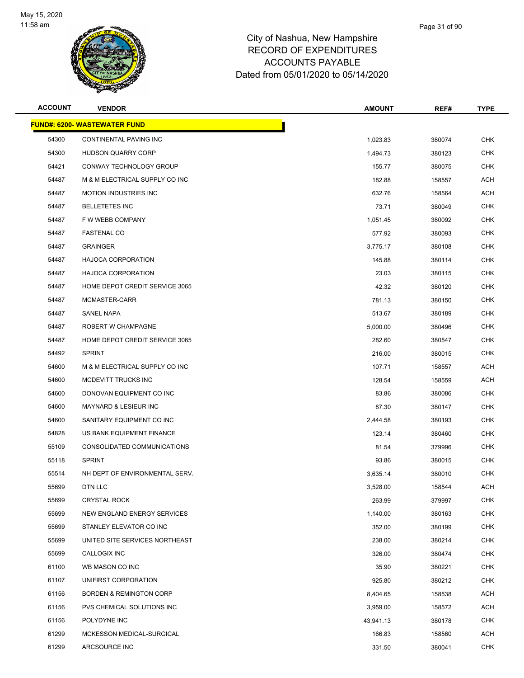

| <b>ACCOUNT</b> | <b>VENDOR</b>                       | <b>AMOUNT</b> | REF#   | <b>TYPE</b> |
|----------------|-------------------------------------|---------------|--------|-------------|
|                | <b>FUND#: 6200- WASTEWATER FUND</b> |               |        |             |
| 54300          | CONTINENTAL PAVING INC              | 1,023.83      | 380074 | <b>CHK</b>  |
| 54300          | <b>HUDSON QUARRY CORP</b>           | 1,494.73      | 380123 | <b>CHK</b>  |
| 54421          | CONWAY TECHNOLOGY GROUP             | 155.77        | 380075 | <b>CHK</b>  |
| 54487          | M & M ELECTRICAL SUPPLY CO INC      | 182.88        | 158557 | ACH         |
| 54487          | <b>MOTION INDUSTRIES INC</b>        | 632.76        | 158564 | <b>ACH</b>  |
| 54487          | <b>BELLETETES INC</b>               | 73.71         | 380049 | <b>CHK</b>  |
| 54487          | F W WEBB COMPANY                    | 1,051.45      | 380092 | <b>CHK</b>  |
| 54487          | <b>FASTENAL CO</b>                  | 577.92        | 380093 | <b>CHK</b>  |
| 54487          | <b>GRAINGER</b>                     | 3,775.17      | 380108 | <b>CHK</b>  |
| 54487          | <b>HAJOCA CORPORATION</b>           | 145.88        | 380114 | <b>CHK</b>  |
| 54487          | <b>HAJOCA CORPORATION</b>           | 23.03         | 380115 | <b>CHK</b>  |
| 54487          | HOME DEPOT CREDIT SERVICE 3065      | 42.32         | 380120 | <b>CHK</b>  |
| 54487          | MCMASTER-CARR                       | 781.13        | 380150 | <b>CHK</b>  |
| 54487          | <b>SANEL NAPA</b>                   | 513.67        | 380189 | <b>CHK</b>  |
| 54487          | ROBERT W CHAMPAGNE                  | 5,000.00      | 380496 | <b>CHK</b>  |
| 54487          | HOME DEPOT CREDIT SERVICE 3065      | 282.60        | 380547 | <b>CHK</b>  |
| 54492          | <b>SPRINT</b>                       | 216.00        | 380015 | <b>CHK</b>  |
| 54600          | M & M ELECTRICAL SUPPLY CO INC      | 107.71        | 158557 | <b>ACH</b>  |
| 54600          | MCDEVITT TRUCKS INC                 | 128.54        | 158559 | <b>ACH</b>  |
| 54600          | DONOVAN EQUIPMENT CO INC            | 83.86         | 380086 | <b>CHK</b>  |
| 54600          | <b>MAYNARD &amp; LESIEUR INC</b>    | 87.30         | 380147 | <b>CHK</b>  |
| 54600          | SANITARY EQUIPMENT CO INC           | 2,444.58      | 380193 | CHK         |
| 54828          | US BANK EQUIPMENT FINANCE           | 123.14        | 380460 | <b>CHK</b>  |
| 55109          | CONSOLIDATED COMMUNICATIONS         | 81.54         | 379996 | CHK         |
| 55118          | <b>SPRINT</b>                       | 93.86         | 380015 | <b>CHK</b>  |
| 55514          | NH DEPT OF ENVIRONMENTAL SERV.      | 3,635.14      | 380010 | <b>CHK</b>  |
| 55699          | DTN LLC                             | 3,528.00      | 158544 | ACH         |
| 55699          | <b>CRYSTAL ROCK</b>                 | 263.99        | 379997 | <b>CHK</b>  |
| 55699          | NEW ENGLAND ENERGY SERVICES         | 1,140.00      | 380163 | <b>CHK</b>  |
| 55699          | STANLEY ELEVATOR CO INC             | 352.00        | 380199 | <b>CHK</b>  |
| 55699          | UNITED SITE SERVICES NORTHEAST      | 238.00        | 380214 | <b>CHK</b>  |
| 55699          | <b>CALLOGIX INC</b>                 | 326.00        | 380474 | <b>CHK</b>  |
| 61100          | WB MASON CO INC                     | 35.90         | 380221 | <b>CHK</b>  |
| 61107          | UNIFIRST CORPORATION                | 925.80        | 380212 | <b>CHK</b>  |
| 61156          | <b>BORDEN &amp; REMINGTON CORP</b>  | 8,404.65      | 158538 | <b>ACH</b>  |
| 61156          | PVS CHEMICAL SOLUTIONS INC          | 3,959.00      | 158572 | ACH         |
| 61156          | POLYDYNE INC                        | 43,941.13     | 380178 | <b>CHK</b>  |
| 61299          | MCKESSON MEDICAL-SURGICAL           | 166.83        | 158560 | ACH         |
| 61299          | ARCSOURCE INC                       | 331.50        | 380041 | <b>CHK</b>  |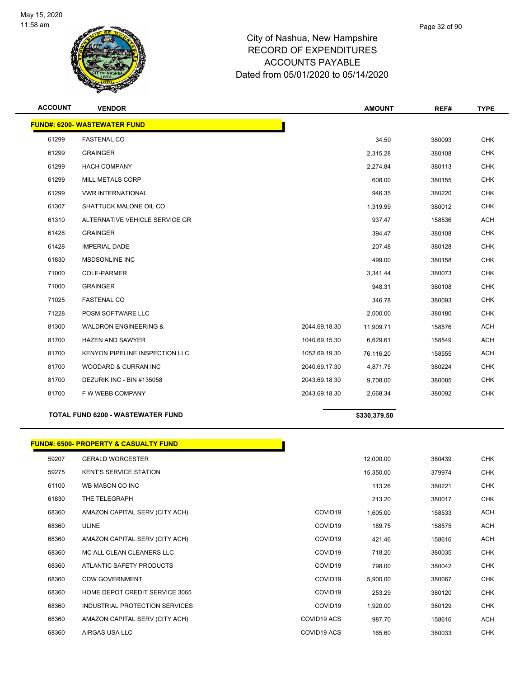

| <b>ACCOUNT</b> | <b>VENDOR</b>                            |               | <b>AMOUNT</b> | REF#   | <b>TYPE</b> |
|----------------|------------------------------------------|---------------|---------------|--------|-------------|
|                | <b>FUND#: 6200- WASTEWATER FUND</b>      |               |               |        |             |
| 61299          | <b>FASTENAL CO</b>                       |               | 34.50         | 380093 | <b>CHK</b>  |
| 61299          | <b>GRAINGER</b>                          |               | 2,315.28      | 380108 | <b>CHK</b>  |
| 61299          | <b>HACH COMPANY</b>                      |               | 2,274.84      | 380113 | <b>CHK</b>  |
| 61299          | MILL METALS CORP                         |               | 608.00        | 380155 | <b>CHK</b>  |
| 61299          | <b>VWR INTERNATIONAL</b>                 |               | 946.35        | 380220 | <b>CHK</b>  |
| 61307          | SHATTUCK MALONE OIL CO                   |               | 1,319.99      | 380012 | <b>CHK</b>  |
| 61310          | ALTERNATIVE VEHICLE SERVICE GR           |               | 937.47        | 158536 | <b>ACH</b>  |
| 61428          | <b>GRAINGER</b>                          |               | 394.47        | 380108 | <b>CHK</b>  |
| 61428          | <b>IMPERIAL DADE</b>                     |               | 207.48        | 380128 | <b>CHK</b>  |
| 61830          | MSDSONLINE INC                           |               | 499.00        | 380158 | <b>CHK</b>  |
| 71000          | <b>COLE-PARMER</b>                       |               | 3,341.44      | 380073 | <b>CHK</b>  |
| 71000          | <b>GRAINGER</b>                          |               | 948.31        | 380108 | <b>CHK</b>  |
| 71025          | <b>FASTENAL CO</b>                       |               | 346.78        | 380093 | <b>CHK</b>  |
| 71228          | POSM SOFTWARE LLC                        |               | 2,000.00      | 380180 | <b>CHK</b>  |
| 81300          | <b>WALDRON ENGINEERING &amp;</b>         | 2044.69.18.30 | 11,909.71     | 158576 | <b>ACH</b>  |
| 81700          | <b>HAZEN AND SAWYER</b>                  | 1040.69.15.30 | 6,629.61      | 158549 | <b>ACH</b>  |
| 81700          | <b>KENYON PIPELINE INSPECTION LLC</b>    | 1052.69.19.30 | 76,116.20     | 158555 | <b>ACH</b>  |
| 81700          | WOODARD & CURRAN INC                     | 2040.69.17.30 | 4,871.75      | 380224 | <b>CHK</b>  |
| 81700          | DEZURIK INC - BIN #135058                | 2043.69.18.30 | 9,708.00      | 380085 | <b>CHK</b>  |
| 81700          | F W WEBB COMPANY                         | 2043.69.18.30 | 2,668.34      | 380092 | <b>CHK</b>  |
|                | <b>TOTAL FUND 6200 - WASTEWATER FUND</b> |               | \$330,379.50  |        |             |

#### **FUND#: 6500- PROPERTY & CASUALTY FUND**

| 59207 | <b>GERALD WORCESTER</b>        |                     | 12,000.00 | 380439 | <b>CHK</b> |
|-------|--------------------------------|---------------------|-----------|--------|------------|
| 59275 | <b>KENT'S SERVICE STATION</b>  |                     | 15,350.00 | 379974 | <b>CHK</b> |
| 61100 | WB MASON CO INC                |                     | 113.26    | 380221 | <b>CHK</b> |
| 61830 | THE TELEGRAPH                  |                     | 213.20    | 380017 | <b>CHK</b> |
| 68360 | AMAZON CAPITAL SERV (CITY ACH) | COVID <sub>19</sub> | 1,605.00  | 158533 | <b>ACH</b> |
| 68360 | <b>ULINE</b>                   | COVID <sub>19</sub> | 189.75    | 158575 | <b>ACH</b> |
| 68360 | AMAZON CAPITAL SERV (CITY ACH) | COVID <sub>19</sub> | 421.46    | 158616 | <b>ACH</b> |
| 68360 | MC ALL CLEAN CLEANERS LLC      | COVID <sub>19</sub> | 718.20    | 380035 | <b>CHK</b> |
| 68360 | ATLANTIC SAFETY PRODUCTS       | COVID <sub>19</sub> | 798.00    | 380042 | <b>CHK</b> |
| 68360 | <b>CDW GOVERNMENT</b>          | COVID <sub>19</sub> | 5,900.00  | 380067 | <b>CHK</b> |
| 68360 | HOME DEPOT CREDIT SERVICE 3065 | COVID <sub>19</sub> | 253.29    | 380120 | <b>CHK</b> |
| 68360 | INDUSTRIAL PROTECTION SERVICES | COVID <sub>19</sub> | 1,920.00  | 380129 | <b>CHK</b> |
| 68360 | AMAZON CAPITAL SERV (CITY ACH) | COVID19 ACS         | 987.70    | 158616 | <b>ACH</b> |
| 68360 | AIRGAS USA LLC                 | COVID19 ACS         | 165.60    | 380033 | <b>CHK</b> |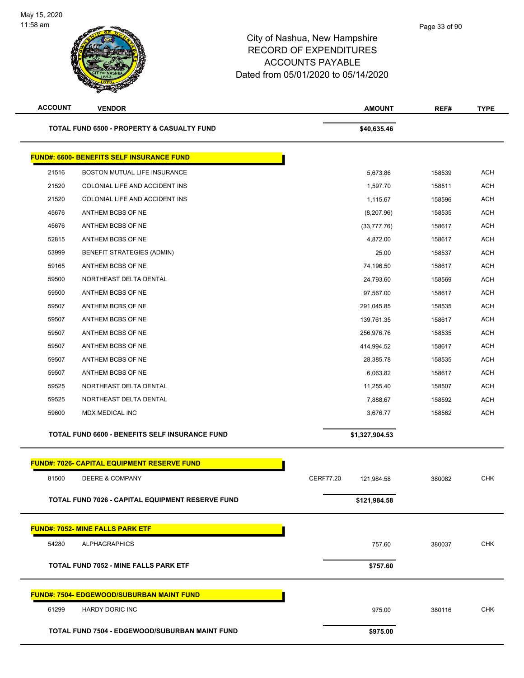| <b>ACCOUNT</b> | <b>VENDOR</b>                                         | <b>AMOUNT</b>           | REF#   | <b>TYPE</b> |
|----------------|-------------------------------------------------------|-------------------------|--------|-------------|
|                | <b>TOTAL FUND 6500 - PROPERTY &amp; CASUALTY FUND</b> | \$40,635.46             |        |             |
|                | <b>FUND#: 6600- BENEFITS SELF INSURANCE FUND</b>      |                         |        |             |
| 21516          | BOSTON MUTUAL LIFE INSURANCE                          | 5,673.86                | 158539 | <b>ACH</b>  |
| 21520          | COLONIAL LIFE AND ACCIDENT INS                        | 1,597.70                | 158511 | <b>ACH</b>  |
| 21520          | COLONIAL LIFE AND ACCIDENT INS                        | 1,115.67                | 158596 | <b>ACH</b>  |
| 45676          | ANTHEM BCBS OF NE                                     | (8,207.96)              | 158535 | <b>ACH</b>  |
| 45676          | ANTHEM BCBS OF NE                                     | (33, 777.76)            | 158617 | <b>ACH</b>  |
| 52815          | ANTHEM BCBS OF NE                                     | 4,872.00                | 158617 | <b>ACH</b>  |
| 53999          | <b>BENEFIT STRATEGIES (ADMIN)</b>                     | 25.00                   | 158537 | <b>ACH</b>  |
| 59165          | ANTHEM BCBS OF NE                                     | 74,196.50               | 158617 | <b>ACH</b>  |
| 59500          | NORTHEAST DELTA DENTAL                                | 24,793.60               | 158569 | <b>ACH</b>  |
| 59500          | ANTHEM BCBS OF NE                                     | 97,567.00               | 158617 | <b>ACH</b>  |
| 59507          | ANTHEM BCBS OF NE                                     | 291,045.85              | 158535 | <b>ACH</b>  |
| 59507          | ANTHEM BCBS OF NE                                     | 139,761.35              | 158617 | <b>ACH</b>  |
| 59507          | ANTHEM BCBS OF NE                                     | 256,976.76              | 158535 | <b>ACH</b>  |
| 59507          | ANTHEM BCBS OF NE                                     | 414,994.52              | 158617 | <b>ACH</b>  |
| 59507          | ANTHEM BCBS OF NE                                     | 28,385.78               | 158535 | <b>ACH</b>  |
| 59507          | ANTHEM BCBS OF NE                                     | 6,063.82                | 158617 | <b>ACH</b>  |
| 59525          | NORTHEAST DELTA DENTAL                                | 11,255.40               | 158507 | <b>ACH</b>  |
| 59525          | NORTHEAST DELTA DENTAL                                | 7,888.67                | 158592 | <b>ACH</b>  |
| 59600          | MDX MEDICAL INC                                       | 3,676.77                | 158562 | <b>ACH</b>  |
|                | TOTAL FUND 6600 - BENEFITS SELF INSURANCE FUND        | \$1,327,904.53          |        |             |
|                | FUND#: 7026- CAPITAL EQUIPMENT RESERVE FUND           |                         |        |             |
|                |                                                       |                         |        |             |
| 81500          | DEERE & COMPANY                                       | CERF77.20<br>121,984.58 | 380082 | <b>CHK</b>  |
|                | TOTAL FUND 7026 - CAPITAL EQUIPMENT RESERVE FUND      | \$121,984.58            |        |             |
|                | <b>FUND#: 7052- MINE FALLS PARK ETF</b>               |                         |        |             |
| 54280          | <b>ALPHAGRAPHICS</b>                                  | 757.60                  | 380037 | <b>CHK</b>  |
|                | TOTAL FUND 7052 - MINE FALLS PARK ETF                 | \$757.60                |        |             |
|                | <b>FUND#: 7504- EDGEWOOD/SUBURBAN MAINT FUND</b>      |                         |        |             |
| 61299          | <b>HARDY DORIC INC</b>                                | 975.00                  | 380116 | <b>CHK</b>  |
|                | TOTAL FUND 7504 - EDGEWOOD/SUBURBAN MAINT FUND        | \$975.00                |        |             |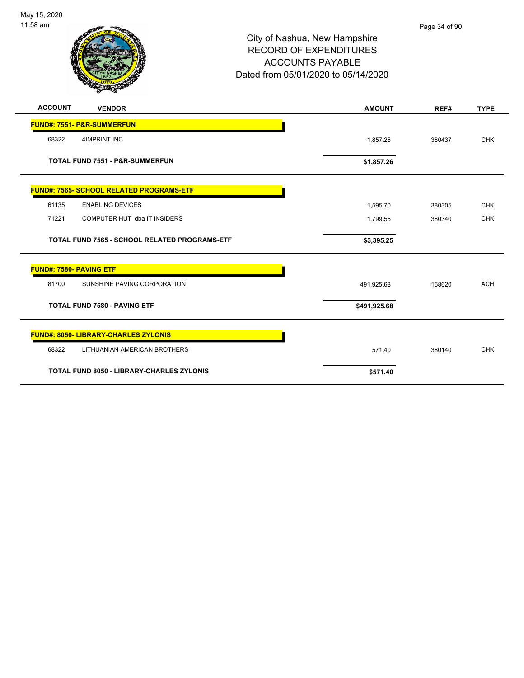

| <b>ACCOUNT</b>                 | <b>VENDOR</b>                                    | <b>AMOUNT</b> | REF#   | <b>TYPE</b> |
|--------------------------------|--------------------------------------------------|---------------|--------|-------------|
| FUND#: 7551- P&R-SUMMERFUN     |                                                  |               |        |             |
| 68322                          | <b>4IMPRINT INC</b>                              | 1,857.26      | 380437 | <b>CHK</b>  |
|                                | <b>TOTAL FUND 7551 - P&amp;R-SUMMERFUN</b>       | \$1,857.26    |        |             |
|                                | <b>FUND#: 7565- SCHOOL RELATED PROGRAMS-ETF</b>  |               |        |             |
| 61135                          | <b>ENABLING DEVICES</b>                          | 1,595.70      | 380305 | <b>CHK</b>  |
| 71221                          | COMPUTER HUT dba IT INSIDERS                     | 1,799.55      | 380340 | <b>CHK</b>  |
|                                | TOTAL FUND 7565 - SCHOOL RELATED PROGRAMS-ETF    | \$3,395.25    |        |             |
| <b>FUND#: 7580- PAVING ETF</b> |                                                  |               |        |             |
| 81700                          | SUNSHINE PAVING CORPORATION                      | 491,925.68    | 158620 | <b>ACH</b>  |
|                                | <b>TOTAL FUND 7580 - PAVING ETF</b>              | \$491,925.68  |        |             |
|                                | <b>FUND#: 8050- LIBRARY-CHARLES ZYLONIS</b>      |               |        |             |
| 68322                          | LITHUANIAN-AMERICAN BROTHERS                     | 571.40        | 380140 | <b>CHK</b>  |
|                                | <b>TOTAL FUND 8050 - LIBRARY-CHARLES ZYLONIS</b> | \$571.40      |        |             |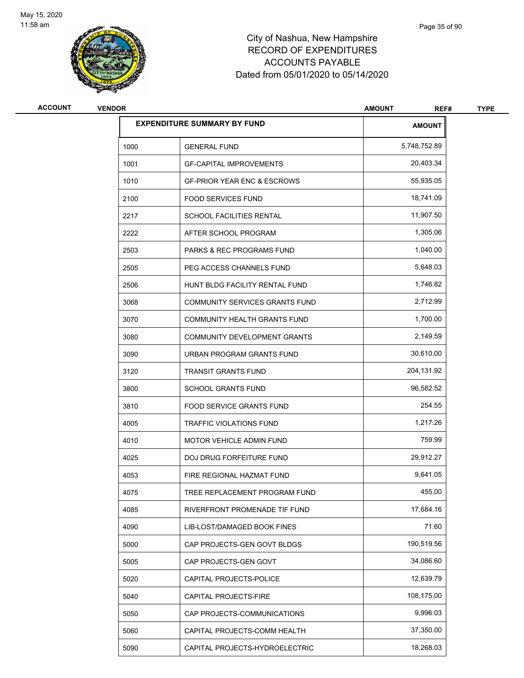

| <b>ACCOUNT</b> | <b>VENDOR</b> |                                        | <b>AMOUNT</b><br>REF# | <b>TYPE</b> |
|----------------|---------------|----------------------------------------|-----------------------|-------------|
|                |               | <b>EXPENDITURE SUMMARY BY FUND</b>     | <b>AMOUNT</b>         |             |
|                | 1000          | <b>GENERAL FUND</b>                    | 5,748,752.89          |             |
|                | 1001          | <b>GF-CAPITAL IMPROVEMENTS</b>         | 20,403.34             |             |
|                | 1010          | <b>GF-PRIOR YEAR ENC &amp; ESCROWS</b> | 55,935.05             |             |
|                | 2100          | <b>FOOD SERVICES FUND</b>              | 18,741.09             |             |
|                | 2217          | <b>SCHOOL FACILITIES RENTAL</b>        | 11,907.50             |             |
|                | 2222          | AFTER SCHOOL PROGRAM                   | 1,305.06              |             |
|                | 2503          | <b>PARKS &amp; REC PROGRAMS FUND</b>   | 1,040.00              |             |
|                | 2505          | PEG ACCESS CHANNELS FUND               | 5,648.03              |             |
|                | 2506          | HUNT BLDG FACILITY RENTAL FUND         | 1,746.82              |             |
|                | 3068          | COMMUNITY SERVICES GRANTS FUND         | 2,712.99              |             |
|                | 3070          | COMMUNITY HEALTH GRANTS FUND           | 1,700.00              |             |
|                | 3080          | COMMUNITY DEVELOPMENT GRANTS           | 2,149.59              |             |
|                | 3090          | URBAN PROGRAM GRANTS FUND              | 30,610.00             |             |
|                | 3120          | <b>TRANSIT GRANTS FUND</b>             | 204,131.92            |             |
|                | 3800          | <b>SCHOOL GRANTS FUND</b>              | 96,582.52             |             |
|                | 3810          | FOOD SERVICE GRANTS FUND               | 254.55                |             |
|                | 4005          | TRAFFIC VIOLATIONS FUND                | 1,217.26              |             |
|                | 4010          | <b>MOTOR VEHICLE ADMIN FUND</b>        | 759.99                |             |
|                | 4025          | DOJ DRUG FORFEITURE FUND               | 29,912.27             |             |
|                | 4053          | FIRE REGIONAL HAZMAT FUND              | 9,641.05              |             |
|                | 4075          | TREE REPLACEMENT PROGRAM FUND          | 455.00                |             |
|                | 4085          | RIVERFRONT PROMENADE TIF FUND          | 17,684.16             |             |
|                | 4090          | LIB-LOST/DAMAGED BOOK FINES            | 71.60                 |             |
|                | 5000          | CAP PROJECTS-GEN GOVT BLDGS            | 190,519.56            |             |
|                | 5005          | CAP PROJECTS-GEN GOVT                  | 34,086.60             |             |
|                | 5020          | CAPITAL PROJECTS-POLICE                | 12,639.79             |             |
|                | 5040          | CAPITAL PROJECTS-FIRE                  | 108,175.00            |             |
|                | 5050          | CAP PROJECTS-COMMUNICATIONS            | 9,996.03              |             |
|                | 5060          | CAPITAL PROJECTS-COMM HEALTH           | 37,350.00             |             |
|                | 5090          | CAPITAL PROJECTS-HYDROELECTRIC         | 18,268.03             |             |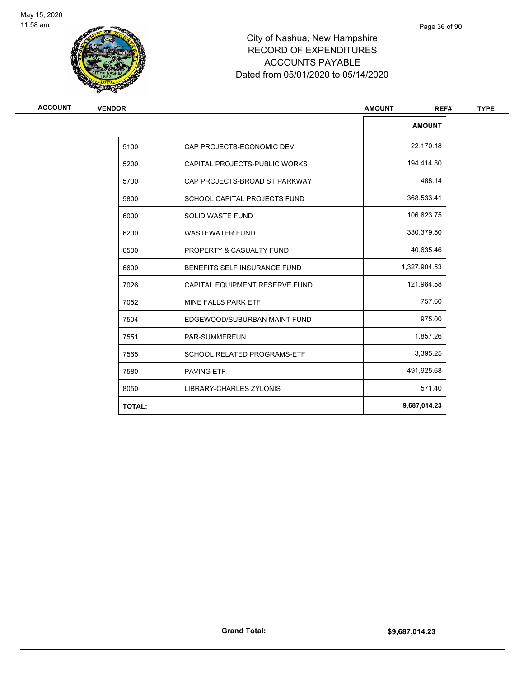

| ACCOUNT | <b>VENDOR</b> |                                | <b>AMOUNT</b><br>REF# |  |
|---------|---------------|--------------------------------|-----------------------|--|
|         |               |                                | <b>AMOUNT</b>         |  |
|         | 5100          | CAP PROJECTS-ECONOMIC DEV      | 22,170.18             |  |
|         | 5200          | CAPITAL PROJECTS-PUBLIC WORKS  | 194,414.80            |  |
|         | 5700          | CAP PROJECTS-BROAD ST PARKWAY  | 488.14                |  |
|         | 5800          | SCHOOL CAPITAL PROJECTS FUND   | 368,533.41            |  |
|         | 6000          | SOLID WASTE FUND               | 106,623.75            |  |
|         | 6200          | <b>WASTEWATER FUND</b>         | 330,379.50            |  |
|         | 6500          | PROPERTY & CASUALTY FUND       | 40,635.46             |  |
|         | 6600          | BENEFITS SELF INSURANCE FUND   | 1,327,904.53          |  |
|         | 7026          | CAPITAL EQUIPMENT RESERVE FUND | 121,984.58            |  |
|         | 7052          | MINE FALLS PARK ETF            | 757.60                |  |
|         | 7504          | EDGEWOOD/SUBURBAN MAINT FUND   | 975.00                |  |
|         | 7551          | P&R-SUMMERFUN                  | 1,857.26              |  |
|         | 7565          | SCHOOL RELATED PROGRAMS-ETF    | 3,395.25              |  |
|         | 7580          | <b>PAVING ETF</b>              | 491,925.68            |  |
|         | 8050          | LIBRARY-CHARLES ZYLONIS        | 571.40                |  |
|         | <b>TOTAL:</b> |                                | 9,687,014.23          |  |

Page 36 of 90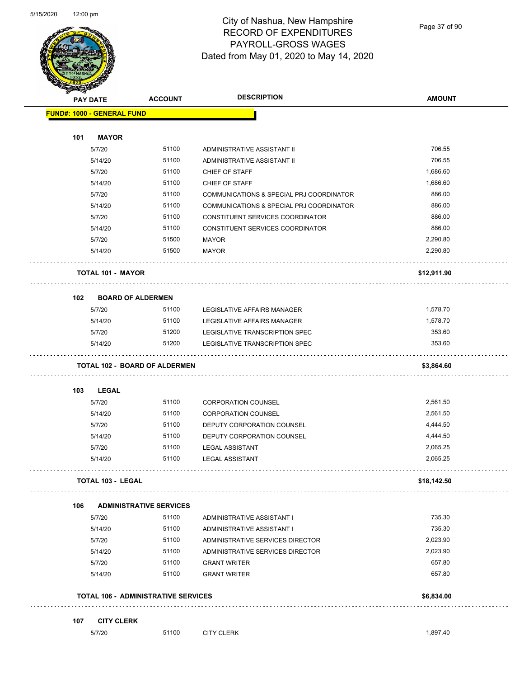

Page 37 of 90

|     | <b>PAY DATE</b>                            | <b>ACCOUNT</b>                 | <b>DESCRIPTION</b>                       | <b>AMOUNT</b> |
|-----|--------------------------------------------|--------------------------------|------------------------------------------|---------------|
|     | <b>FUND#: 1000 - GENERAL FUND</b>          |                                |                                          |               |
|     |                                            |                                |                                          |               |
| 101 | <b>MAYOR</b>                               |                                |                                          |               |
|     | 5/7/20                                     | 51100                          | ADMINISTRATIVE ASSISTANT II              | 706.55        |
|     | 5/14/20                                    | 51100                          | ADMINISTRATIVE ASSISTANT II              | 706.55        |
|     | 5/7/20                                     | 51100                          | CHIEF OF STAFF                           | 1,686.60      |
|     | 5/14/20                                    | 51100                          | CHIEF OF STAFF                           | 1,686.60      |
|     | 5/7/20                                     | 51100                          | COMMUNICATIONS & SPECIAL PRJ COORDINATOR | 886.00        |
|     | 5/14/20                                    | 51100                          | COMMUNICATIONS & SPECIAL PRJ COORDINATOR | 886.00        |
|     | 5/7/20                                     | 51100                          | CONSTITUENT SERVICES COORDINATOR         | 886.00        |
|     | 5/14/20                                    | 51100                          | CONSTITUENT SERVICES COORDINATOR         | 886.00        |
|     | 5/7/20                                     | 51500                          | <b>MAYOR</b>                             | 2,290.80      |
|     | 5/14/20                                    | 51500                          | <b>MAYOR</b>                             | 2,290.80      |
|     | <b>TOTAL 101 - MAYOR</b>                   |                                |                                          | \$12,911.90   |
| 102 | <b>BOARD OF ALDERMEN</b>                   |                                |                                          |               |
|     | 5/7/20                                     | 51100                          | LEGISLATIVE AFFAIRS MANAGER              | 1,578.70      |
|     | 5/14/20                                    | 51100                          | LEGISLATIVE AFFAIRS MANAGER              | 1,578.70      |
|     | 5/7/20                                     | 51200                          | LEGISLATIVE TRANSCRIPTION SPEC           | 353.60        |
|     | 5/14/20                                    | 51200                          | LEGISLATIVE TRANSCRIPTION SPEC           | 353.60        |
|     | <b>TOTAL 102 - BOARD OF ALDERMEN</b>       |                                |                                          | \$3,864.60    |
| 103 | <b>LEGAL</b>                               |                                |                                          |               |
|     | 5/7/20                                     | 51100                          | <b>CORPORATION COUNSEL</b>               | 2,561.50      |
|     | 5/14/20                                    | 51100                          | <b>CORPORATION COUNSEL</b>               | 2,561.50      |
|     | 5/7/20                                     | 51100                          | DEPUTY CORPORATION COUNSEL               | 4,444.50      |
|     | 5/14/20                                    | 51100                          | DEPUTY CORPORATION COUNSEL               | 4,444.50      |
|     | 5/7/20                                     | 51100                          | <b>LEGAL ASSISTANT</b>                   | 2,065.25      |
|     | 5/14/20                                    | 51100                          | <b>LEGAL ASSISTANT</b>                   | 2,065.25      |
|     | <b>TOTAL 103 - LEGAL</b>                   |                                |                                          | \$18,142.50   |
| 106 |                                            | <b>ADMINISTRATIVE SERVICES</b> |                                          |               |
|     | 5/7/20                                     | 51100                          | ADMINISTRATIVE ASSISTANT I               | 735.30        |
|     | 5/14/20                                    | 51100                          | ADMINISTRATIVE ASSISTANT I               | 735.30        |
|     | 5/7/20                                     | 51100                          | ADMINISTRATIVE SERVICES DIRECTOR         | 2,023.90      |
|     | 5/14/20                                    | 51100                          | ADMINISTRATIVE SERVICES DIRECTOR         | 2,023.90      |
|     | 5/7/20                                     | 51100                          | <b>GRANT WRITER</b>                      | 657.80        |
|     | 5/14/20                                    | 51100                          | <b>GRANT WRITER</b>                      | 657.80        |
|     | <b>TOTAL 106 - ADMINISTRATIVE SERVICES</b> |                                |                                          | \$6,834.00    |
| 107 | <b>CITY CLERK</b>                          |                                |                                          |               |
|     | 5/7/20                                     | 51100                          | <b>CITY CLERK</b>                        | 1,897.40      |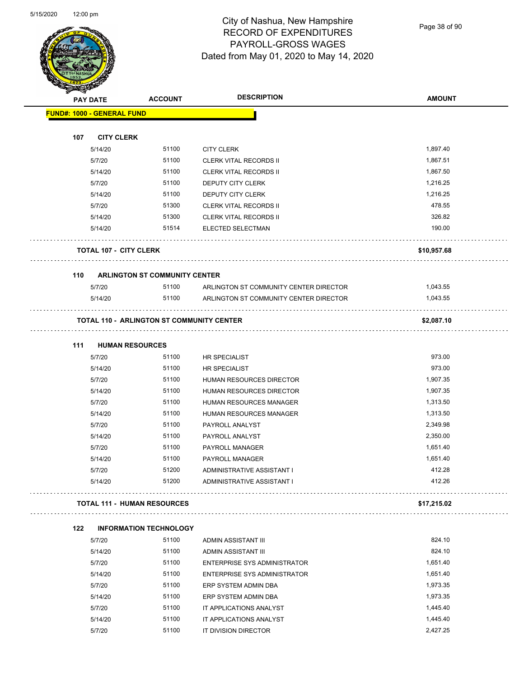Page 38 of 90

| <b>PAY DATE</b>                   | <b>ACCOUNT</b>                                   | <b>DESCRIPTION</b>                     | <b>AMOUNT</b> |
|-----------------------------------|--------------------------------------------------|----------------------------------------|---------------|
| <b>FUND#: 1000 - GENERAL FUND</b> |                                                  |                                        |               |
| 107                               |                                                  |                                        |               |
| <b>CITY CLERK</b><br>5/14/20      | 51100                                            | <b>CITY CLERK</b>                      | 1,897.40      |
| 5/7/20                            | 51100                                            | <b>CLERK VITAL RECORDS II</b>          | 1,867.51      |
| 5/14/20                           | 51100                                            | <b>CLERK VITAL RECORDS II</b>          | 1,867.50      |
| 5/7/20                            | 51100                                            | DEPUTY CITY CLERK                      | 1,216.25      |
| 5/14/20                           | 51100                                            | DEPUTY CITY CLERK                      | 1,216.25      |
| 5/7/20                            | 51300                                            | <b>CLERK VITAL RECORDS II</b>          | 478.55        |
| 5/14/20                           | 51300                                            | <b>CLERK VITAL RECORDS II</b>          | 326.82        |
| 5/14/20                           | 51514                                            | ELECTED SELECTMAN                      | 190.00        |
| <b>TOTAL 107 - CITY CLERK</b>     |                                                  |                                        | \$10,957.68   |
|                                   |                                                  |                                        |               |
| 110<br>5/7/20                     | <b>ARLINGTON ST COMMUNITY CENTER</b><br>51100    | ARLINGTON ST COMMUNITY CENTER DIRECTOR | 1,043.55      |
| 5/14/20                           | 51100                                            | ARLINGTON ST COMMUNITY CENTER DIRECTOR | 1.043.55      |
|                                   |                                                  |                                        |               |
|                                   | <b>TOTAL 110 - ARLINGTON ST COMMUNITY CENTER</b> |                                        | \$2,087.10    |
| 111                               | <b>HUMAN RESOURCES</b>                           |                                        |               |
| 5/7/20                            | 51100                                            | <b>HR SPECIALIST</b>                   | 973.00        |
| 5/14/20                           | 51100                                            | <b>HR SPECIALIST</b>                   | 973.00        |
| 5/7/20                            | 51100                                            | HUMAN RESOURCES DIRECTOR               | 1,907.35      |
| 5/14/20                           | 51100                                            | HUMAN RESOURCES DIRECTOR               | 1,907.35      |
| 5/7/20                            | 51100                                            | HUMAN RESOURCES MANAGER                | 1,313.50      |
| 5/14/20                           | 51100                                            | HUMAN RESOURCES MANAGER                | 1,313.50      |
| 5/7/20                            | 51100                                            | PAYROLL ANALYST                        | 2,349.98      |
| 5/14/20                           | 51100                                            | PAYROLL ANALYST                        | 2,350.00      |
| 5/7/20                            | 51100                                            | <b>PAYROLL MANAGER</b>                 | 1,651.40      |
| 5/14/20                           | 51100                                            | PAYROLL MANAGER                        | 1,651.40      |
| 5/7/20                            | 51200                                            | ADMINISTRATIVE ASSISTANT I             | 412.28        |
| 5/14/20                           | 51200                                            | ADMINISTRATIVE ASSISTANT I             | 412.26        |
|                                   | <b>TOTAL 111 - HUMAN RESOURCES</b>               |                                        | \$17,215.02   |
| 122                               | <b>INFORMATION TECHNOLOGY</b>                    |                                        |               |
| 5/7/20                            | 51100                                            | ADMIN ASSISTANT III                    | 824.10        |
| 5/14/20                           | 51100                                            | <b>ADMIN ASSISTANT III</b>             | 824.10        |
| 5/7/20                            | 51100                                            | ENTERPRISE SYS ADMINISTRATOR           | 1,651.40      |
| 5/14/20                           | 51100                                            | <b>ENTERPRISE SYS ADMINISTRATOR</b>    | 1,651.40      |
| 5/7/20                            | 51100                                            | ERP SYSTEM ADMIN DBA                   | 1,973.35      |
| 5/14/20                           | 51100                                            | ERP SYSTEM ADMIN DBA                   | 1,973.35      |
| 5/7/20                            | 51100                                            | IT APPLICATIONS ANALYST                | 1,445.40      |
| 5/14/20                           | 51100                                            | IT APPLICATIONS ANALYST                | 1,445.40      |
| 5/7/20                            | 51100                                            | IT DIVISION DIRECTOR                   | 2,427.25      |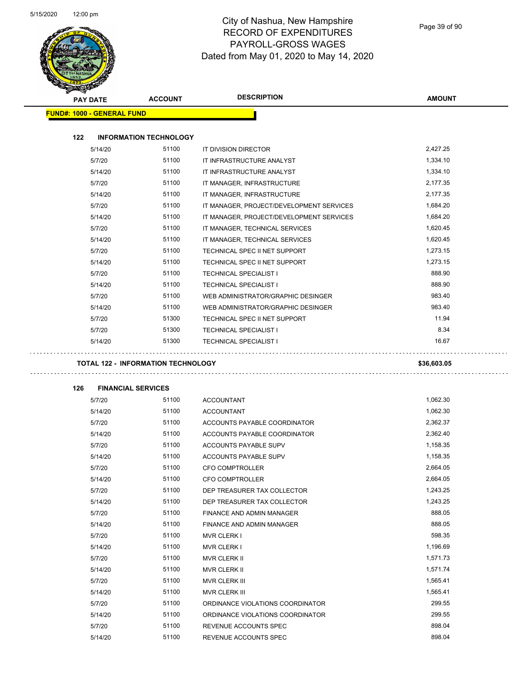Page 39 of 90

| <b>PAY DATE</b> |                                           | <b>ACCOUNT</b> | <b>DESCRIPTION</b>                       | <b>AMOUNT</b> |
|-----------------|-------------------------------------------|----------------|------------------------------------------|---------------|
|                 | <b>FUND#: 1000 - GENERAL FUND</b>         |                |                                          |               |
|                 |                                           |                |                                          |               |
| 122             | <b>INFORMATION TECHNOLOGY</b>             |                |                                          |               |
|                 | 5/14/20                                   | 51100          | IT DIVISION DIRECTOR                     | 2,427.25      |
| 5/7/20          |                                           | 51100          | IT INFRASTRUCTURE ANALYST                | 1,334.10      |
|                 | 5/14/20                                   | 51100          | IT INFRASTRUCTURE ANALYST                | 1,334.10      |
| 5/7/20          |                                           | 51100          | IT MANAGER, INFRASTRUCTURE               | 2,177.35      |
|                 | 5/14/20                                   | 51100          | IT MANAGER, INFRASTRUCTURE               | 2,177.35      |
| 5/7/20          |                                           | 51100          | IT MANAGER, PROJECT/DEVELOPMENT SERVICES | 1,684.20      |
|                 | 5/14/20                                   | 51100          | IT MANAGER, PROJECT/DEVELOPMENT SERVICES | 1,684.20      |
| 5/7/20          |                                           | 51100          | IT MANAGER, TECHNICAL SERVICES           | 1,620.45      |
|                 | 5/14/20                                   | 51100          | IT MANAGER, TECHNICAL SERVICES           | 1,620.45      |
| 5/7/20          |                                           | 51100          | TECHNICAL SPEC II NET SUPPORT            | 1,273.15      |
|                 | 5/14/20                                   | 51100          | TECHNICAL SPEC II NET SUPPORT            | 1,273.15      |
| 5/7/20          |                                           | 51100          | <b>TECHNICAL SPECIALIST I</b>            | 888.90        |
|                 | 5/14/20                                   | 51100          | <b>TECHNICAL SPECIALIST I</b>            | 888.90        |
| 5/7/20          |                                           | 51100          | WEB ADMINISTRATOR/GRAPHIC DESINGER       | 983.40        |
|                 | 5/14/20                                   | 51100          | WEB ADMINISTRATOR/GRAPHIC DESINGER       | 983.40        |
| 5/7/20          |                                           | 51300          | TECHNICAL SPEC II NET SUPPORT            | 11.94         |
| 5/7/20          |                                           | 51300          | <b>TECHNICAL SPECIALIST I</b>            | 8.34          |
|                 | 5/14/20                                   | 51300          | <b>TECHNICAL SPECIALIST I</b>            | 16.67         |
|                 | <b>TOTAL 122 - INFORMATION TECHNOLOGY</b> |                |                                          | \$36,603.05   |
|                 |                                           |                |                                          |               |
| 126             | <b>FINANCIAL SERVICES</b>                 |                |                                          |               |
| 5/7/20          |                                           | 51100          | <b>ACCOUNTANT</b>                        | 1,062.30      |
|                 | 5/14/20                                   | 51100          | <b>ACCOUNTANT</b>                        | 1,062.30      |
| 5/7/20          |                                           | 51100          | ACCOUNTS PAYABLE COORDINATOR             | 2,362.37      |
|                 | 5/14/20                                   | 51100          | ACCOUNTS PAYABLE COORDINATOR             | 2,362.40      |
| 5/7/20          |                                           | 51100          | <b>ACCOUNTS PAYABLE SUPV</b>             | 1,158.35      |
|                 | 5/14/20                                   | 51100          | ACCOUNTS PAYABLE SUPV                    | 1,158.35      |
| 5/7/20          |                                           | 51100          | <b>CFO COMPTROLLER</b>                   | 2,664.05      |
|                 | 5/14/20                                   | 51100          | CFO COMPTROLLER                          | 2,664.05      |
| 5/7/20          |                                           | 51100          | DEP TREASURER TAX COLLECTOR              | 1,243.25      |
|                 | 5/14/20                                   | 51100          | DEP TREASURER TAX COLLECTOR              | 1,243.25      |
| 5/7/20          |                                           | 51100          | FINANCE AND ADMIN MANAGER                | 888.05        |
|                 | 5/14/20                                   | 51100          | FINANCE AND ADMIN MANAGER                | 888.05        |
|                 |                                           | 51100          | <b>MVR CLERK I</b>                       | 598.35        |
| 5/7/20          |                                           | 51100          | <b>MVR CLERK I</b>                       | 1,196.69      |
| 5/14/20         |                                           |                |                                          |               |
| 5/7/20          |                                           | 51100          | MVR CLERK II                             | 1,571.73      |
|                 | 5/14/20                                   | 51100          | MVR CLERK II                             | 1,571.74      |
| 5/7/20          |                                           | 51100          | MVR CLERK III                            | 1,565.41      |
|                 | 5/14/20                                   | 51100          | MVR CLERK III                            | 1,565.41      |
| 5/7/20          |                                           | 51100          | ORDINANCE VIOLATIONS COORDINATOR         | 299.55        |
|                 | 5/14/20                                   | 51100          | ORDINANCE VIOLATIONS COORDINATOR         | 299.55        |
| 5/7/20          |                                           | 51100          | REVENUE ACCOUNTS SPEC                    | 898.04        |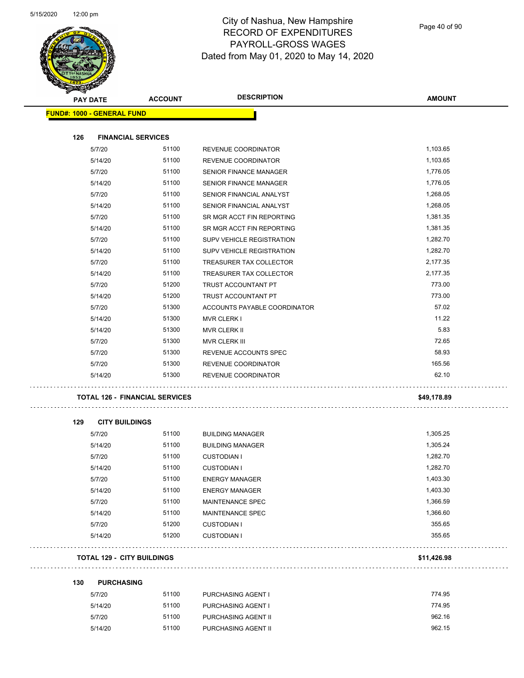

Page 40 of 90

|     | <b>PAY DATE</b>                   | <b>ACCOUNT</b>                        | <b>DESCRIPTION</b>                   | <b>AMOUNT</b>   |
|-----|-----------------------------------|---------------------------------------|--------------------------------------|-----------------|
|     | <b>FUND#: 1000 - GENERAL FUND</b> |                                       |                                      |                 |
|     |                                   |                                       |                                      |                 |
| 126 | <b>FINANCIAL SERVICES</b>         |                                       |                                      |                 |
|     | 5/7/20                            | 51100                                 | REVENUE COORDINATOR                  | 1,103.65        |
|     | 5/14/20                           | 51100                                 | REVENUE COORDINATOR                  | 1,103.65        |
|     | 5/7/20                            | 51100                                 | <b>SENIOR FINANCE MANAGER</b>        | 1,776.05        |
|     | 5/14/20                           | 51100                                 | SENIOR FINANCE MANAGER               | 1,776.05        |
|     | 5/7/20                            | 51100                                 | SENIOR FINANCIAL ANALYST             | 1,268.05        |
|     | 5/14/20                           | 51100                                 | SENIOR FINANCIAL ANALYST             | 1,268.05        |
|     | 5/7/20                            | 51100                                 | SR MGR ACCT FIN REPORTING            | 1,381.35        |
|     | 5/14/20                           | 51100                                 | SR MGR ACCT FIN REPORTING            | 1,381.35        |
|     | 5/7/20                            | 51100                                 | SUPV VEHICLE REGISTRATION            | 1,282.70        |
|     | 5/14/20                           | 51100                                 | SUPV VEHICLE REGISTRATION            | 1,282.70        |
|     | 5/7/20                            | 51100                                 | TREASURER TAX COLLECTOR              | 2,177.35        |
|     | 5/14/20                           | 51100                                 | TREASURER TAX COLLECTOR              | 2,177.35        |
|     | 5/7/20                            | 51200                                 | TRUST ACCOUNTANT PT                  | 773.00          |
|     | 5/14/20                           | 51200                                 | TRUST ACCOUNTANT PT                  | 773.00<br>57.02 |
|     | 5/7/20                            | 51300<br>51300                        | ACCOUNTS PAYABLE COORDINATOR         | 11.22           |
|     | 5/14/20                           | 51300                                 | <b>MVR CLERK I</b>                   | 5.83            |
|     | 5/14/20<br>5/7/20                 | 51300                                 | <b>MVR CLERK II</b><br>MVR CLERK III | 72.65           |
|     | 5/7/20                            | 51300                                 | REVENUE ACCOUNTS SPEC                | 58.93           |
|     | 5/7/20                            | 51300                                 | REVENUE COORDINATOR                  | 165.56          |
|     | 5/14/20                           | 51300                                 | REVENUE COORDINATOR                  | 62.10           |
|     |                                   |                                       |                                      |                 |
|     |                                   | <b>TOTAL 126 - FINANCIAL SERVICES</b> |                                      | \$49,178.89     |
| 129 | <b>CITY BUILDINGS</b>             |                                       |                                      |                 |
|     | 5/7/20                            | 51100                                 | <b>BUILDING MANAGER</b>              | 1,305.25        |
|     | 5/14/20                           | 51100                                 | <b>BUILDING MANAGER</b>              | 1,305.24        |
|     | 5/7/20                            | 51100                                 | <b>CUSTODIAN I</b>                   | 1,282.70        |
|     | 5/14/20                           | 51100                                 | <b>CUSTODIAN I</b>                   | 1,282.70        |
|     | 5/7/20                            | 51100                                 | <b>ENERGY MANAGER</b>                | 1,403.30        |
|     | 5/14/20                           | 51100                                 | <b>ENERGY MANAGER</b>                | 1,403.30        |
|     | 5/7/20                            | 51100                                 | MAINTENANCE SPEC                     | 1,366.59        |
|     | 5/14/20                           | 51100                                 | MAINTENANCE SPEC                     | 1,366.60        |
|     | 5/7/20                            | 51200                                 | <b>CUSTODIAN I</b>                   | 355.65          |
|     | 5/14/20                           | 51200                                 | <b>CUSTODIAN I</b>                   | 355.65          |
|     | <b>TOTAL 129 - CITY BUILDINGS</b> |                                       |                                      | \$11,426.98     |
| 130 | <b>PURCHASING</b>                 |                                       |                                      |                 |
|     | 5/7/20                            | 51100                                 | PURCHASING AGENT I                   | 774.95          |
|     | 5/14/20                           | 51100                                 | PURCHASING AGENT I                   | 774.95          |
|     | 5/7/20                            | 51100                                 | PURCHASING AGENT II                  | 962.16          |
|     | 5/14/20                           | 51100                                 | PURCHASING AGENT II                  | 962.15          |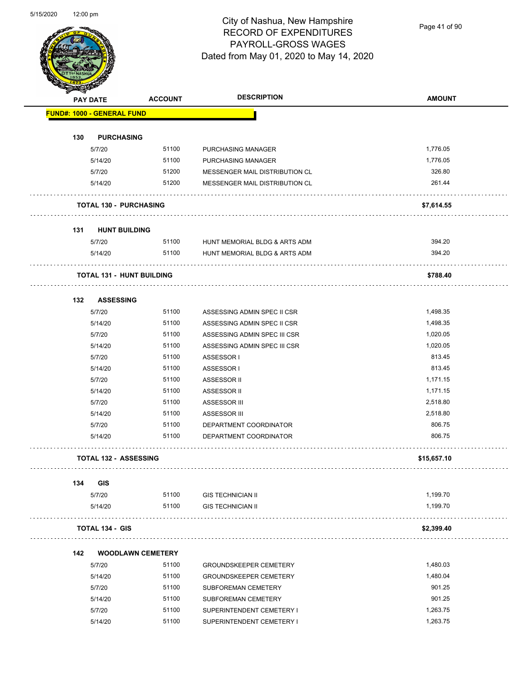Page 41 of 90

| <b>PAY DATE</b>                   | <b>ACCOUNT</b>                   | <b>DESCRIPTION</b>             | <b>AMOUNT</b> |
|-----------------------------------|----------------------------------|--------------------------------|---------------|
| <b>FUND#: 1000 - GENERAL FUND</b> |                                  |                                |               |
| 130                               | <b>PURCHASING</b>                |                                |               |
| 5/7/20                            | 51100                            | PURCHASING MANAGER             | 1,776.05      |
| 5/14/20                           | 51100                            | PURCHASING MANAGER             | 1,776.05      |
| 5/7/20                            | 51200                            | MESSENGER MAIL DISTRIBUTION CL | 326.80        |
| 5/14/20                           | 51200                            | MESSENGER MAIL DISTRIBUTION CL | 261.44        |
|                                   | <b>TOTAL 130 - PURCHASING</b>    |                                | \$7,614.55    |
| 131                               | <b>HUNT BUILDING</b>             |                                |               |
| 5/7/20                            | 51100                            | HUNT MEMORIAL BLDG & ARTS ADM  | 394.20        |
| 5/14/20                           | 51100                            | HUNT MEMORIAL BLDG & ARTS ADM  | 394.20        |
|                                   | <b>TOTAL 131 - HUNT BUILDING</b> |                                | \$788.40      |
| 132                               | <b>ASSESSING</b>                 |                                |               |
| 5/7/20                            | 51100                            | ASSESSING ADMIN SPEC II CSR    | 1,498.35      |
| 5/14/20                           | 51100                            | ASSESSING ADMIN SPEC II CSR    | 1,498.35      |
| 5/7/20                            | 51100                            | ASSESSING ADMIN SPEC III CSR   | 1,020.05      |
| 5/14/20                           | 51100                            | ASSESSING ADMIN SPEC III CSR   | 1,020.05      |
| 5/7/20                            | 51100                            | ASSESSOR I                     | 813.45        |
| 5/14/20                           | 51100                            | ASSESSOR I                     | 813.45        |
| 5/7/20                            | 51100                            | ASSESSOR II                    | 1,171.15      |
| 5/14/20                           | 51100                            | ASSESSOR II                    | 1,171.15      |
| 5/7/20                            | 51100                            | ASSESSOR III                   | 2,518.80      |
| 5/14/20                           | 51100                            | ASSESSOR III                   | 2,518.80      |
| 5/7/20                            | 51100                            | DEPARTMENT COORDINATOR         | 806.75        |
| 5/14/20                           | 51100                            | DEPARTMENT COORDINATOR         | 806.75        |
|                                   | <b>TOTAL 132 - ASSESSING</b>     |                                | \$15,657.10   |
| 134<br><b>GIS</b>                 |                                  |                                |               |
| 5/7/20                            | 51100                            | <b>GIS TECHNICIAN II</b>       | 1,199.70      |
| 5/14/20                           | 51100                            | <b>GIS TECHNICIAN II</b>       | 1,199.70      |
| <b>TOTAL 134 - GIS</b>            |                                  |                                | \$2,399.40    |
| 142                               | <b>WOODLAWN CEMETERY</b>         |                                |               |
| 5/7/20                            | 51100                            | <b>GROUNDSKEEPER CEMETERY</b>  | 1,480.03      |
| 5/14/20                           | 51100                            | <b>GROUNDSKEEPER CEMETERY</b>  | 1,480.04      |
| 5/7/20                            | 51100                            | SUBFOREMAN CEMETERY            | 901.25        |
| 5/14/20                           | 51100                            | SUBFOREMAN CEMETERY            | 901.25        |
| 5/7/20                            | 51100                            | SUPERINTENDENT CEMETERY I      | 1,263.75      |
| 5/14/20                           | 51100                            | SUPERINTENDENT CEMETERY I      | 1,263.75      |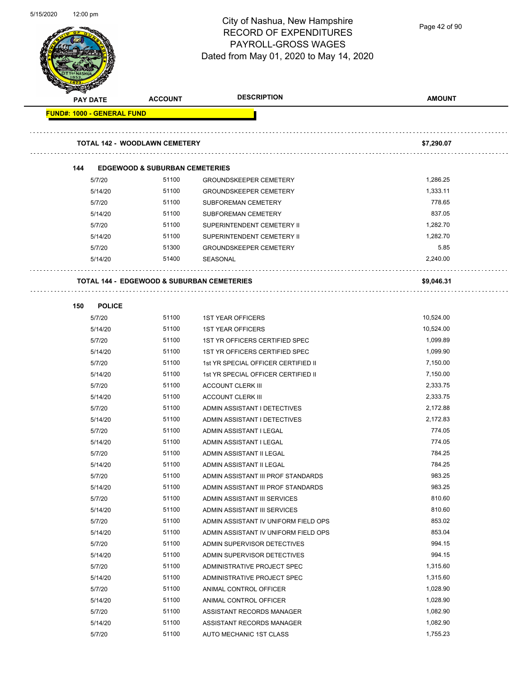

Page 42 of 90

|                                   | <b>PAY DATE</b> | <b>ACCOUNT</b>                                        | <b>DESCRIPTION</b>                   | <b>AMOUNT</b> |
|-----------------------------------|-----------------|-------------------------------------------------------|--------------------------------------|---------------|
| <b>FUND#: 1000 - GENERAL FUND</b> |                 |                                                       |                                      |               |
|                                   |                 |                                                       |                                      |               |
|                                   |                 | <b>TOTAL 142 - WOODLAWN CEMETERY</b>                  |                                      | \$7,290.07    |
|                                   |                 |                                                       |                                      |               |
| 144                               |                 | <b>EDGEWOOD &amp; SUBURBAN CEMETERIES</b>             |                                      |               |
|                                   | 5/7/20          | 51100                                                 | <b>GROUNDSKEEPER CEMETERY</b>        | 1,286.25      |
|                                   | 5/14/20         | 51100                                                 | <b>GROUNDSKEEPER CEMETERY</b>        | 1,333.11      |
|                                   | 5/7/20          | 51100                                                 | SUBFOREMAN CEMETERY                  | 778.65        |
|                                   | 5/14/20         | 51100                                                 | SUBFOREMAN CEMETERY                  | 837.05        |
|                                   | 5/7/20          | 51100                                                 | SUPERINTENDENT CEMETERY II           | 1,282.70      |
|                                   | 5/14/20         | 51100                                                 | SUPERINTENDENT CEMETERY II           | 1,282.70      |
|                                   | 5/7/20          | 51300                                                 | <b>GROUNDSKEEPER CEMETERY</b>        | 5.85          |
|                                   | 5/14/20         | 51400                                                 | SEASONAL                             | 2,240.00      |
|                                   |                 | <b>TOTAL 144 - EDGEWOOD &amp; SUBURBAN CEMETERIES</b> |                                      | \$9,046.31    |
| 150                               | <b>POLICE</b>   |                                                       |                                      |               |
|                                   | 5/7/20          | 51100                                                 | <b>1ST YEAR OFFICERS</b>             | 10,524.00     |
|                                   | 5/14/20         | 51100                                                 | <b>1ST YEAR OFFICERS</b>             | 10,524.00     |
|                                   | 5/7/20          | 51100                                                 | 1ST YR OFFICERS CERTIFIED SPEC       | 1,099.89      |
|                                   | 5/14/20         | 51100                                                 | 1ST YR OFFICERS CERTIFIED SPEC       | 1,099.90      |
|                                   | 5/7/20          | 51100                                                 | 1st YR SPECIAL OFFICER CERTIFIED II  | 7,150.00      |
|                                   | 5/14/20         | 51100                                                 | 1st YR SPECIAL OFFICER CERTIFIED II  | 7,150.00      |
|                                   | 5/7/20          | 51100                                                 | <b>ACCOUNT CLERK III</b>             | 2,333.75      |
|                                   | 5/14/20         | 51100                                                 | <b>ACCOUNT CLERK III</b>             | 2,333.75      |
|                                   | 5/7/20          | 51100                                                 | ADMIN ASSISTANT I DETECTIVES         | 2,172.88      |
|                                   | 5/14/20         | 51100                                                 | ADMIN ASSISTANT I DETECTIVES         | 2,172.83      |
|                                   | 5/7/20          | 51100                                                 | ADMIN ASSISTANT I LEGAL              | 774.05        |
|                                   | 5/14/20         | 51100                                                 | ADMIN ASSISTANT I LEGAL              | 774.05        |
|                                   | 5/7/20          | 51100                                                 | ADMIN ASSISTANT II LEGAL             | 784.25        |
|                                   | 5/14/20         | 51100                                                 | ADMIN ASSISTANT II LEGAL             | 784.25        |
|                                   | 5/7/20          | 51100                                                 | ADMIN ASSISTANT III PROF STANDARDS   | 983.25        |
|                                   | 5/14/20         | 51100                                                 | ADMIN ASSISTANT III PROF STANDARDS   | 983.25        |
|                                   | 5/7/20          | 51100                                                 | ADMIN ASSISTANT III SERVICES         | 810.60        |
|                                   | 5/14/20         | 51100                                                 | ADMIN ASSISTANT III SERVICES         | 810.60        |
|                                   | 5/7/20          | 51100                                                 | ADMIN ASSISTANT IV UNIFORM FIELD OPS | 853.02        |
|                                   | 5/14/20         | 51100                                                 | ADMIN ASSISTANT IV UNIFORM FIELD OPS | 853.04        |
|                                   | 5/7/20          | 51100                                                 | ADMIN SUPERVISOR DETECTIVES          | 994.15        |
|                                   | 5/14/20         | 51100                                                 | ADMIN SUPERVISOR DETECTIVES          | 994.15        |
|                                   | 5/7/20          | 51100                                                 | ADMINISTRATIVE PROJECT SPEC          | 1,315.60      |
|                                   | 5/14/20         | 51100                                                 | ADMINISTRATIVE PROJECT SPEC          | 1,315.60      |
|                                   | 5/7/20          | 51100                                                 | ANIMAL CONTROL OFFICER               | 1,028.90      |
|                                   | 5/14/20         | 51100                                                 | ANIMAL CONTROL OFFICER               | 1,028.90      |
|                                   | 5/7/20          | 51100                                                 | ASSISTANT RECORDS MANAGER            | 1,082.90      |
|                                   | 5/14/20         | 51100                                                 | ASSISTANT RECORDS MANAGER            | 1,082.90      |
|                                   | 5/7/20          | 51100                                                 | AUTO MECHANIC 1ST CLASS              | 1,755.23      |
|                                   |                 |                                                       |                                      |               |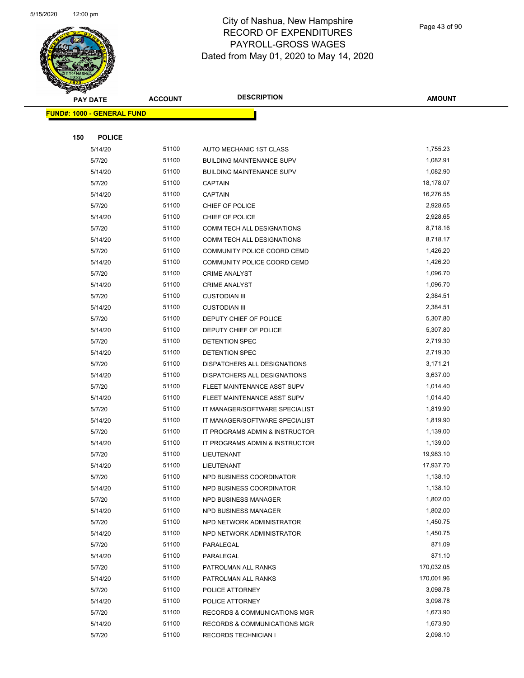

| ❤   | <b>PAY DATE</b>                   | <b>ACCOUNT</b> | <b>DESCRIPTION</b>               | <b>AMOUNT</b> |
|-----|-----------------------------------|----------------|----------------------------------|---------------|
|     | <b>FUND#: 1000 - GENERAL FUND</b> |                |                                  |               |
|     |                                   |                |                                  |               |
| 150 | <b>POLICE</b>                     |                |                                  |               |
|     | 5/14/20                           | 51100          | AUTO MECHANIC 1ST CLASS          | 1,755.23      |
|     | 5/7/20                            | 51100          | <b>BUILDING MAINTENANCE SUPV</b> | 1,082.91      |
|     | 5/14/20                           | 51100          | <b>BUILDING MAINTENANCE SUPV</b> | 1,082.90      |
|     | 5/7/20                            | 51100          | <b>CAPTAIN</b>                   | 18,178.07     |
|     | 5/14/20                           | 51100          | <b>CAPTAIN</b>                   | 16,276.55     |
|     | 5/7/20                            | 51100          | CHIEF OF POLICE                  | 2,928.65      |
|     | 5/14/20                           | 51100          | CHIEF OF POLICE                  | 2,928.65      |
|     | 5/7/20                            | 51100          | COMM TECH ALL DESIGNATIONS       | 8,718.16      |
|     | 5/14/20                           | 51100          | COMM TECH ALL DESIGNATIONS       | 8,718.17      |
|     | 5/7/20                            | 51100          | COMMUNITY POLICE COORD CEMD      | 1,426.20      |
|     | 5/14/20                           | 51100          | COMMUNITY POLICE COORD CEMD      | 1,426.20      |
|     | 5/7/20                            | 51100          | <b>CRIME ANALYST</b>             | 1,096.70      |
|     | 5/14/20                           | 51100          | <b>CRIME ANALYST</b>             | 1,096.70      |
|     | 5/7/20                            | 51100          | <b>CUSTODIAN III</b>             | 2,384.51      |
|     | 5/14/20                           | 51100          | <b>CUSTODIAN III</b>             | 2,384.51      |
|     | 5/7/20                            | 51100          | DEPUTY CHIEF OF POLICE           | 5,307.80      |
|     | 5/14/20                           | 51100          | DEPUTY CHIEF OF POLICE           | 5,307.80      |
|     | 5/7/20                            | 51100          | DETENTION SPEC                   | 2,719.30      |
|     | 5/14/20                           | 51100          | DETENTION SPEC                   | 2,719.30      |
|     | 5/7/20                            | 51100          | DISPATCHERS ALL DESIGNATIONS     | 3,171.21      |
|     | 5/14/20                           | 51100          | DISPATCHERS ALL DESIGNATIONS     | 3,637.00      |
|     | 5/7/20                            | 51100          | FLEET MAINTENANCE ASST SUPV      | 1,014.40      |
|     | 5/14/20                           | 51100          | FLEET MAINTENANCE ASST SUPV      | 1,014.40      |
|     | 5/7/20                            | 51100          | IT MANAGER/SOFTWARE SPECIALIST   | 1,819.90      |
|     | 5/14/20                           | 51100          | IT MANAGER/SOFTWARE SPECIALIST   | 1,819.90      |
|     | 5/7/20                            | 51100          | IT PROGRAMS ADMIN & INSTRUCTOR   | 1,139.00      |
|     | 5/14/20                           | 51100          | IT PROGRAMS ADMIN & INSTRUCTOR   | 1,139.00      |
|     | 5/7/20                            | 51100          | LIEUTENANT                       | 19,983.10     |
|     | 5/14/20                           | 51100          | LIEUTENANT                       | 17,937.70     |
|     | 5/7/20                            | 51100          | NPD BUSINESS COORDINATOR         | 1,138.10      |
|     | 5/14/20                           | 51100          | NPD BUSINESS COORDINATOR         | 1,138.10      |
|     | 5/7/20                            | 51100          | <b>NPD BUSINESS MANAGER</b>      | 1,802.00      |
|     | 5/14/20                           | 51100          | <b>NPD BUSINESS MANAGER</b>      | 1,802.00      |
|     | 5/7/20                            | 51100          | NPD NETWORK ADMINISTRATOR        | 1,450.75      |
|     | 5/14/20                           | 51100          | NPD NETWORK ADMINISTRATOR        | 1,450.75      |
|     | 5/7/20                            | 51100          | PARALEGAL                        | 871.09        |
|     | 5/14/20                           | 51100          | PARALEGAL                        | 871.10        |
|     | 5/7/20                            | 51100          | PATROLMAN ALL RANKS              | 170,032.05    |
|     | 5/14/20                           | 51100          | PATROLMAN ALL RANKS              | 170,001.96    |
|     | 5/7/20                            | 51100          | POLICE ATTORNEY                  | 3,098.78      |
|     | 5/14/20                           | 51100          | POLICE ATTORNEY                  | 3,098.78      |
|     | 5/7/20                            | 51100          | RECORDS & COMMUNICATIONS MGR     | 1,673.90      |
|     | 5/14/20                           | 51100          | RECORDS & COMMUNICATIONS MGR     | 1,673.90      |
|     | 5/7/20                            | 51100          | <b>RECORDS TECHNICIAN I</b>      | 2,098.10      |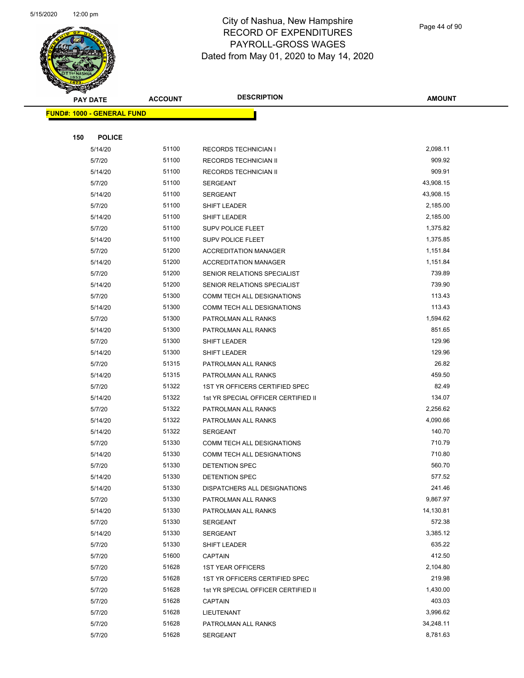

Page 44 of 90

| <u>Landari </u><br><b>PAY DATE</b> | <b>ACCOUNT</b> | <b>DESCRIPTION</b>                  | <b>AMOUNT</b>         |
|------------------------------------|----------------|-------------------------------------|-----------------------|
| <b>FUND#: 1000 - GENERAL FUND</b>  |                |                                     |                       |
|                                    |                |                                     |                       |
| 150<br><b>POLICE</b>               |                |                                     |                       |
| 5/14/20                            | 51100          | <b>RECORDS TECHNICIAN I</b>         | 2,098.11              |
| 5/7/20                             | 51100          | <b>RECORDS TECHNICIAN II</b>        | 909.92                |
| 5/14/20                            | 51100          | RECORDS TECHNICIAN II               | 909.91                |
| 5/7/20                             | 51100          | <b>SERGEANT</b>                     | 43,908.15             |
| 5/14/20                            | 51100          | SERGEANT                            | 43,908.15             |
| 5/7/20                             | 51100          | SHIFT LEADER                        | 2,185.00              |
| 5/14/20                            | 51100          | SHIFT LEADER                        | 2,185.00              |
| 5/7/20                             | 51100          | SUPV POLICE FLEET                   | 1,375.82              |
| 5/14/20                            | 51100          | SUPV POLICE FLEET                   | 1,375.85              |
| 5/7/20                             | 51200          | <b>ACCREDITATION MANAGER</b>        | 1,151.84              |
| 5/14/20                            | 51200          | <b>ACCREDITATION MANAGER</b>        | 1,151.84              |
| 5/7/20                             | 51200          | SENIOR RELATIONS SPECIALIST         | 739.89                |
| 5/14/20                            | 51200          | SENIOR RELATIONS SPECIALIST         | 739.90                |
| 5/7/20                             | 51300          | COMM TECH ALL DESIGNATIONS          | 113.43                |
| 5/14/20                            | 51300          | COMM TECH ALL DESIGNATIONS          | 113.43                |
| 5/7/20                             | 51300          | PATROLMAN ALL RANKS                 | 1,594.62              |
| 5/14/20                            | 51300          | PATROLMAN ALL RANKS                 | 851.65                |
| 5/7/20                             | 51300          | SHIFT LEADER                        | 129.96                |
| 5/14/20                            | 51300          | SHIFT LEADER                        | 129.96                |
| 5/7/20                             | 51315          | PATROLMAN ALL RANKS                 | 26.82                 |
| 5/14/20                            | 51315          | PATROLMAN ALL RANKS                 | 459.50                |
| 5/7/20                             | 51322          | 1ST YR OFFICERS CERTIFIED SPEC      | 82.49                 |
| 5/14/20                            | 51322          | 1st YR SPECIAL OFFICER CERTIFIED II | 134.07                |
| 5/7/20                             | 51322          | PATROLMAN ALL RANKS                 | 2,256.62              |
| 5/14/20                            | 51322          | PATROLMAN ALL RANKS                 | 4,090.66              |
| 5/14/20                            | 51322          | SERGEANT                            | 140.70                |
| 5/7/20                             | 51330          | COMM TECH ALL DESIGNATIONS          | 710.79                |
| 5/14/20                            | 51330          | COMM TECH ALL DESIGNATIONS          | 710.80                |
| 5/7/20                             | 51330          | DETENTION SPEC                      | 560.70                |
| 5/14/20                            | 51330          | <b>DETENTION SPEC</b>               | 577.52                |
| 5/14/20                            | 51330          | DISPATCHERS ALL DESIGNATIONS        | 241.46                |
| 5/7/20                             | 51330          | PATROLMAN ALL RANKS                 | 9,867.97              |
| 5/14/20                            | 51330          | PATROLMAN ALL RANKS                 | 14,130.81             |
| 5/7/20                             | 51330          | SERGEANT                            | 572.38                |
| 5/14/20                            | 51330          | SERGEANT                            | 3,385.12              |
| 5/7/20                             | 51330          | SHIFT LEADER                        | 635.22                |
| 5/7/20                             | 51600          | <b>CAPTAIN</b>                      | 412.50                |
| 5/7/20                             | 51628          | <b>1ST YEAR OFFICERS</b>            | 2,104.80              |
| 5/7/20                             | 51628          | 1ST YR OFFICERS CERTIFIED SPEC      | 219.98                |
| 5/7/20                             | 51628          | 1st YR SPECIAL OFFICER CERTIFIED II | 1,430.00              |
| 5/7/20                             | 51628          | CAPTAIN                             | 403.03                |
| 5/7/20                             | 51628          | LIEUTENANT                          | 3,996.62              |
| 5/7/20                             | 51628          | PATROLMAN ALL RANKS                 | 34,248.11<br>8,781.63 |
| 5/7/20                             | 51628          | SERGEANT                            |                       |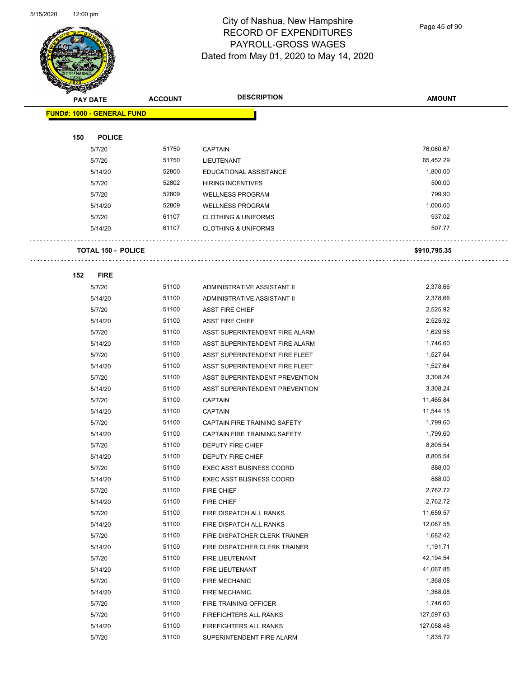Page 45 of 90

|     | <b>PAY DATE</b>                   | <b>ACCOUNT</b> | <b>DESCRIPTION</b>              | <b>AMOUNT</b> |
|-----|-----------------------------------|----------------|---------------------------------|---------------|
|     | <b>FUND#: 1000 - GENERAL FUND</b> |                |                                 |               |
|     |                                   |                |                                 |               |
| 150 | <b>POLICE</b>                     |                |                                 |               |
|     | 5/7/20                            | 51750          | <b>CAPTAIN</b>                  | 76,060.67     |
|     | 5/7/20                            | 51750          | LIEUTENANT                      | 65,452.29     |
|     | 5/14/20                           | 52800          | EDUCATIONAL ASSISTANCE          | 1,800.00      |
|     | 5/7/20                            | 52802          | <b>HIRING INCENTIVES</b>        | 500.00        |
|     | 5/7/20                            | 52809          | <b>WELLNESS PROGRAM</b>         | 799.90        |
|     | 5/14/20                           | 52809          | <b>WELLNESS PROGRAM</b>         | 1,000.00      |
|     | 5/7/20                            | 61107          | <b>CLOTHING &amp; UNIFORMS</b>  | 937.02        |
|     | 5/14/20                           | 61107          | <b>CLOTHING &amp; UNIFORMS</b>  | 507.77        |
|     | <b>TOTAL 150 - POLICE</b>         |                |                                 | \$910,795.35  |
|     |                                   |                |                                 |               |
| 152 | <b>FIRE</b><br>5/7/20             | 51100          | ADMINISTRATIVE ASSISTANT II     | 2,378.66      |
|     | 5/14/20                           | 51100          | ADMINISTRATIVE ASSISTANT II     | 2,378.66      |
|     | 5/7/20                            | 51100          | <b>ASST FIRE CHIEF</b>          | 2,525.92      |
|     | 5/14/20                           | 51100          | <b>ASST FIRE CHIEF</b>          | 2,525.92      |
|     | 5/7/20                            | 51100          | ASST SUPERINTENDENT FIRE ALARM  | 1,629.56      |
|     | 5/14/20                           | 51100          | ASST SUPERINTENDENT FIRE ALARM  | 1,746.60      |
|     | 5/7/20                            | 51100          | ASST SUPERINTENDENT FIRE FLEET  | 1,527.64      |
|     | 5/14/20                           | 51100          | ASST SUPERINTENDENT FIRE FLEET  | 1,527.64      |
|     | 5/7/20                            | 51100          | ASST SUPERINTENDENT PREVENTION  | 3,308.24      |
|     | 5/14/20                           | 51100          | ASST SUPERINTENDENT PREVENTION  | 3,308.24      |
|     | 5/7/20                            | 51100          | <b>CAPTAIN</b>                  | 11,465.84     |
|     | 5/14/20                           | 51100          | <b>CAPTAIN</b>                  | 11,544.15     |
|     | 5/7/20                            | 51100          | CAPTAIN FIRE TRAINING SAFETY    | 1,799.60      |
|     | 5/14/20                           | 51100          | CAPTAIN FIRE TRAINING SAFETY    | 1,799.60      |
|     | 5/7/20                            | 51100          | DEPUTY FIRE CHIEF               | 8,805.54      |
|     | 5/14/20                           | 51100          | DEPUTY FIRE CHIEF               | 8,805.54      |
|     | 5/7/20                            | 51100          | <b>EXEC ASST BUSINESS COORD</b> | 888.00        |
|     | 5/14/20                           | 51100          | EXEC ASST BUSINESS COORD        | 888.00        |
|     | 5/7/20                            | 51100          | FIRE CHIEF                      | 2,762.72      |
|     | 5/14/20                           | 51100          | FIRE CHIEF                      | 2,762.72      |
|     | 5/7/20                            | 51100          | FIRE DISPATCH ALL RANKS         | 11,659.57     |
|     | 5/14/20                           | 51100          | FIRE DISPATCH ALL RANKS         | 12,067.55     |
|     | 5/7/20                            | 51100          | FIRE DISPATCHER CLERK TRAINER   | 1,682.42      |
|     | 5/14/20                           | 51100          | FIRE DISPATCHER CLERK TRAINER   | 1,191.71      |
|     | 5/7/20                            | 51100          | FIRE LIEUTENANT                 | 42,194.54     |
|     | 5/14/20                           | 51100          | FIRE LIEUTENANT                 | 41,067.85     |
|     | 5/7/20                            | 51100          | <b>FIRE MECHANIC</b>            | 1,368.08      |
|     | 5/14/20                           | 51100          | <b>FIRE MECHANIC</b>            | 1,368.08      |
|     | 5/7/20                            | 51100          | FIRE TRAINING OFFICER           | 1,746.60      |
|     | 5/7/20                            | 51100          | FIREFIGHTERS ALL RANKS          | 127,597.63    |
|     | 5/14/20                           | 51100          | FIREFIGHTERS ALL RANKS          | 127,058.48    |
|     | 5/7/20                            | 51100          | SUPERINTENDENT FIRE ALARM       | 1,835.72      |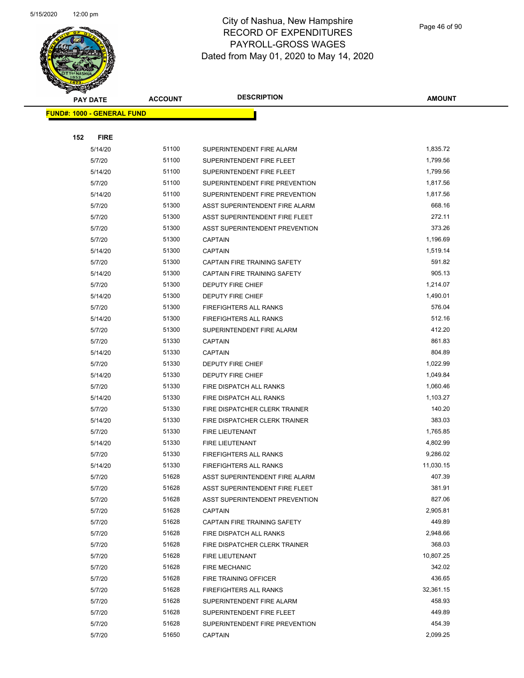|                                   | <b>PAY DATE</b>  | <b>ACCOUNT</b> | <b>DESCRIPTION</b>                                       | AMOUNT             |
|-----------------------------------|------------------|----------------|----------------------------------------------------------|--------------------|
| <b>FUND#: 1000 - GENERAL FUND</b> |                  |                |                                                          |                    |
|                                   |                  |                |                                                          |                    |
| 152                               | <b>FIRE</b>      |                |                                                          |                    |
|                                   | 5/14/20          | 51100          | SUPERINTENDENT FIRE ALARM                                | 1,835.72           |
|                                   | 5/7/20           | 51100          | SUPERINTENDENT FIRE FLEET                                | 1,799.56           |
|                                   | 5/14/20          | 51100          | SUPERINTENDENT FIRE FLEET                                | 1,799.56           |
|                                   | 5/7/20           | 51100          | SUPERINTENDENT FIRE PREVENTION                           | 1,817.56           |
|                                   | 5/14/20          | 51100          | SUPERINTENDENT FIRE PREVENTION                           | 1,817.56           |
|                                   | 5/7/20           | 51300          | ASST SUPERINTENDENT FIRE ALARM                           | 668.16             |
|                                   | 5/7/20           | 51300          | ASST SUPERINTENDENT FIRE FLEET                           | 272.11             |
|                                   | 5/7/20           | 51300          | ASST SUPERINTENDENT PREVENTION                           | 373.26             |
|                                   | 5/7/20           | 51300          | <b>CAPTAIN</b>                                           | 1,196.69           |
|                                   | 5/14/20          | 51300          | <b>CAPTAIN</b>                                           | 1,519.14           |
|                                   | 5/7/20           | 51300          | CAPTAIN FIRE TRAINING SAFETY                             | 591.82             |
|                                   | 5/14/20          | 51300          | CAPTAIN FIRE TRAINING SAFETY                             | 905.13             |
|                                   | 5/7/20           | 51300          | DEPUTY FIRE CHIEF                                        | 1,214.07           |
|                                   | 5/14/20          | 51300          | DEPUTY FIRE CHIEF                                        | 1,490.01           |
|                                   | 5/7/20           | 51300          | <b>FIREFIGHTERS ALL RANKS</b>                            | 576.04             |
|                                   | 5/14/20          | 51300          | FIREFIGHTERS ALL RANKS                                   | 512.16             |
|                                   | 5/7/20           | 51300          | SUPERINTENDENT FIRE ALARM                                | 412.20             |
|                                   | 5/7/20           | 51330          | <b>CAPTAIN</b>                                           | 861.83             |
|                                   | 5/14/20          | 51330          | <b>CAPTAIN</b>                                           | 804.89             |
|                                   | 5/7/20           | 51330          | <b>DEPUTY FIRE CHIEF</b>                                 | 1,022.99           |
|                                   | 5/14/20          | 51330          | DEPUTY FIRE CHIEF                                        | 1,049.84           |
|                                   | 5/7/20           | 51330          | FIRE DISPATCH ALL RANKS                                  | 1,060.46           |
|                                   | 5/14/20          | 51330          | FIRE DISPATCH ALL RANKS                                  | 1,103.27           |
|                                   | 5/7/20           | 51330          | FIRE DISPATCHER CLERK TRAINER                            | 140.20             |
|                                   | 5/14/20          | 51330          | FIRE DISPATCHER CLERK TRAINER                            | 383.03             |
|                                   | 5/7/20           | 51330          | FIRE LIEUTENANT                                          | 1,765.85           |
|                                   | 5/14/20          | 51330          | FIRE LIEUTENANT                                          | 4,802.99           |
|                                   | 5/7/20           | 51330          | FIREFIGHTERS ALL RANKS                                   | 9,286.02           |
|                                   | 5/14/20          | 51330          | <b>FIREFIGHTERS ALL RANKS</b>                            | 11,030.15          |
|                                   | 5/7/20           | 51628          | ASST SUPERINTENDENT FIRE ALARM                           | 407.39             |
|                                   | 5/7/20           | 51628          | ASST SUPERINTENDENT FIRE FLEET                           | 381.91             |
|                                   | 5/7/20           | 51628          | <b>ASST SUPERINTENDENT PREVENTION</b>                    | 827.06             |
|                                   | 5/7/20           | 51628<br>51628 | <b>CAPTAIN</b>                                           | 2,905.81<br>449.89 |
|                                   | 5/7/20           | 51628          | CAPTAIN FIRE TRAINING SAFETY                             | 2,948.66           |
|                                   | 5/7/20<br>5/7/20 | 51628          | FIRE DISPATCH ALL RANKS<br>FIRE DISPATCHER CLERK TRAINER | 368.03             |
|                                   | 5/7/20           | 51628          | FIRE LIEUTENANT                                          | 10,807.25          |
|                                   | 5/7/20           | 51628          | <b>FIRE MECHANIC</b>                                     | 342.02             |
|                                   | 5/7/20           | 51628          | FIRE TRAINING OFFICER                                    | 436.65             |
|                                   | 5/7/20           | 51628          | <b>FIREFIGHTERS ALL RANKS</b>                            | 32,361.15          |
|                                   | 5/7/20           | 51628          | SUPERINTENDENT FIRE ALARM                                | 458.93             |
|                                   | 5/7/20           | 51628          | SUPERINTENDENT FIRE FLEET                                | 449.89             |
|                                   | 5/7/20           | 51628          | SUPERINTENDENT FIRE PREVENTION                           | 454.39             |
|                                   | 5/7/20           | 51650          | <b>CAPTAIN</b>                                           | 2,099.25           |
|                                   |                  |                |                                                          |                    |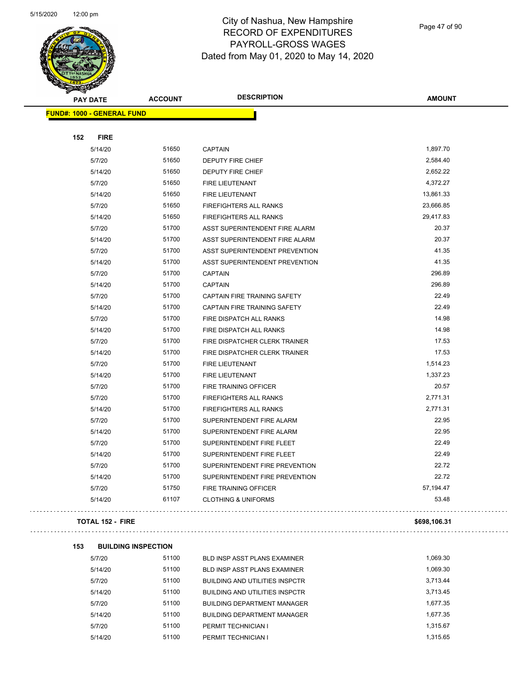

Page 47 of 90

|     | <b>PAY DATE</b>                   | <b>ACCOUNT</b>             | <b>DESCRIPTION</b>                                           | <b>AMOUNT</b> |
|-----|-----------------------------------|----------------------------|--------------------------------------------------------------|---------------|
|     | <b>FUND#: 1000 - GENERAL FUND</b> |                            |                                                              |               |
|     |                                   |                            |                                                              |               |
| 152 | <b>FIRE</b>                       |                            |                                                              |               |
|     | 5/14/20                           | 51650                      | <b>CAPTAIN</b>                                               | 1,897.70      |
|     | 5/7/20                            | 51650                      | DEPUTY FIRE CHIEF                                            | 2,584.40      |
|     | 5/14/20                           | 51650                      | <b>DEPUTY FIRE CHIEF</b>                                     | 2,652.22      |
|     | 5/7/20                            | 51650                      | <b>FIRE LIEUTENANT</b>                                       | 4,372.27      |
|     | 5/14/20                           | 51650                      | FIRE LIEUTENANT                                              | 13,861.33     |
|     | 5/7/20                            | 51650                      | <b>FIREFIGHTERS ALL RANKS</b>                                | 23,666.85     |
|     | 5/14/20                           | 51650                      | FIREFIGHTERS ALL RANKS                                       | 29,417.83     |
|     | 5/7/20                            | 51700                      | ASST SUPERINTENDENT FIRE ALARM                               | 20.37         |
|     | 5/14/20                           | 51700                      | ASST SUPERINTENDENT FIRE ALARM                               | 20.37         |
|     | 5/7/20                            | 51700                      | ASST SUPERINTENDENT PREVENTION                               | 41.35         |
|     | 5/14/20                           | 51700                      | ASST SUPERINTENDENT PREVENTION                               | 41.35         |
|     | 5/7/20                            | 51700                      | <b>CAPTAIN</b>                                               | 296.89        |
|     | 5/14/20                           | 51700                      | <b>CAPTAIN</b>                                               | 296.89        |
|     | 5/7/20                            | 51700                      | CAPTAIN FIRE TRAINING SAFETY                                 | 22.49         |
|     | 5/14/20                           | 51700                      | CAPTAIN FIRE TRAINING SAFETY                                 | 22.49         |
|     | 5/7/20                            | 51700                      | FIRE DISPATCH ALL RANKS                                      | 14.98         |
|     | 5/14/20                           | 51700                      | FIRE DISPATCH ALL RANKS                                      | 14.98         |
|     | 5/7/20                            | 51700                      | FIRE DISPATCHER CLERK TRAINER                                | 17.53         |
|     | 5/14/20                           | 51700                      | FIRE DISPATCHER CLERK TRAINER                                | 17.53         |
|     | 5/7/20                            | 51700                      | <b>FIRE LIEUTENANT</b>                                       | 1,514.23      |
|     | 5/14/20                           | 51700                      | <b>FIRE LIEUTENANT</b>                                       | 1,337.23      |
|     | 5/7/20                            | 51700                      | FIRE TRAINING OFFICER                                        | 20.57         |
|     | 5/7/20                            | 51700                      | <b>FIREFIGHTERS ALL RANKS</b>                                | 2,771.31      |
|     | 5/14/20                           | 51700                      | <b>FIREFIGHTERS ALL RANKS</b>                                | 2,771.31      |
|     | 5/7/20                            | 51700                      | SUPERINTENDENT FIRE ALARM                                    | 22.95         |
|     | 5/14/20                           | 51700                      | SUPERINTENDENT FIRE ALARM                                    | 22.95         |
|     | 5/7/20                            | 51700                      | SUPERINTENDENT FIRE FLEET                                    | 22.49         |
|     | 5/14/20                           | 51700                      | SUPERINTENDENT FIRE FLEET                                    | 22.49         |
|     | 5/7/20                            | 51700                      | SUPERINTENDENT FIRE PREVENTION                               | 22.72         |
|     | 5/14/20                           | 51700                      | SUPERINTENDENT FIRE PREVENTION                               | 22.72         |
|     | 5/7/20                            | 51750                      | FIRE TRAINING OFFICER                                        | 57,194.47     |
|     | 5/14/20                           | 61107                      | <b>CLOTHING &amp; UNIFORMS</b>                               | 53.48         |
|     | <b>TOTAL 152 - FIRE</b>           |                            |                                                              | \$698,106.31  |
| 153 |                                   | <b>BUILDING INSPECTION</b> |                                                              |               |
|     | 5/7/20                            | 51100                      |                                                              | 1,069.30      |
|     | 5/14/20                           | 51100                      | BLD INSP ASST PLANS EXAMINER<br>BLD INSP ASST PLANS EXAMINER | 1,069.30      |
|     |                                   |                            |                                                              |               |

| 5/14/20 | 51100 | <b>BLD INSP ASST PLANS EXAMINER</b>   | 1.069.30 |
|---------|-------|---------------------------------------|----------|
| 5/7/20  | 51100 | <b>BUILDING AND UTILITIES INSPCTR</b> | 3.713.44 |
| 5/14/20 | 51100 | <b>BUILDING AND UTILITIES INSPCTR</b> | 3.713.45 |
| 5/7/20  | 51100 | <b>BUILDING DEPARTMENT MANAGER</b>    | 1,677.35 |
| 5/14/20 | 51100 | <b>BUILDING DEPARTMENT MANAGER</b>    | 1.677.35 |
| 5/7/20  | 51100 | PERMIT TECHNICIAN I                   | 1.315.67 |
| 5/14/20 | 51100 | PERMIT TECHNICIAN I                   | 1.315.65 |
|         |       |                                       |          |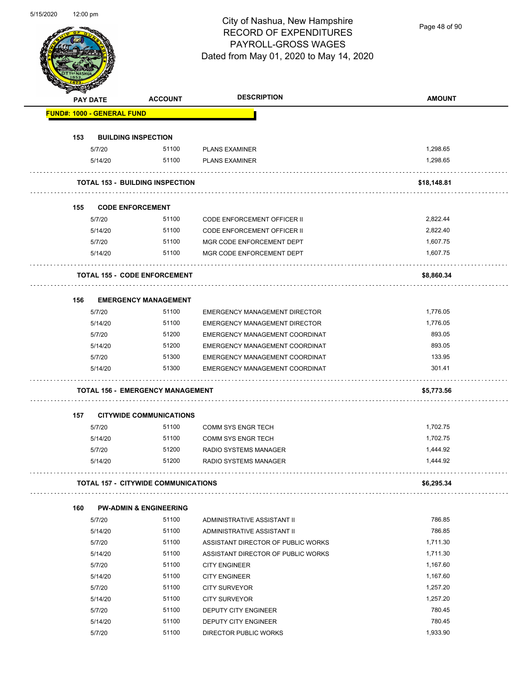Page 48 of 90

| <b>PAY DATE</b>                   | <b>ACCOUNT</b>                             | <b>DESCRIPTION</b>                   | <b>AMOUNT</b> |
|-----------------------------------|--------------------------------------------|--------------------------------------|---------------|
| <b>FUND#: 1000 - GENERAL FUND</b> |                                            |                                      |               |
| 153                               | <b>BUILDING INSPECTION</b>                 |                                      |               |
| 5/7/20                            | 51100                                      | <b>PLANS EXAMINER</b>                | 1,298.65      |
| 5/14/20                           | 51100                                      | <b>PLANS EXAMINER</b>                | 1,298.65      |
|                                   |                                            |                                      |               |
|                                   | <b>TOTAL 153 - BUILDING INSPECTION</b>     |                                      | \$18,148.81   |
| 155                               | <b>CODE ENFORCEMENT</b>                    |                                      |               |
| 5/7/20                            | 51100                                      | <b>CODE ENFORCEMENT OFFICER II</b>   | 2,822.44      |
| 5/14/20                           | 51100                                      | <b>CODE ENFORCEMENT OFFICER II</b>   | 2,822.40      |
| 5/7/20                            | 51100                                      | MGR CODE ENFORCEMENT DEPT            | 1,607.75      |
| 5/14/20                           | 51100                                      | MGR CODE ENFORCEMENT DEPT            | 1,607.75      |
|                                   | <b>TOTAL 155 - CODE ENFORCEMENT</b>        |                                      | \$8,860.34    |
| 156                               | <b>EMERGENCY MANAGEMENT</b>                |                                      |               |
| 5/7/20                            | 51100                                      | <b>EMERGENCY MANAGEMENT DIRECTOR</b> | 1,776.05      |
| 5/14/20                           | 51100                                      | <b>EMERGENCY MANAGEMENT DIRECTOR</b> | 1,776.05      |
| 5/7/20                            | 51200                                      | EMERGENCY MANAGEMENT COORDINAT       | 893.05        |
| 5/14/20                           | 51200                                      | EMERGENCY MANAGEMENT COORDINAT       | 893.05        |
| 5/7/20                            | 51300                                      | EMERGENCY MANAGEMENT COORDINAT       | 133.95        |
| 5/14/20                           | 51300                                      | EMERGENCY MANAGEMENT COORDINAT       | 301.41        |
|                                   | <b>TOTAL 156 - EMERGENCY MANAGEMENT</b>    |                                      | \$5,773.56    |
| 157                               | <b>CITYWIDE COMMUNICATIONS</b>             |                                      |               |
| 5/7/20                            | 51100                                      | <b>COMM SYS ENGR TECH</b>            | 1,702.75      |
| 5/14/20                           | 51100                                      | <b>COMM SYS ENGR TECH</b>            | 1,702.75      |
| 5/7/20                            | 51200                                      | <b>RADIO SYSTEMS MANAGER</b>         | 1,444.92      |
| 5/14/20                           | 51200                                      | RADIO SYSTEMS MANAGER                | 1,444.92      |
|                                   | <b>TOTAL 157 - CITYWIDE COMMUNICATIONS</b> |                                      | \$6,295.34    |
| 160                               | <b>PW-ADMIN &amp; ENGINEERING</b>          |                                      |               |
| 5/7/20                            | 51100                                      | ADMINISTRATIVE ASSISTANT II          | 786.85        |
| 5/14/20                           | 51100                                      | ADMINISTRATIVE ASSISTANT II          | 786.85        |
| 5/7/20                            | 51100                                      | ASSISTANT DIRECTOR OF PUBLIC WORKS   | 1,711.30      |
|                                   | 51100                                      | ASSISTANT DIRECTOR OF PUBLIC WORKS   | 1,711.30      |
| 5/14/20                           | 51100                                      | <b>CITY ENGINEER</b>                 | 1,167.60      |
| 5/7/20                            | 51100                                      | <b>CITY ENGINEER</b>                 | 1,167.60      |
| 5/14/20                           |                                            |                                      |               |
| 5/7/20                            | 51100                                      | <b>CITY SURVEYOR</b>                 | 1,257.20      |
| 5/14/20                           | 51100                                      | <b>CITY SURVEYOR</b>                 | 1,257.20      |
| 5/7/20                            | 51100                                      | DEPUTY CITY ENGINEER                 | 780.45        |
| 5/14/20                           | 51100                                      | DEPUTY CITY ENGINEER                 | 780.45        |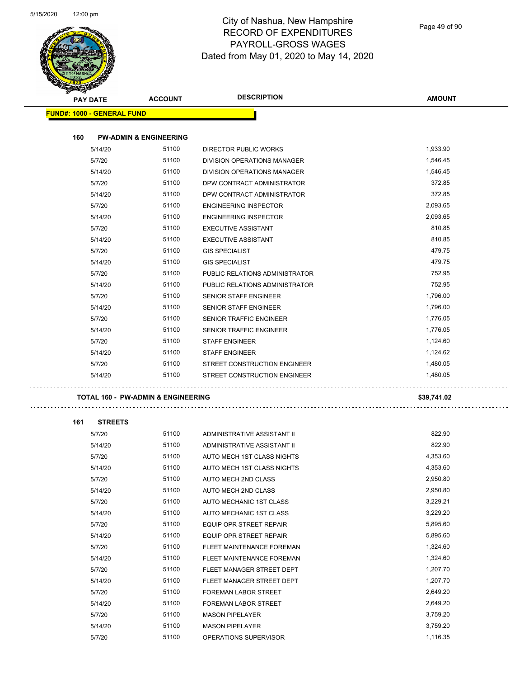Page 49 of 90

| <b>PAY DATE</b>                   | <b>ACCOUNT</b>                                | <b>DESCRIPTION</b>             | <b>AMOUNT</b> |
|-----------------------------------|-----------------------------------------------|--------------------------------|---------------|
| <b>FUND#: 1000 - GENERAL FUND</b> |                                               |                                |               |
| 160                               | <b>PW-ADMIN &amp; ENGINEERING</b>             |                                |               |
| 5/14/20                           | 51100                                         | <b>DIRECTOR PUBLIC WORKS</b>   | 1,933.90      |
| 5/7/20                            | 51100                                         | DIVISION OPERATIONS MANAGER    | 1,546.45      |
| 5/14/20                           | 51100                                         | DIVISION OPERATIONS MANAGER    | 1,546.45      |
| 5/7/20                            | 51100                                         | DPW CONTRACT ADMINISTRATOR     | 372.85        |
| 5/14/20                           | 51100                                         | DPW CONTRACT ADMINISTRATOR     | 372.85        |
| 5/7/20                            | 51100                                         | <b>ENGINEERING INSPECTOR</b>   | 2,093.65      |
| 5/14/20                           | 51100                                         | <b>ENGINEERING INSPECTOR</b>   | 2,093.65      |
| 5/7/20                            | 51100                                         | <b>EXECUTIVE ASSISTANT</b>     | 810.85        |
| 5/14/20                           | 51100                                         | <b>EXECUTIVE ASSISTANT</b>     | 810.85        |
| 5/7/20                            | 51100                                         | <b>GIS SPECIALIST</b>          | 479.75        |
| 5/14/20                           | 51100                                         | <b>GIS SPECIALIST</b>          | 479.75        |
| 5/7/20                            | 51100                                         | PUBLIC RELATIONS ADMINISTRATOR | 752.95        |
| 5/14/20                           | 51100                                         | PUBLIC RELATIONS ADMINISTRATOR | 752.95        |
| 5/7/20                            | 51100                                         | SENIOR STAFF ENGINEER          | 1,796.00      |
| 5/14/20                           | 51100                                         | <b>SENIOR STAFF ENGINEER</b>   | 1,796.00      |
| 5/7/20                            | 51100                                         | SENIOR TRAFFIC ENGINEER        | 1,776.05      |
| 5/14/20                           | 51100                                         | SENIOR TRAFFIC ENGINEER        | 1,776.05      |
| 5/7/20                            | 51100                                         | <b>STAFF ENGINEER</b>          | 1,124.60      |
| 5/14/20                           | 51100                                         | <b>STAFF ENGINEER</b>          | 1,124.62      |
| 5/7/20                            | 51100                                         | STREET CONSTRUCTION ENGINEER   | 1,480.05      |
| 5/14/20                           | 51100                                         | STREET CONSTRUCTION ENGINEER   | 1,480.05      |
|                                   | <b>TOTAL 160 - PW-ADMIN &amp; ENGINEERING</b> |                                | \$39,741.02   |
| 161<br><b>STREETS</b>             |                                               |                                |               |
| 5/7/20                            | 51100                                         | ADMINISTRATIVE ASSISTANT II    | 822.90        |
| 5/14/20                           | 51100                                         | ADMINISTRATIVE ASSISTANT II    | 822.90        |
| 5/7/20                            | 51100                                         | AUTO MECH 1ST CLASS NIGHTS     | 4,353.60      |
| 5/14/20                           | 51100                                         | AUTO MECH 1ST CLASS NIGHTS     | 4,353.60      |
| 5/7/20                            | 51100                                         | AUTO MECH 2ND CLASS            | 2,950.80      |
| 5/14/20                           | 51100                                         | AUTO MECH 2ND CLASS            | 2,950.80      |
| 5/7/20                            | 51100                                         | AUTO MECHANIC 1ST CLASS        | 3,229.21      |
| 5/14/20                           | 51100                                         | AUTO MECHANIC 1ST CLASS        | 3,229.20      |
| 5/7/20                            | 51100                                         | EQUIP OPR STREET REPAIR        | 5,895.60      |
| 5/14/20                           | 51100                                         | EQUIP OPR STREET REPAIR        | 5,895.60      |
| 5/7/20                            | 51100                                         | FLEET MAINTENANCE FOREMAN      | 1,324.60      |
| 5/14/20                           | 51100                                         | FLEET MAINTENANCE FOREMAN      | 1,324.60      |
| 5/7/20                            | 51100                                         | FLEET MANAGER STREET DEPT      | 1,207.70      |
| 5/14/20                           | 51100                                         | FLEET MANAGER STREET DEPT      | 1,207.70      |
| 5/7/20                            | 51100                                         | FOREMAN LABOR STREET           | 2,649.20      |
| 5/14/20                           | 51100                                         | FOREMAN LABOR STREET           | 2,649.20      |
| 5/7/20                            | 51100                                         | <b>MASON PIPELAYER</b>         | 3,759.20      |
| 5/14/20                           | 51100                                         | MASON PIPELAYER                | 3,759.20      |
|                                   |                                               |                                |               |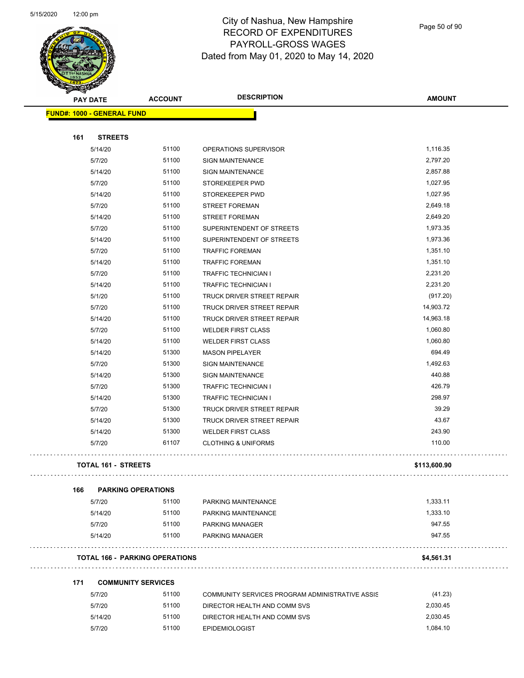$\overline{\phantom{0}}$ 



## City of Nashua, New Hampshire RECORD OF EXPENDITURES PAYROLL-GROSS WAGES Dated from May 01, 2020 to May 14, 2020

Page 50 of 90

|     | <b>PAY DATE</b>                   | <b>ACCOUNT</b>                        | <b>DESCRIPTION</b>                              | <b>AMOUNT</b> |
|-----|-----------------------------------|---------------------------------------|-------------------------------------------------|---------------|
|     | <b>FUND#: 1000 - GENERAL FUND</b> |                                       |                                                 |               |
|     |                                   |                                       |                                                 |               |
| 161 | <b>STREETS</b>                    |                                       |                                                 |               |
|     | 5/14/20                           | 51100                                 | OPERATIONS SUPERVISOR                           | 1,116.35      |
|     | 5/7/20                            | 51100                                 | <b>SIGN MAINTENANCE</b>                         | 2,797.20      |
|     | 5/14/20                           | 51100                                 | <b>SIGN MAINTENANCE</b>                         | 2,857.88      |
|     | 5/7/20                            | 51100                                 | STOREKEEPER PWD                                 | 1,027.95      |
|     | 5/14/20                           | 51100                                 | STOREKEEPER PWD                                 | 1,027.95      |
|     | 5/7/20                            | 51100                                 | <b>STREET FOREMAN</b>                           | 2,649.18      |
|     | 5/14/20                           | 51100                                 | <b>STREET FOREMAN</b>                           | 2,649.20      |
|     | 5/7/20                            | 51100                                 | SUPERINTENDENT OF STREETS                       | 1,973.35      |
|     | 5/14/20                           | 51100                                 | SUPERINTENDENT OF STREETS                       | 1,973.36      |
|     | 5/7/20                            | 51100                                 | <b>TRAFFIC FOREMAN</b>                          | 1,351.10      |
|     | 5/14/20                           | 51100                                 | TRAFFIC FOREMAN                                 | 1,351.10      |
|     | 5/7/20                            | 51100                                 | <b>TRAFFIC TECHNICIAN I</b>                     | 2,231.20      |
|     | 5/14/20                           | 51100                                 | <b>TRAFFIC TECHNICIAN I</b>                     | 2,231.20      |
|     | 5/1/20                            | 51100                                 | TRUCK DRIVER STREET REPAIR                      | (917.20)      |
|     | 5/7/20                            | 51100                                 | TRUCK DRIVER STREET REPAIR                      | 14,903.72     |
|     | 5/14/20                           | 51100                                 | <b>TRUCK DRIVER STREET REPAIR</b>               | 14,963.18     |
|     | 5/7/20                            | 51100                                 | <b>WELDER FIRST CLASS</b>                       | 1,060.80      |
|     | 5/14/20                           | 51100                                 | <b>WELDER FIRST CLASS</b>                       | 1,060.80      |
|     | 5/14/20                           | 51300                                 | <b>MASON PIPELAYER</b>                          | 694.49        |
|     | 5/7/20                            | 51300                                 | <b>SIGN MAINTENANCE</b>                         | 1,492.63      |
|     | 5/14/20                           | 51300                                 | <b>SIGN MAINTENANCE</b>                         | 440.88        |
|     | 5/7/20                            | 51300                                 | <b>TRAFFIC TECHNICIAN I</b>                     | 426.79        |
|     | 5/14/20                           | 51300                                 | <b>TRAFFIC TECHNICIAN I</b>                     | 298.97        |
|     | 5/7/20                            | 51300                                 | TRUCK DRIVER STREET REPAIR                      | 39.29         |
|     | 5/14/20                           | 51300                                 | TRUCK DRIVER STREET REPAIR                      | 43.67         |
|     | 5/14/20                           | 51300                                 | <b>WELDER FIRST CLASS</b>                       | 243.90        |
|     | 5/7/20                            | 61107                                 | <b>CLOTHING &amp; UNIFORMS</b>                  | 110.00        |
|     |                                   |                                       |                                                 |               |
|     | <b>TOTAL 161 - STREETS</b>        |                                       |                                                 | \$113,600.90  |
|     |                                   |                                       |                                                 |               |
| 166 |                                   | <b>PARKING OPERATIONS</b>             |                                                 |               |
|     | 5/7/20                            | 51100                                 | PARKING MAINTENANCE                             | 1,333.11      |
|     | 5/14/20                           | 51100                                 | PARKING MAINTENANCE                             | 1,333.10      |
|     | 5/7/20                            | 51100                                 | PARKING MANAGER                                 | 947.55        |
|     | 5/14/20                           | 51100                                 | <b>PARKING MANAGER</b>                          | 947.55        |
|     |                                   |                                       |                                                 |               |
|     |                                   | <b>TOTAL 166 - PARKING OPERATIONS</b> |                                                 | \$4,561.31    |
| 171 |                                   | <b>COMMUNITY SERVICES</b>             |                                                 |               |
|     | 5/7/20                            | 51100                                 | COMMUNITY SERVICES PROGRAM ADMINISTRATIVE ASSIS | (41.23)       |
|     | 5/7/20                            | 51100                                 | DIRECTOR HEALTH AND COMM SVS                    | 2,030.45      |
|     | 5/14/20                           | 51100                                 | DIRECTOR HEALTH AND COMM SVS                    | 2,030.45      |
|     | 5/7/20                            | 51100                                 | <b>EPIDEMIOLOGIST</b>                           | 1,084.10      |
|     |                                   |                                       |                                                 |               |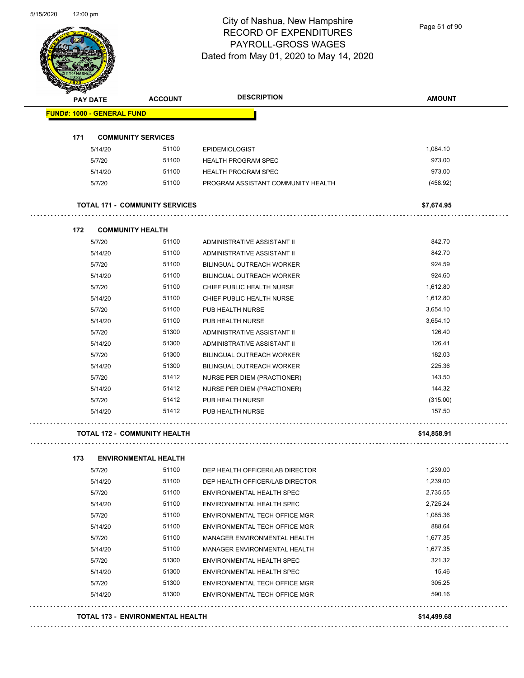Page 51 of 90

|                                   | <b>PAY DATE</b> | <b>ACCOUNT</b>                        | <b>DESCRIPTION</b>                 | <b>AMOUNT</b> |
|-----------------------------------|-----------------|---------------------------------------|------------------------------------|---------------|
| <b>FUND#: 1000 - GENERAL FUND</b> |                 |                                       |                                    |               |
| 171                               |                 | <b>COMMUNITY SERVICES</b>             |                                    |               |
|                                   | 5/14/20         | 51100                                 | <b>EPIDEMIOLOGIST</b>              | 1,084.10      |
|                                   | 5/7/20          | 51100                                 | <b>HEALTH PROGRAM SPEC</b>         | 973.00        |
|                                   | 5/14/20         | 51100                                 | <b>HEALTH PROGRAM SPEC</b>         | 973.00        |
|                                   | 5/7/20          | 51100                                 | PROGRAM ASSISTANT COMMUNITY HEALTH | (458.92)      |
|                                   |                 | <b>TOTAL 171 - COMMUNITY SERVICES</b> |                                    | \$7,674.95    |
| 172                               |                 | <b>COMMUNITY HEALTH</b>               |                                    |               |
|                                   | 5/7/20          | 51100                                 | ADMINISTRATIVE ASSISTANT II        | 842.70        |
|                                   | 5/14/20         | 51100                                 | ADMINISTRATIVE ASSISTANT II        | 842.70        |
|                                   | 5/7/20          | 51100                                 | BILINGUAL OUTREACH WORKER          | 924.59        |
|                                   | 5/14/20         | 51100                                 | <b>BILINGUAL OUTREACH WORKER</b>   | 924.60        |
|                                   | 5/7/20          | 51100                                 | CHIEF PUBLIC HEALTH NURSE          | 1,612.80      |
|                                   | 5/14/20         | 51100                                 | CHIEF PUBLIC HEALTH NURSE          | 1,612.80      |
|                                   | 5/7/20          | 51100                                 | PUB HEALTH NURSE                   | 3,654.10      |
|                                   | 5/14/20         | 51100                                 | PUB HEALTH NURSE                   | 3,654.10      |
|                                   | 5/7/20          | 51300                                 | ADMINISTRATIVE ASSISTANT II        | 126.40        |
|                                   | 5/14/20         | 51300                                 | ADMINISTRATIVE ASSISTANT II        | 126.41        |
|                                   | 5/7/20          | 51300                                 | BILINGUAL OUTREACH WORKER          | 182.03        |
|                                   | 5/14/20         | 51300                                 | BILINGUAL OUTREACH WORKER          | 225.36        |
|                                   | 5/7/20          | 51412                                 | NURSE PER DIEM (PRACTIONER)        | 143.50        |
|                                   | 5/14/20         | 51412                                 | NURSE PER DIEM (PRACTIONER)        | 144.32        |
|                                   | 5/7/20          | 51412                                 | PUB HEALTH NURSE                   | (315.00)      |
|                                   | 5/14/20         | 51412                                 | PUB HEALTH NURSE                   | 157.50        |
|                                   |                 | <b>TOTAL 172 - COMMUNITY HEALTH</b>   |                                    | \$14,858.91   |
| 173                               |                 | <b>ENVIRONMENTAL HEALTH</b>           |                                    |               |
|                                   | 5/7/20          | 51100                                 | DEP HEALTH OFFICER/LAB DIRECTOR    | 1,239.00      |
|                                   | 5/14/20         | 51100                                 | DEP HEALTH OFFICER/LAB DIRECTOR    | 1,239.00      |
|                                   | 5/7/20          | 51100                                 | ENVIRONMENTAL HEALTH SPEC          | 2,735.55      |
|                                   | 5/14/20         | 51100                                 | ENVIRONMENTAL HEALTH SPEC          | 2,725.24      |
|                                   | 5/7/20          | 51100                                 | ENVIRONMENTAL TECH OFFICE MGR      | 1,085.36      |
|                                   | 5/14/20         | 51100                                 | ENVIRONMENTAL TECH OFFICE MGR      | 888.64        |

5/7/20 51100 MANAGER ENVIRONMENTAL HEALTH 1,677.35 5/14/20 51100 MANAGER ENVIRONMENTAL HEALTH 1,677.35 5/7/20 51300 ENVIRONMENTAL HEALTH SPEC 321.32 5/14/20 51300 ENVIRONMENTAL HEALTH SPEC 15.46 5/7/20 51300 ENVIRONMENTAL TECH OFFICE MGR<br>305.25 5/14/20 51300 ENVIRONMENTAL TECH OFFICE MGR 590.16

**TOTAL 173 - ENVIRONMENTAL HEALTH \$14,499.68**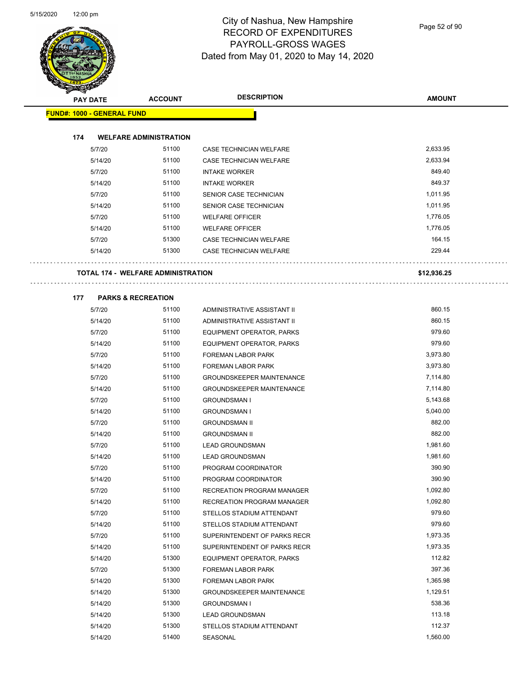

Page 52 of 90

|                                   | <b>PAY DATE</b> | <b>ACCOUNT</b>                     | <b>DESCRIPTION</b>               | <b>AMOUNT</b> |
|-----------------------------------|-----------------|------------------------------------|----------------------------------|---------------|
| <b>FUND#: 1000 - GENERAL FUND</b> |                 |                                    |                                  |               |
|                                   |                 |                                    |                                  |               |
| 174                               |                 | <b>WELFARE ADMINISTRATION</b>      |                                  |               |
|                                   | 5/7/20          | 51100                              | CASE TECHNICIAN WELFARE          | 2,633.95      |
|                                   | 5/14/20         | 51100                              | CASE TECHNICIAN WELFARE          | 2,633.94      |
|                                   | 5/7/20          | 51100                              | <b>INTAKE WORKER</b>             | 849.40        |
|                                   | 5/14/20         | 51100                              | <b>INTAKE WORKER</b>             | 849.37        |
|                                   | 5/7/20          | 51100                              | SENIOR CASE TECHNICIAN           | 1,011.95      |
|                                   | 5/14/20         | 51100                              | SENIOR CASE TECHNICIAN           | 1,011.95      |
|                                   | 5/7/20          | 51100                              | <b>WELFARE OFFICER</b>           | 1,776.05      |
|                                   | 5/14/20         | 51100                              | <b>WELFARE OFFICER</b>           | 1,776.05      |
|                                   | 5/7/20          | 51300                              | CASE TECHNICIAN WELFARE          | 164.15        |
|                                   | 5/14/20         | 51300                              | <b>CASE TECHNICIAN WELFARE</b>   | 229.44        |
|                                   |                 | TOTAL 174 - WELFARE ADMINISTRATION |                                  | \$12,936.25   |
| 177                               |                 | <b>PARKS &amp; RECREATION</b>      |                                  |               |
|                                   | 5/7/20          | 51100                              | ADMINISTRATIVE ASSISTANT II      | 860.15        |
|                                   | 5/14/20         | 51100                              | ADMINISTRATIVE ASSISTANT II      | 860.15        |
|                                   | 5/7/20          | 51100                              | EQUIPMENT OPERATOR, PARKS        | 979.60        |
|                                   | 5/14/20         | 51100                              | EQUIPMENT OPERATOR, PARKS        | 979.60        |
|                                   | 5/7/20          | 51100                              | FOREMAN LABOR PARK               | 3,973.80      |
|                                   | 5/14/20         | 51100                              | FOREMAN LABOR PARK               | 3,973.80      |
|                                   | 5/7/20          | 51100                              | <b>GROUNDSKEEPER MAINTENANCE</b> | 7,114.80      |
|                                   | 5/14/20         | 51100                              | <b>GROUNDSKEEPER MAINTENANCE</b> | 7,114.80      |
|                                   | 5/7/20          | 51100                              | <b>GROUNDSMAN I</b>              | 5,143.68      |
|                                   | 5/14/20         | 51100                              | <b>GROUNDSMAN I</b>              | 5,040.00      |
|                                   | 5/7/20          | 51100                              | <b>GROUNDSMAN II</b>             | 882.00        |
|                                   | 5/14/20         | 51100                              | <b>GROUNDSMAN II</b>             | 882.00        |
|                                   | 5/7/20          | 51100                              | <b>LEAD GROUNDSMAN</b>           | 1,981.60      |
|                                   | 5/14/20         | 51100                              | <b>LEAD GROUNDSMAN</b>           | 1,981.60      |
|                                   | 5/7/20          | 51100                              | PROGRAM COORDINATOR              | 390.90        |
|                                   | 5/14/20         | 51100                              | PROGRAM COORDINATOR              | 390.90        |
|                                   | 5/7/20          | 51100                              | RECREATION PROGRAM MANAGER       | 1,092.80      |
|                                   | 5/14/20         | 51100                              | RECREATION PROGRAM MANAGER       | 1,092.80      |
|                                   | 5/7/20          | 51100                              | STELLOS STADIUM ATTENDANT        | 979.60        |
|                                   | 5/14/20         | 51100                              | STELLOS STADIUM ATTENDANT        | 979.60        |
|                                   | 5/7/20          | 51100                              | SUPERINTENDENT OF PARKS RECR     | 1,973.35      |
|                                   | 5/14/20         | 51100                              | SUPERINTENDENT OF PARKS RECR     | 1,973.35      |
|                                   | 5/14/20         | 51300                              | EQUIPMENT OPERATOR, PARKS        | 112.82        |
|                                   | 5/7/20          | 51300                              | FOREMAN LABOR PARK               | 397.36        |
|                                   | 5/14/20         | 51300                              | FOREMAN LABOR PARK               | 1,365.98      |
|                                   | 5/14/20         | 51300                              | <b>GROUNDSKEEPER MAINTENANCE</b> | 1,129.51      |
|                                   | 5/14/20         | 51300                              | <b>GROUNDSMAN I</b>              | 538.36        |
|                                   | 5/14/20         | 51300                              | <b>LEAD GROUNDSMAN</b>           | 113.18        |
|                                   | 5/14/20         | 51300                              | STELLOS STADIUM ATTENDANT        | 112.37        |
|                                   | 5/14/20         | 51400                              | SEASONAL                         | 1,560.00      |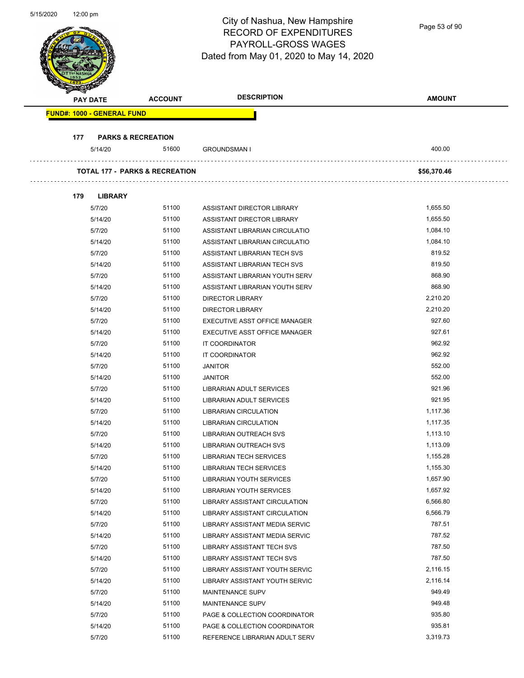|                            |                                          |                                           | $\sim$ . The contract the main point of<br><b>RECORD OF EXPENDITURES</b><br>PAYROLL-GROSS WAGES<br>Dated from May 01, 2020 to May 14, 2020 | Page 53 of 90 |  |
|----------------------------|------------------------------------------|-------------------------------------------|--------------------------------------------------------------------------------------------------------------------------------------------|---------------|--|
| <b>PAY DATE</b>            |                                          | <b>ACCOUNT</b>                            | <b>DESCRIPTION</b>                                                                                                                         | <b>AMOUNT</b> |  |
| FUND#: 1000 - GENERAL FUND |                                          |                                           |                                                                                                                                            |               |  |
|                            |                                          |                                           |                                                                                                                                            |               |  |
| 177                        | <b>PARKS &amp; RECREATION</b><br>5/14/20 | 51600                                     | <b>GROUNDSMAN I</b>                                                                                                                        | 400.00        |  |
|                            |                                          |                                           |                                                                                                                                            |               |  |
|                            |                                          | <b>TOTAL 177 - PARKS &amp; RECREATION</b> |                                                                                                                                            | \$56,370.46   |  |
| 179                        | <b>LIBRARY</b>                           |                                           |                                                                                                                                            |               |  |
|                            | 5/7/20                                   | 51100                                     | ASSISTANT DIRECTOR LIBRARY                                                                                                                 | 1,655.50      |  |
|                            | 5/14/20                                  | 51100                                     | ASSISTANT DIRECTOR LIBRARY                                                                                                                 | 1,655.50      |  |
|                            | 5/7/20                                   | 51100                                     | ASSISTANT LIBRARIAN CIRCULATIO                                                                                                             | 1,084.10      |  |
|                            | 5/14/20                                  | 51100                                     | ASSISTANT LIBRARIAN CIRCULATIO                                                                                                             | 1,084.10      |  |
|                            | 5/7/20                                   | 51100                                     | ASSISTANT LIBRARIAN TECH SVS                                                                                                               | 819.52        |  |
|                            | 5/14/20                                  | 51100                                     | ASSISTANT LIBRARIAN TECH SVS                                                                                                               | 819.50        |  |
|                            | 5/7/20                                   | 51100                                     | ASSISTANT LIBRARIAN YOUTH SERV                                                                                                             | 868.90        |  |
|                            | 5/14/20                                  | 51100                                     | ASSISTANT LIBRARIAN YOUTH SERV                                                                                                             | 868.90        |  |
|                            | 5/7/20                                   | 51100                                     | DIRECTOR LIBRARY                                                                                                                           | 2,210.20      |  |
|                            | 5/14/20                                  | 51100                                     | <b>DIRECTOR LIBRARY</b>                                                                                                                    | 2,210.20      |  |
|                            | 5/7/20                                   | 51100                                     | EXECUTIVE ASST OFFICE MANAGER                                                                                                              | 927.60        |  |
|                            | 5/14/20                                  | 51100                                     | EXECUTIVE ASST OFFICE MANAGER                                                                                                              | 927.61        |  |
|                            | 5/7/20                                   | 51100                                     | IT COORDINATOR                                                                                                                             | 962.92        |  |
|                            | 5/14/20                                  | 51100                                     | IT COORDINATOR                                                                                                                             | 962.92        |  |
|                            | 5/7/20                                   | 51100                                     | <b>JANITOR</b>                                                                                                                             | 552.00        |  |
|                            | 5/14/20                                  | 51100                                     | <b>JANITOR</b>                                                                                                                             | 552.00        |  |
|                            | 5/7/20                                   | 51100                                     | LIBRARIAN ADULT SERVICES                                                                                                                   | 921.96        |  |
|                            | 5/14/20                                  | 51100                                     | LIBRARIAN ADULT SERVICES                                                                                                                   | 921.95        |  |
|                            | 5/7/20                                   | 51100                                     | <b>LIBRARIAN CIRCULATION</b>                                                                                                               | 1,117.36      |  |
|                            | 5/14/20                                  | 51100                                     | <b>LIBRARIAN CIRCULATION</b>                                                                                                               | 1,117.35      |  |
|                            | 5/7/20                                   | 51100                                     | LIBRARIAN OUTREACH SVS                                                                                                                     | 1,113.10      |  |
|                            | 5/14/20                                  | 51100                                     | LIBRARIAN OUTREACH SVS                                                                                                                     | 1,113.09      |  |
|                            | 5/7/20                                   | 51100                                     | <b>LIBRARIAN TECH SERVICES</b>                                                                                                             | 1,155.28      |  |
|                            | 5/14/20                                  | 51100                                     | <b>LIBRARIAN TECH SERVICES</b>                                                                                                             | 1,155.30      |  |
|                            | 5/7/20                                   | 51100                                     | LIBRARIAN YOUTH SERVICES                                                                                                                   | 1,657.90      |  |
|                            | 5/14/20                                  | 51100                                     | <b>LIBRARIAN YOUTH SERVICES</b>                                                                                                            | 1,657.92      |  |
|                            | 5/7/20                                   | 51100                                     | LIBRARY ASSISTANT CIRCULATION                                                                                                              | 6,566.80      |  |
|                            | 5/14/20                                  | 51100                                     | LIBRARY ASSISTANT CIRCULATION                                                                                                              | 6,566.79      |  |
|                            | 5/7/20                                   | 51100                                     | LIBRARY ASSISTANT MEDIA SERVIC                                                                                                             | 787.51        |  |
|                            | 5/14/20                                  | 51100                                     | LIBRARY ASSISTANT MEDIA SERVIC                                                                                                             | 787.52        |  |
|                            | 5/7/20                                   | 51100                                     | LIBRARY ASSISTANT TECH SVS                                                                                                                 | 787.50        |  |
|                            | 5/14/20                                  | 51100                                     | LIBRARY ASSISTANT TECH SVS                                                                                                                 | 787.50        |  |
|                            | 5/7/20                                   | 51100                                     | LIBRARY ASSISTANT YOUTH SERVIC                                                                                                             | 2,116.15      |  |
|                            | 5/14/20                                  | 51100                                     | LIBRARY ASSISTANT YOUTH SERVIC                                                                                                             | 2,116.14      |  |
|                            | 5/7/20                                   | 51100                                     | <b>MAINTENANCE SUPV</b>                                                                                                                    | 949.49        |  |
|                            | 5/14/20                                  | 51100                                     | MAINTENANCE SUPV                                                                                                                           | 949.48        |  |
|                            | 5/7/20                                   | 51100                                     | PAGE & COLLECTION COORDINATOR                                                                                                              | 935.80        |  |
|                            | 5/14/20                                  | 51100                                     | PAGE & COLLECTION COORDINATOR                                                                                                              | 935.81        |  |

5/7/20 51100 REFERENCE LIBRARIAN ADULT SERV 3,319.73

City of Nashua, New Hampshire

5/15/2020 12:00 pm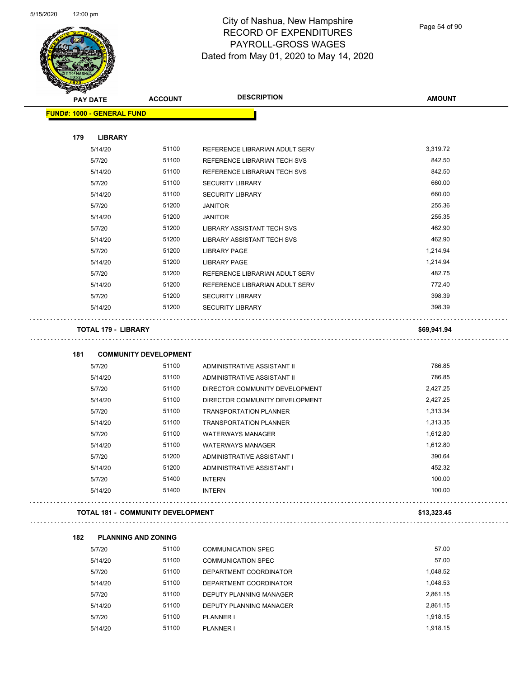

Page 54 of 90

| <b>PAY DATE</b> |                                   | <b>ACCOUNT</b>                           | <b>DESCRIPTION</b>                | <b>AMOUNT</b> |
|-----------------|-----------------------------------|------------------------------------------|-----------------------------------|---------------|
|                 | <b>FUND#: 1000 - GENERAL FUND</b> |                                          |                                   |               |
|                 |                                   |                                          |                                   |               |
| 179             | <b>LIBRARY</b>                    |                                          |                                   |               |
|                 | 5/14/20                           | 51100                                    | REFERENCE LIBRARIAN ADULT SERV    | 3,319.72      |
|                 | 5/7/20                            | 51100                                    | REFERENCE LIBRARIAN TECH SVS      | 842.50        |
|                 | 5/14/20                           | 51100                                    | REFERENCE LIBRARIAN TECH SVS      | 842.50        |
|                 | 5/7/20                            | 51100                                    | <b>SECURITY LIBRARY</b>           | 660.00        |
|                 | 5/14/20                           | 51100                                    | <b>SECURITY LIBRARY</b>           | 660.00        |
|                 | 5/7/20                            | 51200                                    | <b>JANITOR</b>                    | 255.36        |
|                 | 5/14/20                           | 51200                                    | <b>JANITOR</b>                    | 255.35        |
|                 | 5/7/20                            | 51200                                    | <b>LIBRARY ASSISTANT TECH SVS</b> | 462.90        |
|                 | 5/14/20                           | 51200                                    | LIBRARY ASSISTANT TECH SVS        | 462.90        |
|                 | 5/7/20                            | 51200                                    | LIBRARY PAGE                      | 1,214.94      |
|                 | 5/14/20                           | 51200                                    | <b>LIBRARY PAGE</b>               | 1,214.94      |
|                 | 5/7/20                            | 51200                                    | REFERENCE LIBRARIAN ADULT SERV    | 482.75        |
|                 | 5/14/20                           | 51200                                    | REFERENCE LIBRARIAN ADULT SERV    | 772.40        |
|                 | 5/7/20                            | 51200                                    | <b>SECURITY LIBRARY</b>           | 398.39        |
|                 | 5/14/20                           | 51200                                    | <b>SECURITY LIBRARY</b>           | 398.39        |
|                 | <b>TOTAL 179 - LIBRARY</b>        |                                          |                                   | \$69,941.94   |
|                 |                                   |                                          |                                   |               |
| 181             |                                   | <b>COMMUNITY DEVELOPMENT</b>             |                                   |               |
|                 | 5/7/20                            | 51100                                    | ADMINISTRATIVE ASSISTANT II       | 786.85        |
|                 | 5/14/20                           | 51100                                    | ADMINISTRATIVE ASSISTANT II       | 786.85        |
|                 | 5/7/20                            | 51100                                    | DIRECTOR COMMUNITY DEVELOPMENT    | 2,427.25      |
|                 | 5/14/20                           | 51100                                    | DIRECTOR COMMUNITY DEVELOPMENT    | 2,427.25      |
|                 | 5/7/20                            | 51100                                    | <b>TRANSPORTATION PLANNER</b>     | 1,313.34      |
|                 | 5/14/20                           | 51100                                    | <b>TRANSPORTATION PLANNER</b>     | 1,313.35      |
|                 | 5/7/20                            | 51100                                    | <b>WATERWAYS MANAGER</b>          | 1,612.80      |
|                 | 5/14/20                           | 51100                                    | <b>WATERWAYS MANAGER</b>          | 1,612.80      |
|                 | 5/7/20                            | 51200                                    | ADMINISTRATIVE ASSISTANT I        | 390.64        |
|                 | 5/14/20                           | 51200                                    | ADMINISTRATIVE ASSISTANT I        | 452.32        |
|                 | 5/7/20                            | 51400                                    | <b>INTERN</b>                     | 100.00        |
|                 | 5/14/20                           | 51400                                    | <b>INTERN</b>                     | 100.00        |
|                 |                                   | <b>TOTAL 181 - COMMUNITY DEVELOPMENT</b> |                                   | \$13,323.45   |
|                 |                                   |                                          |                                   |               |
| 182             | <b>PLANNING AND ZONING</b>        |                                          |                                   |               |
|                 | 5/7/20                            | 51100                                    | <b>COMMUNICATION SPEC</b>         | 57.00         |
|                 | 5/14/20                           | 51100                                    | <b>COMMUNICATION SPEC</b>         | 57.00         |
|                 | 5/7/20                            | 51100                                    | DEPARTMENT COORDINATOR            | 1,048.52      |
|                 | 5/14/20                           | 51100                                    | DEPARTMENT COORDINATOR            | 1,048.53      |
|                 | 5/7/20                            | 51100                                    | DEPUTY PLANNING MANAGER           | 2,861.15      |
|                 | 5/14/20                           | 51100                                    | DEPUTY PLANNING MANAGER           | 2,861.15      |
|                 | 5/7/20                            | 51100                                    | PLANNER I                         | 1,918.15      |

5/14/20 51100 PLANNER I 1,918.15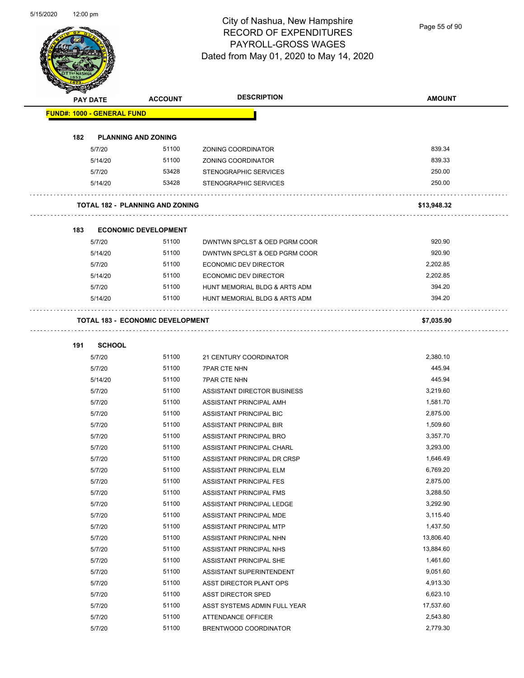Page 55 of 90

|     | <b>PAY DATE</b>                   | <b>ACCOUNT</b>                          | <b>DESCRIPTION</b>            | <b>AMOUNT</b> |
|-----|-----------------------------------|-----------------------------------------|-------------------------------|---------------|
|     | <b>FUND#: 1000 - GENERAL FUND</b> |                                         |                               |               |
| 182 |                                   | <b>PLANNING AND ZONING</b>              |                               |               |
|     | 5/7/20                            | 51100                                   | ZONING COORDINATOR            | 839.34        |
|     | 5/14/20                           | 51100                                   | ZONING COORDINATOR            | 839.33        |
|     | 5/7/20                            | 53428                                   | STENOGRAPHIC SERVICES         | 250.00        |
|     | 5/14/20                           | 53428                                   | <b>STENOGRAPHIC SERVICES</b>  | 250.00        |
|     |                                   | <b>TOTAL 182 - PLANNING AND ZONING</b>  |                               | \$13,948.32   |
| 183 |                                   | <b>ECONOMIC DEVELOPMENT</b>             |                               |               |
|     | 5/7/20                            | 51100                                   | DWNTWN SPCLST & OED PGRM COOR | 920.90        |
|     | 5/14/20                           | 51100                                   | DWNTWN SPCLST & OED PGRM COOR | 920.90        |
|     | 5/7/20                            | 51100                                   | <b>ECONOMIC DEV DIRECTOR</b>  | 2,202.85      |
|     | 5/14/20                           | 51100                                   | ECONOMIC DEV DIRECTOR         | 2.202.85      |
|     | 5/7/20                            | 51100                                   | HUNT MEMORIAL BLDG & ARTS ADM | 394.20        |
|     | 5/14/20                           | 51100                                   | HUNT MEMORIAL BLDG & ARTS ADM | 394.20        |
|     |                                   | <b>TOTAL 183 - ECONOMIC DEVELOPMENT</b> |                               | \$7,035.90    |
| 191 | <b>SCHOOL</b>                     |                                         |                               |               |
|     | 5/7/20                            | 51100                                   | 21 CENTURY COORDINATOR        | 2,380.10      |
|     | 5/7/20                            | 51100                                   | <b>7PAR CTE NHN</b>           | 445.94        |
|     | 5/14/20                           | 51100                                   | <b>7PAR CTE NHN</b>           | 445.94        |
|     | 5/7/20                            | 51100                                   | ASSISTANT DIRECTOR BUSINESS   | 3,219.60      |
|     | 5/7/20                            | 51100                                   | ASSISTANT PRINCIPAL AMH       | 1,581.70      |
|     | 5/7/20                            | 51100                                   | ASSISTANT PRINCIPAL BIC       | 2,875.00      |
|     | 5/7/20                            | 51100                                   | ASSISTANT PRINCIPAL BIR       | 1,509.60      |
|     | 5/7/20                            | 51100                                   | ASSISTANT PRINCIPAL BRO       | 3,357.70      |
|     | 5/7/20                            | 51100                                   | ASSISTANT PRINCIPAL CHARL     | 3,293.00      |
|     | 5/7/20                            | 51100                                   | ASSISTANT PRINCIPAL DR CRSP   | 1,646.49      |
|     | 5/7/20                            | 51100                                   | ASSISTANT PRINCIPAL ELM       | 6,769.20      |
|     | 5/7/20                            | 51100                                   | ASSISTANT PRINCIPAL FES       | 2,875.00      |
|     | 5/7/20                            | 51100                                   | ASSISTANT PRINCIPAL FMS       | 3,288.50      |
|     | 5/7/20                            | 51100                                   | ASSISTANT PRINCIPAL LEDGE     | 3,292.90      |
|     | 5/7/20                            | 51100                                   | ASSISTANT PRINCIPAL MDE       | 3,115.40      |
|     | 5/7/20                            | 51100                                   | ASSISTANT PRINCIPAL MTP       | 1,437.50      |
|     | 5/7/20                            | 51100                                   | ASSISTANT PRINCIPAL NHN       | 13,806.40     |
|     | 5/7/20                            | 51100                                   | ASSISTANT PRINCIPAL NHS       | 13,884.60     |
|     | 5/7/20                            | 51100                                   | ASSISTANT PRINCIPAL SHE       | 1,461.60      |
|     | 5/7/20                            | 51100                                   | ASSISTANT SUPERINTENDENT      | 9,051.60      |
|     |                                   | 51100                                   | ASST DIRECTOR PLANT OPS       | 4,913.30      |
|     | 5/7/20                            |                                         |                               |               |
|     | 5/7/20                            | 51100                                   | ASST DIRECTOR SPED            | 6,623.10      |
|     | 5/7/20                            | 51100                                   | ASST SYSTEMS ADMIN FULL YEAR  | 17,537.60     |
|     | 5/7/20                            | 51100                                   | <b>ATTENDANCE OFFICER</b>     | 2,543.80      |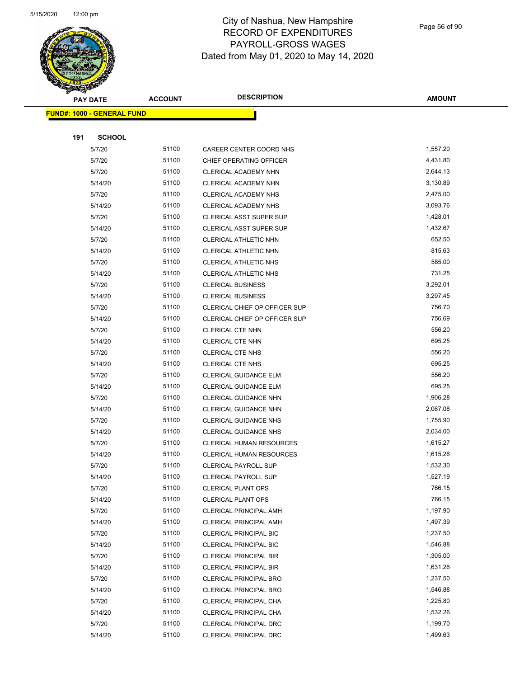

Page 56 of 90

| <b>PAY DATE</b>                   | <b>ACCOUNT</b> | <b>DESCRIPTION</b>                               | <b>AMOUNT</b>    |
|-----------------------------------|----------------|--------------------------------------------------|------------------|
| <b>FUND#: 1000 - GENERAL FUND</b> |                |                                                  |                  |
|                                   |                |                                                  |                  |
| 191<br><b>SCHOOL</b>              |                |                                                  |                  |
| 5/7/20                            | 51100          | CAREER CENTER COORD NHS                          | 1,557.20         |
| 5/7/20                            | 51100          | CHIEF OPERATING OFFICER                          | 4,431.80         |
| 5/7/20                            | 51100          | CLERICAL ACADEMY NHN                             | 2,644.13         |
| 5/14/20                           | 51100          | CLERICAL ACADEMY NHN                             | 3,130.89         |
| 5/7/20                            | 51100          | CLERICAL ACADEMY NHS                             | 2,475.00         |
| 5/14/20                           | 51100          | CLERICAL ACADEMY NHS                             | 3,093.76         |
| 5/7/20                            | 51100          | CLERICAL ASST SUPER SUP                          | 1,428.01         |
| 5/14/20                           | 51100          | CLERICAL ASST SUPER SUP                          | 1,432.67         |
| 5/7/20                            | 51100          | CLERICAL ATHLETIC NHN                            | 652.50           |
| 5/14/20                           | 51100          | CLERICAL ATHLETIC NHN                            | 815.63           |
| 5/7/20                            | 51100          | <b>CLERICAL ATHLETIC NHS</b>                     | 585.00           |
| 5/14/20                           | 51100          | CLERICAL ATHLETIC NHS                            | 731.25           |
| 5/7/20                            | 51100          | <b>CLERICAL BUSINESS</b>                         | 3,292.01         |
| 5/14/20                           | 51100          | <b>CLERICAL BUSINESS</b>                         | 3,297.45         |
| 5/7/20                            | 51100          | CLERICAL CHIEF OP OFFICER SUP                    | 756.70           |
| 5/14/20                           | 51100          | CLERICAL CHIEF OP OFFICER SUP                    | 756.69           |
| 5/7/20                            | 51100          | <b>CLERICAL CTE NHN</b>                          | 556.20           |
| 5/14/20                           | 51100          | CLERICAL CTE NHN                                 | 695.25           |
| 5/7/20                            | 51100          | <b>CLERICAL CTE NHS</b>                          | 556.20           |
| 5/14/20                           | 51100          | <b>CLERICAL CTE NHS</b>                          | 695.25           |
| 5/7/20                            | 51100          | <b>CLERICAL GUIDANCE ELM</b>                     | 556.20           |
| 5/14/20                           | 51100          | <b>CLERICAL GUIDANCE ELM</b>                     | 695.25           |
| 5/7/20                            | 51100          | CLERICAL GUIDANCE NHN                            | 1,906.28         |
| 5/14/20                           | 51100          | CLERICAL GUIDANCE NHN                            | 2,067.08         |
| 5/7/20                            | 51100          | <b>CLERICAL GUIDANCE NHS</b>                     | 1,755.90         |
| 5/14/20                           | 51100          | <b>CLERICAL GUIDANCE NHS</b>                     | 2,034.00         |
| 5/7/20                            | 51100          | <b>CLERICAL HUMAN RESOURCES</b>                  | 1,615.27         |
| 5/14/20                           | 51100          | <b>CLERICAL HUMAN RESOURCES</b>                  | 1,615.26         |
| 5/7/20                            | 51100          | <b>CLERICAL PAYROLL SUP</b>                      | 1,532.30         |
| 5/14/20                           | 51100          | CLERICAL PAYROLL SUP                             | 1,527.19         |
| 5/7/20                            | 51100          | <b>CLERICAL PLANT OPS</b>                        | 766.15<br>766.15 |
| 5/14/20                           | 51100          | <b>CLERICAL PLANT OPS</b>                        | 1,197.90         |
| 5/7/20<br>5/14/20                 | 51100<br>51100 | CLERICAL PRINCIPAL AMH<br>CLERICAL PRINCIPAL AMH | 1,497.39         |
| 5/7/20                            | 51100          | <b>CLERICAL PRINCIPAL BIC</b>                    | 1,237.50         |
| 5/14/20                           | 51100          | <b>CLERICAL PRINCIPAL BIC</b>                    | 1,546.88         |
| 5/7/20                            | 51100          | <b>CLERICAL PRINCIPAL BIR</b>                    | 1,305.00         |
| 5/14/20                           | 51100          | <b>CLERICAL PRINCIPAL BIR</b>                    | 1,631.26         |
| 5/7/20                            | 51100          | <b>CLERICAL PRINCIPAL BRO</b>                    | 1,237.50         |
| 5/14/20                           | 51100          | CLERICAL PRINCIPAL BRO                           | 1,546.88         |
| 5/7/20                            | 51100          | CLERICAL PRINCIPAL CHA                           | 1,225.80         |
| 5/14/20                           | 51100          | CLERICAL PRINCIPAL CHA                           | 1,532.26         |
| 5/7/20                            | 51100          | CLERICAL PRINCIPAL DRC                           | 1,199.70         |
| 5/14/20                           | 51100          | CLERICAL PRINCIPAL DRC                           | 1,499.63         |
|                                   |                |                                                  |                  |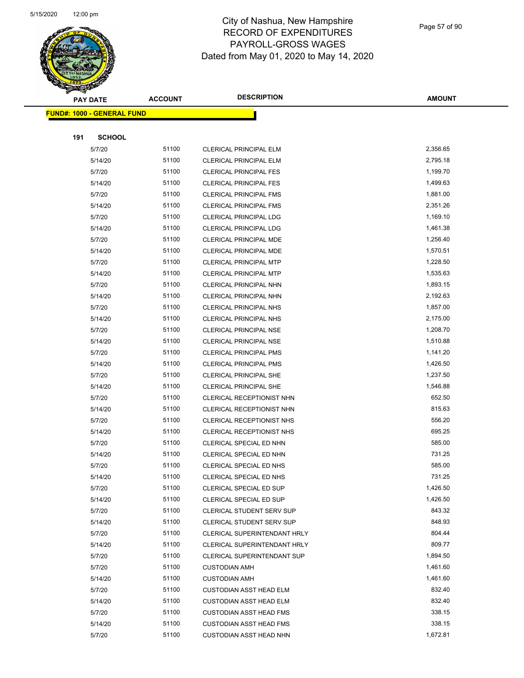

|     | <b>PAY DATE</b>                   | <b>ACCOUNT</b> | <b>DESCRIPTION</b>               | <b>AMOUNT</b> |
|-----|-----------------------------------|----------------|----------------------------------|---------------|
|     | <b>FUND#: 1000 - GENERAL FUND</b> |                |                                  |               |
|     |                                   |                |                                  |               |
| 191 | <b>SCHOOL</b>                     |                |                                  |               |
|     | 5/7/20                            | 51100          | CLERICAL PRINCIPAL ELM           | 2,356.65      |
|     | 5/14/20                           | 51100          | <b>CLERICAL PRINCIPAL ELM</b>    | 2,795.18      |
|     | 5/7/20                            | 51100          | <b>CLERICAL PRINCIPAL FES</b>    | 1,199.70      |
|     | 5/14/20                           | 51100          | <b>CLERICAL PRINCIPAL FES</b>    | 1,499.63      |
|     | 5/7/20                            | 51100          | <b>CLERICAL PRINCIPAL FMS</b>    | 1,881.00      |
|     | 5/14/20                           | 51100          | <b>CLERICAL PRINCIPAL FMS</b>    | 2,351.26      |
|     | 5/7/20                            | 51100          | <b>CLERICAL PRINCIPAL LDG</b>    | 1,169.10      |
|     | 5/14/20                           | 51100          | <b>CLERICAL PRINCIPAL LDG</b>    | 1,461.38      |
|     | 5/7/20                            | 51100          | CLERICAL PRINCIPAL MDE           | 1,256.40      |
|     | 5/14/20                           | 51100          | <b>CLERICAL PRINCIPAL MDE</b>    | 1,570.51      |
|     | 5/7/20                            | 51100          | <b>CLERICAL PRINCIPAL MTP</b>    | 1,228.50      |
|     | 5/14/20                           | 51100          | <b>CLERICAL PRINCIPAL MTP</b>    | 1,535.63      |
|     | 5/7/20                            | 51100          | CLERICAL PRINCIPAL NHN           | 1,893.15      |
|     | 5/14/20                           | 51100          | CLERICAL PRINCIPAL NHN           | 2,192.63      |
|     | 5/7/20                            | 51100          | CLERICAL PRINCIPAL NHS           | 1,857.00      |
|     | 5/14/20                           | 51100          | <b>CLERICAL PRINCIPAL NHS</b>    | 2,175.00      |
|     | 5/7/20                            | 51100          | <b>CLERICAL PRINCIPAL NSE</b>    | 1,208.70      |
|     | 5/14/20                           | 51100          | <b>CLERICAL PRINCIPAL NSE</b>    | 1,510.88      |
|     | 5/7/20                            | 51100          | <b>CLERICAL PRINCIPAL PMS</b>    | 1,141.20      |
|     | 5/14/20                           | 51100          | <b>CLERICAL PRINCIPAL PMS</b>    | 1,426.50      |
|     | 5/7/20                            | 51100          | CLERICAL PRINCIPAL SHE           | 1,237.50      |
|     | 5/14/20                           | 51100          | <b>CLERICAL PRINCIPAL SHE</b>    | 1,546.88      |
|     | 5/7/20                            | 51100          | CLERICAL RECEPTIONIST NHN        | 652.50        |
|     | 5/14/20                           | 51100          | CLERICAL RECEPTIONIST NHN        | 815.63        |
|     | 5/7/20                            | 51100          | CLERICAL RECEPTIONIST NHS        | 556.20        |
|     | 5/14/20                           | 51100          | CLERICAL RECEPTIONIST NHS        | 695.25        |
|     | 5/7/20                            | 51100          | CLERICAL SPECIAL ED NHN          | 585.00        |
|     | 5/14/20                           | 51100          | CLERICAL SPECIAL ED NHN          | 731.25        |
|     | 5/7/20                            | 51100          | CLERICAL SPECIAL ED NHS          | 585.00        |
|     | 5/14/20                           | 51100          | CLERICAL SPECIAL ED NHS          | 731.25        |
|     | 5/7/20                            | 51100          | <b>CLERICAL SPECIAL ED SUP</b>   | 1,426.50      |
|     | 5/14/20                           | 51100          | CLERICAL SPECIAL ED SUP          | 1,426.50      |
|     | 5/7/20                            | 51100          | <b>CLERICAL STUDENT SERV SUP</b> | 843.32        |
|     | 5/14/20                           | 51100          | CLERICAL STUDENT SERV SUP        | 848.93        |
|     | 5/7/20                            | 51100          | CLERICAL SUPERINTENDANT HRLY     | 804.44        |
|     | 5/14/20                           | 51100          | CLERICAL SUPERINTENDANT HRLY     | 809.77        |
|     | 5/7/20                            | 51100          | CLERICAL SUPERINTENDANT SUP      | 1,894.50      |
|     | 5/7/20                            | 51100          | <b>CUSTODIAN AMH</b>             | 1,461.60      |
|     | 5/14/20                           | 51100          | <b>CUSTODIAN AMH</b>             | 1,461.60      |
|     | 5/7/20                            | 51100          | <b>CUSTODIAN ASST HEAD ELM</b>   | 832.40        |
|     | 5/14/20                           | 51100          | <b>CUSTODIAN ASST HEAD ELM</b>   | 832.40        |
|     | 5/7/20                            | 51100          | <b>CUSTODIAN ASST HEAD FMS</b>   | 338.15        |
|     | 5/14/20                           | 51100          | <b>CUSTODIAN ASST HEAD FMS</b>   | 338.15        |
|     | 5/7/20                            | 51100          | <b>CUSTODIAN ASST HEAD NHN</b>   | 1,672.81      |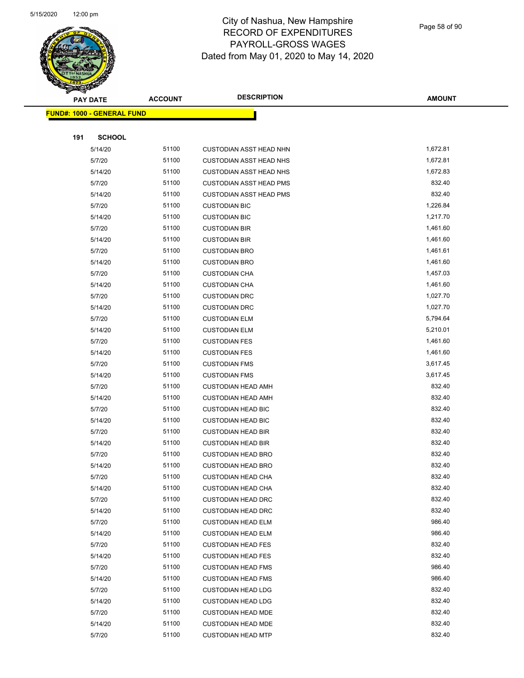

|     | <b>PAY DATE</b>                    | <b>ACCOUNT</b> | <b>DESCRIPTION</b>             | <b>AMOUNT</b> |
|-----|------------------------------------|----------------|--------------------------------|---------------|
|     | <u> FUND#: 1000 - GENERAL FUND</u> |                |                                |               |
|     |                                    |                |                                |               |
| 191 | <b>SCHOOL</b>                      |                |                                |               |
|     | 5/14/20                            | 51100          | <b>CUSTODIAN ASST HEAD NHN</b> | 1,672.81      |
|     | 5/7/20                             | 51100          | <b>CUSTODIAN ASST HEAD NHS</b> | 1,672.81      |
|     | 5/14/20                            | 51100          | <b>CUSTODIAN ASST HEAD NHS</b> | 1,672.83      |
|     | 5/7/20                             | 51100          | <b>CUSTODIAN ASST HEAD PMS</b> | 832.40        |
|     | 5/14/20                            | 51100          | CUSTODIAN ASST HEAD PMS        | 832.40        |
|     | 5/7/20                             | 51100          | <b>CUSTODIAN BIC</b>           | 1,226.84      |
|     | 5/14/20                            | 51100          | <b>CUSTODIAN BIC</b>           | 1,217.70      |
|     | 5/7/20                             | 51100          | <b>CUSTODIAN BIR</b>           | 1,461.60      |
|     | 5/14/20                            | 51100          | <b>CUSTODIAN BIR</b>           | 1,461.60      |
|     | 5/7/20                             | 51100          | <b>CUSTODIAN BRO</b>           | 1,461.61      |
|     | 5/14/20                            | 51100          | <b>CUSTODIAN BRO</b>           | 1,461.60      |
|     | 5/7/20                             | 51100          | <b>CUSTODIAN CHA</b>           | 1,457.03      |
|     | 5/14/20                            | 51100          | <b>CUSTODIAN CHA</b>           | 1,461.60      |
|     | 5/7/20                             | 51100          | <b>CUSTODIAN DRC</b>           | 1,027.70      |
|     | 5/14/20                            | 51100          | <b>CUSTODIAN DRC</b>           | 1,027.70      |
|     | 5/7/20                             | 51100          | <b>CUSTODIAN ELM</b>           | 5,794.64      |
|     | 5/14/20                            | 51100          | <b>CUSTODIAN ELM</b>           | 5,210.01      |
|     | 5/7/20                             | 51100          | <b>CUSTODIAN FES</b>           | 1,461.60      |
|     | 5/14/20                            | 51100          | <b>CUSTODIAN FES</b>           | 1,461.60      |
|     | 5/7/20                             | 51100          | <b>CUSTODIAN FMS</b>           | 3,617.45      |
|     | 5/14/20                            | 51100          | <b>CUSTODIAN FMS</b>           | 3,617.45      |
|     | 5/7/20                             | 51100          | <b>CUSTODIAN HEAD AMH</b>      | 832.40        |
|     | 5/14/20                            | 51100          | <b>CUSTODIAN HEAD AMH</b>      | 832.40        |
|     | 5/7/20                             | 51100          | <b>CUSTODIAN HEAD BIC</b>      | 832.40        |
|     | 5/14/20                            | 51100          | <b>CUSTODIAN HEAD BIC</b>      | 832.40        |
|     | 5/7/20                             | 51100          | <b>CUSTODIAN HEAD BIR</b>      | 832.40        |
|     | 5/14/20                            | 51100          | <b>CUSTODIAN HEAD BIR</b>      | 832.40        |
|     | 5/7/20                             | 51100          | <b>CUSTODIAN HEAD BRO</b>      | 832.40        |
|     | 5/14/20                            | 51100          | <b>CUSTODIAN HEAD BRO</b>      | 832.40        |
|     | 5/7/20                             | 51100          | <b>CUSTODIAN HEAD CHA</b>      | 832.40        |
|     | 5/14/20                            | 51100          | <b>CUSTODIAN HEAD CHA</b>      | 832.40        |
|     | 5/7/20                             | 51100          | <b>CUSTODIAN HEAD DRC</b>      | 832.40        |
|     | 5/14/20                            | 51100          | <b>CUSTODIAN HEAD DRC</b>      | 832.40        |
|     | 5/7/20                             | 51100          | <b>CUSTODIAN HEAD ELM</b>      | 986.40        |
|     | 5/14/20                            | 51100          | <b>CUSTODIAN HEAD ELM</b>      | 986.40        |
|     | 5/7/20                             | 51100          | <b>CUSTODIAN HEAD FES</b>      | 832.40        |
|     | 5/14/20                            | 51100          | <b>CUSTODIAN HEAD FES</b>      | 832.40        |
|     | 5/7/20                             | 51100          | <b>CUSTODIAN HEAD FMS</b>      | 986.40        |
|     | 5/14/20                            | 51100          | <b>CUSTODIAN HEAD FMS</b>      | 986.40        |
|     | 5/7/20                             | 51100          | <b>CUSTODIAN HEAD LDG</b>      | 832.40        |
|     | 5/14/20                            | 51100          | <b>CUSTODIAN HEAD LDG</b>      | 832.40        |
|     | 5/7/20                             | 51100          | <b>CUSTODIAN HEAD MDE</b>      | 832.40        |
|     | 5/14/20                            | 51100          | <b>CUSTODIAN HEAD MDE</b>      | 832.40        |
|     | 5/7/20                             | 51100          | <b>CUSTODIAN HEAD MTP</b>      | 832.40        |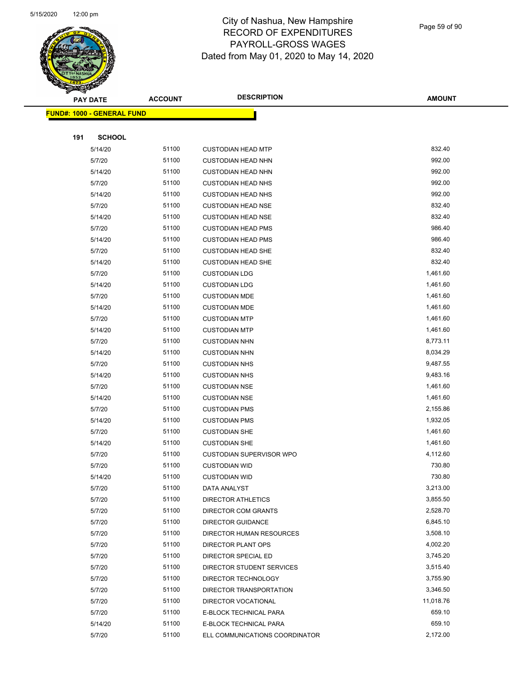

Page 59 of 90

|                                   | <b>PAY DATE</b> | <b>ACCOUNT</b> | <b>DESCRIPTION</b>             | <b>AMOUNT</b> |
|-----------------------------------|-----------------|----------------|--------------------------------|---------------|
| <b>FUND#: 1000 - GENERAL FUND</b> |                 |                |                                |               |
|                                   |                 |                |                                |               |
| 191                               | <b>SCHOOL</b>   |                |                                |               |
|                                   | 5/14/20         | 51100          | <b>CUSTODIAN HEAD MTP</b>      | 832.40        |
|                                   | 5/7/20          | 51100          | <b>CUSTODIAN HEAD NHN</b>      | 992.00        |
|                                   | 5/14/20         | 51100          | <b>CUSTODIAN HEAD NHN</b>      | 992.00        |
|                                   | 5/7/20          | 51100          | <b>CUSTODIAN HEAD NHS</b>      | 992.00        |
|                                   | 5/14/20         | 51100          | <b>CUSTODIAN HEAD NHS</b>      | 992.00        |
|                                   | 5/7/20          | 51100          | <b>CUSTODIAN HEAD NSE</b>      | 832.40        |
|                                   | 5/14/20         | 51100          | <b>CUSTODIAN HEAD NSE</b>      | 832.40        |
|                                   | 5/7/20          | 51100          | <b>CUSTODIAN HEAD PMS</b>      | 986.40        |
|                                   | 5/14/20         | 51100          | <b>CUSTODIAN HEAD PMS</b>      | 986.40        |
|                                   | 5/7/20          | 51100          | <b>CUSTODIAN HEAD SHE</b>      | 832.40        |
|                                   | 5/14/20         | 51100          | <b>CUSTODIAN HEAD SHE</b>      | 832.40        |
|                                   | 5/7/20          | 51100          | <b>CUSTODIAN LDG</b>           | 1,461.60      |
|                                   | 5/14/20         | 51100          | <b>CUSTODIAN LDG</b>           | 1,461.60      |
|                                   | 5/7/20          | 51100          | <b>CUSTODIAN MDE</b>           | 1,461.60      |
|                                   | 5/14/20         | 51100          | <b>CUSTODIAN MDE</b>           | 1,461.60      |
|                                   | 5/7/20          | 51100          | <b>CUSTODIAN MTP</b>           | 1,461.60      |
|                                   | 5/14/20         | 51100          | <b>CUSTODIAN MTP</b>           | 1,461.60      |
|                                   | 5/7/20          | 51100          | <b>CUSTODIAN NHN</b>           | 8,773.11      |
|                                   | 5/14/20         | 51100          | <b>CUSTODIAN NHN</b>           | 8,034.29      |
|                                   | 5/7/20          | 51100          | <b>CUSTODIAN NHS</b>           | 9,487.55      |
|                                   | 5/14/20         | 51100          | <b>CUSTODIAN NHS</b>           | 9,483.16      |
|                                   | 5/7/20          | 51100          | <b>CUSTODIAN NSE</b>           | 1,461.60      |
|                                   | 5/14/20         | 51100          | <b>CUSTODIAN NSE</b>           | 1,461.60      |
|                                   | 5/7/20          | 51100          | <b>CUSTODIAN PMS</b>           | 2,155.86      |
|                                   | 5/14/20         | 51100          | <b>CUSTODIAN PMS</b>           | 1,932.05      |
|                                   | 5/7/20          | 51100          | <b>CUSTODIAN SHE</b>           | 1,461.60      |
|                                   | 5/14/20         | 51100          | <b>CUSTODIAN SHE</b>           | 1,461.60      |
|                                   | 5/7/20          | 51100          | CUSTODIAN SUPERVISOR WPO       | 4,112.60      |
|                                   | 5/7/20          | 51100          | <b>CUSTODIAN WID</b>           | 730.80        |
|                                   | 5/14/20         | 51100          | <b>CUSTODIAN WID</b>           | 730.80        |
|                                   | 5/7/20          | 51100          | DATA ANALYST                   | 3,213.00      |
|                                   | 5/7/20          | 51100          | <b>DIRECTOR ATHLETICS</b>      | 3,855.50      |
|                                   | 5/7/20          | 51100          | DIRECTOR COM GRANTS            | 2,528.70      |
|                                   | 5/7/20          | 51100          | DIRECTOR GUIDANCE              | 6,845.10      |
|                                   | 5/7/20          | 51100          | DIRECTOR HUMAN RESOURCES       | 3,508.10      |
|                                   | 5/7/20          | 51100          | DIRECTOR PLANT OPS             | 4,002.20      |
|                                   | 5/7/20          | 51100          | DIRECTOR SPECIAL ED            | 3,745.20      |
|                                   | 5/7/20          | 51100          | DIRECTOR STUDENT SERVICES      | 3,515.40      |
|                                   | 5/7/20          | 51100          | DIRECTOR TECHNOLOGY            | 3,755.90      |
|                                   | 5/7/20          | 51100          | DIRECTOR TRANSPORTATION        | 3,346.50      |
|                                   | 5/7/20          | 51100          | DIRECTOR VOCATIONAL            | 11,018.76     |
|                                   | 5/7/20          | 51100          | E-BLOCK TECHNICAL PARA         | 659.10        |
|                                   | 5/14/20         | 51100          | E-BLOCK TECHNICAL PARA         | 659.10        |
|                                   | 5/7/20          | 51100          | ELL COMMUNICATIONS COORDINATOR | 2,172.00      |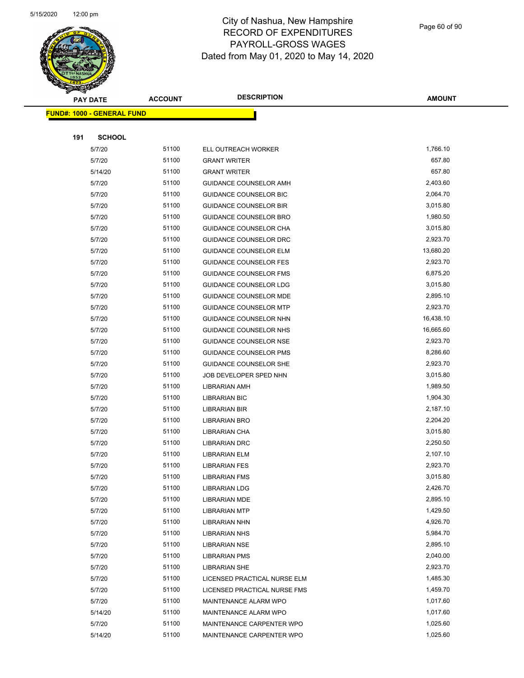

Page 60 of 90

|     | <b>PAY DATE</b>                   | <b>ACCOUNT</b> | <b>DESCRIPTION</b>            | <b>AMOUNT</b> |
|-----|-----------------------------------|----------------|-------------------------------|---------------|
|     | <b>FUND#: 1000 - GENERAL FUND</b> |                |                               |               |
|     |                                   |                |                               |               |
| 191 | <b>SCHOOL</b>                     |                |                               |               |
|     | 5/7/20                            | 51100          | ELL OUTREACH WORKER           | 1,766.10      |
|     | 5/7/20                            | 51100          | <b>GRANT WRITER</b>           | 657.80        |
|     | 5/14/20                           | 51100          | <b>GRANT WRITER</b>           | 657.80        |
|     | 5/7/20                            | 51100          | <b>GUIDANCE COUNSELOR AMH</b> | 2,403.60      |
|     | 5/7/20                            | 51100          | <b>GUIDANCE COUNSELOR BIC</b> | 2,064.70      |
|     | 5/7/20                            | 51100          | <b>GUIDANCE COUNSELOR BIR</b> | 3,015.80      |
|     | 5/7/20                            | 51100          | GUIDANCE COUNSELOR BRO        | 1,980.50      |
|     | 5/7/20                            | 51100          | GUIDANCE COUNSELOR CHA        | 3,015.80      |
|     | 5/7/20                            | 51100          | GUIDANCE COUNSELOR DRC        | 2,923.70      |
|     | 5/7/20                            | 51100          | <b>GUIDANCE COUNSELOR ELM</b> | 13,680.20     |
|     | 5/7/20                            | 51100          | <b>GUIDANCE COUNSELOR FES</b> | 2,923.70      |
|     | 5/7/20                            | 51100          | <b>GUIDANCE COUNSELOR FMS</b> | 6,875.20      |
|     | 5/7/20                            | 51100          | GUIDANCE COUNSELOR LDG        | 3,015.80      |
|     | 5/7/20                            | 51100          | <b>GUIDANCE COUNSELOR MDE</b> | 2,895.10      |
|     | 5/7/20                            | 51100          | <b>GUIDANCE COUNSELOR MTP</b> | 2,923.70      |
|     | 5/7/20                            | 51100          | GUIDANCE COUNSELOR NHN        | 16,438.10     |
|     | 5/7/20                            | 51100          | GUIDANCE COUNSELOR NHS        | 16,665.60     |
|     | 5/7/20                            | 51100          | GUIDANCE COUNSELOR NSE        | 2,923.70      |
|     | 5/7/20                            | 51100          | <b>GUIDANCE COUNSELOR PMS</b> | 8,286.60      |
|     | 5/7/20                            | 51100          | <b>GUIDANCE COUNSELOR SHE</b> | 2,923.70      |
|     | 5/7/20                            | 51100          | JOB DEVELOPER SPED NHN        | 3,015.80      |
|     | 5/7/20                            | 51100          | LIBRARIAN AMH                 | 1,989.50      |
|     | 5/7/20                            | 51100          | <b>LIBRARIAN BIC</b>          | 1,904.30      |
|     | 5/7/20                            | 51100          | LIBRARIAN BIR                 | 2,187.10      |
|     | 5/7/20                            | 51100          | <b>LIBRARIAN BRO</b>          | 2,204.20      |
|     | 5/7/20                            | 51100          | LIBRARIAN CHA                 | 3,015.80      |
|     | 5/7/20                            | 51100          | <b>LIBRARIAN DRC</b>          | 2,250.50      |
|     | 5/7/20                            | 51100          | LIBRARIAN ELM                 | 2,107.10      |
|     | 5/7/20                            | 51100          | <b>LIBRARIAN FES</b>          | 2,923.70      |
|     | 5/7/20                            | 51100          | <b>LIBRARIAN FMS</b>          | 3,015.80      |
|     | 5/7/20                            | 51100          | <b>LIBRARIAN LDG</b>          | 2,426.70      |
|     | 5/7/20                            | 51100          | <b>LIBRARIAN MDE</b>          | 2,895.10      |
|     | 5/7/20                            | 51100          | <b>LIBRARIAN MTP</b>          | 1,429.50      |
|     | 5/7/20                            | 51100          | <b>LIBRARIAN NHN</b>          | 4,926.70      |
|     | 5/7/20                            | 51100          | <b>LIBRARIAN NHS</b>          | 5,984.70      |
|     | 5/7/20                            | 51100          | <b>LIBRARIAN NSE</b>          | 2,895.10      |
|     | 5/7/20                            | 51100          | <b>LIBRARIAN PMS</b>          | 2,040.00      |
|     | 5/7/20                            | 51100          | <b>LIBRARIAN SHE</b>          | 2,923.70      |
|     | 5/7/20                            | 51100          | LICENSED PRACTICAL NURSE ELM  | 1,485.30      |
|     | 5/7/20                            | 51100          | LICENSED PRACTICAL NURSE FMS  | 1,459.70      |
|     | 5/7/20                            | 51100          | MAINTENANCE ALARM WPO         | 1,017.60      |
|     | 5/14/20                           | 51100          | MAINTENANCE ALARM WPO         | 1,017.60      |
|     | 5/7/20                            | 51100          | MAINTENANCE CARPENTER WPO     | 1,025.60      |
|     | 5/14/20                           | 51100          | MAINTENANCE CARPENTER WPO     | 1,025.60      |
|     |                                   |                |                               |               |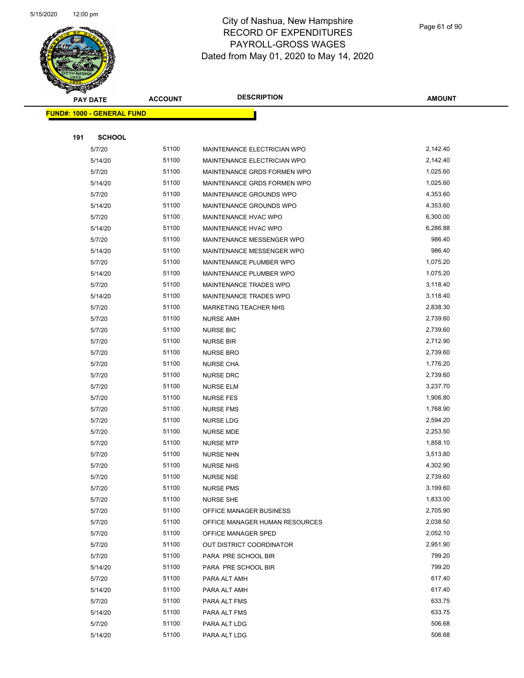

| A.  | <b>PAY DATE</b>                   | <b>ACCOUNT</b> | <b>DESCRIPTION</b>              | <b>AMOUNT</b> |
|-----|-----------------------------------|----------------|---------------------------------|---------------|
|     | <b>FUND#: 1000 - GENERAL FUND</b> |                |                                 |               |
|     |                                   |                |                                 |               |
| 191 | <b>SCHOOL</b>                     |                |                                 |               |
|     | 5/7/20                            | 51100          | MAINTENANCE ELECTRICIAN WPO     | 2,142.40      |
|     | 5/14/20                           | 51100          | MAINTENANCE ELECTRICIAN WPO     | 2,142.40      |
|     | 5/7/20                            | 51100          | MAINTENANCE GRDS FORMEN WPO     | 1,025.60      |
|     | 5/14/20                           | 51100          | MAINTENANCE GRDS FORMEN WPO     | 1,025.60      |
|     | 5/7/20                            | 51100          | MAINTENANCE GROUNDS WPO         | 4,353.60      |
|     | 5/14/20                           | 51100          | MAINTENANCE GROUNDS WPO         | 4,353.60      |
|     | 5/7/20                            | 51100          | MAINTENANCE HVAC WPO            | 6,300.00      |
|     | 5/14/20                           | 51100          | MAINTENANCE HVAC WPO            | 6,286.88      |
|     | 5/7/20                            | 51100          | MAINTENANCE MESSENGER WPO       | 986.40        |
|     | 5/14/20                           | 51100          | MAINTENANCE MESSENGER WPO       | 986.40        |
|     | 5/7/20                            | 51100          | MAINTENANCE PLUMBER WPO         | 1,075.20      |
|     | 5/14/20                           | 51100          | MAINTENANCE PLUMBER WPO         | 1,075.20      |
|     | 5/7/20                            | 51100          | MAINTENANCE TRADES WPO          | 3,118.40      |
|     | 5/14/20                           | 51100          | MAINTENANCE TRADES WPO          | 3,118.40      |
|     | 5/7/20                            | 51100          | MARKETING TEACHER NHS           | 2,838.30      |
|     | 5/7/20                            | 51100          | <b>NURSE AMH</b>                | 2,739.60      |
|     | 5/7/20                            | 51100          | <b>NURSE BIC</b>                | 2,739.60      |
|     | 5/7/20                            | 51100          | <b>NURSE BIR</b>                | 2,712.90      |
|     | 5/7/20                            | 51100          | <b>NURSE BRO</b>                | 2,739.60      |
|     | 5/7/20                            | 51100          | <b>NURSE CHA</b>                | 1,776.20      |
|     | 5/7/20                            | 51100          | <b>NURSE DRC</b>                | 2,739.60      |
|     | 5/7/20                            | 51100          | <b>NURSE ELM</b>                | 3,237.70      |
|     | 5/7/20                            | 51100          | NURSE FES                       | 1,906.80      |
|     | 5/7/20                            | 51100          | <b>NURSE FMS</b>                | 1,768.90      |
|     | 5/7/20                            | 51100          | NURSE LDG                       | 2,594.20      |
|     | 5/7/20                            | 51100          | <b>NURSE MDE</b>                | 2,253.50      |
|     | 5/7/20                            | 51100          | <b>NURSE MTP</b>                | 1,858.10      |
|     | 5/7/20                            | 51100          | <b>NURSE NHN</b>                | 3,513.80      |
|     | 5/7/20                            | 51100          | <b>NURSE NHS</b>                | 4,302.90      |
|     | 5/7/20                            | 51100          | NURSE NSE                       | 2,739.60      |
|     | 5/7/20                            | 51100          | <b>NURSE PMS</b>                | 3,199.60      |
|     | 5/7/20                            | 51100          | <b>NURSE SHE</b>                | 1,833.00      |
|     | 5/7/20                            | 51100          | OFFICE MANAGER BUSINESS         | 2,705.90      |
|     | 5/7/20                            | 51100          | OFFICE MANAGER HUMAN RESOURCES  | 2,038.50      |
|     | 5/7/20                            | 51100          | OFFICE MANAGER SPED             | 2,052.10      |
|     | 5/7/20                            | 51100          | <b>OUT DISTRICT COORDINATOR</b> | 2,951.90      |
|     | 5/7/20                            | 51100          | PARA PRE SCHOOL BIR             | 799.20        |
|     | 5/14/20                           | 51100          | PARA PRE SCHOOL BIR             | 799.20        |
|     | 5/7/20                            | 51100          | PARA ALT AMH                    | 617.40        |
|     | 5/14/20                           | 51100          | PARA ALT AMH                    | 617.40        |
|     | 5/7/20                            | 51100          | PARA ALT FMS                    | 633.75        |
|     | 5/14/20                           | 51100          | PARA ALT FMS                    | 633.75        |
|     | 5/7/20                            | 51100          | PARA ALT LDG                    | 506.68        |
|     | 5/14/20                           | 51100          | PARA ALT LDG                    | 506.68        |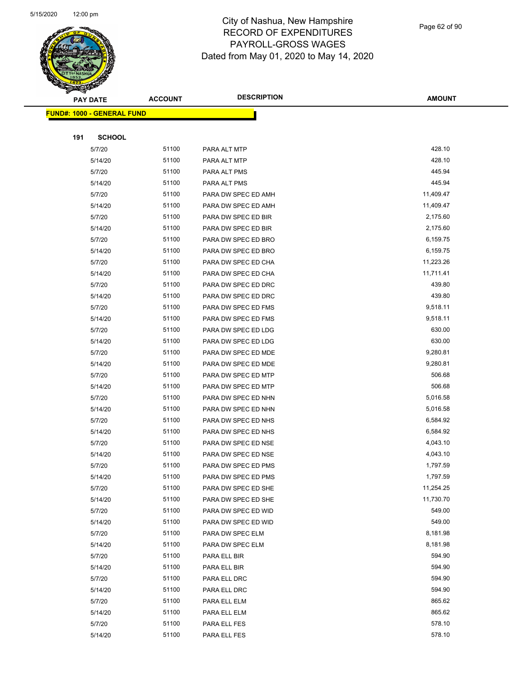

|     | <b>PAY DATE</b>                   | <b>ACCOUNT</b> | <b>DESCRIPTION</b>  | <b>AMOUNT</b>    |
|-----|-----------------------------------|----------------|---------------------|------------------|
|     | <b>FUND#: 1000 - GENERAL FUND</b> |                |                     |                  |
|     |                                   |                |                     |                  |
| 191 | <b>SCHOOL</b>                     |                |                     |                  |
|     | 5/7/20                            | 51100          | PARA ALT MTP        | 428.10           |
|     | 5/14/20                           | 51100          | PARA ALT MTP        | 428.10           |
|     | 5/7/20                            | 51100          | PARA ALT PMS        | 445.94           |
|     | 5/14/20                           | 51100          | PARA ALT PMS        | 445.94           |
|     | 5/7/20                            | 51100          | PARA DW SPEC ED AMH | 11,409.47        |
|     | 5/14/20                           | 51100          | PARA DW SPEC ED AMH | 11,409.47        |
|     | 5/7/20                            | 51100          | PARA DW SPEC ED BIR | 2,175.60         |
|     | 5/14/20                           | 51100          | PARA DW SPEC ED BIR | 2,175.60         |
|     | 5/7/20                            | 51100          | PARA DW SPEC ED BRO | 6,159.75         |
|     | 5/14/20                           | 51100          | PARA DW SPEC ED BRO | 6,159.75         |
|     | 5/7/20                            | 51100          | PARA DW SPEC ED CHA | 11,223.26        |
|     | 5/14/20                           | 51100          | PARA DW SPEC ED CHA | 11,711.41        |
|     | 5/7/20                            | 51100          | PARA DW SPEC ED DRC | 439.80           |
|     | 5/14/20                           | 51100          | PARA DW SPEC ED DRC | 439.80           |
|     | 5/7/20                            | 51100          | PARA DW SPEC ED FMS | 9,518.11         |
|     | 5/14/20                           | 51100          | PARA DW SPEC ED FMS | 9,518.11         |
|     | 5/7/20                            | 51100          | PARA DW SPEC ED LDG | 630.00           |
|     | 5/14/20                           | 51100          | PARA DW SPEC ED LDG | 630.00           |
|     | 5/7/20                            | 51100          | PARA DW SPEC ED MDE | 9,280.81         |
|     | 5/14/20                           | 51100          | PARA DW SPEC ED MDE | 9,280.81         |
|     | 5/7/20                            | 51100          | PARA DW SPEC ED MTP | 506.68           |
|     | 5/14/20                           | 51100          | PARA DW SPEC ED MTP | 506.68           |
|     | 5/7/20                            | 51100          | PARA DW SPEC ED NHN | 5,016.58         |
|     | 5/14/20                           | 51100          | PARA DW SPEC ED NHN | 5,016.58         |
|     | 5/7/20                            | 51100          | PARA DW SPEC ED NHS | 6,584.92         |
|     | 5/14/20                           | 51100          | PARA DW SPEC ED NHS | 6,584.92         |
|     | 5/7/20                            | 51100          | PARA DW SPEC ED NSE | 4,043.10         |
|     | 5/14/20                           | 51100          | PARA DW SPEC ED NSE | 4,043.10         |
|     | 5/7/20                            | 51100          | PARA DW SPEC ED PMS | 1,797.59         |
|     | 5/14/20                           | 51100          | PARA DW SPEC ED PMS | 1,797.59         |
|     | 5/7/20                            | 51100          | PARA DW SPEC ED SHE | 11,254.25        |
|     | 5/14/20                           | 51100          | PARA DW SPEC ED SHE | 11,730.70        |
|     | 5/7/20                            | 51100          | PARA DW SPEC ED WID | 549.00           |
|     | 5/14/20                           | 51100          | PARA DW SPEC ED WID | 549.00           |
|     | 5/7/20                            | 51100          | PARA DW SPEC ELM    | 8,181.98         |
|     | 5/14/20                           | 51100          | PARA DW SPEC ELM    | 8,181.98         |
|     | 5/7/20                            | 51100          | PARA ELL BIR        | 594.90           |
|     | 5/14/20                           | 51100          | PARA ELL BIR        | 594.90           |
|     | 5/7/20                            | 51100          | PARA ELL DRC        | 594.90           |
|     | 5/14/20                           | 51100          | PARA ELL DRC        | 594.90           |
|     | 5/7/20                            | 51100          | PARA ELL ELM        | 865.62<br>865.62 |
|     | 5/14/20                           | 51100          | PARA ELL ELM        |                  |
|     | 5/7/20                            | 51100          | PARA ELL FES        | 578.10           |
|     | 5/14/20                           | 51100          | PARA ELL FES        | 578.10           |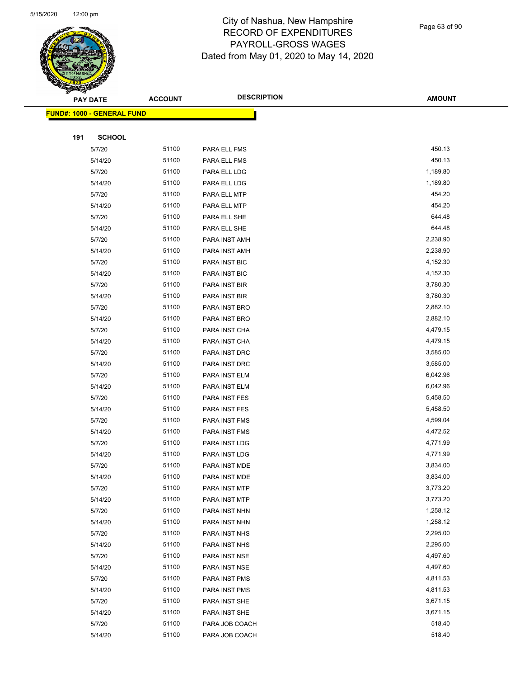

|     | <b>PAY DATE</b>                   | <b>ACCOUNT</b> | <b>DESCRIPTION</b> | <b>AMOUNT</b> |
|-----|-----------------------------------|----------------|--------------------|---------------|
|     | <b>FUND#: 1000 - GENERAL FUND</b> |                |                    |               |
|     |                                   |                |                    |               |
| 191 | <b>SCHOOL</b>                     |                |                    |               |
|     | 5/7/20                            | 51100          | PARA ELL FMS       | 450.13        |
|     | 5/14/20                           | 51100          | PARA ELL FMS       | 450.13        |
|     | 5/7/20                            | 51100          | PARA ELL LDG       | 1,189.80      |
|     | 5/14/20                           | 51100          | PARA ELL LDG       | 1,189.80      |
|     | 5/7/20                            | 51100          | PARA ELL MTP       | 454.20        |
|     | 5/14/20                           | 51100          | PARA ELL MTP       | 454.20        |
|     | 5/7/20                            | 51100          | PARA ELL SHE       | 644.48        |
|     | 5/14/20                           | 51100          | PARA ELL SHE       | 644.48        |
|     | 5/7/20                            | 51100          | PARA INST AMH      | 2,238.90      |
|     | 5/14/20                           | 51100          | PARA INST AMH      | 2,238.90      |
|     | 5/7/20                            | 51100          | PARA INST BIC      | 4,152.30      |
|     | 5/14/20                           | 51100          | PARA INST BIC      | 4,152.30      |
|     | 5/7/20                            | 51100          | PARA INST BIR      | 3,780.30      |
|     | 5/14/20                           | 51100          | PARA INST BIR      | 3,780.30      |
|     | 5/7/20                            | 51100          | PARA INST BRO      | 2,882.10      |
|     | 5/14/20                           | 51100          | PARA INST BRO      | 2,882.10      |
|     | 5/7/20                            | 51100          | PARA INST CHA      | 4,479.15      |
|     | 5/14/20                           | 51100          | PARA INST CHA      | 4,479.15      |
|     | 5/7/20                            | 51100          | PARA INST DRC      | 3,585.00      |
|     | 5/14/20                           | 51100          | PARA INST DRC      | 3,585.00      |
|     | 5/7/20                            | 51100          | PARA INST ELM      | 6,042.96      |
|     | 5/14/20                           | 51100          | PARA INST ELM      | 6,042.96      |
|     | 5/7/20                            | 51100          | PARA INST FES      | 5,458.50      |
|     | 5/14/20                           | 51100          | PARA INST FES      | 5,458.50      |
|     | 5/7/20                            | 51100          | PARA INST FMS      | 4,599.04      |
|     | 5/14/20                           | 51100          | PARA INST FMS      | 4,472.52      |
|     | 5/7/20                            | 51100          | PARA INST LDG      | 4,771.99      |
|     | 5/14/20                           | 51100          | PARA INST LDG      | 4,771.99      |
|     | 5/7/20                            | 51100          | PARA INST MDE      | 3,834.00      |
|     | 5/14/20                           | 51100          | PARA INST MDE      | 3,834.00      |
|     | 5/7/20                            | 51100          | PARA INST MTP      | 3,773.20      |
|     | 5/14/20                           | 51100          | PARA INST MTP      | 3,773.20      |
|     | 5/7/20                            | 51100          | PARA INST NHN      | 1,258.12      |
|     | 5/14/20                           | 51100          | PARA INST NHN      | 1,258.12      |
|     | 5/7/20                            | 51100          | PARA INST NHS      | 2,295.00      |
|     | 5/14/20                           | 51100          | PARA INST NHS      | 2,295.00      |
|     | 5/7/20                            | 51100          | PARA INST NSE      | 4,497.60      |
|     | 5/14/20                           | 51100          | PARA INST NSE      | 4,497.60      |
|     | 5/7/20                            | 51100          | PARA INST PMS      | 4,811.53      |
|     | 5/14/20                           | 51100          | PARA INST PMS      | 4,811.53      |
|     | 5/7/20                            | 51100          | PARA INST SHE      | 3,671.15      |
|     | 5/14/20                           | 51100          | PARA INST SHE      | 3,671.15      |
|     | 5/7/20                            | 51100          | PARA JOB COACH     | 518.40        |
|     | 5/14/20                           | 51100          | PARA JOB COACH     | 518.40        |
|     |                                   |                |                    |               |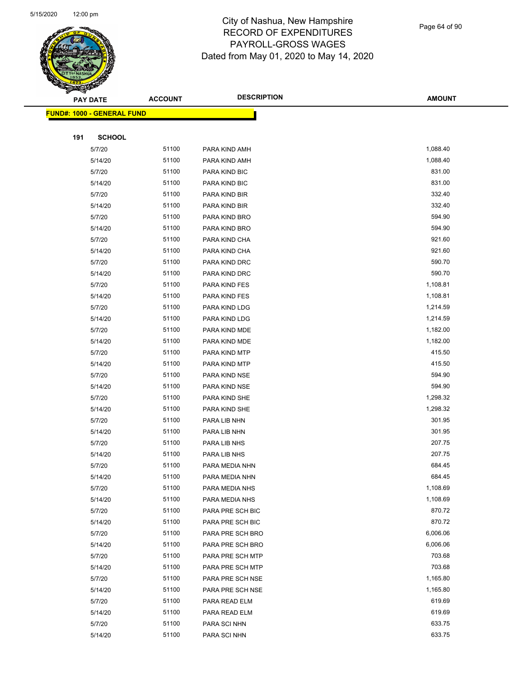

|     | <b>PAY DATE</b>                         | <b>ACCOUNT</b> | <b>DESCRIPTION</b> | <b>AMOUNT</b> |
|-----|-----------------------------------------|----------------|--------------------|---------------|
|     | <mark>FUND#: 1000 - GENERAL FUND</mark> |                |                    |               |
|     |                                         |                |                    |               |
| 191 | <b>SCHOOL</b>                           |                |                    |               |
|     | 5/7/20                                  | 51100          | PARA KIND AMH      | 1,088.40      |
|     | 5/14/20                                 | 51100          | PARA KIND AMH      | 1,088.40      |
|     | 5/7/20                                  | 51100          | PARA KIND BIC      | 831.00        |
|     | 5/14/20                                 | 51100          | PARA KIND BIC      | 831.00        |
|     | 5/7/20                                  | 51100          | PARA KIND BIR      | 332.40        |
|     | 5/14/20                                 | 51100          | PARA KIND BIR      | 332.40        |
|     | 5/7/20                                  | 51100          | PARA KIND BRO      | 594.90        |
|     | 5/14/20                                 | 51100          | PARA KIND BRO      | 594.90        |
|     | 5/7/20                                  | 51100          | PARA KIND CHA      | 921.60        |
|     | 5/14/20                                 | 51100          | PARA KIND CHA      | 921.60        |
|     | 5/7/20                                  | 51100          | PARA KIND DRC      | 590.70        |
|     | 5/14/20                                 | 51100          | PARA KIND DRC      | 590.70        |
|     | 5/7/20                                  | 51100          | PARA KIND FES      | 1,108.81      |
|     | 5/14/20                                 | 51100          | PARA KIND FES      | 1,108.81      |
|     | 5/7/20                                  | 51100          | PARA KIND LDG      | 1,214.59      |
|     | 5/14/20                                 | 51100          | PARA KIND LDG      | 1,214.59      |
|     | 5/7/20                                  | 51100          | PARA KIND MDE      | 1,182.00      |
|     | 5/14/20                                 | 51100          | PARA KIND MDE      | 1,182.00      |
|     | 5/7/20                                  | 51100          | PARA KIND MTP      | 415.50        |
|     | 5/14/20                                 | 51100          | PARA KIND MTP      | 415.50        |
|     | 5/7/20                                  | 51100          | PARA KIND NSE      | 594.90        |
|     | 5/14/20                                 | 51100          | PARA KIND NSE      | 594.90        |
|     | 5/7/20                                  | 51100          | PARA KIND SHE      | 1,298.32      |
|     | 5/14/20                                 | 51100          | PARA KIND SHE      | 1,298.32      |
|     | 5/7/20                                  | 51100          | PARA LIB NHN       | 301.95        |
|     | 5/14/20                                 | 51100          | PARA LIB NHN       | 301.95        |
|     | 5/7/20                                  | 51100          | PARA LIB NHS       | 207.75        |
|     | 5/14/20                                 | 51100          | PARA LIB NHS       | 207.75        |
|     | 5/7/20                                  | 51100          | PARA MEDIA NHN     | 684.45        |
|     | 5/14/20                                 | 51100          | PARA MEDIA NHN     | 684.45        |
|     | 5/7/20                                  | 51100          | PARA MEDIA NHS     | 1,108.69      |
|     | 5/14/20                                 | 51100          | PARA MEDIA NHS     | 1,108.69      |
|     | 5/7/20                                  | 51100          | PARA PRE SCH BIC   | 870.72        |
|     | 5/14/20                                 | 51100          | PARA PRE SCH BIC   | 870.72        |
|     | 5/7/20                                  | 51100          | PARA PRE SCH BRO   | 6,006.06      |
|     | 5/14/20                                 | 51100          | PARA PRE SCH BRO   | 6,006.06      |
|     | 5/7/20                                  | 51100          | PARA PRE SCH MTP   | 703.68        |
|     | 5/14/20                                 | 51100          | PARA PRE SCH MTP   | 703.68        |
|     | 5/7/20                                  | 51100          | PARA PRE SCH NSE   | 1,165.80      |
|     | 5/14/20                                 | 51100          | PARA PRE SCH NSE   | 1,165.80      |
|     | 5/7/20                                  | 51100          | PARA READ ELM      | 619.69        |
|     | 5/14/20                                 | 51100          | PARA READ ELM      | 619.69        |
|     | 5/7/20                                  | 51100          | PARA SCI NHN       | 633.75        |
|     | 5/14/20                                 | 51100          | PARA SCI NHN       | 633.75        |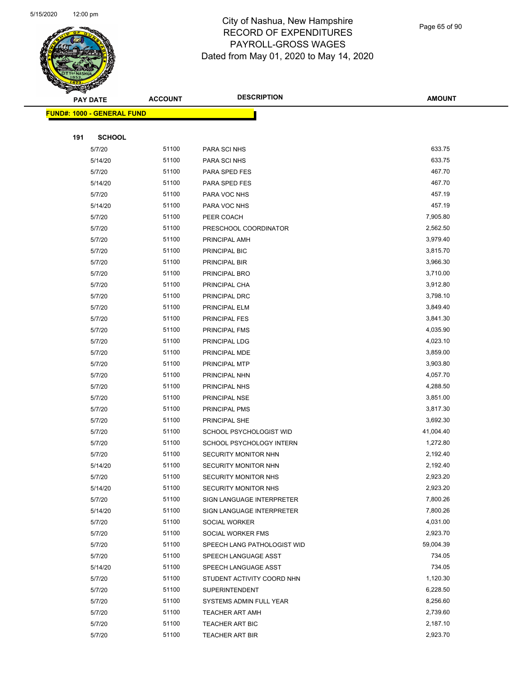

| $\tilde{\phantom{a}}$ | <b>PAY DATE</b>                   | <b>ACCOUNT</b> | <b>DESCRIPTION</b>                        | <b>AMOUNT</b>        |
|-----------------------|-----------------------------------|----------------|-------------------------------------------|----------------------|
|                       | <b>FUND#: 1000 - GENERAL FUND</b> |                |                                           |                      |
|                       |                                   |                |                                           |                      |
| 191                   | <b>SCHOOL</b>                     |                |                                           |                      |
|                       | 5/7/20                            | 51100          | PARA SCI NHS                              | 633.75               |
|                       | 5/14/20                           | 51100          | PARA SCI NHS                              | 633.75               |
|                       | 5/7/20                            | 51100          | PARA SPED FES                             | 467.70               |
|                       | 5/14/20                           | 51100          | PARA SPED FES                             | 467.70               |
|                       | 5/7/20                            | 51100          | PARA VOC NHS                              | 457.19               |
|                       | 5/14/20                           | 51100          | PARA VOC NHS                              | 457.19               |
|                       | 5/7/20                            | 51100          | PEER COACH                                | 7,905.80             |
|                       | 5/7/20                            | 51100          | PRESCHOOL COORDINATOR                     | 2,562.50             |
|                       | 5/7/20                            | 51100          | PRINCIPAL AMH                             | 3,979.40             |
|                       | 5/7/20                            | 51100          | PRINCIPAL BIC                             | 3,815.70             |
|                       | 5/7/20                            | 51100          | PRINCIPAL BIR                             | 3,966.30             |
|                       | 5/7/20                            | 51100          | PRINCIPAL BRO                             | 3,710.00             |
|                       | 5/7/20                            | 51100          | PRINCIPAL CHA                             | 3,912.80             |
|                       | 5/7/20                            | 51100          | PRINCIPAL DRC                             | 3,798.10             |
|                       | 5/7/20                            | 51100          | PRINCIPAL ELM                             | 3,849.40             |
|                       | 5/7/20                            | 51100          | PRINCIPAL FES                             | 3,841.30             |
|                       | 5/7/20                            | 51100          | PRINCIPAL FMS                             | 4,035.90             |
|                       | 5/7/20                            | 51100          | PRINCIPAL LDG                             | 4,023.10             |
|                       | 5/7/20                            | 51100          | PRINCIPAL MDE                             | 3,859.00             |
|                       | 5/7/20                            | 51100          | PRINCIPAL MTP                             | 3,903.80             |
|                       | 5/7/20                            | 51100          | PRINCIPAL NHN                             | 4,057.70             |
|                       | 5/7/20                            | 51100          | PRINCIPAL NHS                             | 4,288.50             |
|                       | 5/7/20                            | 51100          | PRINCIPAL NSE                             | 3,851.00             |
|                       | 5/7/20                            | 51100          | PRINCIPAL PMS                             | 3,817.30             |
|                       | 5/7/20                            | 51100          | PRINCIPAL SHE                             | 3,692.30             |
|                       | 5/7/20                            | 51100          | SCHOOL PSYCHOLOGIST WID                   | 41,004.40            |
|                       | 5/7/20                            | 51100          | SCHOOL PSYCHOLOGY INTERN                  | 1,272.80             |
|                       | 5/7/20                            | 51100          | SECURITY MONITOR NHN                      | 2,192.40             |
|                       | 5/14/20                           | 51100          | SECURITY MONITOR NHN                      | 2,192.40             |
|                       | 5/7/20                            | 51100          | SECURITY MONITOR NHS                      | 2,923.20             |
|                       | 5/14/20                           | 51100          | SECURITY MONITOR NHS                      | 2,923.20             |
|                       | 5/7/20                            | 51100          | <b>SIGN LANGUAGE INTERPRETER</b>          | 7,800.26             |
|                       | 5/14/20                           | 51100          | SIGN LANGUAGE INTERPRETER                 | 7,800.26             |
|                       | 5/7/20                            | 51100          | SOCIAL WORKER                             | 4,031.00             |
|                       | 5/7/20                            | 51100          | SOCIAL WORKER FMS                         | 2,923.70             |
|                       | 5/7/20                            | 51100          | SPEECH LANG PATHOLOGIST WID               | 59,004.39            |
|                       | 5/7/20                            | 51100          | SPEECH LANGUAGE ASST                      | 734.05               |
|                       | 5/14/20                           | 51100          | SPEECH LANGUAGE ASST                      | 734.05               |
|                       | 5/7/20                            | 51100<br>51100 | STUDENT ACTIVITY COORD NHN                | 1,120.30<br>6,228.50 |
|                       | 5/7/20                            | 51100          | <b>SUPERINTENDENT</b>                     | 8,256.60             |
|                       | 5/7/20                            | 51100          | SYSTEMS ADMIN FULL YEAR                   | 2,739.60             |
|                       | 5/7/20<br>5/7/20                  | 51100          | <b>TEACHER ART AMH</b><br>TEACHER ART BIC | 2,187.10             |
|                       | 5/7/20                            | 51100          | <b>TEACHER ART BIR</b>                    | 2,923.70             |
|                       |                                   |                |                                           |                      |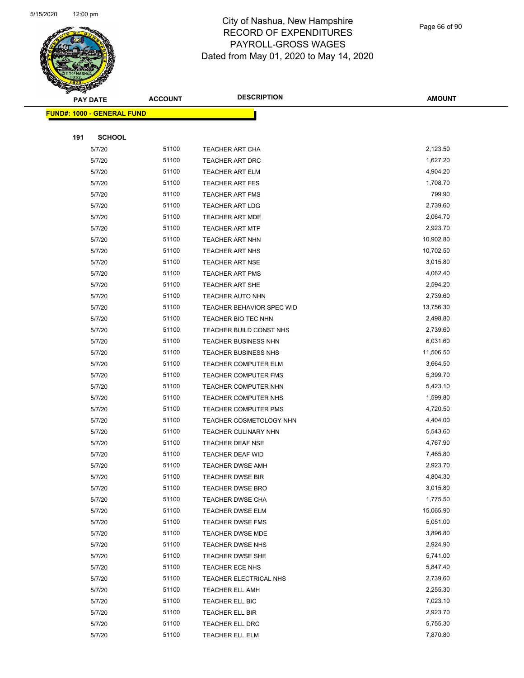

Page 66 of 90

|     | <b>PAY DATE</b>                   | <b>ACCOUNT</b> | <b>DESCRIPTION</b>          | <b>AMOUNT</b> |
|-----|-----------------------------------|----------------|-----------------------------|---------------|
|     | <b>FUND#: 1000 - GENERAL FUND</b> |                |                             |               |
|     |                                   |                |                             |               |
| 191 | <b>SCHOOL</b>                     |                |                             |               |
|     | 5/7/20                            | 51100          | TEACHER ART CHA             | 2,123.50      |
|     | 5/7/20                            | 51100          | TEACHER ART DRC             | 1,627.20      |
|     | 5/7/20                            | 51100          | <b>TEACHER ART ELM</b>      | 4,904.20      |
|     | 5/7/20                            | 51100          | <b>TEACHER ART FES</b>      | 1,708.70      |
|     | 5/7/20                            | 51100          | <b>TEACHER ART FMS</b>      | 799.90        |
|     | 5/7/20                            | 51100          | <b>TEACHER ART LDG</b>      | 2,739.60      |
|     | 5/7/20                            | 51100          | <b>TEACHER ART MDE</b>      | 2,064.70      |
|     | 5/7/20                            | 51100          | <b>TEACHER ART MTP</b>      | 2,923.70      |
|     | 5/7/20                            | 51100          | TEACHER ART NHN             | 10,902.80     |
|     | 5/7/20                            | 51100          | TEACHER ART NHS             | 10,702.50     |
|     | 5/7/20                            | 51100          | <b>TEACHER ART NSE</b>      | 3,015.80      |
|     | 5/7/20                            | 51100          | <b>TEACHER ART PMS</b>      | 4,062.40      |
|     | 5/7/20                            | 51100          | <b>TEACHER ART SHE</b>      | 2,594.20      |
|     | 5/7/20                            | 51100          | <b>TEACHER AUTO NHN</b>     | 2,739.60      |
|     | 5/7/20                            | 51100          | TEACHER BEHAVIOR SPEC WID   | 13,756.30     |
|     | 5/7/20                            | 51100          | TEACHER BIO TEC NHN         | 2,498.80      |
|     | 5/7/20                            | 51100          | TEACHER BUILD CONST NHS     | 2,739.60      |
|     | 5/7/20                            | 51100          | <b>TEACHER BUSINESS NHN</b> | 6,031.60      |
|     | 5/7/20                            | 51100          | TEACHER BUSINESS NHS        | 11,506.50     |
|     | 5/7/20                            | 51100          | TEACHER COMPUTER ELM        | 3,664.50      |
|     | 5/7/20                            | 51100          | <b>TEACHER COMPUTER FMS</b> | 5,399.70      |
|     | 5/7/20                            | 51100          | TEACHER COMPUTER NHN        | 5,423.10      |
|     | 5/7/20                            | 51100          | <b>TEACHER COMPUTER NHS</b> | 1,599.80      |
|     | 5/7/20                            | 51100          | <b>TEACHER COMPUTER PMS</b> | 4,720.50      |
|     | 5/7/20                            | 51100          | TEACHER COSMETOLOGY NHN     | 4,404.00      |
|     | 5/7/20                            | 51100          | TEACHER CULINARY NHN        | 5,543.60      |
|     | 5/7/20                            | 51100          | <b>TEACHER DEAF NSE</b>     | 4,767.90      |
|     | 5/7/20                            | 51100          | TEACHER DEAF WID            | 7,465.80      |
|     | 5/7/20                            | 51100          | <b>TEACHER DWSE AMH</b>     | 2,923.70      |
|     | 5/7/20                            | 51100          | <b>TEACHER DWSE BIR</b>     | 4,804.30      |
|     | 5/7/20                            | 51100          | <b>TEACHER DWSE BRO</b>     | 3,015.80      |
|     | 5/7/20                            | 51100          | <b>TEACHER DWSE CHA</b>     | 1,775.50      |
|     | 5/7/20                            | 51100          | <b>TEACHER DWSE ELM</b>     | 15,065.90     |
|     | 5/7/20                            | 51100          | <b>TEACHER DWSE FMS</b>     | 5,051.00      |
|     | 5/7/20                            | 51100          | <b>TEACHER DWSE MDE</b>     | 3,896.80      |
|     | 5/7/20                            | 51100          | <b>TEACHER DWSE NHS</b>     | 2,924.90      |
|     | 5/7/20                            | 51100          | TEACHER DWSE SHE            | 5,741.00      |
|     | 5/7/20                            | 51100          | TEACHER ECE NHS             | 5,847.40      |
|     | 5/7/20                            | 51100          | TEACHER ELECTRICAL NHS      | 2,739.60      |
|     | 5/7/20                            | 51100          | <b>TEACHER ELL AMH</b>      | 2,255.30      |
|     | 5/7/20                            | 51100          | TEACHER ELL BIC             | 7,023.10      |
|     | 5/7/20                            | 51100          | TEACHER ELL BIR             | 2,923.70      |
|     | 5/7/20                            | 51100          | TEACHER ELL DRC             | 5,755.30      |
|     | 5/7/20                            | 51100          | TEACHER ELL ELM             | 7,870.80      |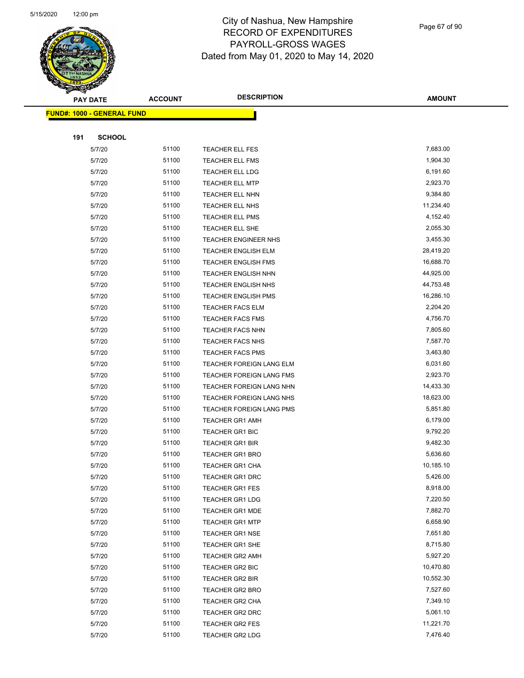

| <b>PAY DATE</b>                    | <b>ACCOUNT</b> | <b>DESCRIPTION</b>              | <b>AMOUNT</b> |
|------------------------------------|----------------|---------------------------------|---------------|
| <u> FUND#: 1000 - GENERAL FUND</u> |                |                                 |               |
|                                    |                |                                 |               |
| 191<br><b>SCHOOL</b>               |                |                                 |               |
| 5/7/20                             | 51100          | <b>TEACHER ELL FES</b>          | 7,683.00      |
| 5/7/20                             | 51100          | <b>TEACHER ELL FMS</b>          | 1,904.30      |
| 5/7/20                             | 51100          | TEACHER ELL LDG                 | 6,191.60      |
| 5/7/20                             | 51100          | <b>TEACHER ELL MTP</b>          | 2,923.70      |
| 5/7/20                             | 51100          | TEACHER ELL NHN                 | 9,384.80      |
| 5/7/20                             | 51100          | TEACHER ELL NHS                 | 11,234.40     |
| 5/7/20                             | 51100          | TEACHER ELL PMS                 | 4,152.40      |
| 5/7/20                             | 51100          | TEACHER ELL SHE                 | 2,055.30      |
| 5/7/20                             | 51100          | TEACHER ENGINEER NHS            | 3,455.30      |
| 5/7/20                             | 51100          | <b>TEACHER ENGLISH ELM</b>      | 28,419.20     |
| 5/7/20                             | 51100          | <b>TEACHER ENGLISH FMS</b>      | 16,688.70     |
| 5/7/20                             | 51100          | <b>TEACHER ENGLISH NHN</b>      | 44,925.00     |
| 5/7/20                             | 51100          | <b>TEACHER ENGLISH NHS</b>      | 44,753.48     |
| 5/7/20                             | 51100          | <b>TEACHER ENGLISH PMS</b>      | 16,286.10     |
| 5/7/20                             | 51100          | <b>TEACHER FACS ELM</b>         | 2,204.20      |
| 5/7/20                             | 51100          | TEACHER FACS FMS                | 4,756.70      |
| 5/7/20                             | 51100          | <b>TEACHER FACS NHN</b>         | 7,805.60      |
| 5/7/20                             | 51100          | <b>TEACHER FACS NHS</b>         | 7,587.70      |
| 5/7/20                             | 51100          | <b>TEACHER FACS PMS</b>         | 3,463.80      |
| 5/7/20                             | 51100          | TEACHER FOREIGN LANG ELM        | 6,031.60      |
| 5/7/20                             | 51100          | <b>TEACHER FOREIGN LANG FMS</b> | 2,923.70      |
| 5/7/20                             | 51100          | TEACHER FOREIGN LANG NHN        | 14,433.30     |
| 5/7/20                             | 51100          | TEACHER FOREIGN LANG NHS        | 18,623.00     |
| 5/7/20                             | 51100          | TEACHER FOREIGN LANG PMS        | 5,851.80      |
| 5/7/20                             | 51100          | <b>TEACHER GR1 AMH</b>          | 6,179.00      |
| 5/7/20                             | 51100          | TEACHER GR1 BIC                 | 9,792.20      |
| 5/7/20                             | 51100          | <b>TEACHER GR1 BIR</b>          | 9,482.30      |
| 5/7/20                             | 51100          | <b>TEACHER GR1 BRO</b>          | 5,636.60      |
| 5/7/20                             | 51100          | <b>TEACHER GR1 CHA</b>          | 10,185.10     |
| 5/7/20                             | 51100          | <b>TEACHER GR1 DRC</b>          | 5,426.00      |
| 5/7/20                             | 51100          | <b>TEACHER GR1 FES</b>          | 8,918.00      |
| 5/7/20                             | 51100          | <b>TEACHER GR1 LDG</b>          | 7,220.50      |
| 5/7/20                             | 51100          | <b>TEACHER GR1 MDE</b>          | 7,882.70      |
| 5/7/20                             | 51100          | <b>TEACHER GR1 MTP</b>          | 6,658.90      |
| 5/7/20                             | 51100          | <b>TEACHER GR1 NSE</b>          | 7,651.80      |
| 5/7/20                             | 51100          | TEACHER GR1 SHE                 | 8,715.80      |
| 5/7/20                             | 51100          | <b>TEACHER GR2 AMH</b>          | 5,927.20      |
| 5/7/20                             | 51100          | TEACHER GR2 BIC                 | 10,470.80     |
| 5/7/20                             | 51100          | TEACHER GR2 BIR                 | 10,552.30     |
| 5/7/20                             | 51100          | <b>TEACHER GR2 BRO</b>          | 7,527.60      |
| 5/7/20                             | 51100          | TEACHER GR2 CHA                 | 7,349.10      |
| 5/7/20                             | 51100          | TEACHER GR2 DRC                 | 5,061.10      |
| 5/7/20                             | 51100          | <b>TEACHER GR2 FES</b>          | 11,221.70     |
| 5/7/20                             | 51100          | <b>TEACHER GR2 LDG</b>          | 7,476.40      |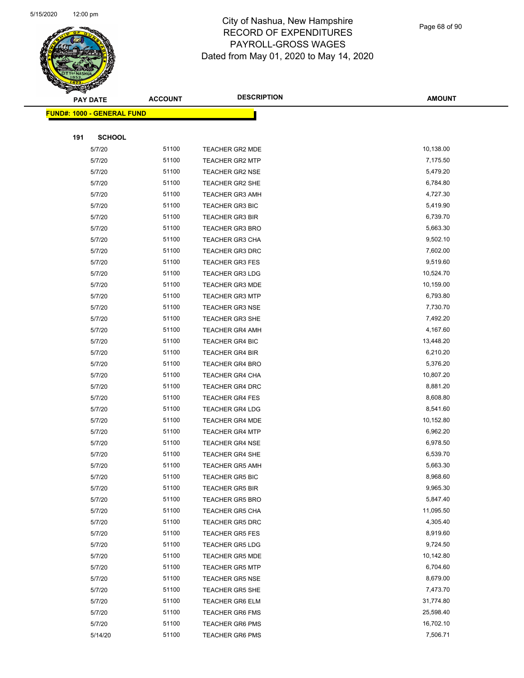

|     | <b>PAY DATE</b>                   | <b>ACCOUNT</b> | <b>DESCRIPTION</b>     | <b>AMOUNT</b> |
|-----|-----------------------------------|----------------|------------------------|---------------|
|     | <b>FUND#: 1000 - GENERAL FUND</b> |                |                        |               |
|     |                                   |                |                        |               |
| 191 | <b>SCHOOL</b>                     |                |                        |               |
|     | 5/7/20                            | 51100          | TEACHER GR2 MDE        | 10,138.00     |
|     | 5/7/20                            | 51100          | <b>TEACHER GR2 MTP</b> | 7,175.50      |
|     | 5/7/20                            | 51100          | <b>TEACHER GR2 NSE</b> | 5,479.20      |
|     | 5/7/20                            | 51100          | <b>TEACHER GR2 SHE</b> | 6,784.80      |
|     | 5/7/20                            | 51100          | <b>TEACHER GR3 AMH</b> | 4,727.30      |
|     | 5/7/20                            | 51100          | <b>TEACHER GR3 BIC</b> | 5,419.90      |
|     | 5/7/20                            | 51100          | <b>TEACHER GR3 BIR</b> | 6,739.70      |
|     | 5/7/20                            | 51100          | <b>TEACHER GR3 BRO</b> | 5,663.30      |
|     | 5/7/20                            | 51100          | TEACHER GR3 CHA        | 9,502.10      |
|     | 5/7/20                            | 51100          | TEACHER GR3 DRC        | 7,602.00      |
|     | 5/7/20                            | 51100          | <b>TEACHER GR3 FES</b> | 9,519.60      |
|     | 5/7/20                            | 51100          | <b>TEACHER GR3 LDG</b> | 10,524.70     |
|     | 5/7/20                            | 51100          | <b>TEACHER GR3 MDE</b> | 10,159.00     |
|     | 5/7/20                            | 51100          | <b>TEACHER GR3 MTP</b> | 6,793.80      |
|     | 5/7/20                            | 51100          | <b>TEACHER GR3 NSE</b> | 7,730.70      |
|     | 5/7/20                            | 51100          | <b>TEACHER GR3 SHE</b> | 7,492.20      |
|     | 5/7/20                            | 51100          | <b>TEACHER GR4 AMH</b> | 4,167.60      |
|     | 5/7/20                            | 51100          | <b>TEACHER GR4 BIC</b> | 13,448.20     |
|     | 5/7/20                            | 51100          | <b>TEACHER GR4 BIR</b> | 6,210.20      |
|     | 5/7/20                            | 51100          | <b>TEACHER GR4 BRO</b> | 5,376.20      |
|     | 5/7/20                            | 51100          | <b>TEACHER GR4 CHA</b> | 10,807.20     |
|     | 5/7/20                            | 51100          | TEACHER GR4 DRC        | 8,881.20      |
|     | 5/7/20                            | 51100          | <b>TEACHER GR4 FES</b> | 8,608.80      |
|     | 5/7/20                            | 51100          | <b>TEACHER GR4 LDG</b> | 8,541.60      |
|     | 5/7/20                            | 51100          | <b>TEACHER GR4 MDE</b> | 10,152.80     |
|     | 5/7/20                            | 51100          | <b>TEACHER GR4 MTP</b> | 6,962.20      |
|     | 5/7/20                            | 51100          | <b>TEACHER GR4 NSE</b> | 6,978.50      |
|     | 5/7/20                            | 51100          | <b>TEACHER GR4 SHE</b> | 6,539.70      |
|     | 5/7/20                            | 51100          | <b>TEACHER GR5 AMH</b> | 5,663.30      |
|     | 5/7/20                            | 51100          | TEACHER GR5 BIC        | 8,968.60      |
|     | 5/7/20                            | 51100          | <b>TEACHER GR5 BIR</b> | 9,965.30      |
|     | 5/7/20                            | 51100          | <b>TEACHER GR5 BRO</b> | 5,847.40      |
|     | 5/7/20                            | 51100          | <b>TEACHER GR5 CHA</b> | 11,095.50     |
|     | 5/7/20                            | 51100          | <b>TEACHER GR5 DRC</b> | 4,305.40      |
|     | 5/7/20                            | 51100          | <b>TEACHER GR5 FES</b> | 8,919.60      |
|     | 5/7/20                            | 51100          | <b>TEACHER GR5 LDG</b> | 9,724.50      |
|     | 5/7/20                            | 51100          | <b>TEACHER GR5 MDE</b> | 10,142.80     |
|     | 5/7/20                            | 51100          | TEACHER GR5 MTP        | 6,704.60      |
|     | 5/7/20                            | 51100          | <b>TEACHER GR5 NSE</b> | 8,679.00      |
|     | 5/7/20                            | 51100          | TEACHER GR5 SHE        | 7,473.70      |
|     | 5/7/20                            | 51100          | <b>TEACHER GR6 ELM</b> | 31,774.80     |
|     | 5/7/20                            | 51100          | <b>TEACHER GR6 FMS</b> | 25,598.40     |
|     | 5/7/20                            | 51100          | <b>TEACHER GR6 PMS</b> | 16,702.10     |
|     | 5/14/20                           | 51100          | <b>TEACHER GR6 PMS</b> | 7,506.71      |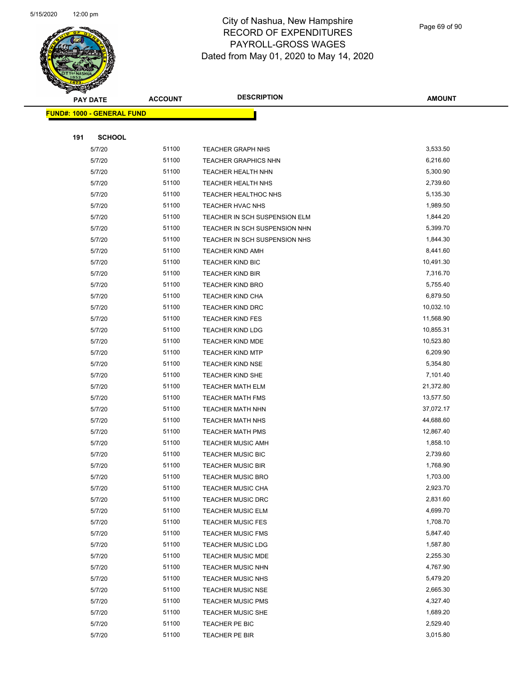

Page 69 of 90

| ទ<br>$\blacktriangleleft$ . | <b>PAY DATE</b>                   | <b>ACCOUNT</b> | <b>DESCRIPTION</b>            | <b>AMOUNT</b> |
|-----------------------------|-----------------------------------|----------------|-------------------------------|---------------|
|                             | <b>FUND#: 1000 - GENERAL FUND</b> |                |                               |               |
|                             |                                   |                |                               |               |
| 191                         | <b>SCHOOL</b>                     |                |                               |               |
|                             | 5/7/20                            | 51100          | <b>TEACHER GRAPH NHS</b>      | 3,533.50      |
|                             | 5/7/20                            | 51100          | <b>TEACHER GRAPHICS NHN</b>   | 6,216.60      |
|                             | 5/7/20                            | 51100          | TEACHER HEALTH NHN            | 5,300.90      |
|                             | 5/7/20                            | 51100          | TEACHER HEALTH NHS            | 2,739.60      |
|                             | 5/7/20                            | 51100          | TEACHER HEALTHOC NHS          | 5,135.30      |
|                             | 5/7/20                            | 51100          | TEACHER HVAC NHS              | 1,989.50      |
|                             | 5/7/20                            | 51100          | TEACHER IN SCH SUSPENSION ELM | 1,844.20      |
|                             | 5/7/20                            | 51100          | TEACHER IN SCH SUSPENSION NHN | 5,399.70      |
|                             | 5/7/20                            | 51100          | TEACHER IN SCH SUSPENSION NHS | 1,844.30      |
|                             | 5/7/20                            | 51100          | <b>TEACHER KIND AMH</b>       | 8,441.60      |
|                             | 5/7/20                            | 51100          | <b>TEACHER KIND BIC</b>       | 10,491.30     |
|                             | 5/7/20                            | 51100          | TEACHER KIND BIR              | 7,316.70      |
|                             | 5/7/20                            | 51100          | <b>TEACHER KIND BRO</b>       | 5,755.40      |
|                             | 5/7/20                            | 51100          | <b>TEACHER KIND CHA</b>       | 6,879.50      |
|                             | 5/7/20                            | 51100          | <b>TEACHER KIND DRC</b>       | 10,032.10     |
|                             | 5/7/20                            | 51100          | <b>TEACHER KIND FES</b>       | 11,568.90     |
|                             | 5/7/20                            | 51100          | <b>TEACHER KIND LDG</b>       | 10,855.31     |
|                             | 5/7/20                            | 51100          | <b>TEACHER KIND MDE</b>       | 10,523.80     |
|                             | 5/7/20                            | 51100          | <b>TEACHER KIND MTP</b>       | 6,209.90      |
|                             | 5/7/20                            | 51100          | <b>TEACHER KIND NSE</b>       | 5,354.80      |
|                             | 5/7/20                            | 51100          | TEACHER KIND SHE              | 7,101.40      |
|                             | 5/7/20                            | 51100          | <b>TEACHER MATH ELM</b>       | 21,372.80     |
|                             | 5/7/20                            | 51100          | <b>TEACHER MATH FMS</b>       | 13,577.50     |
|                             | 5/7/20                            | 51100          | <b>TEACHER MATH NHN</b>       | 37,072.17     |
|                             | 5/7/20                            | 51100          | TEACHER MATH NHS              | 44,688.60     |
|                             | 5/7/20                            | 51100          | <b>TEACHER MATH PMS</b>       | 12,867.40     |
|                             | 5/7/20                            | 51100          | <b>TEACHER MUSIC AMH</b>      | 1,858.10      |
|                             | 5/7/20                            | 51100          | <b>TEACHER MUSIC BIC</b>      | 2,739.60      |
|                             | 5/7/20                            | 51100          | <b>TEACHER MUSIC BIR</b>      | 1,768.90      |
|                             | 5/7/20                            | 51100          | TEACHER MUSIC BRO             | 1,703.00      |
|                             | 5/7/20                            | 51100          | TEACHER MUSIC CHA             | 2,923.70      |
|                             | 5/7/20                            | 51100          | TEACHER MUSIC DRC             | 2,831.60      |
|                             | 5/7/20                            | 51100          | <b>TEACHER MUSIC ELM</b>      | 4,699.70      |
|                             | 5/7/20                            | 51100          | <b>TEACHER MUSIC FES</b>      | 1,708.70      |
|                             | 5/7/20                            | 51100          | <b>TEACHER MUSIC FMS</b>      | 5,847.40      |
|                             | 5/7/20                            | 51100          | <b>TEACHER MUSIC LDG</b>      | 1,587.80      |
|                             | 5/7/20                            | 51100          | <b>TEACHER MUSIC MDE</b>      | 2,255.30      |
|                             | 5/7/20                            | 51100          | <b>TEACHER MUSIC NHN</b>      | 4,767.90      |
|                             | 5/7/20                            | 51100          | <b>TEACHER MUSIC NHS</b>      | 5,479.20      |
|                             | 5/7/20                            | 51100          | <b>TEACHER MUSIC NSE</b>      | 2,665.30      |
|                             | 5/7/20                            | 51100          | <b>TEACHER MUSIC PMS</b>      | 4,327.40      |
|                             | 5/7/20                            | 51100          | <b>TEACHER MUSIC SHE</b>      | 1,689.20      |
|                             | 5/7/20                            | 51100          | TEACHER PE BIC                | 2,529.40      |
|                             | 5/7/20                            | 51100          | TEACHER PE BIR                | 3,015.80      |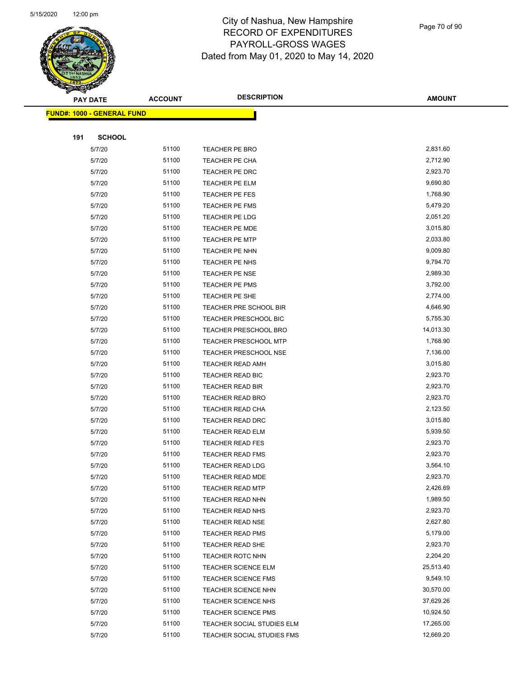

Page 70 of 90

|     | <b>PAY DATE</b>                   | <b>ACCOUNT</b> | <b>DESCRIPTION</b>           | <b>AMOUNT</b> |
|-----|-----------------------------------|----------------|------------------------------|---------------|
|     | <b>FUND#: 1000 - GENERAL FUND</b> |                |                              |               |
|     |                                   |                |                              |               |
| 191 | <b>SCHOOL</b>                     |                |                              |               |
|     | 5/7/20                            | 51100          | <b>TEACHER PE BRO</b>        | 2,831.60      |
|     | 5/7/20                            | 51100          | TEACHER PE CHA               | 2,712.90      |
|     | 5/7/20                            | 51100          | TEACHER PE DRC               | 2,923.70      |
|     | 5/7/20                            | 51100          | TEACHER PE ELM               | 9,690.80      |
|     | 5/7/20                            | 51100          | TEACHER PE FES               | 1,768.90      |
|     | 5/7/20                            | 51100          | TEACHER PE FMS               | 5,479.20      |
|     | 5/7/20                            | 51100          | TEACHER PE LDG               | 2,051.20      |
|     | 5/7/20                            | 51100          | <b>TEACHER PE MDE</b>        | 3,015.80      |
|     | 5/7/20                            | 51100          | <b>TEACHER PE MTP</b>        | 2,033.80      |
|     | 5/7/20                            | 51100          | TEACHER PE NHN               | 9,009.80      |
|     | 5/7/20                            | 51100          | TEACHER PE NHS               | 9,794.70      |
|     | 5/7/20                            | 51100          | <b>TEACHER PE NSE</b>        | 2,989.30      |
|     | 5/7/20                            | 51100          | TEACHER PE PMS               | 3,792.00      |
|     | 5/7/20                            | 51100          | TEACHER PE SHE               | 2,774.00      |
|     | 5/7/20                            | 51100          | TEACHER PRE SCHOOL BIR       | 4,646.90      |
|     | 5/7/20                            | 51100          | TEACHER PRESCHOOL BIC        | 5,755.30      |
|     | 5/7/20                            | 51100          | TEACHER PRESCHOOL BRO        | 14,013.30     |
|     | 5/7/20                            | 51100          | TEACHER PRESCHOOL MTP        | 1,768.90      |
|     | 5/7/20                            | 51100          | <b>TEACHER PRESCHOOL NSE</b> | 7,136.00      |
|     | 5/7/20                            | 51100          | <b>TEACHER READ AMH</b>      | 3,015.80      |
|     | 5/7/20                            | 51100          | TEACHER READ BIC             | 2,923.70      |
|     | 5/7/20                            | 51100          | TEACHER READ BIR             | 2,923.70      |
|     | 5/7/20                            | 51100          | <b>TEACHER READ BRO</b>      | 2,923.70      |
|     | 5/7/20                            | 51100          | <b>TEACHER READ CHA</b>      | 2,123.50      |
|     | 5/7/20                            | 51100          | <b>TEACHER READ DRC</b>      | 3,015.80      |
|     | 5/7/20                            | 51100          | TEACHER READ ELM             | 5,939.50      |
|     | 5/7/20                            | 51100          | <b>TEACHER READ FES</b>      | 2,923.70      |
|     | 5/7/20                            | 51100          | <b>TEACHER READ FMS</b>      | 2,923.70      |
|     | 5/7/20                            | 51100          | <b>TEACHER READ LDG</b>      | 3,564.10      |
|     | 5/7/20                            | 51100          | <b>TEACHER READ MDE</b>      | 2,923.70      |
|     | 5/7/20                            | 51100          | <b>TEACHER READ MTP</b>      | 2,426.69      |
|     | 5/7/20                            | 51100          | <b>TEACHER READ NHN</b>      | 1,989.50      |
|     | 5/7/20                            | 51100          | <b>TEACHER READ NHS</b>      | 2,923.70      |
|     | 5/7/20                            | 51100          | <b>TEACHER READ NSE</b>      | 2,627.80      |
|     | 5/7/20                            | 51100          | <b>TEACHER READ PMS</b>      | 5,179.00      |
|     | 5/7/20                            | 51100          | TEACHER READ SHE             | 2,923.70      |
|     | 5/7/20                            | 51100          | TEACHER ROTC NHN             | 2,204.20      |
|     | 5/7/20                            | 51100          | <b>TEACHER SCIENCE ELM</b>   | 25,513.40     |
|     | 5/7/20                            | 51100          | <b>TEACHER SCIENCE FMS</b>   | 9,549.10      |
|     | 5/7/20                            | 51100          | TEACHER SCIENCE NHN          | 30,570.00     |
|     | 5/7/20                            | 51100          | <b>TEACHER SCIENCE NHS</b>   | 37,629.26     |
|     | 5/7/20                            | 51100          | <b>TEACHER SCIENCE PMS</b>   | 10,924.50     |
|     | 5/7/20                            | 51100          | TEACHER SOCIAL STUDIES ELM   | 17,265.00     |
|     | 5/7/20                            | 51100          | TEACHER SOCIAL STUDIES FMS   | 12,669.20     |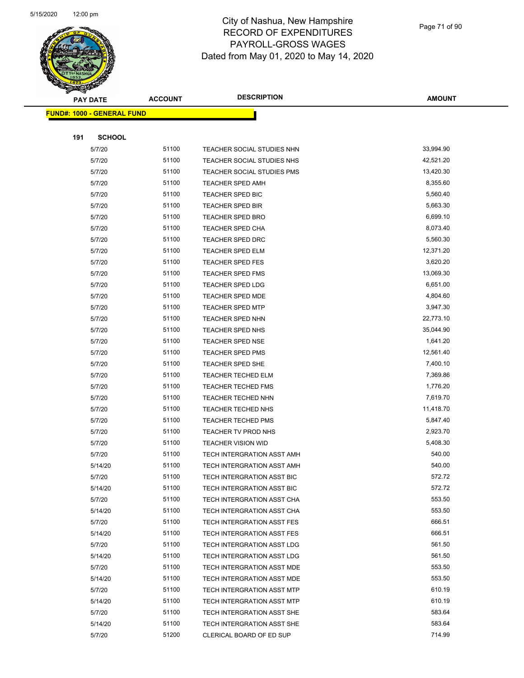| ॼ<br><b>PAY DATE</b>              | <b>ACCOUNT</b> | <b>DESCRIPTION</b>         | <b>AMOUNT</b> |
|-----------------------------------|----------------|----------------------------|---------------|
| <b>FUND#: 1000 - GENERAL FUND</b> |                |                            |               |
|                                   |                |                            |               |
| 191<br><b>SCHOOL</b>              |                |                            |               |
| 5/7/20                            | 51100          | TEACHER SOCIAL STUDIES NHN | 33,994.90     |
| 5/7/20                            | 51100          | TEACHER SOCIAL STUDIES NHS | 42,521.20     |
| 5/7/20                            | 51100          | TEACHER SOCIAL STUDIES PMS | 13,420.30     |
| 5/7/20                            | 51100          | TEACHER SPED AMH           | 8,355.60      |
| 5/7/20                            | 51100          | TEACHER SPED BIC           | 5,560.40      |
| 5/7/20                            | 51100          | <b>TEACHER SPED BIR</b>    | 5,663.30      |
| 5/7/20                            | 51100          | <b>TEACHER SPED BRO</b>    | 6,699.10      |
| 5/7/20                            | 51100          | TEACHER SPED CHA           | 8,073.40      |
| 5/7/20                            | 51100          | TEACHER SPED DRC           | 5,560.30      |
| 5/7/20                            | 51100          | TEACHER SPED ELM           | 12,371.20     |
| 5/7/20                            | 51100          | <b>TEACHER SPED FES</b>    | 3,620.20      |
| 5/7/20                            | 51100          | <b>TEACHER SPED FMS</b>    | 13,069.30     |
| 5/7/20                            | 51100          | <b>TEACHER SPED LDG</b>    | 6,651.00      |
| 5/7/20                            | 51100          | TEACHER SPED MDE           | 4,804.60      |
| 5/7/20                            | 51100          | <b>TEACHER SPED MTP</b>    | 3,947.30      |
| 5/7/20                            | 51100          | TEACHER SPED NHN           | 22,773.10     |
| 5/7/20                            | 51100          | TEACHER SPED NHS           | 35,044.90     |
| 5/7/20                            | 51100          | <b>TEACHER SPED NSE</b>    | 1,641.20      |
| 5/7/20                            | 51100          | <b>TEACHER SPED PMS</b>    | 12,561.40     |
| 5/7/20                            | 51100          | <b>TEACHER SPED SHE</b>    | 7,400.10      |
| 5/7/20                            | 51100          | <b>TEACHER TECHED ELM</b>  | 7,369.86      |
| 5/7/20                            | 51100          | <b>TEACHER TECHED FMS</b>  | 1,776.20      |
| 5/7/20                            | 51100          | TEACHER TECHED NHN         | 7,619.70      |
| 5/7/20                            | 51100          | <b>TEACHER TECHED NHS</b>  | 11,418.70     |
| 5/7/20                            | 51100          | <b>TEACHER TECHED PMS</b>  | 5,847.40      |
| 5/7/20                            | 51100          | TEACHER TV PROD NHS        | 2,923.70      |
| 5/7/20                            | 51100          | <b>TEACHER VISION WID</b>  | 5,408.30      |
| 5/7/20                            | 51100          | TECH INTERGRATION ASST AMH | 540.00        |
| 5/14/20                           | 51100          | TECH INTERGRATION ASST AMH | 540.00        |
| 5/7/20                            | 51100          | TECH INTERGRATION ASST BIC | 572.72        |
| 5/14/20                           | 51100          | TECH INTERGRATION ASST BIC | 572.72        |
| 5/7/20                            | 51100          | TECH INTERGRATION ASST CHA | 553.50        |
| 5/14/20                           | 51100          | TECH INTERGRATION ASST CHA | 553.50        |
| 5/7/20                            | 51100          | TECH INTERGRATION ASST FES | 666.51        |
| 5/14/20                           | 51100          | TECH INTERGRATION ASST FES | 666.51        |
| 5/7/20                            | 51100          | TECH INTERGRATION ASST LDG | 561.50        |
| 5/14/20                           | 51100          | TECH INTERGRATION ASST LDG | 561.50        |
| 5/7/20                            | 51100          | TECH INTERGRATION ASST MDE | 553.50        |
| 5/14/20                           | 51100          | TECH INTERGRATION ASST MDE | 553.50        |
| 5/7/20                            | 51100          | TECH INTERGRATION ASST MTP | 610.19        |
| 5/14/20                           | 51100          | TECH INTERGRATION ASST MTP | 610.19        |
| 5/7/20                            | 51100          | TECH INTERGRATION ASST SHE | 583.64        |
| 5/14/20                           | 51100          | TECH INTERGRATION ASST SHE | 583.64        |
| 5/7/20                            | 51200          | CLERICAL BOARD OF ED SUP   | 714.99        |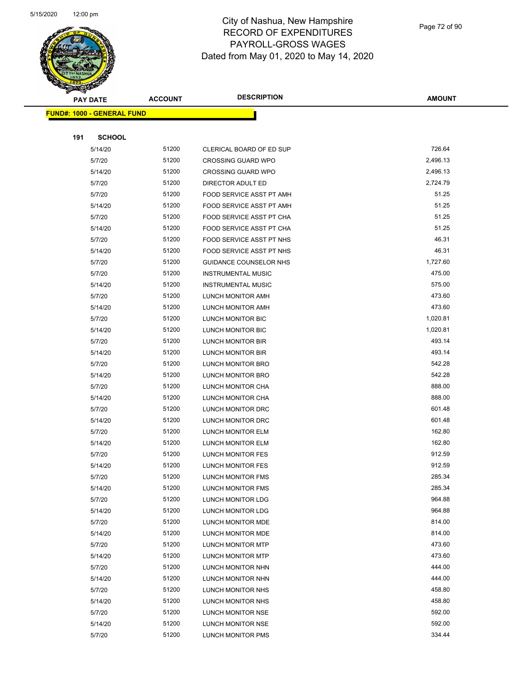

Page 72 of 90

|     | <b>PAY DATE</b>                    | <b>ACCOUNT</b> | <b>DESCRIPTION</b>            | <b>AMOUNT</b> |
|-----|------------------------------------|----------------|-------------------------------|---------------|
|     | <u> FUND#: 1000 - GENERAL FUND</u> |                |                               |               |
|     |                                    |                |                               |               |
| 191 | <b>SCHOOL</b>                      |                |                               |               |
|     | 5/14/20                            | 51200          | CLERICAL BOARD OF ED SUP      | 726.64        |
|     | 5/7/20                             | 51200          | <b>CROSSING GUARD WPO</b>     | 2,496.13      |
|     | 5/14/20                            | 51200          | <b>CROSSING GUARD WPO</b>     | 2,496.13      |
|     | 5/7/20                             | 51200          | DIRECTOR ADULT ED             | 2,724.79      |
|     | 5/7/20                             | 51200          | FOOD SERVICE ASST PT AMH      | 51.25         |
|     | 5/14/20                            | 51200          | FOOD SERVICE ASST PT AMH      | 51.25         |
|     | 5/7/20                             | 51200          | FOOD SERVICE ASST PT CHA      | 51.25         |
|     | 5/14/20                            | 51200          | FOOD SERVICE ASST PT CHA      | 51.25         |
|     | 5/7/20                             | 51200          | FOOD SERVICE ASST PT NHS      | 46.31         |
|     | 5/14/20                            | 51200          | FOOD SERVICE ASST PT NHS      | 46.31         |
|     | 5/7/20                             | 51200          | <b>GUIDANCE COUNSELOR NHS</b> | 1,727.60      |
|     | 5/7/20                             | 51200          | <b>INSTRUMENTAL MUSIC</b>     | 475.00        |
|     | 5/14/20                            | 51200          | <b>INSTRUMENTAL MUSIC</b>     | 575.00        |
|     | 5/7/20                             | 51200          | LUNCH MONITOR AMH             | 473.60        |
|     | 5/14/20                            | 51200          | LUNCH MONITOR AMH             | 473.60        |
|     | 5/7/20                             | 51200          | LUNCH MONITOR BIC             | 1,020.81      |
|     | 5/14/20                            | 51200          | LUNCH MONITOR BIC             | 1,020.81      |
|     | 5/7/20                             | 51200          | LUNCH MONITOR BIR             | 493.14        |
|     | 5/14/20                            | 51200          | LUNCH MONITOR BIR             | 493.14        |
|     | 5/7/20                             | 51200          | LUNCH MONITOR BRO             | 542.28        |
|     | 5/14/20                            | 51200          | LUNCH MONITOR BRO             | 542.28        |
|     | 5/7/20                             | 51200          | LUNCH MONITOR CHA             | 888.00        |
|     | 5/14/20                            | 51200          | LUNCH MONITOR CHA             | 888.00        |
|     | 5/7/20                             | 51200          | LUNCH MONITOR DRC             | 601.48        |
|     | 5/14/20                            | 51200          | LUNCH MONITOR DRC             | 601.48        |
|     | 5/7/20                             | 51200          | <b>LUNCH MONITOR ELM</b>      | 162.80        |
|     | 5/14/20                            | 51200          | LUNCH MONITOR ELM             | 162.80        |
|     | 5/7/20                             | 51200          | LUNCH MONITOR FES             | 912.59        |
|     | 5/14/20                            | 51200          | LUNCH MONITOR FES             | 912.59        |
|     | 5/7/20                             | 51200          | <b>LUNCH MONITOR FMS</b>      | 285.34        |
|     | 5/14/20                            | 51200          | LUNCH MONITOR FMS             | 285.34        |
|     | 5/7/20                             | 51200          | LUNCH MONITOR LDG             | 964.88        |
|     | 5/14/20                            | 51200          | LUNCH MONITOR LDG             | 964.88        |
|     | 5/7/20                             | 51200          | LUNCH MONITOR MDE             | 814.00        |
|     | 5/14/20                            | 51200          | LUNCH MONITOR MDE             | 814.00        |
|     | 5/7/20                             | 51200          | LUNCH MONITOR MTP             | 473.60        |
|     | 5/14/20                            | 51200          | LUNCH MONITOR MTP             | 473.60        |
|     | 5/7/20                             | 51200          | LUNCH MONITOR NHN             | 444.00        |
|     | 5/14/20                            | 51200          | LUNCH MONITOR NHN             | 444.00        |
|     | 5/7/20                             | 51200          | LUNCH MONITOR NHS             | 458.80        |
|     | 5/14/20                            | 51200          | LUNCH MONITOR NHS             | 458.80        |
|     | 5/7/20                             | 51200          | LUNCH MONITOR NSE             | 592.00        |
|     | 5/14/20                            | 51200          | LUNCH MONITOR NSE             | 592.00        |
|     | 5/7/20                             | 51200          | LUNCH MONITOR PMS             | 334.44        |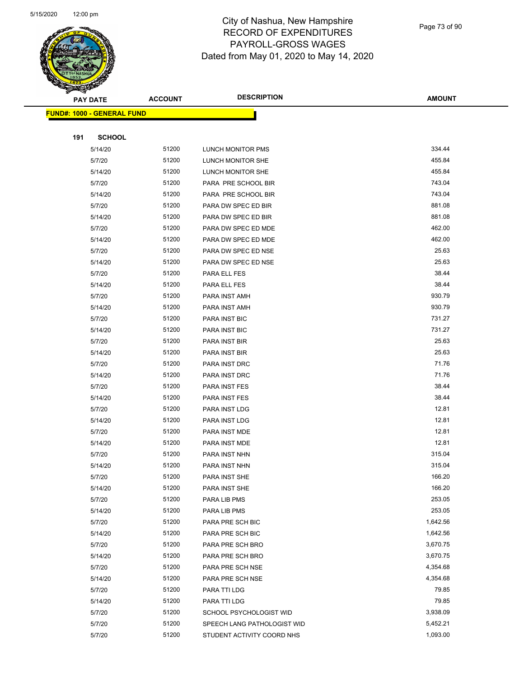| $\overline{\mathscr{D}}$ | <b>PAY DATE</b>                   | <b>ACCOUNT</b> | <b>DESCRIPTION</b>          | <b>AMOUNT</b> |
|--------------------------|-----------------------------------|----------------|-----------------------------|---------------|
|                          | <b>FUND#: 1000 - GENERAL FUND</b> |                |                             |               |
|                          |                                   |                |                             |               |
| 191                      | <b>SCHOOL</b>                     |                |                             |               |
|                          | 5/14/20                           | 51200          | <b>LUNCH MONITOR PMS</b>    | 334.44        |
|                          | 5/7/20                            | 51200          | LUNCH MONITOR SHE           | 455.84        |
|                          | 5/14/20                           | 51200          | LUNCH MONITOR SHE           | 455.84        |
|                          | 5/7/20                            | 51200          | PARA PRE SCHOOL BIR         | 743.04        |
|                          | 5/14/20                           | 51200          | PARA PRE SCHOOL BIR         | 743.04        |
|                          | 5/7/20                            | 51200          | PARA DW SPEC ED BIR         | 881.08        |
|                          | 5/14/20                           | 51200          | PARA DW SPEC ED BIR         | 881.08        |
|                          | 5/7/20                            | 51200          | PARA DW SPEC ED MDE         | 462.00        |
|                          | 5/14/20                           | 51200          | PARA DW SPEC ED MDE         | 462.00        |
|                          | 5/7/20                            | 51200          | PARA DW SPEC ED NSE         | 25.63         |
|                          | 5/14/20                           | 51200          | PARA DW SPEC ED NSE         | 25.63         |
|                          | 5/7/20                            | 51200          | PARA ELL FES                | 38.44         |
|                          | 5/14/20                           | 51200          | PARA ELL FES                | 38.44         |
|                          | 5/7/20                            | 51200          | PARA INST AMH               | 930.79        |
|                          | 5/14/20                           | 51200          | PARA INST AMH               | 930.79        |
|                          | 5/7/20                            | 51200          | <b>PARA INST BIC</b>        | 731.27        |
|                          | 5/14/20                           | 51200          | PARA INST BIC               | 731.27        |
|                          | 5/7/20                            | 51200          | PARA INST BIR               | 25.63         |
|                          | 5/14/20                           | 51200          | PARA INST BIR               | 25.63         |
|                          | 5/7/20                            | 51200          | PARA INST DRC               | 71.76         |
|                          | 5/14/20                           | 51200          | PARA INST DRC               | 71.76         |
|                          | 5/7/20                            | 51200          | PARA INST FES               | 38.44         |
|                          | 5/14/20                           | 51200          | PARA INST FES               | 38.44         |
|                          | 5/7/20                            | 51200          | PARA INST LDG               | 12.81         |
|                          | 5/14/20                           | 51200          | PARA INST LDG               | 12.81         |
|                          | 5/7/20                            | 51200          | PARA INST MDE               | 12.81         |
|                          | 5/14/20                           | 51200          | PARA INST MDE               | 12.81         |
|                          | 5/7/20                            | 51200          | PARA INST NHN               | 315.04        |
|                          | 5/14/20                           | 51200          | PARA INST NHN               | 315.04        |
|                          | 5/7/20                            | 51200          | PARA INST SHE               | 166.20        |
|                          | 5/14/20                           | 51200          | PARA INST SHE               | 166.20        |
|                          | 5/7/20                            | 51200          | PARA LIB PMS                | 253.05        |
|                          | 5/14/20                           | 51200          | PARA LIB PMS                | 253.05        |
|                          | 5/7/20                            | 51200          | PARA PRE SCH BIC            | 1,642.56      |
|                          | 5/14/20                           | 51200          | PARA PRE SCH BIC            | 1,642.56      |
|                          | 5/7/20                            | 51200          | PARA PRE SCH BRO            | 3,670.75      |
|                          | 5/14/20                           | 51200          | PARA PRE SCH BRO            | 3,670.75      |
|                          | 5/7/20                            | 51200          | PARA PRE SCH NSE            | 4,354.68      |
|                          | 5/14/20                           | 51200          | PARA PRE SCH NSE            | 4,354.68      |
|                          | 5/7/20                            | 51200          | PARA TTI LDG                | 79.85         |
|                          | 5/14/20                           | 51200          | PARA TTI LDG                | 79.85         |
|                          | 5/7/20                            | 51200          | SCHOOL PSYCHOLOGIST WID     | 3,938.09      |
|                          | 5/7/20                            | 51200          | SPEECH LANG PATHOLOGIST WID | 5,452.21      |
|                          | 5/7/20                            | 51200          | STUDENT ACTIVITY COORD NHS  | 1,093.00      |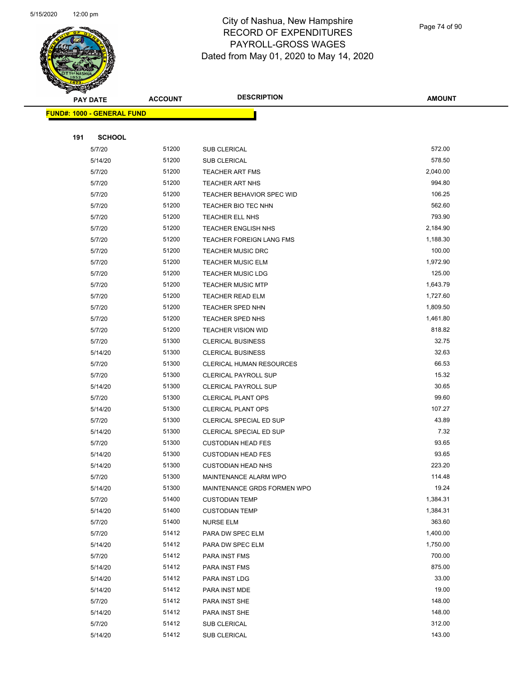

| <b>Allen</b>               |               | <b>ACCOUNT</b> | <b>DESCRIPTION</b>          | <b>AMOUNT</b> |
|----------------------------|---------------|----------------|-----------------------------|---------------|
| <b>PAY DATE</b>            |               |                |                             |               |
| FUND#: 1000 - GENERAL FUND |               |                |                             |               |
|                            |               |                |                             |               |
| 191                        | <b>SCHOOL</b> |                |                             |               |
| 5/7/20                     |               | 51200          | SUB CLERICAL                | 572.00        |
| 5/14/20                    |               | 51200          | SUB CLERICAL                | 578.50        |
| 5/7/20                     |               | 51200          | TEACHER ART FMS             | 2,040.00      |
| 5/7/20                     |               | 51200          | TEACHER ART NHS             | 994.80        |
| 5/7/20                     |               | 51200          | TEACHER BEHAVIOR SPEC WID   | 106.25        |
| 5/7/20                     |               | 51200          | TEACHER BIO TEC NHN         | 562.60        |
| 5/7/20                     |               | 51200          | TEACHER ELL NHS             | 793.90        |
| 5/7/20                     |               | 51200          | TEACHER ENGLISH NHS         | 2,184.90      |
| 5/7/20                     |               | 51200          | TEACHER FOREIGN LANG FMS    | 1,188.30      |
| 5/7/20                     |               | 51200          | <b>TEACHER MUSIC DRC</b>    | 100.00        |
| 5/7/20                     |               | 51200          | <b>TEACHER MUSIC ELM</b>    | 1,972.90      |
| 5/7/20                     |               | 51200          | <b>TEACHER MUSIC LDG</b>    | 125.00        |
| 5/7/20                     |               | 51200          | <b>TEACHER MUSIC MTP</b>    | 1,643.79      |
| 5/7/20                     |               | 51200          | TEACHER READ ELM            | 1,727.60      |
| 5/7/20                     |               | 51200          | TEACHER SPED NHN            | 1,809.50      |
| 5/7/20                     |               | 51200          | TEACHER SPED NHS            | 1,461.80      |
| 5/7/20                     |               | 51200          | <b>TEACHER VISION WID</b>   | 818.82        |
| 5/7/20                     |               | 51300          | <b>CLERICAL BUSINESS</b>    | 32.75         |
| 5/14/20                    |               | 51300          | <b>CLERICAL BUSINESS</b>    | 32.63         |
| 5/7/20                     |               | 51300          | CLERICAL HUMAN RESOURCES    | 66.53         |
| 5/7/20                     |               | 51300          | <b>CLERICAL PAYROLL SUP</b> | 15.32         |
| 5/14/20                    |               | 51300          | <b>CLERICAL PAYROLL SUP</b> | 30.65         |
| 5/7/20                     |               | 51300          | <b>CLERICAL PLANT OPS</b>   | 99.60         |
| 5/14/20                    |               | 51300          | <b>CLERICAL PLANT OPS</b>   | 107.27        |
| 5/7/20                     |               | 51300          | CLERICAL SPECIAL ED SUP     | 43.89         |
| 5/14/20                    |               | 51300          | CLERICAL SPECIAL ED SUP     | 7.32          |
| 5/7/20                     |               | 51300          | <b>CUSTODIAN HEAD FES</b>   | 93.65         |
| 5/14/20                    |               | 51300          | <b>CUSTODIAN HEAD FES</b>   | 93.65         |
| 5/14/20                    |               | 51300          | <b>CUSTODIAN HEAD NHS</b>   | 223.20        |
| 5/7/20                     |               | 51300          | MAINTENANCE ALARM WPO       | 114.48        |
| 5/14/20                    |               | 51300          | MAINTENANCE GRDS FORMEN WPO | 19.24         |
| 5/7/20                     |               | 51400          | <b>CUSTODIAN TEMP</b>       | 1,384.31      |
| 5/14/20                    |               | 51400          | <b>CUSTODIAN TEMP</b>       | 1,384.31      |
| 5/7/20                     |               | 51400          | <b>NURSE ELM</b>            | 363.60        |
| 5/7/20                     |               | 51412          | PARA DW SPEC ELM            | 1,400.00      |
| 5/14/20                    |               | 51412          | PARA DW SPEC ELM            | 1,750.00      |
| 5/7/20                     |               | 51412          | PARA INST FMS               | 700.00        |
| 5/14/20                    |               | 51412          | PARA INST FMS               | 875.00        |
| 5/14/20                    |               | 51412          | PARA INST LDG               | 33.00         |
| 5/14/20                    |               | 51412          | PARA INST MDE               | 19.00         |
| 5/7/20                     |               | 51412          | PARA INST SHE               | 148.00        |
| 5/14/20                    |               | 51412          | PARA INST SHE               | 148.00        |
| 5/7/20                     |               | 51412          | SUB CLERICAL                | 312.00        |
| 5/14/20                    |               | 51412          | SUB CLERICAL                | 143.00        |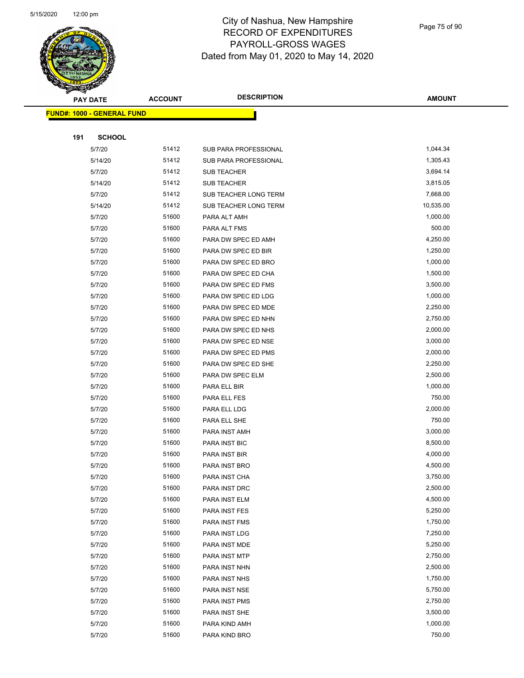

| ॼ   | <b>PAY DATE</b>                   | <b>ACCOUNT</b> | <b>DESCRIPTION</b>    | <b>AMOUNT</b> |
|-----|-----------------------------------|----------------|-----------------------|---------------|
|     | <b>FUND#: 1000 - GENERAL FUND</b> |                |                       |               |
|     |                                   |                |                       |               |
| 191 | <b>SCHOOL</b>                     |                |                       |               |
|     | 5/7/20                            | 51412          | SUB PARA PROFESSIONAL | 1,044.34      |
|     | 5/14/20                           | 51412          | SUB PARA PROFESSIONAL | 1,305.43      |
|     | 5/7/20                            | 51412          | <b>SUB TEACHER</b>    | 3,694.14      |
|     | 5/14/20                           | 51412          | <b>SUB TEACHER</b>    | 3,815.05      |
|     | 5/7/20                            | 51412          | SUB TEACHER LONG TERM | 7,668.00      |
|     | 5/14/20                           | 51412          | SUB TEACHER LONG TERM | 10,535.00     |
|     | 5/7/20                            | 51600          | PARA ALT AMH          | 1,000.00      |
|     | 5/7/20                            | 51600          | PARA ALT FMS          | 500.00        |
|     | 5/7/20                            | 51600          | PARA DW SPEC ED AMH   | 4,250.00      |
|     | 5/7/20                            | 51600          | PARA DW SPEC ED BIR   | 1,250.00      |
|     | 5/7/20                            | 51600          | PARA DW SPEC ED BRO   | 1,000.00      |
|     | 5/7/20                            | 51600          | PARA DW SPEC ED CHA   | 1,500.00      |
|     | 5/7/20                            | 51600          | PARA DW SPEC ED FMS   | 3,500.00      |
|     | 5/7/20                            | 51600          | PARA DW SPEC ED LDG   | 1,000.00      |
|     | 5/7/20                            | 51600          | PARA DW SPEC ED MDE   | 2,250.00      |
|     | 5/7/20                            | 51600          | PARA DW SPEC ED NHN   | 2,750.00      |
|     | 5/7/20                            | 51600          | PARA DW SPEC ED NHS   | 2,000.00      |
|     | 5/7/20                            | 51600          | PARA DW SPEC ED NSE   | 3,000.00      |
|     | 5/7/20                            | 51600          | PARA DW SPEC ED PMS   | 2,000.00      |
|     | 5/7/20                            | 51600          | PARA DW SPEC ED SHE   | 2,250.00      |
|     | 5/7/20                            | 51600          | PARA DW SPEC ELM      | 2,500.00      |
|     | 5/7/20                            | 51600          | PARA ELL BIR          | 1,000.00      |
|     | 5/7/20                            | 51600          | PARA ELL FES          | 750.00        |
|     | 5/7/20                            | 51600          | PARA ELL LDG          | 2,000.00      |
|     | 5/7/20                            | 51600          | PARA ELL SHE          | 750.00        |
|     | 5/7/20                            | 51600          | PARA INST AMH         | 3,000.00      |
|     | 5/7/20                            | 51600          | PARA INST BIC         | 8,500.00      |
|     | 5/7/20                            | 51600          | PARA INST BIR         | 4,000.00      |
|     | 5/7/20                            | 51600          | PARA INST BRO         | 4,500.00      |
|     | 5/7/20                            | 51600          | PARA INST CHA         | 3,750.00      |
|     | 5/7/20                            | 51600          | PARA INST DRC         | 2,500.00      |
|     | 5/7/20                            | 51600          | PARA INST ELM         | 4,500.00      |
|     | 5/7/20                            | 51600          | PARA INST FES         | 5,250.00      |
|     | 5/7/20                            | 51600          | PARA INST FMS         | 1,750.00      |
|     | 5/7/20                            | 51600          | PARA INST LDG         | 7,250.00      |
|     | 5/7/20                            | 51600          | PARA INST MDE         | 5,250.00      |
|     | 5/7/20                            | 51600          | PARA INST MTP         | 2,750.00      |
|     | 5/7/20                            | 51600          | PARA INST NHN         | 2,500.00      |
|     | 5/7/20                            | 51600          | PARA INST NHS         | 1,750.00      |
|     | 5/7/20                            | 51600          | PARA INST NSE         | 5,750.00      |
|     | 5/7/20                            | 51600          | PARA INST PMS         | 2,750.00      |
|     | 5/7/20                            | 51600          | PARA INST SHE         | 3,500.00      |
|     | 5/7/20                            | 51600          | PARA KIND AMH         | 1,000.00      |
|     | 5/7/20                            | 51600          | PARA KIND BRO         | 750.00        |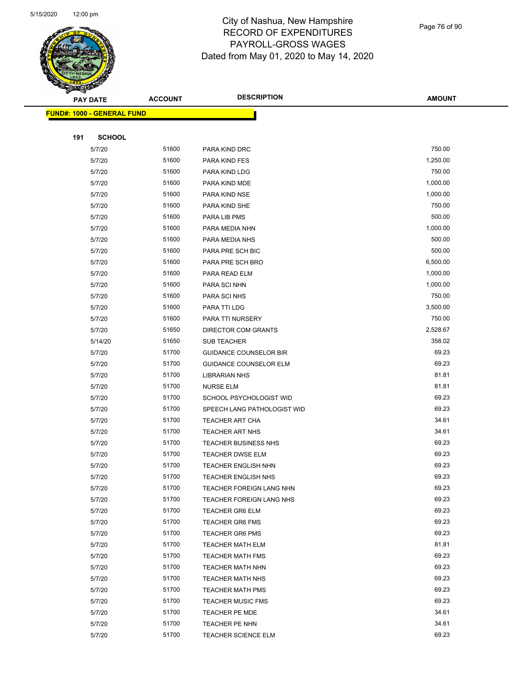

|     | <b>PAY DATE</b>                   | <b>ACCOUNT</b> | <b>DESCRIPTION</b>                               | <b>AMOUNT</b>  |
|-----|-----------------------------------|----------------|--------------------------------------------------|----------------|
|     | <b>FUND#: 1000 - GENERAL FUND</b> |                |                                                  |                |
|     |                                   |                |                                                  |                |
| 191 | <b>SCHOOL</b>                     |                |                                                  |                |
|     | 5/7/20                            | 51600          | PARA KIND DRC                                    | 750.00         |
|     | 5/7/20                            | 51600          | PARA KIND FES                                    | 1,250.00       |
|     | 5/7/20                            | 51600          | PARA KIND LDG                                    | 750.00         |
|     | 5/7/20                            | 51600          | PARA KIND MDE                                    | 1,000.00       |
|     | 5/7/20                            | 51600          | PARA KIND NSE                                    | 1,000.00       |
|     | 5/7/20                            | 51600          | PARA KIND SHE                                    | 750.00         |
|     | 5/7/20                            | 51600          | PARA LIB PMS                                     | 500.00         |
|     | 5/7/20                            | 51600          | PARA MEDIA NHN                                   | 1,000.00       |
|     | 5/7/20                            | 51600          | PARA MEDIA NHS                                   | 500.00         |
|     | 5/7/20                            | 51600          | PARA PRE SCH BIC                                 | 500.00         |
|     | 5/7/20                            | 51600          | PARA PRE SCH BRO                                 | 6,500.00       |
|     | 5/7/20                            | 51600          | PARA READ ELM                                    | 1,000.00       |
|     | 5/7/20                            | 51600          | PARA SCI NHN                                     | 1,000.00       |
|     | 5/7/20                            | 51600          | PARA SCI NHS                                     | 750.00         |
|     | 5/7/20                            | 51600          | PARA TTI LDG                                     | 3,500.00       |
|     | 5/7/20                            | 51600          | PARA TTI NURSERY                                 | 750.00         |
|     | 5/7/20                            | 51650          | DIRECTOR COM GRANTS                              | 2,528.67       |
|     | 5/14/20                           | 51650          | <b>SUB TEACHER</b>                               | 358.02         |
|     | 5/7/20                            | 51700          | <b>GUIDANCE COUNSELOR BIR</b>                    | 69.23          |
|     | 5/7/20                            | 51700          | <b>GUIDANCE COUNSELOR ELM</b>                    | 69.23          |
|     | 5/7/20                            | 51700          | <b>LIBRARIAN NHS</b>                             | 81.81          |
|     | 5/7/20                            | 51700          | <b>NURSE ELM</b>                                 | 81.81          |
|     | 5/7/20                            | 51700          | SCHOOL PSYCHOLOGIST WID                          | 69.23          |
|     | 5/7/20                            | 51700          | SPEECH LANG PATHOLOGIST WID                      | 69.23          |
|     | 5/7/20                            | 51700          | <b>TEACHER ART CHA</b>                           | 34.61          |
|     | 5/7/20                            | 51700          | TEACHER ART NHS                                  | 34.61          |
|     | 5/7/20                            | 51700          | TEACHER BUSINESS NHS                             | 69.23          |
|     | 5/7/20                            | 51700          | <b>TEACHER DWSE ELM</b>                          | 69.23          |
|     | 5/7/20                            | 51700          | <b>TEACHER ENGLISH NHN</b>                       | 69.23          |
|     | 5/7/20                            | 51700          | TEACHER ENGLISH NHS                              | 69.23          |
|     | 5/7/20                            | 51700          | TEACHER FOREIGN LANG NHN                         | 69.23          |
|     | 5/7/20                            | 51700          | TEACHER FOREIGN LANG NHS                         | 69.23<br>69.23 |
|     | 5/7/20                            | 51700<br>51700 | <b>TEACHER GR6 ELM</b><br><b>TEACHER GR6 FMS</b> | 69.23          |
|     | 5/7/20                            | 51700          | <b>TEACHER GR6 PMS</b>                           | 69.23          |
|     | 5/7/20<br>5/7/20                  | 51700          | <b>TEACHER MATH ELM</b>                          | 81.81          |
|     | 5/7/20                            | 51700          | <b>TEACHER MATH FMS</b>                          | 69.23          |
|     | 5/7/20                            | 51700          | <b>TEACHER MATH NHN</b>                          | 69.23          |
|     | 5/7/20                            | 51700          | <b>TEACHER MATH NHS</b>                          | 69.23          |
|     | 5/7/20                            | 51700          | <b>TEACHER MATH PMS</b>                          | 69.23          |
|     | 5/7/20                            | 51700          | <b>TEACHER MUSIC FMS</b>                         | 69.23          |
|     | 5/7/20                            | 51700          | <b>TEACHER PE MDE</b>                            | 34.61          |
|     | 5/7/20                            | 51700          | TEACHER PE NHN                                   | 34.61          |
|     | 5/7/20                            | 51700          | TEACHER SCIENCE ELM                              | 69.23          |
|     |                                   |                |                                                  |                |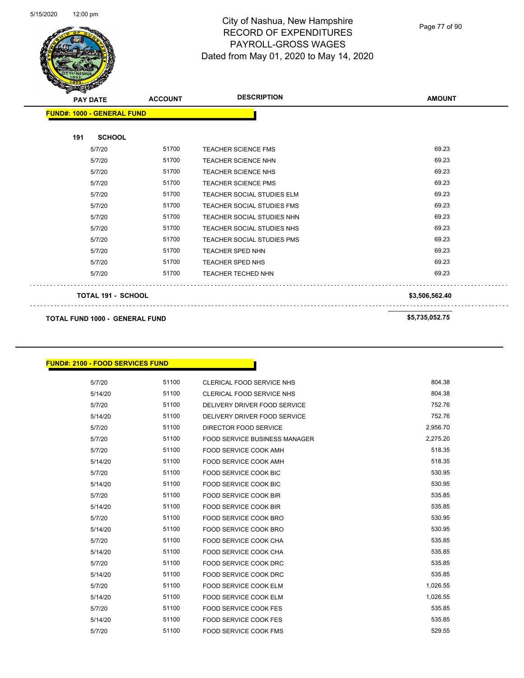

Page 77 of 90

| $\mathscr{D} \curvearrowright$<br><b>PAY DATE</b> |                           | <b>ACCOUNT</b> | <b>DESCRIPTION</b>                | <b>AMOUNT</b>  |
|---------------------------------------------------|---------------------------|----------------|-----------------------------------|----------------|
| <b>FUND#: 1000 - GENERAL FUND</b>                 |                           |                |                                   |                |
| 191                                               | <b>SCHOOL</b>             |                |                                   |                |
| 5/7/20                                            |                           | 51700          | <b>TEACHER SCIENCE FMS</b>        | 69.23          |
| 5/7/20                                            |                           | 51700          | <b>TEACHER SCIENCE NHN</b>        | 69.23          |
| 5/7/20                                            |                           | 51700          | <b>TEACHER SCIENCE NHS</b>        | 69.23          |
| 5/7/20                                            |                           | 51700          | <b>TEACHER SCIENCE PMS</b>        | 69.23          |
| 5/7/20                                            |                           | 51700          | <b>TEACHER SOCIAL STUDIES ELM</b> | 69.23          |
| 5/7/20                                            |                           | 51700          | <b>TEACHER SOCIAL STUDIES FMS</b> | 69.23          |
| 5/7/20                                            |                           | 51700          | TEACHER SOCIAL STUDIES NHN        | 69.23          |
| 5/7/20                                            |                           | 51700          | TEACHER SOCIAL STUDIES NHS        | 69.23          |
| 5/7/20                                            |                           | 51700          | <b>TEACHER SOCIAL STUDIES PMS</b> | 69.23          |
| 5/7/20                                            |                           | 51700          | <b>TEACHER SPED NHN</b>           | 69.23          |
| 5/7/20                                            |                           | 51700          | <b>TEACHER SPED NHS</b>           | 69.23          |
| 5/7/20                                            |                           | 51700          | <b>TEACHER TECHED NHN</b>         | 69.23          |
|                                                   | <b>TOTAL 191 - SCHOOL</b> |                |                                   | \$3,506,562.40 |
|                                                   |                           |                |                                   |                |

**TOTAL FUND 1000 - GENERAL FUND \$5,735,052.75** 

### **FUND#: 2100 - FOOD SERVICES FUND**

| 5/7/20  | 51100 | CLERICAL FOOD SERVICE NHS            | 804.38   |
|---------|-------|--------------------------------------|----------|
| 5/14/20 | 51100 | CLERICAL FOOD SERVICE NHS            | 804.38   |
| 5/7/20  | 51100 | DELIVERY DRIVER FOOD SERVICE         | 752.76   |
| 5/14/20 | 51100 | DELIVERY DRIVER FOOD SERVICE         | 752.76   |
| 5/7/20  | 51100 | DIRECTOR FOOD SERVICE                | 2,956.70 |
| 5/7/20  | 51100 | <b>FOOD SERVICE BUSINESS MANAGER</b> | 2,275.20 |
| 5/7/20  | 51100 | <b>FOOD SERVICE COOK AMH</b>         | 518.35   |
| 5/14/20 | 51100 | <b>FOOD SERVICE COOK AMH</b>         | 518.35   |
| 5/7/20  | 51100 | <b>FOOD SERVICE COOK BIC</b>         | 530.95   |
| 5/14/20 | 51100 | <b>FOOD SERVICE COOK BIC</b>         | 530.95   |
| 5/7/20  | 51100 | <b>FOOD SERVICE COOK BIR</b>         | 535.85   |
| 5/14/20 | 51100 | <b>FOOD SERVICE COOK BIR</b>         | 535.85   |
| 5/7/20  | 51100 | <b>FOOD SERVICE COOK BRO</b>         | 530.95   |
| 5/14/20 | 51100 | <b>FOOD SERVICE COOK BRO</b>         | 530.95   |
| 5/7/20  | 51100 | <b>FOOD SERVICE COOK CHA</b>         | 535.85   |
| 5/14/20 | 51100 | <b>FOOD SERVICE COOK CHA</b>         | 535.85   |
| 5/7/20  | 51100 | <b>FOOD SERVICE COOK DRC</b>         | 535.85   |
| 5/14/20 | 51100 | <b>FOOD SERVICE COOK DRC</b>         | 535.85   |
| 5/7/20  | 51100 | <b>FOOD SERVICE COOK ELM</b>         | 1,026.55 |
| 5/14/20 | 51100 | <b>FOOD SERVICE COOK ELM</b>         | 1,026.55 |
| 5/7/20  | 51100 | <b>FOOD SERVICE COOK FES</b>         | 535.85   |
| 5/14/20 | 51100 | <b>FOOD SERVICE COOK FES</b>         | 535.85   |
| 5/7/20  | 51100 | <b>FOOD SERVICE COOK FMS</b>         | 529.55   |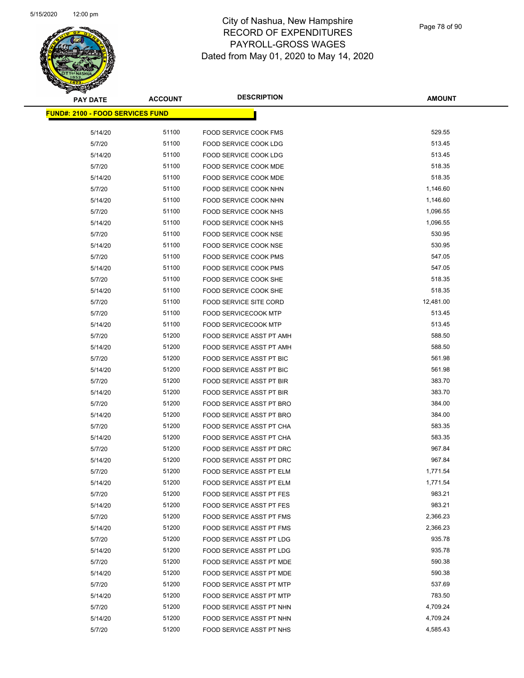# **PAY DATE ACCOUNT DESCRIPTION**

# City of Nashua, New Hampshire RECORD OF EXPENDITURES PAYROLL-GROSS WAGES Dated from May 01, 2020 to May 14, 2020

Page 78 of 90

| <b>PAY DATE</b>                         | <b>ACCOUNT</b> | <b>DESCRIPTION</b>                                   | <b>AMOUNT</b>    |
|-----------------------------------------|----------------|------------------------------------------------------|------------------|
| <b>FUND#: 2100 - FOOD SERVICES FUND</b> |                |                                                      |                  |
|                                         |                |                                                      |                  |
| 5/14/20                                 | 51100          | FOOD SERVICE COOK FMS                                | 529.55           |
| 5/7/20                                  | 51100          | FOOD SERVICE COOK LDG                                | 513.45           |
| 5/14/20                                 | 51100          | <b>FOOD SERVICE COOK LDG</b>                         | 513.45           |
| 5/7/20                                  | 51100          | FOOD SERVICE COOK MDE                                | 518.35           |
| 5/14/20                                 | 51100          | FOOD SERVICE COOK MDE                                | 518.35           |
| 5/7/20                                  | 51100          | FOOD SERVICE COOK NHN                                | 1,146.60         |
| 5/14/20                                 | 51100          | FOOD SERVICE COOK NHN                                | 1,146.60         |
| 5/7/20                                  | 51100          | FOOD SERVICE COOK NHS                                | 1,096.55         |
| 5/14/20                                 | 51100          | FOOD SERVICE COOK NHS                                | 1,096.55         |
| 5/7/20                                  | 51100          | FOOD SERVICE COOK NSE                                | 530.95           |
| 5/14/20                                 | 51100          | <b>FOOD SERVICE COOK NSE</b>                         | 530.95           |
| 5/7/20                                  | 51100          | FOOD SERVICE COOK PMS                                | 547.05           |
| 5/14/20                                 | 51100          | <b>FOOD SERVICE COOK PMS</b>                         | 547.05           |
| 5/7/20                                  | 51100          | FOOD SERVICE COOK SHE                                | 518.35           |
| 5/14/20                                 | 51100          | <b>FOOD SERVICE COOK SHE</b>                         | 518.35           |
| 5/7/20                                  | 51100          | <b>FOOD SERVICE SITE CORD</b>                        | 12,481.00        |
| 5/7/20                                  | 51100          | <b>FOOD SERVICECOOK MTP</b>                          | 513.45           |
| 5/14/20                                 | 51100<br>51200 | <b>FOOD SERVICECOOK MTP</b>                          | 513.45<br>588.50 |
| 5/7/20                                  | 51200          | FOOD SERVICE ASST PT AMH                             | 588.50           |
| 5/14/20<br>5/7/20                       | 51200          | FOOD SERVICE ASST PT AMH<br>FOOD SERVICE ASST PT BIC | 561.98           |
| 5/14/20                                 | 51200          | FOOD SERVICE ASST PT BIC                             | 561.98           |
| 5/7/20                                  | 51200          | FOOD SERVICE ASST PT BIR                             | 383.70           |
| 5/14/20                                 | 51200          | FOOD SERVICE ASST PT BIR                             | 383.70           |
| 5/7/20                                  | 51200          | FOOD SERVICE ASST PT BRO                             | 384.00           |
| 5/14/20                                 | 51200          | FOOD SERVICE ASST PT BRO                             | 384.00           |
| 5/7/20                                  | 51200          | FOOD SERVICE ASST PT CHA                             | 583.35           |
| 5/14/20                                 | 51200          | <b>FOOD SERVICE ASST PT CHA</b>                      | 583.35           |
| 5/7/20                                  | 51200          | FOOD SERVICE ASST PT DRC                             | 967.84           |
| 5/14/20                                 | 51200          | FOOD SERVICE ASST PT DRC                             | 967.84           |
| 5/7/20                                  | 51200          | <b>FOOD SERVICE ASST PT ELM</b>                      | 1,771.54         |
| 5/14/20                                 | 51200          | FOOD SERVICE ASST PT ELM                             | 1,771.54         |
| 5/7/20                                  | 51200          | FOOD SERVICE ASST PT FES                             | 983.21           |
| 5/14/20                                 | 51200          | FOOD SERVICE ASST PT FES                             | 983.21           |
| 5/7/20                                  | 51200          | FOOD SERVICE ASST PT FMS                             | 2,366.23         |
| 5/14/20                                 | 51200          | <b>FOOD SERVICE ASST PT FMS</b>                      | 2,366.23         |
| 5/7/20                                  | 51200          | FOOD SERVICE ASST PT LDG                             | 935.78           |
| 5/14/20                                 | 51200          | FOOD SERVICE ASST PT LDG                             | 935.78           |
| 5/7/20                                  | 51200          | FOOD SERVICE ASST PT MDE                             | 590.38           |
| 5/14/20                                 | 51200          | FOOD SERVICE ASST PT MDE                             | 590.38           |
| 5/7/20                                  | 51200          | <b>FOOD SERVICE ASST PT MTP</b>                      | 537.69           |
| 5/14/20                                 | 51200          | FOOD SERVICE ASST PT MTP                             | 783.50           |
| 5/7/20                                  | 51200          | FOOD SERVICE ASST PT NHN                             | 4,709.24         |
| 5/14/20                                 | 51200          | FOOD SERVICE ASST PT NHN                             | 4,709.24         |
| 5/7/20                                  | 51200          | FOOD SERVICE ASST PT NHS                             | 4,585.43         |
|                                         |                |                                                      |                  |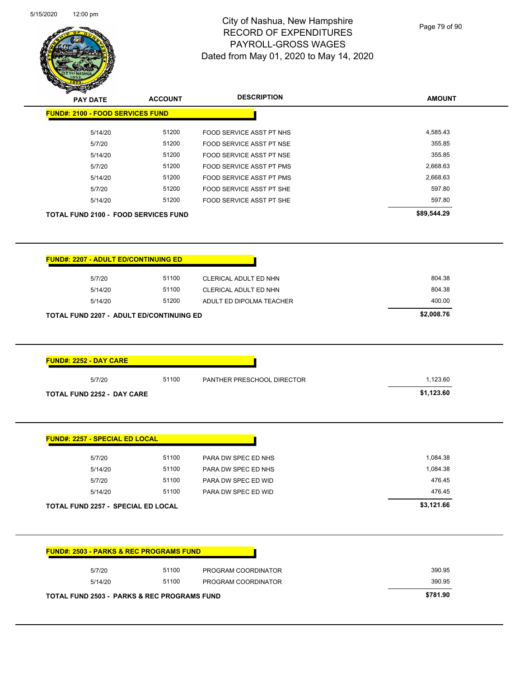

Page 79 of 90

| <b>STATERS</b>                                     |                |                                 |               |
|----------------------------------------------------|----------------|---------------------------------|---------------|
| <b>PAY DATE</b>                                    | <b>ACCOUNT</b> | <b>DESCRIPTION</b>              | <b>AMOUNT</b> |
| <b>FUND#: 2100 - FOOD SERVICES FUND</b>            |                |                                 |               |
| 5/14/20                                            | 51200          | FOOD SERVICE ASST PT NHS        | 4,585.43      |
| 5/7/20                                             | 51200          | FOOD SERVICE ASST PT NSE        | 355.85        |
| 5/14/20                                            | 51200          | FOOD SERVICE ASST PT NSE        | 355.85        |
| 5/7/20                                             | 51200          | FOOD SERVICE ASST PT PMS        | 2,668.63      |
| 5/14/20                                            | 51200          | <b>FOOD SERVICE ASST PT PMS</b> | 2,668.63      |
| 5/7/20                                             | 51200          | FOOD SERVICE ASST PT SHE        | 597.80        |
| 5/14/20                                            | 51200          | FOOD SERVICE ASST PT SHE        | 597.80        |
| <b>TOTAL FUND 2100 - FOOD SERVICES FUND</b>        |                |                                 | \$89,544.29   |
| <b>FUND#: 2207 - ADULT ED/CONTINUING ED</b>        |                |                                 |               |
| 5/7/20                                             | 51100          | CLERICAL ADULT ED NHN           | 804.38        |
| 5/14/20                                            | 51100          | CLERICAL ADULT ED NHN           | 804.38        |
| 5/14/20                                            | 51200          | ADULT ED DIPOLMA TEACHER        | 400.00        |
| <b>TOTAL FUND 2207 - ADULT ED/CONTINUING ED</b>    |                |                                 | \$2,008.76    |
| <b>FUND#: 2252 - DAY CARE</b>                      |                |                                 |               |
| 5/7/20                                             | 51100          | PANTHER PRESCHOOL DIRECTOR      | 1,123.60      |
| <b>TOTAL FUND 2252 - DAY CARE</b>                  |                |                                 | \$1,123.60    |
|                                                    |                |                                 |               |
| <b>FUND#: 2257 - SPECIAL ED LOCAL</b>              |                |                                 |               |
| 5/7/20                                             | 51100          | PARA DW SPEC ED NHS             | 1,084.38      |
| 5/14/20                                            | 51100          | PARA DW SPEC ED NHS             | 1,084.38      |
| 5/7/20                                             | 51100          | PARA DW SPEC ED WID             | 476.45        |
| 5/14/20                                            | 51100          | PARA DW SPEC ED WID             | 476.45        |
| <b>TOTAL FUND 2257 - SPECIAL ED LOCAL</b>          |                |                                 | \$3,121.66    |
| <b>FUND#: 2503 - PARKS &amp; REC PROGRAMS FUND</b> |                |                                 |               |
| 5/7/20                                             | 51100          | PROGRAM COORDINATOR             | 390.95        |
|                                                    |                |                                 |               |

**TOTAL FUND 2503 - PARKS & REC PROGRAMS FUND \$781.90**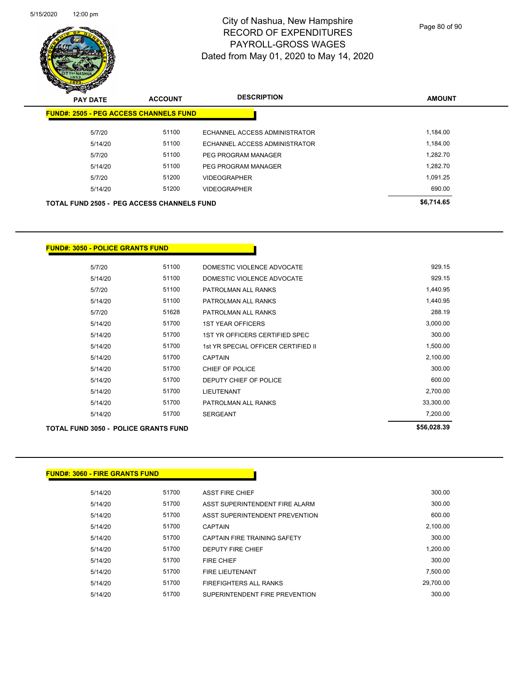

Page 80 of 90

| <b>PAY DATE</b> | <b>ACCOUNT</b>                                    | <b>DESCRIPTION</b>            | <b>AMOUNT</b> |
|-----------------|---------------------------------------------------|-------------------------------|---------------|
|                 | <b>FUND#: 2505 - PEG ACCESS CHANNELS FUND</b>     |                               |               |
| 5/7/20          | 51100                                             | ECHANNEL ACCESS ADMINISTRATOR | 1.184.00      |
| 5/14/20         | 51100                                             | ECHANNEL ACCESS ADMINISTRATOR | 1,184.00      |
| 5/7/20          | 51100                                             | PEG PROGRAM MANAGER           | 1,282.70      |
| 5/14/20         | 51100                                             | PEG PROGRAM MANAGER           | 1.282.70      |
| 5/7/20          | 51200                                             | <b>VIDEOGRAPHER</b>           | 1.091.25      |
| 5/14/20         | 51200                                             | <b>VIDEOGRAPHER</b>           | 690.00        |
|                 | <b>TOTAL FUND 2505 - PEG ACCESS CHANNELS FUND</b> |                               | \$6,714.65    |

#### **FUND#: 3050 - POLICE GRANTS FUND**

| TOTAL FUND 3050 - POLICE GRANTS FUND |       |                                     | \$56,028.39 |
|--------------------------------------|-------|-------------------------------------|-------------|
| 5/14/20                              | 51700 | <b>SERGEANT</b>                     | 7,200.00    |
| 5/14/20                              | 51700 | PATROLMAN ALL RANKS                 | 33,300.00   |
| 5/14/20                              | 51700 | <b>LIEUTENANT</b>                   | 2,700.00    |
| 5/14/20                              | 51700 | DEPUTY CHIEF OF POLICE              | 600.00      |
| 5/14/20                              | 51700 | CHIEF OF POLICE                     | 300.00      |
| 5/14/20                              | 51700 | <b>CAPTAIN</b>                      | 2,100.00    |
| 5/14/20                              | 51700 | 1st YR SPECIAL OFFICER CERTIFIED II | 1,500.00    |
| 5/14/20                              | 51700 | 1ST YR OFFICERS CERTIFIED SPEC      | 300.00      |
| 5/14/20                              | 51700 | <b>1ST YEAR OFFICERS</b>            | 3,000.00    |
| 5/7/20                               | 51628 | PATROLMAN ALL RANKS                 | 288.19      |
| 5/14/20                              | 51100 | PATROLMAN ALL RANKS                 | 1,440.95    |
| 5/7/20                               | 51100 | PATROLMAN ALL RANKS                 | 1,440.95    |
| 5/14/20                              | 51100 | DOMESTIC VIOLENCE ADVOCATE          | 929.15      |
| 5/7/20                               | 51100 | DOMESTIC VIOLENCE ADVOCATE          | 929.15      |

# **FUND#: 3060 - FIRE GRANTS FUND**

| 5/14/20 | 51700 | <b>ASST FIRE CHIEF</b>         | 300.00    |
|---------|-------|--------------------------------|-----------|
| 5/14/20 | 51700 | ASST SUPERINTENDENT FIRE ALARM | 300.00    |
| 5/14/20 | 51700 | ASST SUPERINTENDENT PREVENTION | 600.00    |
| 5/14/20 | 51700 | <b>CAPTAIN</b>                 | 2,100.00  |
| 5/14/20 | 51700 | CAPTAIN FIRE TRAINING SAFETY   | 300.00    |
| 5/14/20 | 51700 | <b>DEPUTY FIRE CHIEF</b>       | 1,200.00  |
| 5/14/20 | 51700 | <b>FIRE CHIEF</b>              | 300.00    |
| 5/14/20 | 51700 | <b>FIRE LIEUTENANT</b>         | 7.500.00  |
| 5/14/20 | 51700 | <b>FIREFIGHTERS ALL RANKS</b>  | 29,700.00 |
| 5/14/20 | 51700 | SUPERINTENDENT FIRE PREVENTION | 300.00    |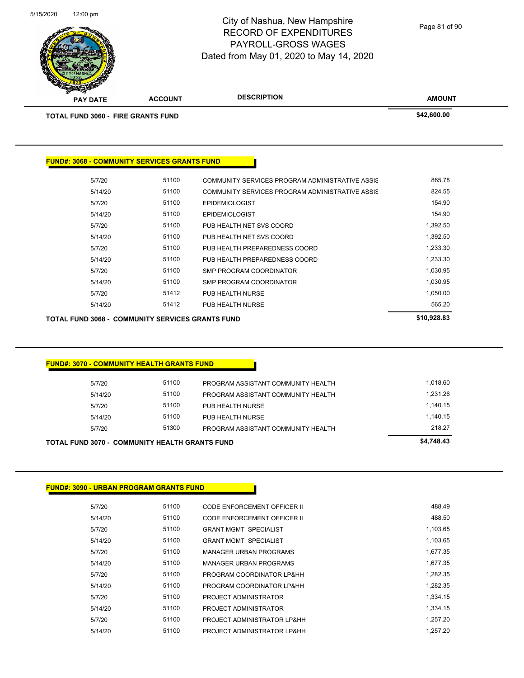

Page 81 of 90

|                                                     |       |                                                 | \$42,600.00 |
|-----------------------------------------------------|-------|-------------------------------------------------|-------------|
| <b>TOTAL FUND 3060 - FIRE GRANTS FUND</b>           |       |                                                 |             |
|                                                     |       |                                                 |             |
|                                                     |       |                                                 |             |
| <b>FUND#: 3068 - COMMUNITY SERVICES GRANTS FUND</b> |       |                                                 |             |
| 5/7/20                                              | 51100 | COMMUNITY SERVICES PROGRAM ADMINISTRATIVE ASSIS | 865.78      |
| 5/14/20                                             | 51100 | COMMUNITY SERVICES PROGRAM ADMINISTRATIVE ASSIS | 824.55      |
| 5/7/20                                              | 51100 | <b>EPIDEMIOLOGIST</b>                           | 154.90      |
| 5/14/20                                             | 51100 | <b>EPIDEMIOLOGIST</b>                           | 154.90      |
| 5/7/20                                              | 51100 | PUB HEALTH NET SVS COORD                        | 1,392.50    |
| 5/14/20                                             | 51100 | PUB HEALTH NET SVS COORD                        | 1,392.50    |
| 5/7/20                                              | 51100 | PUB HEALTH PREPAREDNESS COORD                   | 1,233.30    |
| 5/14/20                                             | 51100 | PUB HEALTH PREPAREDNESS COORD                   | 1,233.30    |
| 5/7/20                                              | 51100 | <b>SMP PROGRAM COORDINATOR</b>                  | 1,030.95    |
| 5/14/20                                             | 51100 | <b>SMP PROGRAM COORDINATOR</b>                  | 1,030.95    |
| 5/7/20                                              | 51412 | PUB HEALTH NURSE                                | 1,050.00    |
| 5/14/20                                             | 51412 | PUB HEALTH NURSE                                | 565.20      |
|                                                     |       |                                                 |             |

# **FUND#: 3070 - COMMUNITY HEALTH GRANTS FUND**

|         | TOTAL FUND 3070 -  COMMUNITY HEALTH GRANTS FUND |                                    | \$4,748,43 |
|---------|-------------------------------------------------|------------------------------------|------------|
| 5/7/20  | 51300                                           | PROGRAM ASSISTANT COMMUNITY HEALTH | 218.27     |
| 5/14/20 | 51100                                           | PUB HEALTH NURSE                   | 1.140.15   |
| 5/7/20  | 51100                                           | PUB HEALTH NURSE                   | 1.140.15   |
| 5/14/20 | 51100                                           | PROGRAM ASSISTANT COMMUNITY HEALTH | 1.231.26   |
| 5/7/20  | 51100                                           | PROGRAM ASSISTANT COMMUNITY HEALTH | 1.018.60   |

### **FUND#: 3090 - URBAN PROGRAM GRANTS FUND**

| 5/7/20  | 51100 | CODE ENFORCEMENT OFFICER II   | 488.49   |
|---------|-------|-------------------------------|----------|
| 5/14/20 | 51100 | CODE ENFORCEMENT OFFICER II   | 488.50   |
| 5/7/20  | 51100 | <b>GRANT MGMT SPECIALIST</b>  | 1,103.65 |
| 5/14/20 | 51100 | <b>GRANT MGMT SPECIALIST</b>  | 1,103.65 |
| 5/7/20  | 51100 | <b>MANAGER URBAN PROGRAMS</b> | 1.677.35 |
| 5/14/20 | 51100 | <b>MANAGER URBAN PROGRAMS</b> | 1.677.35 |
| 5/7/20  | 51100 | PROGRAM COORDINATOR LP&HH     | 1.282.35 |
| 5/14/20 | 51100 | PROGRAM COORDINATOR LP&HH     | 1,282.35 |
| 5/7/20  | 51100 | PROJECT ADMINISTRATOR         | 1.334.15 |
| 5/14/20 | 51100 | PROJECT ADMINISTRATOR         | 1.334.15 |
| 5/7/20  | 51100 | PROJECT ADMINISTRATOR LP&HH   | 1.257.20 |
| 5/14/20 | 51100 | PROJECT ADMINISTRATOR LP&HH   | 1.257.20 |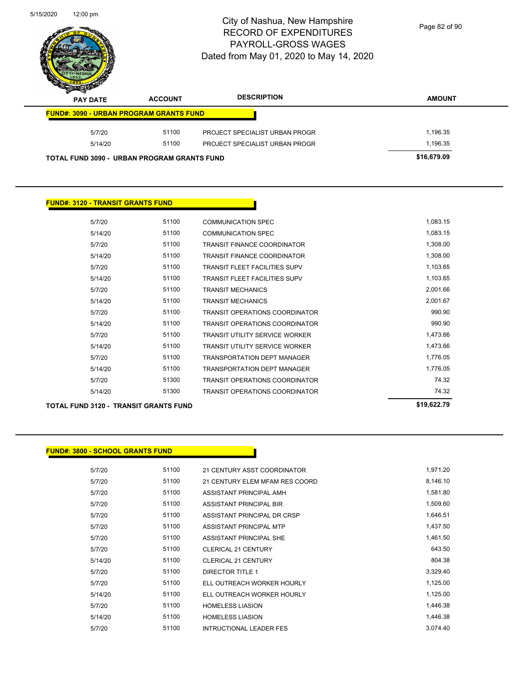

Page 82 of 90

| s<br>$\tilde{\phantom{a}}$<br><b>PAY DATE</b>      | <b>ACCOUNT</b> | <b>DESCRIPTION</b>             | <b>AMOUNT</b> |
|----------------------------------------------------|----------------|--------------------------------|---------------|
| <b>FUND#: 3090 - URBAN PROGRAM GRANTS FUND</b>     |                |                                |               |
| 5/7/20                                             | 51100          | PROJECT SPECIALIST URBAN PROGR | 1,196.35      |
| 5/14/20                                            | 51100          | PROJECT SPECIALIST URBAN PROGR | 1.196.35      |
| <b>TOTAL FUND 3090 - URBAN PROGRAM GRANTS FUND</b> |                |                                | \$16,679.09   |

#### **FUND#: 3120 - TRANSIT GRANTS FUND**

| 5/7/20  | 51100 | COMMUNICATION SPEC                    | 1,083.15 |
|---------|-------|---------------------------------------|----------|
| 5/14/20 | 51100 | <b>COMMUNICATION SPEC</b>             | 1,083.15 |
| 5/7/20  | 51100 | <b>TRANSIT FINANCE COORDINATOR</b>    | 1,308.00 |
| 5/14/20 | 51100 | <b>TRANSIT FINANCE COORDINATOR</b>    | 1,308.00 |
| 5/7/20  | 51100 | TRANSIT FI FFT FACILITIES SUPV        | 1,103.65 |
| 5/14/20 | 51100 | <b>TRANSIT FI FFT FACILITIES SUPV</b> | 1,103.65 |
| 5/7/20  | 51100 | <b>TRANSIT MECHANICS</b>              | 2,001.66 |
| 5/14/20 | 51100 | <b>TRANSIT MECHANICS</b>              | 2,001.67 |
| 5/7/20  | 51100 | <b>TRANSIT OPERATIONS COORDINATOR</b> | 990.90   |
| 5/14/20 | 51100 | <b>TRANSIT OPERATIONS COORDINATOR</b> | 990.90   |
| 5/7/20  | 51100 | <b>TRANSIT UTILITY SERVICE WORKER</b> | 1,473.66 |
| 5/14/20 | 51100 | <b>TRANSIT UTILITY SERVICE WORKER</b> | 1,473.66 |
| 5/7/20  | 51100 | <b>TRANSPORTATION DEPT MANAGER</b>    | 1,776.05 |
| 5/14/20 | 51100 | <b>TRANSPORTATION DEPT MANAGER</b>    | 1,776.05 |
| 5/7/20  | 51300 | TRANSIT OPERATIONS COORDINATOR        | 74.32    |
| 5/14/20 | 51300 | TRANSIT OPERATIONS COORDINATOR        | 74.32    |
|         |       |                                       |          |

#### **TOTAL FUND 3120 - TRANSIT GRANTS FUND \$19,622.79**

#### **FUND#: 3800 - SCHOOL GRANTS FUND**

| 5/7/20  | 51100 | 21 CENTURY ASST COORDINATOR    | 1,971.20 |
|---------|-------|--------------------------------|----------|
| 5/7/20  | 51100 | 21 CENTURY ELEM MFAM RES COORD | 8,146.10 |
| 5/7/20  | 51100 | ASSISTANT PRINCIPAL AMH        | 1,581.80 |
| 5/7/20  | 51100 | ASSISTANT PRINCIPAL BIR        | 1,509.60 |
| 5/7/20  | 51100 | ASSISTANT PRINCIPAL DR CRSP    | 1,646.51 |
| 5/7/20  | 51100 | ASSISTANT PRINCIPAL MTP        | 1,437.50 |
| 5/7/20  | 51100 | ASSISTANT PRINCIPAL SHE        | 1,461.50 |
| 5/7/20  | 51100 | <b>CLERICAL 21 CENTURY</b>     | 643.50   |
| 5/14/20 | 51100 | <b>CLERICAL 21 CENTURY</b>     | 804.38   |
| 5/7/20  | 51100 | <b>DIRECTOR TITLE 1</b>        | 3,329.40 |
| 5/7/20  | 51100 | ELL OUTREACH WORKER HOURLY     | 1,125.00 |
| 5/14/20 | 51100 | ELL OUTREACH WORKER HOURLY     | 1,125.00 |
| 5/7/20  | 51100 | <b>HOMELESS LIASION</b>        | 1,446.38 |
| 5/14/20 | 51100 | <b>HOMELESS LIASION</b>        | 1,446.38 |
| 5/7/20  | 51100 | <b>INTRUCTIONAL LEADER FES</b> | 3.074.40 |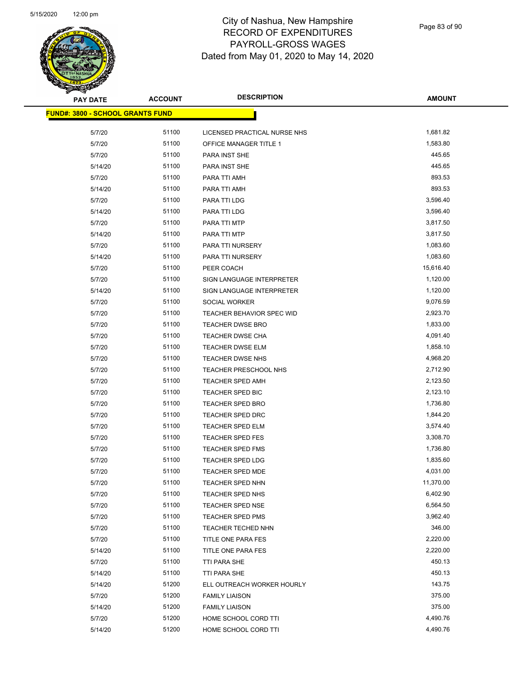

Page 83 of 90

| PAY DATE                                | <b>ACCOUNT</b> | <b>DESCRIPTION</b>           | <b>AMOUNT</b> |
|-----------------------------------------|----------------|------------------------------|---------------|
| <b>FUND#: 3800 - SCHOOL GRANTS FUND</b> |                |                              |               |
| 5/7/20                                  | 51100          | LICENSED PRACTICAL NURSE NHS | 1,681.82      |
| 5/7/20                                  | 51100          | OFFICE MANAGER TITLE 1       | 1,583.80      |
| 5/7/20                                  | 51100          | PARA INST SHE                | 445.65        |
| 5/14/20                                 | 51100          | PARA INST SHE                | 445.65        |
| 5/7/20                                  | 51100          | PARA TTI AMH                 | 893.53        |
| 5/14/20                                 | 51100          | PARA TTI AMH                 | 893.53        |
| 5/7/20                                  | 51100          | PARA TTI LDG                 | 3,596.40      |
| 5/14/20                                 | 51100          | PARA TTI LDG                 | 3,596.40      |
| 5/7/20                                  | 51100          | PARA TTI MTP                 | 3,817.50      |
| 5/14/20                                 | 51100          | PARA TTI MTP                 | 3,817.50      |
| 5/7/20                                  | 51100          | PARA TTI NURSERY             | 1,083.60      |
| 5/14/20                                 | 51100          | PARA TTI NURSERY             | 1,083.60      |
| 5/7/20                                  | 51100          | PEER COACH                   | 15,616.40     |
| 5/7/20                                  | 51100          | SIGN LANGUAGE INTERPRETER    | 1,120.00      |
| 5/14/20                                 | 51100          | SIGN LANGUAGE INTERPRETER    | 1,120.00      |
| 5/7/20                                  | 51100          | SOCIAL WORKER                | 9,076.59      |
| 5/7/20                                  | 51100          | TEACHER BEHAVIOR SPEC WID    | 2,923.70      |
| 5/7/20                                  | 51100          | <b>TEACHER DWSE BRO</b>      | 1,833.00      |
| 5/7/20                                  | 51100          | TEACHER DWSE CHA             | 4,091.40      |
| 5/7/20                                  | 51100          | TEACHER DWSE ELM             | 1,858.10      |
| 5/7/20                                  | 51100          | TEACHER DWSE NHS             | 4,968.20      |
| 5/7/20                                  | 51100          | TEACHER PRESCHOOL NHS        | 2,712.90      |
| 5/7/20                                  | 51100          | <b>TEACHER SPED AMH</b>      | 2,123.50      |
| 5/7/20                                  | 51100          | TEACHER SPED BIC             | 2,123.10      |
| 5/7/20                                  | 51100          | TEACHER SPED BRO             | 1,736.80      |
| 5/7/20                                  | 51100          | TEACHER SPED DRC             | 1,844.20      |
| 5/7/20                                  | 51100          | TEACHER SPED ELM             | 3,574.40      |
| 5/7/20                                  | 51100          | <b>TEACHER SPED FES</b>      | 3,308.70      |
| 5/7/20                                  | 51100          | <b>TEACHER SPED FMS</b>      | 1,736.80      |
| 5/7/20                                  | 51100          | <b>TEACHER SPED LDG</b>      | 1,835.60      |
| 5/7/20                                  | 51100          | <b>TEACHER SPED MDE</b>      | 4,031.00      |
| 5/7/20                                  | 51100          | TEACHER SPED NHN             | 11,370.00     |
| 5/7/20                                  | 51100          | TEACHER SPED NHS             | 6,402.90      |
| 5/7/20                                  | 51100          | <b>TEACHER SPED NSE</b>      | 6,564.50      |
| 5/7/20                                  | 51100          | <b>TEACHER SPED PMS</b>      | 3,962.40      |
| 5/7/20                                  | 51100          | TEACHER TECHED NHN           | 346.00        |
| 5/7/20                                  | 51100          | TITLE ONE PARA FES           | 2,220.00      |
| 5/14/20                                 | 51100          | TITLE ONE PARA FES           | 2,220.00      |
| 5/7/20                                  | 51100          | <b>TTI PARA SHE</b>          | 450.13        |
| 5/14/20                                 | 51100          | TTI PARA SHE                 | 450.13        |
| 5/14/20                                 | 51200          | ELL OUTREACH WORKER HOURLY   | 143.75        |
| 5/7/20                                  | 51200          | <b>FAMILY LIAISON</b>        | 375.00        |
| 5/14/20                                 | 51200          | <b>FAMILY LIAISON</b>        | 375.00        |
| 5/7/20                                  | 51200          | HOME SCHOOL CORD TTI         | 4,490.76      |
| 5/14/20                                 | 51200          | HOME SCHOOL CORD TTI         | 4,490.76      |
|                                         |                |                              |               |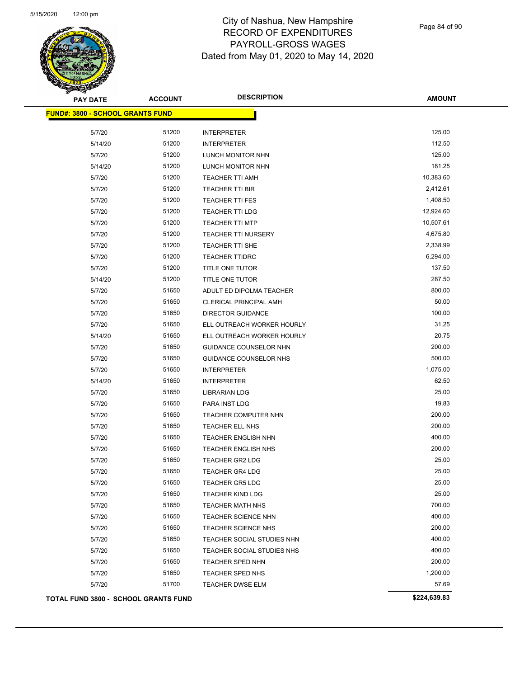

Page 84 of 90

| <b>PAY DATE</b>                         | <b>ACCOUNT</b> | <b>DESCRIPTION</b>         | <b>AMOUNT</b> |
|-----------------------------------------|----------------|----------------------------|---------------|
| <b>FUND#: 3800 - SCHOOL GRANTS FUND</b> |                |                            |               |
| 5/7/20                                  | 51200          | <b>INTERPRETER</b>         | 125.00        |
| 5/14/20                                 | 51200          | <b>INTERPRETER</b>         | 112.50        |
| 5/7/20                                  | 51200          | LUNCH MONITOR NHN          | 125.00        |
| 5/14/20                                 | 51200          | LUNCH MONITOR NHN          | 181.25        |
| 5/7/20                                  | 51200          | <b>TEACHER TTI AMH</b>     | 10,383.60     |
| 5/7/20                                  | 51200          | TEACHER TTI BIR            | 2,412.61      |
| 5/7/20                                  | 51200          | <b>TEACHER TTI FES</b>     | 1,408.50      |
| 5/7/20                                  | 51200          | <b>TEACHER TTI LDG</b>     | 12,924.60     |
| 5/7/20                                  | 51200          | <b>TEACHER TTI MTP</b>     | 10,507.61     |
| 5/7/20                                  | 51200          | <b>TEACHER TTI NURSERY</b> | 4,675.80      |
| 5/7/20                                  | 51200          | TEACHER TTI SHE            | 2,338.99      |
| 5/7/20                                  | 51200          | <b>TEACHER TTIDRC</b>      | 6,294.00      |
| 5/7/20                                  | 51200          | TITLE ONE TUTOR            | 137.50        |
| 5/14/20                                 | 51200          | <b>TITLE ONE TUTOR</b>     | 287.50        |
| 5/7/20                                  | 51650          | ADULT ED DIPOLMA TEACHER   | 800.00        |
| 5/7/20                                  | 51650          | CLERICAL PRINCIPAL AMH     | 50.00         |
| 5/7/20                                  | 51650          | <b>DIRECTOR GUIDANCE</b>   | 100.00        |
| 5/7/20                                  | 51650          | ELL OUTREACH WORKER HOURLY | 31.25         |
| 5/14/20                                 | 51650          | ELL OUTREACH WORKER HOURLY | 20.75         |
| 5/7/20                                  | 51650          | GUIDANCE COUNSELOR NHN     | 200.00        |
| 5/7/20                                  | 51650          | GUIDANCE COUNSELOR NHS     | 500.00        |
| 5/7/20                                  | 51650          | <b>INTERPRETER</b>         | 1,075.00      |
| 5/14/20                                 | 51650          | <b>INTERPRETER</b>         | 62.50         |
| 5/7/20                                  | 51650          | <b>LIBRARIAN LDG</b>       | 25.00         |
| 5/7/20                                  | 51650          | PARA INST LDG              | 19.83         |
| 5/7/20                                  | 51650          | TEACHER COMPUTER NHN       | 200.00        |
| 5/7/20                                  | 51650          | TEACHER ELL NHS            | 200.00        |
| 5/7/20                                  | 51650          | <b>TEACHER ENGLISH NHN</b> | 400.00        |
| 5/7/20                                  | 51650          | <b>TEACHER ENGLISH NHS</b> | 200.00        |
| 5/7/20                                  | 51650          | <b>TEACHER GR2 LDG</b>     | 25.00         |
| 5/7/20                                  | 51650          | <b>TEACHER GR4 LDG</b>     | 25.00         |
| 5/7/20                                  | 51650          | <b>TEACHER GR5 LDG</b>     | 25.00         |
| 5/7/20                                  | 51650          | <b>TEACHER KIND LDG</b>    | 25.00         |
| 5/7/20                                  | 51650          | <b>TEACHER MATH NHS</b>    | 700.00        |
| 5/7/20                                  | 51650          | <b>TEACHER SCIENCE NHN</b> | 400.00        |
| 5/7/20                                  | 51650          | <b>TEACHER SCIENCE NHS</b> | 200.00        |
| 5/7/20                                  | 51650          | TEACHER SOCIAL STUDIES NHN | 400.00        |
| 5/7/20                                  | 51650          | TEACHER SOCIAL STUDIES NHS | 400.00        |
| 5/7/20                                  | 51650          | TEACHER SPED NHN           | 200.00        |
| 5/7/20                                  | 51650          | TEACHER SPED NHS           | 1,200.00      |
| 5/7/20                                  | 51700          | <b>TEACHER DWSE ELM</b>    | 57.69         |
| TOTAL FUND 3800 - SCHOOL GRANTS FUND    |                |                            | \$224,639.83  |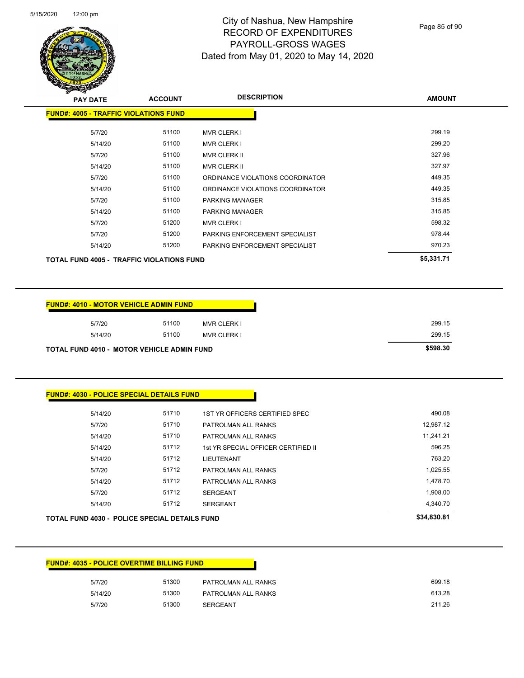

Page 85 of 90

| <b>PAY DATE</b>                                  | <b>ACCOUNT</b> | <b>DESCRIPTION</b>               | <b>AMOUNT</b> |
|--------------------------------------------------|----------------|----------------------------------|---------------|
| <b>FUND#: 4005 - TRAFFIC VIOLATIONS FUND</b>     |                |                                  |               |
|                                                  |                |                                  |               |
| 5/7/20                                           | 51100          | <b>MVR CLERK I</b>               | 299.19        |
| 5/14/20                                          | 51100          | <b>MVR CLERK I</b>               | 299.20        |
| 5/7/20                                           | 51100          | MVR CLERK II                     | 327.96        |
| 5/14/20                                          | 51100          | <b>MVR CLERK II</b>              | 327.97        |
| 5/7/20                                           | 51100          | ORDINANCE VIOLATIONS COORDINATOR | 449.35        |
| 5/14/20                                          | 51100          | ORDINANCE VIOLATIONS COORDINATOR | 449.35        |
| 5/7/20                                           | 51100          | <b>PARKING MANAGER</b>           | 315.85        |
| 5/14/20                                          | 51100          | PARKING MANAGER                  | 315.85        |
| 5/7/20                                           | 51200          | <b>MVR CLERK I</b>               | 598.32        |
| 5/7/20                                           | 51200          | PARKING ENFORCEMENT SPECIALIST   | 978.44        |
| 5/14/20                                          | 51200          | PARKING ENFORCEMENT SPECIALIST   | 970.23        |
| <b>TOTAL FUND 4005 - TRAFFIC VIOLATIONS FUND</b> |                |                                  | \$5,331.71    |

|         | <b>FUND#: 4010 - MOTOR VEHICLE ADMIN FUND</b>     |                    |          |
|---------|---------------------------------------------------|--------------------|----------|
| 5/7/20  | 51100                                             | <b>MVR CLERK I</b> | 299.15   |
| 5/14/20 | 51100                                             | <b>MVR CLERK I</b> | 299.15   |
|         | <b>TOTAL FUND 4010 - MOTOR VEHICLE ADMIN FUND</b> |                    | \$598.30 |

## **FUND#: 4030 - POLICE SPECIAL DETAILS FUND**

| 5/14/20                                              | 51710 | 1ST YR OFFICERS CERTIFIED SPEC      | 490.08      |
|------------------------------------------------------|-------|-------------------------------------|-------------|
| 5/7/20                                               | 51710 | PATROLMAN ALL RANKS                 | 12,987.12   |
| 5/14/20                                              | 51710 | PATROLMAN ALL RANKS                 | 11.241.21   |
| 5/14/20                                              | 51712 | 1st YR SPECIAL OFFICER CERTIFIED II | 596.25      |
| 5/14/20                                              | 51712 | LIEUTENANT                          | 763.20      |
| 5/7/20                                               | 51712 | PATROLMAN ALL RANKS                 | 1,025.55    |
| 5/14/20                                              | 51712 | PATROLMAN ALL RANKS                 | 1,478.70    |
| 5/7/20                                               | 51712 | <b>SERGEANT</b>                     | 1,908.00    |
| 5/14/20                                              | 51712 | <b>SERGEANT</b>                     | 4,340.70    |
| <b>TOTAL FUND 4030 - POLICE SPECIAL DETAILS FUND</b> |       |                                     | \$34,830.81 |

#### **FUND#: 4035 - POLICE OVERTIME BILLING FUND**

| 5/7/20  | 51300 | PATROLMAN ALL RANKS | 699.18 |
|---------|-------|---------------------|--------|
| 5/14/20 | 51300 | PATROLMAN ALL RANKS | 613.28 |
| 5/7/20  | 51300 | <b>SERGEANT</b>     | 211.26 |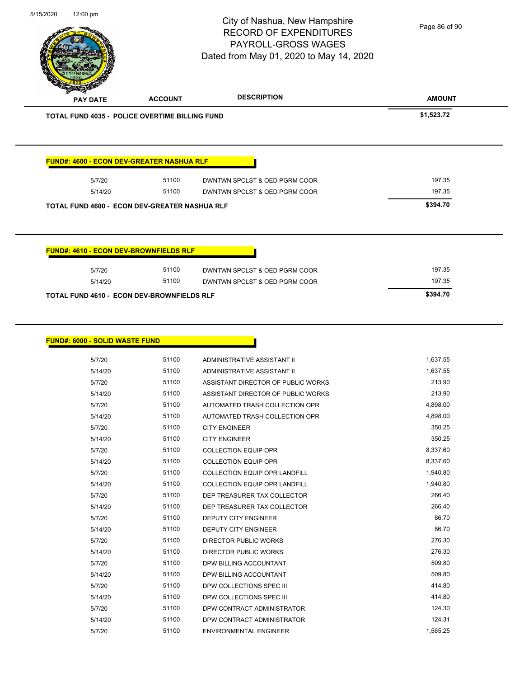|                                                                 |                | City of Nashua, New Hampshire<br><b>RECORD OF EXPENDITURES</b><br>PAYROLL-GROSS WAGES<br>Dated from May 01, 2020 to May 14, 2020 | Page 86 of 90    |
|-----------------------------------------------------------------|----------------|----------------------------------------------------------------------------------------------------------------------------------|------------------|
| <b>PAY DATE</b>                                                 | <b>ACCOUNT</b> | <b>DESCRIPTION</b>                                                                                                               | <b>AMOUNT</b>    |
| <b>TOTAL FUND 4035 - POLICE OVERTIME BILLING FUND</b>           |                |                                                                                                                                  | \$1,523.72       |
|                                                                 |                |                                                                                                                                  |                  |
| FUND#: 4600 - ECON DEV-GREATER NASHUA RLF<br>5/7/20             | 51100<br>51100 | DWNTWN SPCLST & OED PGRM COOR                                                                                                    | 197.35<br>197.35 |
| 5/14/20<br><b>TOTAL FUND 4600 - ECON DEV-GREATER NASHUA RLF</b> |                | DWNTWN SPCLST & OED PGRM COOR                                                                                                    | \$394.70         |
| FUND#: 4610 - ECON DEV-BROWNFIELDS RLF                          |                |                                                                                                                                  |                  |
| 5/7/20                                                          | 51100          | DWNTWN SPCLST & OED PGRM COOR                                                                                                    | 197.35           |
| 5/14/20                                                         | 51100          | DWNTWN SPCLST & OED PGRM COOR                                                                                                    | 197.35           |

5/15/2020 12:00 pm

| #: 6000 - SOLID WASTE FUND |       |                                      |          |
|----------------------------|-------|--------------------------------------|----------|
| 5/7/20                     | 51100 | ADMINISTRATIVE ASSISTANT II          | 1,637.55 |
| 5/14/20                    | 51100 | ADMINISTRATIVE ASSISTANT II          | 1,637.55 |
| 5/7/20                     | 51100 | ASSISTANT DIRECTOR OF PUBLIC WORKS   | 213.90   |
| 5/14/20                    | 51100 | ASSISTANT DIRECTOR OF PUBLIC WORKS   | 213.90   |
| 5/7/20                     | 51100 | AUTOMATED TRASH COLLECTION OPR       | 4,898.00 |
| 5/14/20                    | 51100 | AUTOMATED TRASH COLLECTION OPR       | 4,898.00 |
| 5/7/20                     | 51100 | <b>CITY ENGINEER</b>                 | 350.25   |
| 5/14/20                    | 51100 | <b>CITY ENGINEER</b>                 | 350.25   |
| 5/7/20                     | 51100 | <b>COLLECTION EQUIP OPR</b>          | 8,337.60 |
| 5/14/20                    | 51100 | <b>COLLECTION EQUIP OPR</b>          | 8,337.60 |
| 5/7/20                     | 51100 | COLLECTION EQUIP OPR LANDFILL        | 1,940.80 |
| 5/14/20                    | 51100 | <b>COLLECTION EQUIP OPR LANDFILL</b> | 1,940.80 |
| 5/7/20                     | 51100 | DEP TREASURER TAX COLLECTOR          | 266.40   |
| 5/14/20                    | 51100 | DEP TREASURER TAX COLLECTOR          | 266.40   |
| 5/7/20                     | 51100 | DEPUTY CITY ENGINEER                 | 86.70    |
| 5/14/20                    | 51100 | <b>DEPUTY CITY ENGINEER</b>          | 86.70    |
| 5/7/20                     | 51100 | <b>DIRECTOR PUBLIC WORKS</b>         | 276.30   |
| 5/14/20                    | 51100 | <b>DIRECTOR PUBLIC WORKS</b>         | 276.30   |
| 5/7/20                     | 51100 | DPW BILLING ACCOUNTANT               | 509.80   |
| 5/14/20                    | 51100 | DPW BILLING ACCOUNTANT               | 509.80   |
| 5/7/20                     | 51100 | DPW COLLECTIONS SPEC III             | 414.80   |
| 5/14/20                    | 51100 | DPW COLLECTIONS SPEC III             | 414.80   |
| 5/7/20                     | 51100 | DPW CONTRACT ADMINISTRATOR           | 124.30   |
| 5/14/20                    | 51100 | DPW CONTRACT ADMINISTRATOR           | 124.31   |
| 5/7/20                     | 51100 | <b>ENVIRONMENTAL ENGINEER</b>        | 1,565.25 |
|                            |       |                                      |          |

**FUND#: 6000 - SOLID WASTE FUND**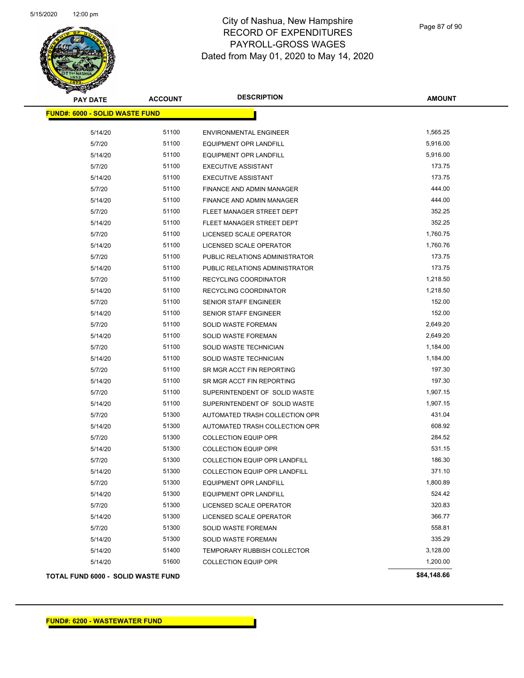

Page 87 of 90

| <b>PAY DATE</b>                       | <b>ACCOUNT</b> | <b>DESCRIPTION</b>                   | <b>AMOUNT</b> |  |
|---------------------------------------|----------------|--------------------------------------|---------------|--|
| <b>FUND#: 6000 - SOLID WASTE FUND</b> |                |                                      |               |  |
| 5/14/20                               | 51100          | ENVIRONMENTAL ENGINEER               | 1,565.25      |  |
| 5/7/20                                | 51100          | <b>EQUIPMENT OPR LANDFILL</b>        | 5,916.00      |  |
| 5/14/20                               | 51100          | EQUIPMENT OPR LANDFILL               | 5,916.00      |  |
| 5/7/20                                | 51100          | <b>EXECUTIVE ASSISTANT</b>           | 173.75        |  |
| 5/14/20                               | 51100          | <b>EXECUTIVE ASSISTANT</b>           | 173.75        |  |
| 5/7/20                                | 51100          | FINANCE AND ADMIN MANAGER            | 444.00        |  |
| 5/14/20                               | 51100          | FINANCE AND ADMIN MANAGER            | 444.00        |  |
| 5/7/20                                | 51100          | FLEET MANAGER STREET DEPT            | 352.25        |  |
| 5/14/20                               | 51100          | FLEET MANAGER STREET DEPT            | 352.25        |  |
| 5/7/20                                | 51100          | LICENSED SCALE OPERATOR              | 1,760.75      |  |
| 5/14/20                               | 51100          | LICENSED SCALE OPERATOR              | 1,760.76      |  |
| 5/7/20                                | 51100          | PUBLIC RELATIONS ADMINISTRATOR       | 173.75        |  |
| 5/14/20                               | 51100          | PUBLIC RELATIONS ADMINISTRATOR       | 173.75        |  |
| 5/7/20                                | 51100          | RECYCLING COORDINATOR                | 1,218.50      |  |
| 5/14/20                               | 51100          | <b>RECYCLING COORDINATOR</b>         | 1,218.50      |  |
| 5/7/20                                | 51100          | <b>SENIOR STAFF ENGINEER</b>         | 152.00        |  |
| 5/14/20                               | 51100          | <b>SENIOR STAFF ENGINEER</b>         | 152.00        |  |
| 5/7/20                                | 51100          | <b>SOLID WASTE FOREMAN</b>           | 2,649.20      |  |
| 5/14/20                               | 51100          | <b>SOLID WASTE FOREMAN</b>           | 2,649.20      |  |
| 5/7/20                                | 51100          | SOLID WASTE TECHNICIAN               | 1,184.00      |  |
| 5/14/20                               | 51100          | SOLID WASTE TECHNICIAN               | 1,184.00      |  |
| 5/7/20                                | 51100          | SR MGR ACCT FIN REPORTING            | 197.30        |  |
| 5/14/20                               | 51100          | SR MGR ACCT FIN REPORTING            | 197.30        |  |
| 5/7/20                                | 51100          | SUPERINTENDENT OF SOLID WASTE        | 1,907.15      |  |
| 5/14/20                               | 51100          | SUPERINTENDENT OF SOLID WASTE        | 1,907.15      |  |
| 5/7/20                                | 51300          | AUTOMATED TRASH COLLECTION OPR       | 431.04        |  |
| 5/14/20                               | 51300          | AUTOMATED TRASH COLLECTION OPR       | 608.92        |  |
| 5/7/20                                | 51300          | <b>COLLECTION EQUIP OPR</b>          | 284.52        |  |
| 5/14/20                               | 51300          | <b>COLLECTION EQUIP OPR</b>          | 531.15        |  |
| 5/7/20                                | 51300          | <b>COLLECTION EQUIP OPR LANDFILL</b> | 186.30        |  |
| 5/14/20                               | 51300          | <b>COLLECTION EQUIP OPR LANDFILL</b> | 371.10        |  |
| 5/7/20                                | 51300          | <b>EQUIPMENT OPR LANDFILL</b>        | 1,800.89      |  |
| 5/14/20                               | 51300          | <b>EQUIPMENT OPR LANDFILL</b>        | 524.42        |  |
| 5/7/20                                | 51300          | LICENSED SCALE OPERATOR              | 320.83        |  |
| 5/14/20                               | 51300          | LICENSED SCALE OPERATOR              | 366.77        |  |
| 5/7/20                                | 51300          | SOLID WASTE FOREMAN                  | 558.81        |  |
| 5/14/20                               | 51300          | SOLID WASTE FOREMAN                  | 335.29        |  |
| 5/14/20                               | 51400          | <b>TEMPORARY RUBBISH COLLECTOR</b>   | 3,128.00      |  |
| 5/14/20                               | 51600          | <b>COLLECTION EQUIP OPR</b>          | 1,200.00      |  |
| TOTAL FUND 6000 - SOLID WASTE FUND    |                |                                      | \$84,148.66   |  |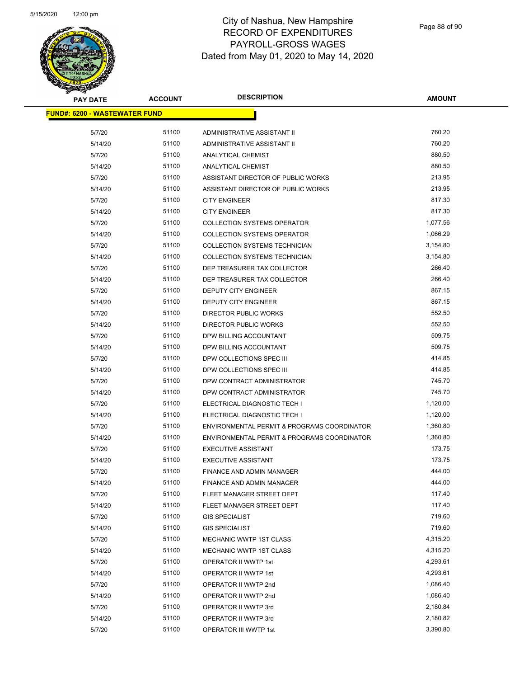

| <b>PAY DATE</b>                       | <b>ACCOUNT</b> | <b>DESCRIPTION</b>                                   | <b>AMOUNT</b> |
|---------------------------------------|----------------|------------------------------------------------------|---------------|
| <u> FUND#: 6200 - WASTEWATER FUND</u> |                |                                                      |               |
| 5/7/20                                | 51100          | ADMINISTRATIVE ASSISTANT II                          | 760.20        |
| 5/14/20                               | 51100          | ADMINISTRATIVE ASSISTANT II                          | 760.20        |
| 5/7/20                                | 51100          | ANALYTICAL CHEMIST                                   | 880.50        |
| 5/14/20                               | 51100          | <b>ANALYTICAL CHEMIST</b>                            | 880.50        |
| 5/7/20                                | 51100          | ASSISTANT DIRECTOR OF PUBLIC WORKS                   | 213.95        |
| 5/14/20                               | 51100          | ASSISTANT DIRECTOR OF PUBLIC WORKS                   | 213.95        |
| 5/7/20                                | 51100          | <b>CITY ENGINEER</b>                                 | 817.30        |
| 5/14/20                               | 51100          | <b>CITY ENGINEER</b>                                 | 817.30        |
| 5/7/20                                | 51100          | <b>COLLECTION SYSTEMS OPERATOR</b>                   | 1,077.56      |
| 5/14/20                               | 51100          | <b>COLLECTION SYSTEMS OPERATOR</b>                   | 1,066.29      |
| 5/7/20                                | 51100          | COLLECTION SYSTEMS TECHNICIAN                        | 3,154.80      |
| 5/14/20                               | 51100          | COLLECTION SYSTEMS TECHNICIAN                        | 3,154.80      |
| 5/7/20                                | 51100          | DEP TREASURER TAX COLLECTOR                          | 266.40        |
| 5/14/20                               | 51100          | DEP TREASURER TAX COLLECTOR                          | 266.40        |
| 5/7/20                                | 51100          |                                                      | 867.15        |
|                                       | 51100          | DEPUTY CITY ENGINEER                                 | 867.15        |
| 5/14/20                               | 51100          | DEPUTY CITY ENGINEER<br><b>DIRECTOR PUBLIC WORKS</b> | 552.50        |
| 5/7/20                                |                |                                                      | 552.50        |
| 5/14/20                               | 51100          | <b>DIRECTOR PUBLIC WORKS</b>                         | 509.75        |
| 5/7/20                                | 51100          | DPW BILLING ACCOUNTANT                               |               |
| 5/14/20                               | 51100          | DPW BILLING ACCOUNTANT                               | 509.75        |
| 5/7/20                                | 51100          | DPW COLLECTIONS SPEC III                             | 414.85        |
| 5/14/20                               | 51100          | DPW COLLECTIONS SPEC III                             | 414.85        |
| 5/7/20                                | 51100          | DPW CONTRACT ADMINISTRATOR                           | 745.70        |
| 5/14/20                               | 51100          | DPW CONTRACT ADMINISTRATOR                           | 745.70        |
| 5/7/20                                | 51100          | ELECTRICAL DIAGNOSTIC TECH I                         | 1,120.00      |
| 5/14/20                               | 51100          | ELECTRICAL DIAGNOSTIC TECH I                         | 1,120.00      |
| 5/7/20                                | 51100          | ENVIRONMENTAL PERMIT & PROGRAMS COORDINATOR          | 1,360.80      |
| 5/14/20                               | 51100          | ENVIRONMENTAL PERMIT & PROGRAMS COORDINATOR          | 1,360.80      |
| 5/7/20                                | 51100          | <b>EXECUTIVE ASSISTANT</b>                           | 173.75        |
| 5/14/20                               | 51100          | <b>EXECUTIVE ASSISTANT</b>                           | 173.75        |
| 5/7/20                                | 51100          | FINANCE AND ADMIN MANAGER                            | 444.00        |
| 5/14/20                               | 51100          | FINANCE AND ADMIN MANAGER                            | 444.00        |
| 5/7/20                                | 51100          | FLEET MANAGER STREET DEPT                            | 117.40        |
| 5/14/20                               | 51100          | FLEET MANAGER STREET DEPT                            | 117.40        |
| 5/7/20                                | 51100          | <b>GIS SPECIALIST</b>                                | 719.60        |
| 5/14/20                               | 51100          | <b>GIS SPECIALIST</b>                                | 719.60        |
| 5/7/20                                | 51100          | MECHANIC WWTP 1ST CLASS                              | 4,315.20      |
| 5/14/20                               | 51100          | MECHANIC WWTP 1ST CLASS                              | 4,315.20      |
| 5/7/20                                | 51100          | <b>OPERATOR II WWTP 1st</b>                          | 4,293.61      |
| 5/14/20                               | 51100          | OPERATOR II WWTP 1st                                 | 4,293.61      |
| 5/7/20                                | 51100          | OPERATOR II WWTP 2nd                                 | 1,086.40      |
| 5/14/20                               | 51100          | OPERATOR II WWTP 2nd                                 | 1,086.40      |
| 5/7/20                                | 51100          | OPERATOR II WWTP 3rd                                 | 2,180.84      |
| 5/14/20                               | 51100          | OPERATOR II WWTP 3rd                                 | 2,180.82      |
| 5/7/20                                | 51100          | OPERATOR III WWTP 1st                                | 3,390.80      |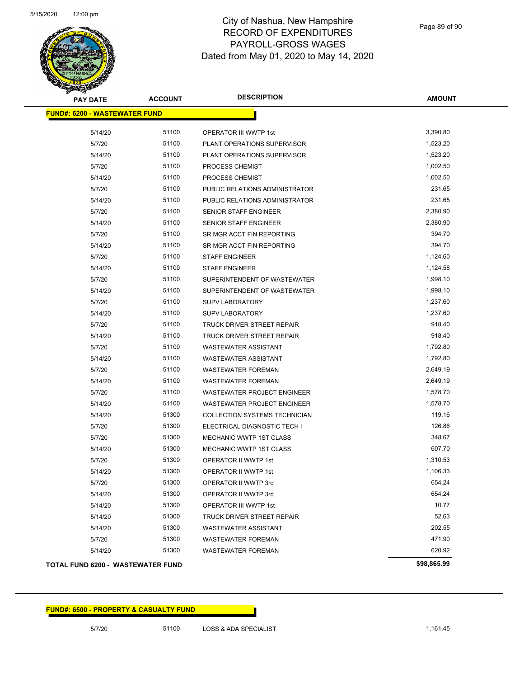

| <b>PAY DATE</b>                      | <b>ACCOUNT</b> | <b>DESCRIPTION</b>                 | <b>AMOUNT</b> |
|--------------------------------------|----------------|------------------------------------|---------------|
| <b>FUND#: 6200 - WASTEWATER FUND</b> |                |                                    |               |
|                                      |                |                                    |               |
| 5/14/20                              | 51100          | OPERATOR III WWTP 1st              | 3,390.80      |
| 5/7/20                               | 51100          | PLANT OPERATIONS SUPERVISOR        | 1,523.20      |
| 5/14/20                              | 51100          | PLANT OPERATIONS SUPERVISOR        | 1,523.20      |
| 5/7/20                               | 51100          | PROCESS CHEMIST                    | 1,002.50      |
| 5/14/20                              | 51100          | PROCESS CHEMIST                    | 1,002.50      |
| 5/7/20                               | 51100          | PUBLIC RELATIONS ADMINISTRATOR     | 231.65        |
| 5/14/20                              | 51100          | PUBLIC RELATIONS ADMINISTRATOR     | 231.65        |
| 5/7/20                               | 51100          | <b>SENIOR STAFF ENGINEER</b>       | 2,380.90      |
| 5/14/20                              | 51100          | SENIOR STAFF ENGINEER              | 2,380.90      |
| 5/7/20                               | 51100          | SR MGR ACCT FIN REPORTING          | 394.70        |
| 5/14/20                              | 51100          | SR MGR ACCT FIN REPORTING          | 394.70        |
| 5/7/20                               | 51100          | <b>STAFF ENGINEER</b>              | 1,124.60      |
| 5/14/20                              | 51100          | <b>STAFF ENGINEER</b>              | 1,124.58      |
| 5/7/20                               | 51100          | SUPERINTENDENT OF WASTEWATER       | 1,998.10      |
| 5/14/20                              | 51100          | SUPERINTENDENT OF WASTEWATER       | 1,998.10      |
| 5/7/20                               | 51100          | <b>SUPV LABORATORY</b>             | 1,237.60      |
| 5/14/20                              | 51100          | <b>SUPV LABORATORY</b>             | 1,237.60      |
| 5/7/20                               | 51100          | TRUCK DRIVER STREET REPAIR         | 918.40        |
| 5/14/20                              | 51100          | TRUCK DRIVER STREET REPAIR         | 918.40        |
| 5/7/20                               | 51100          | <b>WASTEWATER ASSISTANT</b>        | 1,792.80      |
| 5/14/20                              | 51100          | <b>WASTEWATER ASSISTANT</b>        | 1,792.80      |
| 5/7/20                               | 51100          | <b>WASTEWATER FOREMAN</b>          | 2,649.19      |
| 5/14/20                              | 51100          | <b>WASTEWATER FOREMAN</b>          | 2,649.19      |
| 5/7/20                               | 51100          | <b>WASTEWATER PROJECT ENGINEER</b> | 1,578.70      |
| 5/14/20                              | 51100          | WASTEWATER PROJECT ENGINEER        | 1,578.70      |
| 5/14/20                              | 51300          | COLLECTION SYSTEMS TECHNICIAN      | 119.16        |
| 5/7/20                               | 51300          | ELECTRICAL DIAGNOSTIC TECH I       | 126.86        |
| 5/7/20                               | 51300          | <b>MECHANIC WWTP 1ST CLASS</b>     | 348.67        |
| 5/14/20                              | 51300          | MECHANIC WWTP 1ST CLASS            | 607.70        |
| 5/7/20                               | 51300          | OPERATOR II WWTP 1st               | 1,310.53      |
| 5/14/20                              | 51300          | <b>OPERATOR II WWTP 1st</b>        | 1,106.33      |
| 5/7/20                               | 51300          | OPERATOR II WWTP 3rd               | 654.24        |
| 5/14/20                              | 51300          | OPERATOR II WWTP 3rd               | 654.24        |
| 5/14/20                              | 51300          | OPERATOR III WWTP 1st              | 10.77         |
| 5/14/20                              | 51300          | <b>TRUCK DRIVER STREET REPAIR</b>  | 52.63         |
| 5/14/20                              | 51300          | <b>WASTEWATER ASSISTANT</b>        | 202.55        |
| 5/7/20                               | 51300          | <b>WASTEWATER FOREMAN</b>          | 471.90        |
| 5/14/20                              | 51300          | <b>WASTEWATER FOREMAN</b>          | 620.92        |
| TOTAL FUND 6200 - WASTEWATER FUND    |                |                                    | \$98,865.99   |

#### **TOTAL FUND 6200 - WASTEWATER FUND \$98,865.99**

#### **FUND#: 6500 - PROPERTY & CASUALTY FUND**

5/7/20 51100 LOSS & ADA SPECIALIST 5/7/20 1,161.45